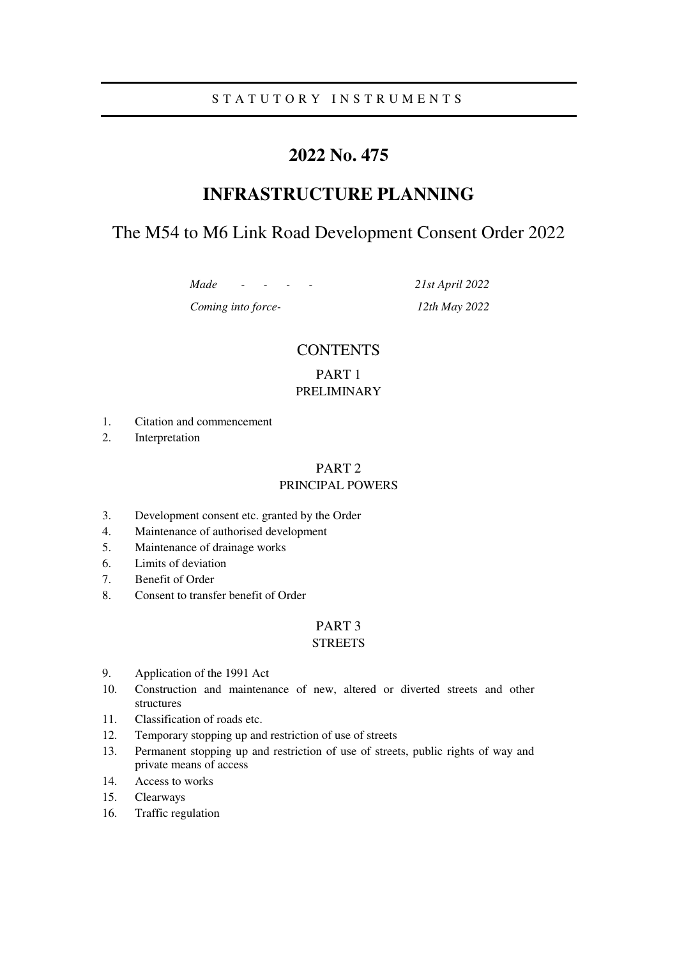## S T A T U T O R Y I N S T R U M E N T S

# **2022 No. 475**

# **INFRASTRUCTURE PLANNING**

# The M54 to M6 Link Road Development Consent Order 2022

*Made - - - - 21st April 2022* 

*Coming into force- 12th May 2022* 

## **CONTENTS**

## PART 1 PRELIMINARY

- 1. Citation and commencement
- 2. Interpretation

## PART 2

### PRINCIPAL POWERS

- 3. Development consent etc. granted by the Order
- 4. Maintenance of authorised development
- 5. Maintenance of drainage works
- 6. Limits of deviation
- 7. Benefit of Order
- 8. Consent to transfer benefit of Order

### PART 3

### **STREETS**

- 9. Application of the 1991 Act
- 10. Construction and maintenance of new, altered or diverted streets and other structures
- 11. Classification of roads etc.
- 12. Temporary stopping up and restriction of use of streets
- 13. Permanent stopping up and restriction of use of streets, public rights of way and private means of access
- 14. Access to works
- 15. Clearways
- 16. Traffic regulation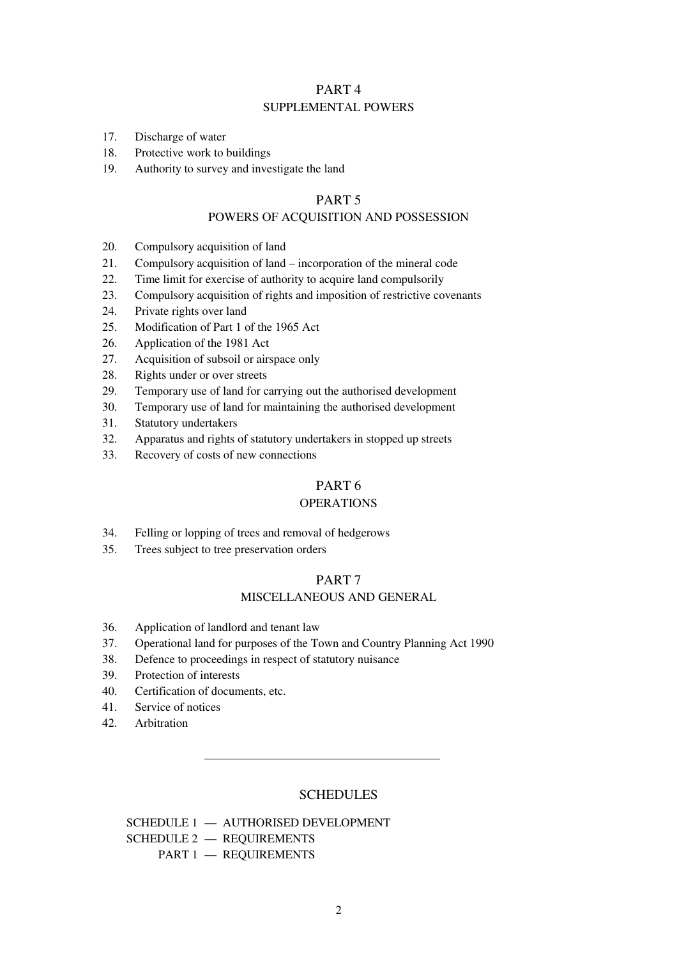### PART 4 SUPPLEMENTAL POWERS

- 17. Discharge of water
- 18. Protective work to buildings
- 19. Authority to survey and investigate the land

### PART 5

### POWERS OF ACQUISITION AND POSSESSION

- 20. Compulsory acquisition of land
- 21. Compulsory acquisition of land incorporation of the mineral code
- 22. Time limit for exercise of authority to acquire land compulsorily
- 23. Compulsory acquisition of rights and imposition of restrictive covenants
- 24. Private rights over land
- 25. Modification of Part 1 of the 1965 Act
- 26. Application of the 1981 Act
- 27. Acquisition of subsoil or airspace only
- 28. Rights under or over streets
- 29. Temporary use of land for carrying out the authorised development
- 30. Temporary use of land for maintaining the authorised development
- 31. Statutory undertakers
- 32. Apparatus and rights of statutory undertakers in stopped up streets
- 33. Recovery of costs of new connections

### PART 6

### OPERATIONS

- 34. Felling or lopping of trees and removal of hedgerows
- 35. Trees subject to tree preservation orders

## PART 7

### MISCELLANEOUS AND GENERAL

- 36. Application of landlord and tenant law
- 37. Operational land for purposes of the Town and Country Planning Act 1990
- 38. Defence to proceedings in respect of statutory nuisance
- 39. Protection of interests
- 40. Certification of documents, etc.
- 41. Service of notices
- 42. Arbitration

### **SCHEDULES**

 SCHEDULE 1 — AUTHORISED DEVELOPMENT SCHEDULE 2 — REQUIREMENTS PART 1 — REQUIREMENTS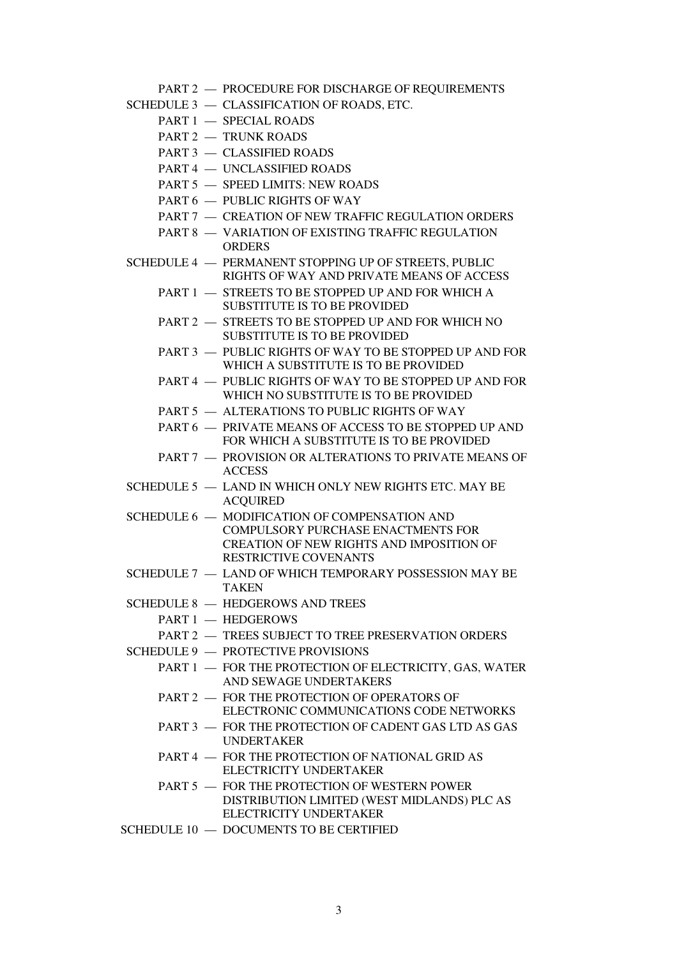PART 2 — PROCEDURE FOR DISCHARGE OF REQUIREMENTS

- SCHEDULE 3 CLASSIFICATION OF ROADS, ETC.
	- PART 1 SPECIAL ROADS
	- PART 2 TRUNK ROADS
	- PART 3 CLASSIFIED ROADS
	- PART 4 UNCLASSIFIED ROADS
	- PART 5 SPEED LIMITS: NEW ROADS
	- PART 6 PUBLIC RIGHTS OF WAY
	- PART 7 CREATION OF NEW TRAFFIC REGULATION ORDERS
	- PART 8 VARIATION OF EXISTING TRAFFIC REGULATION **ORDERS**
- SCHEDULE 4 PERMANENT STOPPING UP OF STREETS, PUBLIC RIGHTS OF WAY AND PRIVATE MEANS OF ACCESS
	- PART 1 STREETS TO BE STOPPED UP AND FOR WHICH A SUBSTITUTE IS TO BE PROVIDED
	- PART 2 STREETS TO BE STOPPED UP AND FOR WHICH NO SUBSTITUTE IS TO BE PROVIDED
	- PART 3 PUBLIC RIGHTS OF WAY TO BE STOPPED UP AND FOR WHICH A SUBSTITUTE IS TO BE PROVIDED
	- PART 4 PUBLIC RIGHTS OF WAY TO BE STOPPED UP AND FOR WHICH NO SUBSTITUTE IS TO BE PROVIDED
	- PART 5 ALTERATIONS TO PUBLIC RIGHTS OF WAY
	- PART 6 PRIVATE MEANS OF ACCESS TO BE STOPPED UP AND FOR WHICH A SUBSTITUTE IS TO BE PROVIDED
	- PART 7 PROVISION OR ALTERATIONS TO PRIVATE MEANS OF **ACCESS**
- SCHEDULE 5 LAND IN WHICH ONLY NEW RIGHTS ETC. MAY BE ACQUIRED
- SCHEDULE 6 MODIFICATION OF COMPENSATION AND COMPULSORY PURCHASE ENACTMENTS FOR CREATION OF NEW RIGHTS AND IMPOSITION OF RESTRICTIVE COVENANTS
- SCHEDULE 7 LAND OF WHICH TEMPORARY POSSESSION MAY BE TAKEN
- SCHEDULE 8 HEDGEROWS AND TREES
	- PART 1 HEDGEROWS
	- PART 2 TREES SUBJECT TO TREE PRESERVATION ORDERS
- SCHEDULE 9 PROTECTIVE PROVISIONS
	- PART 1 FOR THE PROTECTION OF ELECTRICITY, GAS, WATER AND SEWAGE UNDERTAKERS
	- PART 2 FOR THE PROTECTION OF OPERATORS OF ELECTRONIC COMMUNICATIONS CODE NETWORKS
	- PART 3 FOR THE PROTECTION OF CADENT GAS LTD AS GAS UNDERTAKER
	- PART 4 FOR THE PROTECTION OF NATIONAL GRID AS ELECTRICITY UNDERTAKER
	- PART 5 FOR THE PROTECTION OF WESTERN POWER DISTRIBUTION LIMITED (WEST MIDLANDS) PLC AS ELECTRICITY UNDERTAKER
- SCHEDULE 10 DOCUMENTS TO BE CERTIFIED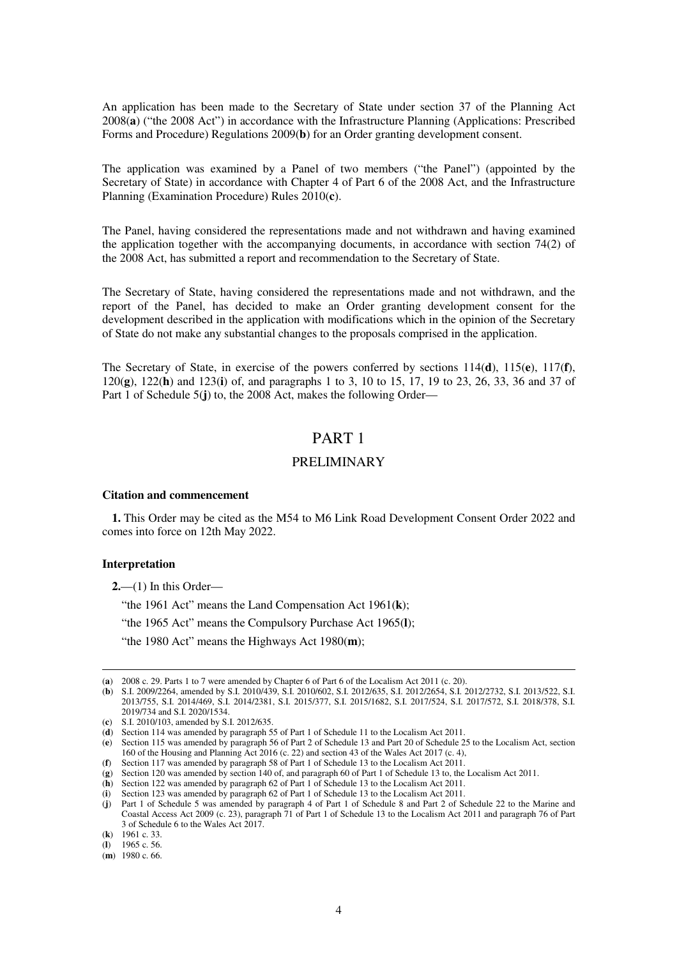An application has been made to the Secretary of State under section 37 of the Planning Act 2008(**a**) ("the 2008 Act") in accordance with the Infrastructure Planning (Applications: Prescribed Forms and Procedure) Regulations 2009(**b**) for an Order granting development consent.

The application was examined by a Panel of two members ("the Panel") (appointed by the Secretary of State) in accordance with Chapter 4 of Part 6 of the 2008 Act, and the Infrastructure Planning (Examination Procedure) Rules 2010(**c**).

The Panel, having considered the representations made and not withdrawn and having examined the application together with the accompanying documents, in accordance with section 74(2) of the 2008 Act, has submitted a report and recommendation to the Secretary of State.

The Secretary of State, having considered the representations made and not withdrawn, and the report of the Panel, has decided to make an Order granting development consent for the development described in the application with modifications which in the opinion of the Secretary of State do not make any substantial changes to the proposals comprised in the application.

The Secretary of State, in exercise of the powers conferred by sections 114(**d**), 115(**e**), 117(**f**), 120(**g**), 122(**h**) and 123(**i**) of, and paragraphs 1 to 3, 10 to 15, 17, 19 to 23, 26, 33, 36 and 37 of Part 1 of Schedule 5(**j**) to, the 2008 Act, makes the following Order—

### PART 1

### PRELIMINARY

#### **Citation and commencement**

**1.** This Order may be cited as the M54 to M6 Link Road Development Consent Order 2022 and comes into force on 12th May 2022.

#### **Interpretation**

-

**2.**—(1) In this Order—

"the 1961 Act" means the Land Compensation Act 1961(**k**);

"the 1965 Act" means the Compulsory Purchase Act 1965(**l**);

"the 1980 Act" means the Highways Act 1980(**m**);

<sup>(</sup>**a**) 2008 c. 29. Parts 1 to 7 were amended by Chapter 6 of Part 6 of the Localism Act 2011 (c. 20).

<sup>(</sup>**b**) S.I. 2009/2264, amended by S.I. 2010/439, S.I. 2010/602, S.I. 2012/635, S.I. 2012/2654, S.I. 2012/2732, S.I. 2013/522, S.I. 2013/755, S.I. 2014/469, S.I. 2014/2381, S.I. 2015/377, S.I. 2015/1682, S.I. 2017/524, S.I. 2017/572, S.I. 2018/378, S.I. 2019/734 and S.I. 2020/1534.

<sup>(</sup>**c**) S.I. 2010/103, amended by S.I. 2012/635.

<sup>(</sup>**d**) Section 114 was amended by paragraph 55 of Part 1 of Schedule 11 to the Localism Act 2011.

<sup>(</sup>**e**) Section 115 was amended by paragraph 56 of Part 2 of Schedule 13 and Part 20 of Schedule 25 to the Localism Act, section 160 of the Housing and Planning Act 2016 (c. 22) and section 43 of the Wales Act 2017 (c. 4),

<sup>(</sup>**f**) Section 117 was amended by paragraph 58 of Part 1 of Schedule 13 to the Localism Act 2011.

<sup>(</sup>**g**) Section 120 was amended by section 140 of, and paragraph 60 of Part 1 of Schedule 13 to, the Localism Act 2011.

<sup>(</sup>**h**) Section 122 was amended by paragraph 62 of Part 1 of Schedule 13 to the Localism Act 2011.

<sup>(</sup>**i**) Section 123 was amended by paragraph 62 of Part 1 of Schedule 13 to the Localism Act 2011.

<sup>(</sup>**j**) Part 1 of Schedule 5 was amended by paragraph 4 of Part 1 of Schedule 8 and Part 2 of Schedule 22 to the Marine and Coastal Access Act 2009 (c. 23), paragraph 71 of Part 1 of Schedule 13 to the Localism Act 2011 and paragraph 76 of Part 3 of Schedule 6 to the Wales Act 2017.

<sup>(</sup>**k**) 1961 c. 33.

<sup>(</sup>**l**) 1965 c. 56.

<sup>(</sup>**m**) 1980 c. 66.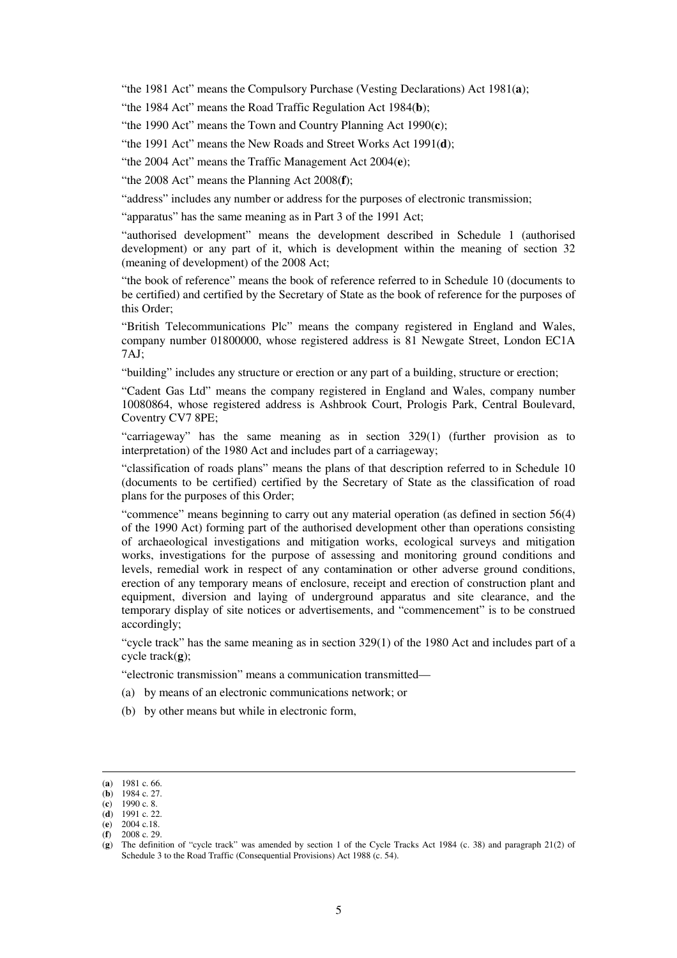"the 1981 Act" means the Compulsory Purchase (Vesting Declarations) Act 1981(**a**);

"the 1984 Act" means the Road Traffic Regulation Act 1984(**b**);

"the 1990 Act" means the Town and Country Planning Act 1990(**c**);

"the 1991 Act" means the New Roads and Street Works Act 1991(**d**);

"the 2004 Act" means the Traffic Management Act 2004(**e**);

"the 2008 Act" means the Planning Act 2008(**f**);

"address" includes any number or address for the purposes of electronic transmission;

"apparatus" has the same meaning as in Part 3 of the 1991 Act;

"authorised development" means the development described in Schedule 1 (authorised development) or any part of it, which is development within the meaning of section 32 (meaning of development) of the 2008 Act;

"the book of reference" means the book of reference referred to in Schedule 10 (documents to be certified) and certified by the Secretary of State as the book of reference for the purposes of this Order;

"British Telecommunications Plc" means the company registered in England and Wales, company number 01800000, whose registered address is 81 Newgate Street, London EC1A 7AJ;

"building" includes any structure or erection or any part of a building, structure or erection;

"Cadent Gas Ltd" means the company registered in England and Wales, company number 10080864, whose registered address is Ashbrook Court, Prologis Park, Central Boulevard, Coventry CV7 8PE;

"carriageway" has the same meaning as in section 329(1) (further provision as to interpretation) of the 1980 Act and includes part of a carriageway;

"classification of roads plans" means the plans of that description referred to in Schedule 10 (documents to be certified) certified by the Secretary of State as the classification of road plans for the purposes of this Order;

"commence" means beginning to carry out any material operation (as defined in section 56(4) of the 1990 Act) forming part of the authorised development other than operations consisting of archaeological investigations and mitigation works, ecological surveys and mitigation works, investigations for the purpose of assessing and monitoring ground conditions and levels, remedial work in respect of any contamination or other adverse ground conditions, erection of any temporary means of enclosure, receipt and erection of construction plant and equipment, diversion and laying of underground apparatus and site clearance, and the temporary display of site notices or advertisements, and "commencement" is to be construed accordingly;

"cycle track" has the same meaning as in section 329(1) of the 1980 Act and includes part of a cycle track(**g**);

"electronic transmission" means a communication transmitted—

- (a) by means of an electronic communications network; or
- (b) by other means but while in electronic form,

<sup>(</sup>**a**) 1981 c. 66.

<sup>(</sup>**b**) 1984 c. 27. (**c**) 1990 c. 8.

<sup>(</sup>**d**) 1991 c. 22.

<sup>(</sup>**e**) 2004 c.18.

<sup>(</sup>**f**) 2008 c. 29.

<sup>(</sup>**g**) The definition of "cycle track" was amended by section 1 of the Cycle Tracks Act 1984 (c. 38) and paragraph 21(2) of Schedule 3 to the Road Traffic (Consequential Provisions) Act 1988 (c. 54).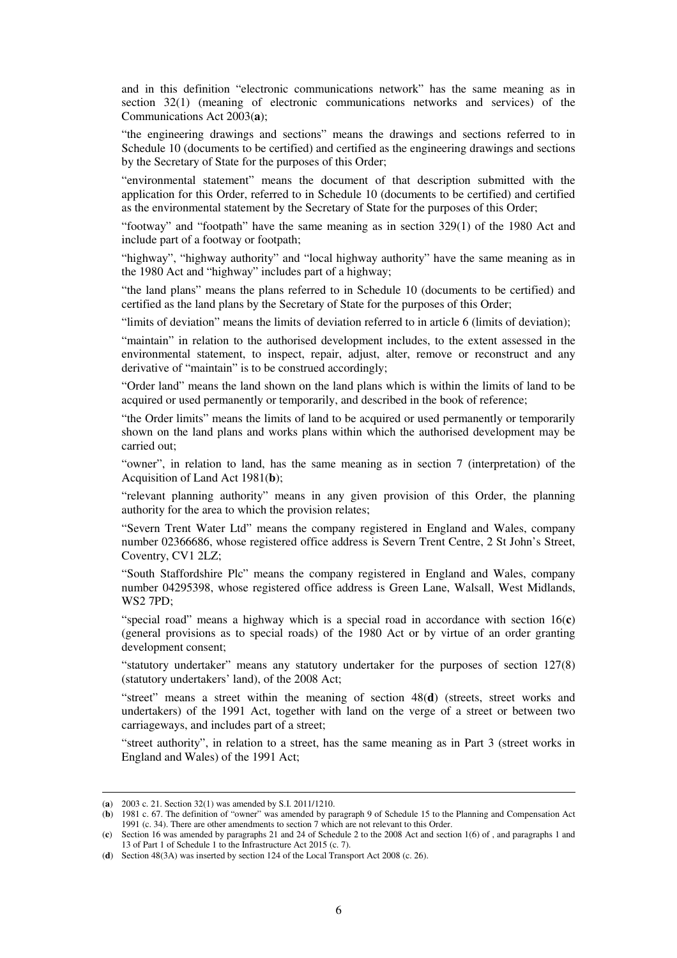and in this definition "electronic communications network" has the same meaning as in section 32(1) (meaning of electronic communications networks and services) of the Communications Act 2003(**a**);

"the engineering drawings and sections" means the drawings and sections referred to in Schedule 10 (documents to be certified) and certified as the engineering drawings and sections by the Secretary of State for the purposes of this Order;

"environmental statement" means the document of that description submitted with the application for this Order, referred to in Schedule 10 (documents to be certified) and certified as the environmental statement by the Secretary of State for the purposes of this Order;

"footway" and "footpath" have the same meaning as in section 329(1) of the 1980 Act and include part of a footway or footpath;

"highway", "highway authority" and "local highway authority" have the same meaning as in the 1980 Act and "highway" includes part of a highway;

"the land plans" means the plans referred to in Schedule 10 (documents to be certified) and certified as the land plans by the Secretary of State for the purposes of this Order;

"limits of deviation" means the limits of deviation referred to in article 6 (limits of deviation);

"maintain" in relation to the authorised development includes, to the extent assessed in the environmental statement, to inspect, repair, adjust, alter, remove or reconstruct and any derivative of "maintain" is to be construed accordingly;

"Order land" means the land shown on the land plans which is within the limits of land to be acquired or used permanently or temporarily, and described in the book of reference;

"the Order limits" means the limits of land to be acquired or used permanently or temporarily shown on the land plans and works plans within which the authorised development may be carried out;

"owner", in relation to land, has the same meaning as in section 7 (interpretation) of the Acquisition of Land Act 1981(**b**);

"relevant planning authority" means in any given provision of this Order, the planning authority for the area to which the provision relates;

"Severn Trent Water Ltd" means the company registered in England and Wales, company number 02366686, whose registered office address is Severn Trent Centre, 2 St John's Street, Coventry, CV1 2LZ;

"South Staffordshire Plc" means the company registered in England and Wales, company number 04295398, whose registered office address is Green Lane, Walsall, West Midlands, WS2 7PD;

"special road" means a highway which is a special road in accordance with section 16(**c**) (general provisions as to special roads) of the 1980 Act or by virtue of an order granting development consent;

"statutory undertaker" means any statutory undertaker for the purposes of section 127(8) (statutory undertakers' land), of the 2008 Act;

"street" means a street within the meaning of section 48(**d**) (streets, street works and undertakers) of the 1991 Act, together with land on the verge of a street or between two carriageways, and includes part of a street;

"street authority", in relation to a street, has the same meaning as in Part 3 (street works in England and Wales) of the 1991 Act;

<sup>(</sup>**a**) 2003 c. 21. Section 32(1) was amended by S.I. 2011/1210.

<sup>(</sup>**b**) 1981 c. 67. The definition of "owner" was amended by paragraph 9 of Schedule 15 to the Planning and Compensation Act 1991 (c. 34). There are other amendments to section 7 which are not relevant to this Order.

<sup>(</sup>**c**) Section 16 was amended by paragraphs 21 and 24 of Schedule 2 to the 2008 Act and section 1(6) of , and paragraphs 1 and 13 of Part 1 of Schedule 1 to the Infrastructure Act 2015 (c. 7).

<sup>(</sup>**d**) Section 48(3A) was inserted by section 124 of the Local Transport Act 2008 (c. 26).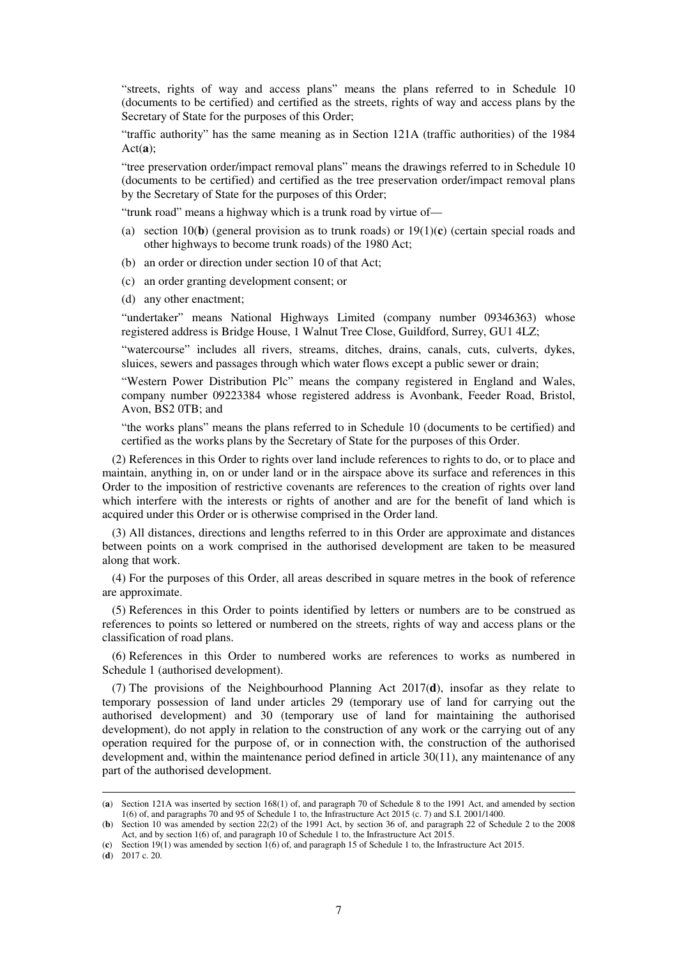"streets, rights of way and access plans" means the plans referred to in Schedule 10 (documents to be certified) and certified as the streets, rights of way and access plans by the Secretary of State for the purposes of this Order;

"traffic authority" has the same meaning as in Section 121A (traffic authorities) of the 1984 Act(**a**);

"tree preservation order/impact removal plans" means the drawings referred to in Schedule 10 (documents to be certified) and certified as the tree preservation order/impact removal plans by the Secretary of State for the purposes of this Order;

"trunk road" means a highway which is a trunk road by virtue of—

- (a) section 10(**b**) (general provision as to trunk roads) or 19(1)(**c**) (certain special roads and other highways to become trunk roads) of the 1980 Act;
- (b) an order or direction under section 10 of that Act;
- (c) an order granting development consent; or
- (d) any other enactment;

"undertaker" means National Highways Limited (company number 09346363) whose registered address is Bridge House, 1 Walnut Tree Close, Guildford, Surrey, GU1 4LZ;

"watercourse" includes all rivers, streams, ditches, drains, canals, cuts, culverts, dykes, sluices, sewers and passages through which water flows except a public sewer or drain;

"Western Power Distribution Plc" means the company registered in England and Wales, company number 09223384 whose registered address is Avonbank, Feeder Road, Bristol, Avon, BS2 0TB; and

"the works plans" means the plans referred to in Schedule 10 (documents to be certified) and certified as the works plans by the Secretary of State for the purposes of this Order.

(2) References in this Order to rights over land include references to rights to do, or to place and maintain, anything in, on or under land or in the airspace above its surface and references in this Order to the imposition of restrictive covenants are references to the creation of rights over land which interfere with the interests or rights of another and are for the benefit of land which is acquired under this Order or is otherwise comprised in the Order land.

(3) All distances, directions and lengths referred to in this Order are approximate and distances between points on a work comprised in the authorised development are taken to be measured along that work.

(4) For the purposes of this Order, all areas described in square metres in the book of reference are approximate.

(5) References in this Order to points identified by letters or numbers are to be construed as references to points so lettered or numbered on the streets, rights of way and access plans or the classification of road plans.

(6) References in this Order to numbered works are references to works as numbered in Schedule 1 (authorised development).

(7) The provisions of the Neighbourhood Planning Act 2017(**d**), insofar as they relate to temporary possession of land under articles 29 (temporary use of land for carrying out the authorised development) and 30 (temporary use of land for maintaining the authorised development), do not apply in relation to the construction of any work or the carrying out of any operation required for the purpose of, or in connection with, the construction of the authorised development and, within the maintenance period defined in article 30(11), any maintenance of any part of the authorised development.

<sup>(</sup>**a**) Section 121A was inserted by section 168(1) of, and paragraph 70 of Schedule 8 to the 1991 Act, and amended by section 1(6) of, and paragraphs 70 and 95 of Schedule 1 to, the Infrastructure Act 2015 (c. 7) and S.I. 2001/1400.

<sup>(</sup>**b**) Section 10 was amended by section 22(2) of the 1991 Act, by section 36 of, and paragraph 22 of Schedule 2 to the 2008 Act, and by section 1(6) of, and paragraph 10 of Schedule 1 to, the Infrastructure Act 2015.

<sup>(</sup>**c**) Section 19(1) was amended by section 1(6) of, and paragraph 15 of Schedule 1 to, the Infrastructure Act 2015.

<sup>(</sup>**d**) 2017 c. 20.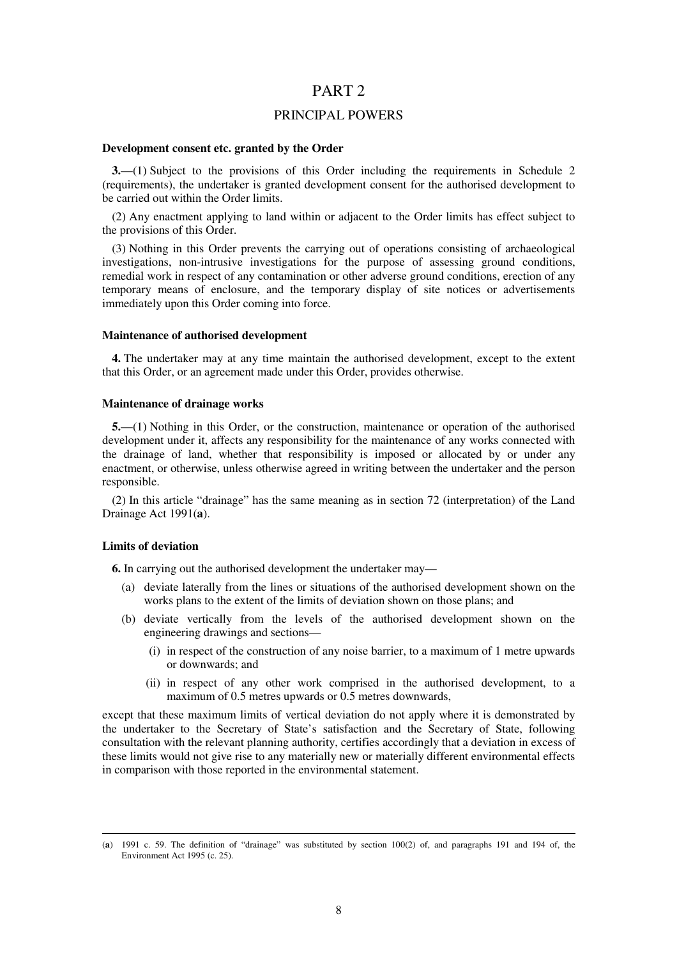### PART 2

### PRINCIPAL POWERS

#### **Development consent etc. granted by the Order**

**3.**—(1) Subject to the provisions of this Order including the requirements in Schedule 2 (requirements), the undertaker is granted development consent for the authorised development to be carried out within the Order limits.

(2) Any enactment applying to land within or adjacent to the Order limits has effect subject to the provisions of this Order.

(3) Nothing in this Order prevents the carrying out of operations consisting of archaeological investigations, non-intrusive investigations for the purpose of assessing ground conditions, remedial work in respect of any contamination or other adverse ground conditions, erection of any temporary means of enclosure, and the temporary display of site notices or advertisements immediately upon this Order coming into force.

#### **Maintenance of authorised development**

**4.** The undertaker may at any time maintain the authorised development, except to the extent that this Order, or an agreement made under this Order, provides otherwise.

### **Maintenance of drainage works**

**5.**—(1) Nothing in this Order, or the construction, maintenance or operation of the authorised development under it, affects any responsibility for the maintenance of any works connected with the drainage of land, whether that responsibility is imposed or allocated by or under any enactment, or otherwise, unless otherwise agreed in writing between the undertaker and the person responsible.

(2) In this article "drainage" has the same meaning as in section 72 (interpretation) of the Land Drainage Act 1991(**a**).

#### **Limits of deviation**

-

**6.** In carrying out the authorised development the undertaker may—

- (a) deviate laterally from the lines or situations of the authorised development shown on the works plans to the extent of the limits of deviation shown on those plans; and
- (b) deviate vertically from the levels of the authorised development shown on the engineering drawings and sections—
	- (i) in respect of the construction of any noise barrier, to a maximum of 1 metre upwards or downwards; and
	- (ii) in respect of any other work comprised in the authorised development, to a maximum of 0.5 metres upwards or 0.5 metres downwards,

except that these maximum limits of vertical deviation do not apply where it is demonstrated by the undertaker to the Secretary of State's satisfaction and the Secretary of State, following consultation with the relevant planning authority, certifies accordingly that a deviation in excess of these limits would not give rise to any materially new or materially different environmental effects in comparison with those reported in the environmental statement.

<sup>(</sup>**a**) 1991 c. 59. The definition of "drainage" was substituted by section 100(2) of, and paragraphs 191 and 194 of, the Environment Act 1995 (c. 25).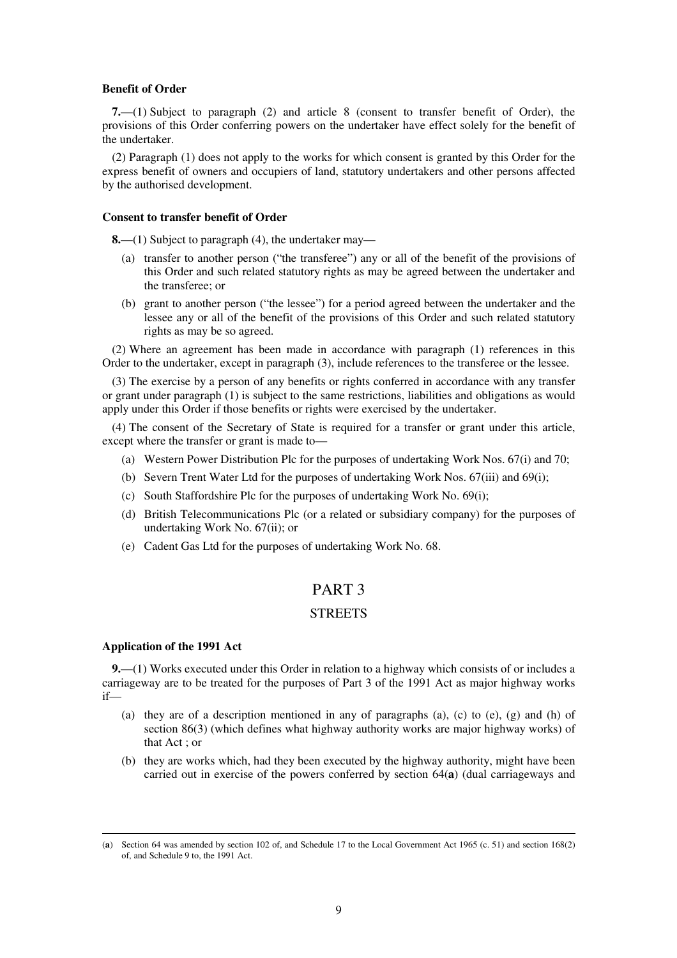#### **Benefit of Order**

**7.**—(1) Subject to paragraph (2) and article 8 (consent to transfer benefit of Order), the provisions of this Order conferring powers on the undertaker have effect solely for the benefit of the undertaker.

(2) Paragraph (1) does not apply to the works for which consent is granted by this Order for the express benefit of owners and occupiers of land, statutory undertakers and other persons affected by the authorised development.

### **Consent to transfer benefit of Order**

**8.**—(1) Subject to paragraph (4), the undertaker may—

- (a) transfer to another person ("the transferee") any or all of the benefit of the provisions of this Order and such related statutory rights as may be agreed between the undertaker and the transferee; or
- (b) grant to another person ("the lessee") for a period agreed between the undertaker and the lessee any or all of the benefit of the provisions of this Order and such related statutory rights as may be so agreed.

(2) Where an agreement has been made in accordance with paragraph (1) references in this Order to the undertaker, except in paragraph (3), include references to the transferee or the lessee.

(3) The exercise by a person of any benefits or rights conferred in accordance with any transfer or grant under paragraph (1) is subject to the same restrictions, liabilities and obligations as would apply under this Order if those benefits or rights were exercised by the undertaker.

(4) The consent of the Secretary of State is required for a transfer or grant under this article, except where the transfer or grant is made to—

- (a) Western Power Distribution Plc for the purposes of undertaking Work Nos. 67(i) and 70;
- (b) Severn Trent Water Ltd for the purposes of undertaking Work Nos. 67(iii) and 69(i);
- (c) South Staffordshire Plc for the purposes of undertaking Work No. 69(i);
- (d) British Telecommunications Plc (or a related or subsidiary company) for the purposes of undertaking Work No. 67(ii); or
- (e) Cadent Gas Ltd for the purposes of undertaking Work No. 68.

### PART 3

### **STREETS**

### **Application of the 1991 Act**

-

**9.**—(1) Works executed under this Order in relation to a highway which consists of or includes a carriageway are to be treated for the purposes of Part 3 of the 1991 Act as major highway works if—

- (a) they are of a description mentioned in any of paragraphs (a), (c) to (e), (g) and (h) of section 86(3) (which defines what highway authority works are major highway works) of that Act ; or
- (b) they are works which, had they been executed by the highway authority, might have been carried out in exercise of the powers conferred by section 64(**a**) (dual carriageways and

<sup>(</sup>**a**) Section 64 was amended by section 102 of, and Schedule 17 to the Local Government Act 1965 (c. 51) and section 168(2) of, and Schedule 9 to, the 1991 Act.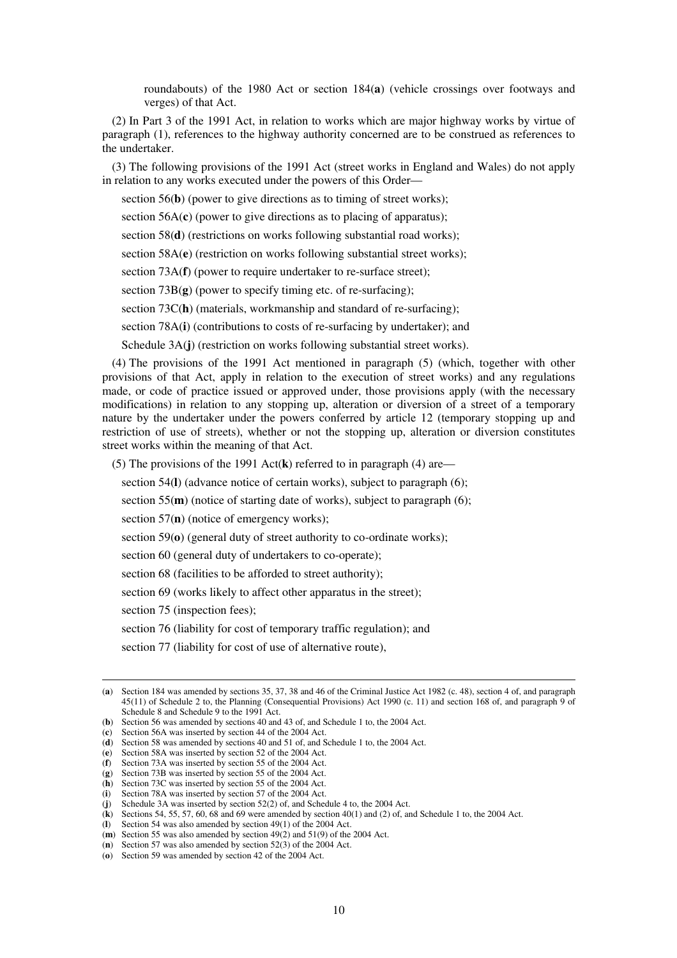roundabouts) of the 1980 Act or section 184(**a**) (vehicle crossings over footways and verges) of that Act.

(2) In Part 3 of the 1991 Act, in relation to works which are major highway works by virtue of paragraph (1), references to the highway authority concerned are to be construed as references to the undertaker.

(3) The following provisions of the 1991 Act (street works in England and Wales) do not apply in relation to any works executed under the powers of this Order—

section 56(**b**) (power to give directions as to timing of street works);

section 56A(**c**) (power to give directions as to placing of apparatus);

section 58(**d**) (restrictions on works following substantial road works);

section 58A(**e**) (restriction on works following substantial street works);

section 73A(**f**) (power to require undertaker to re-surface street);

section 73B(**g**) (power to specify timing etc. of re-surfacing);

section 73C(h) (materials, workmanship and standard of re-surfacing);

section 78A(**i**) (contributions to costs of re-surfacing by undertaker); and

Schedule 3A(**j**) (restriction on works following substantial street works).

(4) The provisions of the 1991 Act mentioned in paragraph (5) (which, together with other provisions of that Act, apply in relation to the execution of street works) and any regulations made, or code of practice issued or approved under, those provisions apply (with the necessary modifications) in relation to any stopping up, alteration or diversion of a street of a temporary nature by the undertaker under the powers conferred by article 12 (temporary stopping up and restriction of use of streets), whether or not the stopping up, alteration or diversion constitutes street works within the meaning of that Act.

(5) The provisions of the 1991 Act(**k**) referred to in paragraph (4) are—

section 54(**l**) (advance notice of certain works), subject to paragraph (6);

section 55(**m**) (notice of starting date of works), subject to paragraph (6);

section 57(**n**) (notice of emergency works);

section 59( $\mathbf{o}$ ) (general duty of street authority to co-ordinate works);

section 60 (general duty of undertakers to co-operate);

section 68 (facilities to be afforded to street authority);

section 69 (works likely to affect other apparatus in the street);

section 75 (inspection fees);

-

section 76 (liability for cost of temporary traffic regulation); and

section 77 (liability for cost of use of alternative route),

<sup>(</sup>**a**) Section 184 was amended by sections 35, 37, 38 and 46 of the Criminal Justice Act 1982 (c. 48), section 4 of, and paragraph 45(11) of Schedule 2 to, the Planning (Consequential Provisions) Act 1990 (c. 11) and section 168 of, and paragraph 9 of Schedule 8 and Schedule 9 to the 1991 Act.

<sup>(</sup>**b**) Section 56 was amended by sections 40 and 43 of, and Schedule 1 to, the 2004 Act.

<sup>(</sup>**c**) Section 56A was inserted by section 44 of the 2004 Act.

<sup>(</sup>**d**) Section 58 was amended by sections 40 and 51 of, and Schedule 1 to, the 2004 Act.

<sup>(</sup>**e**) Section 58A was inserted by section 52 of the 2004 Act.

<sup>(</sup>**f**) Section 73A was inserted by section 55 of the 2004 Act.

<sup>(</sup>**g**) Section 73B was inserted by section 55 of the 2004 Act.

<sup>(</sup>**h**) Section 73C was inserted by section 55 of the 2004 Act.

<sup>(</sup>**i**) Section 78A was inserted by section 57 of the 2004 Act. (**j**) Schedule 3A was inserted by section 52(2) of, and Schedule 4 to, the 2004 Act.

<sup>(</sup>**k**) Sections 54, 55, 57, 60, 68 and 69 were amended by section 40(1) and (2) of, and Schedule 1 to, the 2004 Act.

<sup>(</sup>**l**) Section 54 was also amended by section 49(1) of the 2004 Act.

<sup>(</sup>**m**) Section 55 was also amended by section 49(2) and 51(9) of the 2004 Act.

<sup>(</sup>**n**) Section 57 was also amended by section 52(3) of the 2004 Act.

<sup>(</sup>**o**) Section 59 was amended by section 42 of the 2004 Act.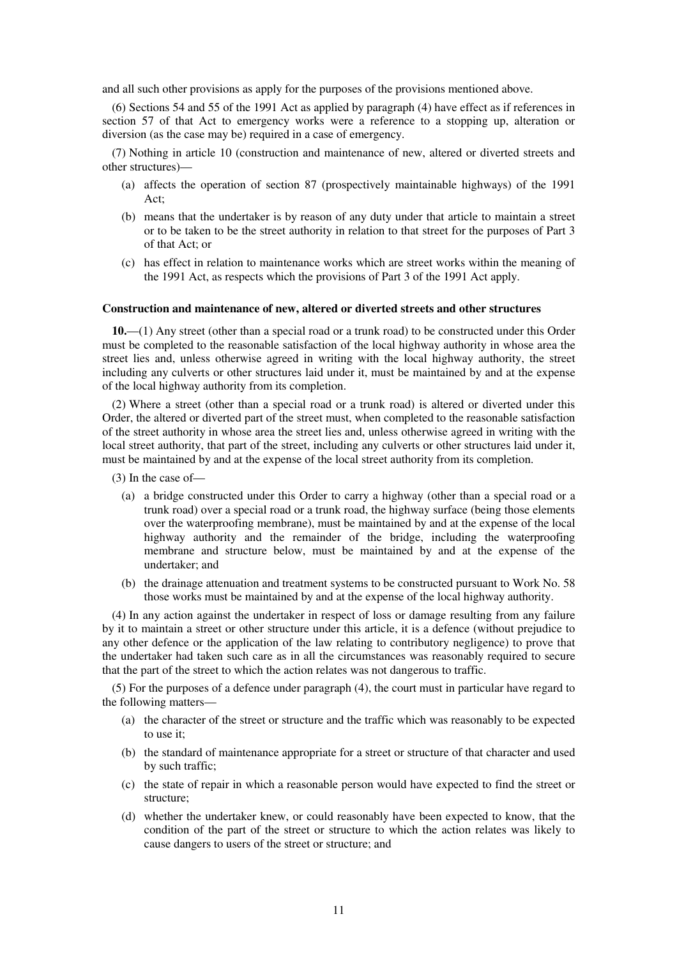and all such other provisions as apply for the purposes of the provisions mentioned above.

(6) Sections 54 and 55 of the 1991 Act as applied by paragraph (4) have effect as if references in section 57 of that Act to emergency works were a reference to a stopping up, alteration or diversion (as the case may be) required in a case of emergency.

(7) Nothing in article 10 (construction and maintenance of new, altered or diverted streets and other structures)—

- (a) affects the operation of section 87 (prospectively maintainable highways) of the 1991 Act;
- (b) means that the undertaker is by reason of any duty under that article to maintain a street or to be taken to be the street authority in relation to that street for the purposes of Part 3 of that Act; or
- (c) has effect in relation to maintenance works which are street works within the meaning of the 1991 Act, as respects which the provisions of Part 3 of the 1991 Act apply.

#### **Construction and maintenance of new, altered or diverted streets and other structures**

**10.**—(1) Any street (other than a special road or a trunk road) to be constructed under this Order must be completed to the reasonable satisfaction of the local highway authority in whose area the street lies and, unless otherwise agreed in writing with the local highway authority, the street including any culverts or other structures laid under it, must be maintained by and at the expense of the local highway authority from its completion.

(2) Where a street (other than a special road or a trunk road) is altered or diverted under this Order, the altered or diverted part of the street must, when completed to the reasonable satisfaction of the street authority in whose area the street lies and, unless otherwise agreed in writing with the local street authority, that part of the street, including any culverts or other structures laid under it, must be maintained by and at the expense of the local street authority from its completion.

(3) In the case of—

- (a) a bridge constructed under this Order to carry a highway (other than a special road or a trunk road) over a special road or a trunk road, the highway surface (being those elements over the waterproofing membrane), must be maintained by and at the expense of the local highway authority and the remainder of the bridge, including the waterproofing membrane and structure below, must be maintained by and at the expense of the undertaker; and
- (b) the drainage attenuation and treatment systems to be constructed pursuant to Work No. 58 those works must be maintained by and at the expense of the local highway authority.

(4) In any action against the undertaker in respect of loss or damage resulting from any failure by it to maintain a street or other structure under this article, it is a defence (without prejudice to any other defence or the application of the law relating to contributory negligence) to prove that the undertaker had taken such care as in all the circumstances was reasonably required to secure that the part of the street to which the action relates was not dangerous to traffic.

(5) For the purposes of a defence under paragraph (4), the court must in particular have regard to the following matters—

- (a) the character of the street or structure and the traffic which was reasonably to be expected to use it;
- (b) the standard of maintenance appropriate for a street or structure of that character and used by such traffic;
- (c) the state of repair in which a reasonable person would have expected to find the street or structure;
- (d) whether the undertaker knew, or could reasonably have been expected to know, that the condition of the part of the street or structure to which the action relates was likely to cause dangers to users of the street or structure; and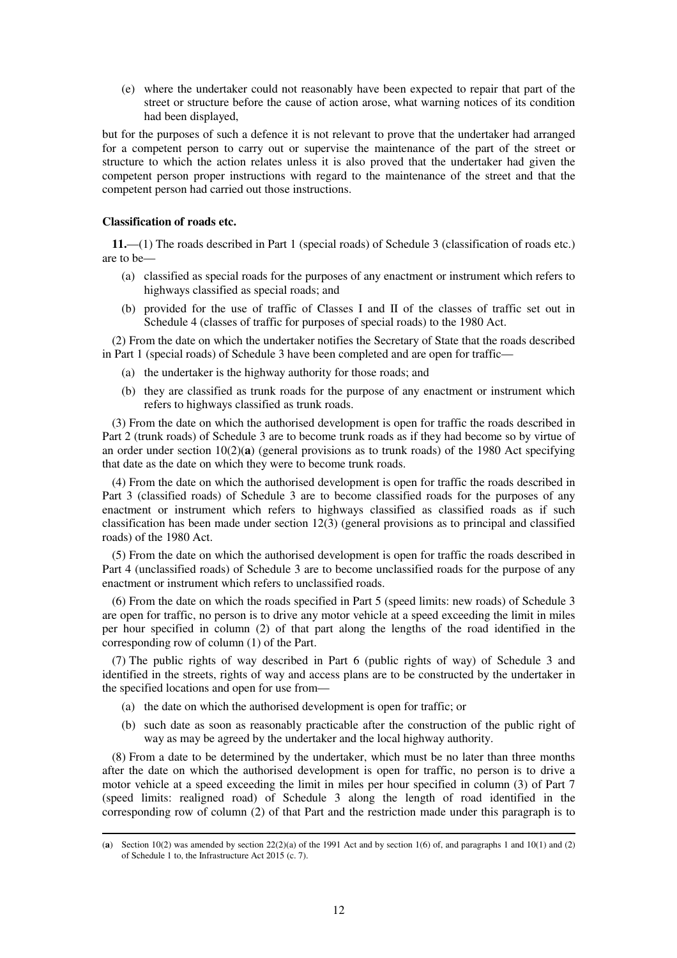(e) where the undertaker could not reasonably have been expected to repair that part of the street or structure before the cause of action arose, what warning notices of its condition had been displayed,

but for the purposes of such a defence it is not relevant to prove that the undertaker had arranged for a competent person to carry out or supervise the maintenance of the part of the street or structure to which the action relates unless it is also proved that the undertaker had given the competent person proper instructions with regard to the maintenance of the street and that the competent person had carried out those instructions.

### **Classification of roads etc.**

**11.**—(1) The roads described in Part 1 (special roads) of Schedule 3 (classification of roads etc.) are to be—

- (a) classified as special roads for the purposes of any enactment or instrument which refers to highways classified as special roads; and
- (b) provided for the use of traffic of Classes I and II of the classes of traffic set out in Schedule 4 (classes of traffic for purposes of special roads) to the 1980 Act.

(2) From the date on which the undertaker notifies the Secretary of State that the roads described in Part 1 (special roads) of Schedule 3 have been completed and are open for traffic—

- (a) the undertaker is the highway authority for those roads; and
- (b) they are classified as trunk roads for the purpose of any enactment or instrument which refers to highways classified as trunk roads.

(3) From the date on which the authorised development is open for traffic the roads described in Part 2 (trunk roads) of Schedule 3 are to become trunk roads as if they had become so by virtue of an order under section  $10(2)(a)$  (general provisions as to trunk roads) of the 1980 Act specifying that date as the date on which they were to become trunk roads.

(4) From the date on which the authorised development is open for traffic the roads described in Part 3 (classified roads) of Schedule 3 are to become classified roads for the purposes of any enactment or instrument which refers to highways classified as classified roads as if such classification has been made under section 12(3) (general provisions as to principal and classified roads) of the 1980 Act.

(5) From the date on which the authorised development is open for traffic the roads described in Part 4 (unclassified roads) of Schedule 3 are to become unclassified roads for the purpose of any enactment or instrument which refers to unclassified roads.

(6) From the date on which the roads specified in Part 5 (speed limits: new roads) of Schedule 3 are open for traffic, no person is to drive any motor vehicle at a speed exceeding the limit in miles per hour specified in column (2) of that part along the lengths of the road identified in the corresponding row of column (1) of the Part.

(7) The public rights of way described in Part 6 (public rights of way) of Schedule 3 and identified in the streets, rights of way and access plans are to be constructed by the undertaker in the specified locations and open for use from—

- (a) the date on which the authorised development is open for traffic; or
- (b) such date as soon as reasonably practicable after the construction of the public right of way as may be agreed by the undertaker and the local highway authority.

(8) From a date to be determined by the undertaker, which must be no later than three months after the date on which the authorised development is open for traffic, no person is to drive a motor vehicle at a speed exceeding the limit in miles per hour specified in column (3) of Part 7 (speed limits: realigned road) of Schedule 3 along the length of road identified in the corresponding row of column (2) of that Part and the restriction made under this paragraph is to

<sup>-</sup>(**a**) Section 10(2) was amended by section  $22(2)(a)$  of the 1991 Act and by section 1(6) of, and paragraphs 1 and 10(1) and (2) of Schedule 1 to, the Infrastructure Act 2015 (c. 7).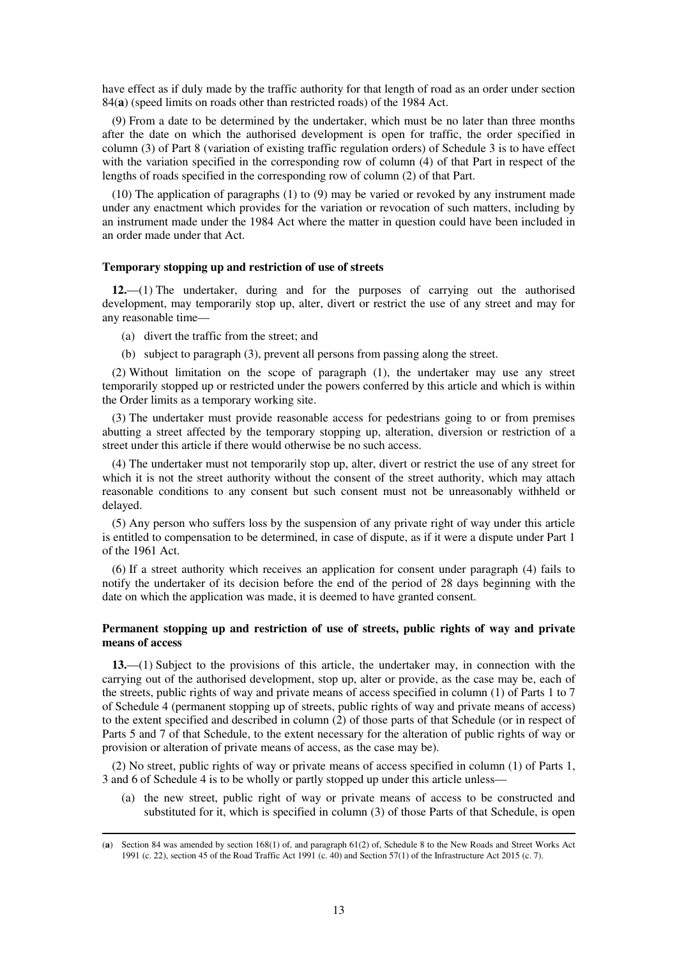have effect as if duly made by the traffic authority for that length of road as an order under section 84(**a**) (speed limits on roads other than restricted roads) of the 1984 Act.

(9) From a date to be determined by the undertaker, which must be no later than three months after the date on which the authorised development is open for traffic, the order specified in column (3) of Part 8 (variation of existing traffic regulation orders) of Schedule 3 is to have effect with the variation specified in the corresponding row of column (4) of that Part in respect of the lengths of roads specified in the corresponding row of column (2) of that Part.

(10) The application of paragraphs (1) to (9) may be varied or revoked by any instrument made under any enactment which provides for the variation or revocation of such matters, including by an instrument made under the 1984 Act where the matter in question could have been included in an order made under that Act.

### **Temporary stopping up and restriction of use of streets**

**12.**—(1) The undertaker, during and for the purposes of carrying out the authorised development, may temporarily stop up, alter, divert or restrict the use of any street and may for any reasonable time—

(a) divert the traffic from the street; and

-

(b) subject to paragraph (3), prevent all persons from passing along the street.

(2) Without limitation on the scope of paragraph (1), the undertaker may use any street temporarily stopped up or restricted under the powers conferred by this article and which is within the Order limits as a temporary working site.

(3) The undertaker must provide reasonable access for pedestrians going to or from premises abutting a street affected by the temporary stopping up, alteration, diversion or restriction of a street under this article if there would otherwise be no such access.

(4) The undertaker must not temporarily stop up, alter, divert or restrict the use of any street for which it is not the street authority without the consent of the street authority, which may attach reasonable conditions to any consent but such consent must not be unreasonably withheld or delayed.

(5) Any person who suffers loss by the suspension of any private right of way under this article is entitled to compensation to be determined, in case of dispute, as if it were a dispute under Part 1 of the 1961 Act.

(6) If a street authority which receives an application for consent under paragraph (4) fails to notify the undertaker of its decision before the end of the period of 28 days beginning with the date on which the application was made, it is deemed to have granted consent.

### **Permanent stopping up and restriction of use of streets, public rights of way and private means of access**

**13.**—(1) Subject to the provisions of this article, the undertaker may, in connection with the carrying out of the authorised development, stop up, alter or provide, as the case may be, each of the streets, public rights of way and private means of access specified in column (1) of Parts 1 to 7 of Schedule 4 (permanent stopping up of streets, public rights of way and private means of access) to the extent specified and described in column (2) of those parts of that Schedule (or in respect of Parts 5 and 7 of that Schedule, to the extent necessary for the alteration of public rights of way or provision or alteration of private means of access, as the case may be).

(2) No street, public rights of way or private means of access specified in column (1) of Parts 1, 3 and 6 of Schedule 4 is to be wholly or partly stopped up under this article unless—

(a) the new street, public right of way or private means of access to be constructed and substituted for it, which is specified in column (3) of those Parts of that Schedule, is open

<sup>(</sup>**a**) Section 84 was amended by section 168(1) of, and paragraph 61(2) of, Schedule 8 to the New Roads and Street Works Act 1991 (c. 22), section 45 of the Road Traffic Act 1991 (c. 40) and Section 57(1) of the Infrastructure Act 2015 (c. 7).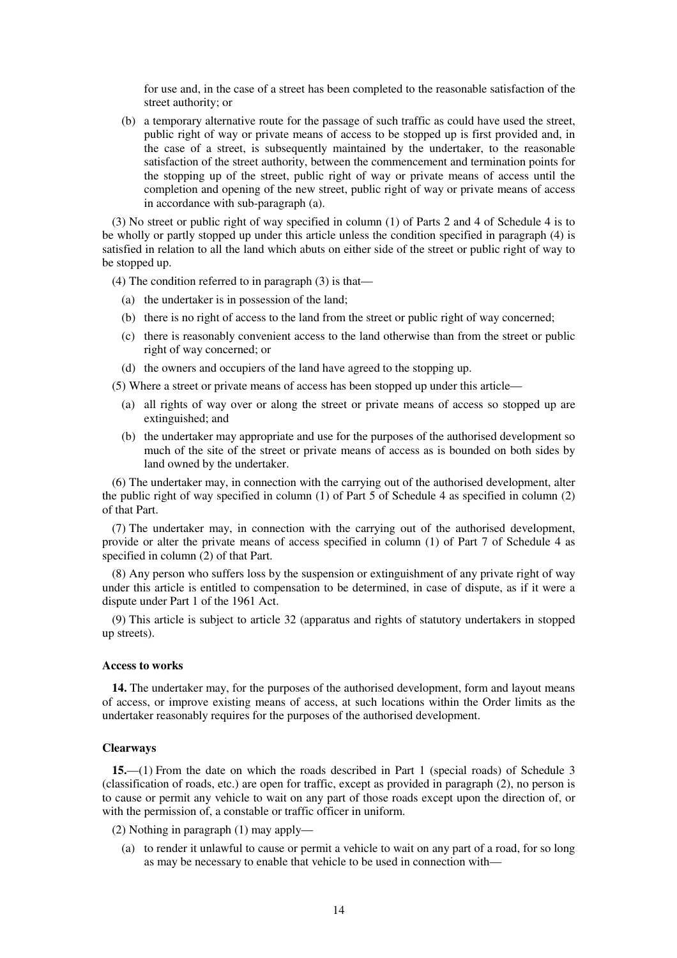for use and, in the case of a street has been completed to the reasonable satisfaction of the street authority; or

(b) a temporary alternative route for the passage of such traffic as could have used the street, public right of way or private means of access to be stopped up is first provided and, in the case of a street, is subsequently maintained by the undertaker, to the reasonable satisfaction of the street authority, between the commencement and termination points for the stopping up of the street, public right of way or private means of access until the completion and opening of the new street, public right of way or private means of access in accordance with sub-paragraph (a).

(3) No street or public right of way specified in column (1) of Parts 2 and 4 of Schedule 4 is to be wholly or partly stopped up under this article unless the condition specified in paragraph (4) is satisfied in relation to all the land which abuts on either side of the street or public right of way to be stopped up.

(4) The condition referred to in paragraph (3) is that—

- (a) the undertaker is in possession of the land;
- (b) there is no right of access to the land from the street or public right of way concerned;
- (c) there is reasonably convenient access to the land otherwise than from the street or public right of way concerned; or
- (d) the owners and occupiers of the land have agreed to the stopping up.

(5) Where a street or private means of access has been stopped up under this article—

- (a) all rights of way over or along the street or private means of access so stopped up are extinguished; and
- (b) the undertaker may appropriate and use for the purposes of the authorised development so much of the site of the street or private means of access as is bounded on both sides by land owned by the undertaker.

(6) The undertaker may, in connection with the carrying out of the authorised development, alter the public right of way specified in column (1) of Part 5 of Schedule 4 as specified in column (2) of that Part.

(7) The undertaker may, in connection with the carrying out of the authorised development, provide or alter the private means of access specified in column (1) of Part 7 of Schedule 4 as specified in column (2) of that Part.

(8) Any person who suffers loss by the suspension or extinguishment of any private right of way under this article is entitled to compensation to be determined, in case of dispute, as if it were a dispute under Part 1 of the 1961 Act.

(9) This article is subject to article 32 (apparatus and rights of statutory undertakers in stopped up streets).

### **Access to works**

**14.** The undertaker may, for the purposes of the authorised development, form and layout means of access, or improve existing means of access, at such locations within the Order limits as the undertaker reasonably requires for the purposes of the authorised development.

### **Clearways**

**15.**—(1) From the date on which the roads described in Part 1 (special roads) of Schedule 3 (classification of roads, etc.) are open for traffic, except as provided in paragraph (2), no person is to cause or permit any vehicle to wait on any part of those roads except upon the direction of, or with the permission of, a constable or traffic officer in uniform.

(2) Nothing in paragraph (1) may apply—

(a) to render it unlawful to cause or permit a vehicle to wait on any part of a road, for so long as may be necessary to enable that vehicle to be used in connection with—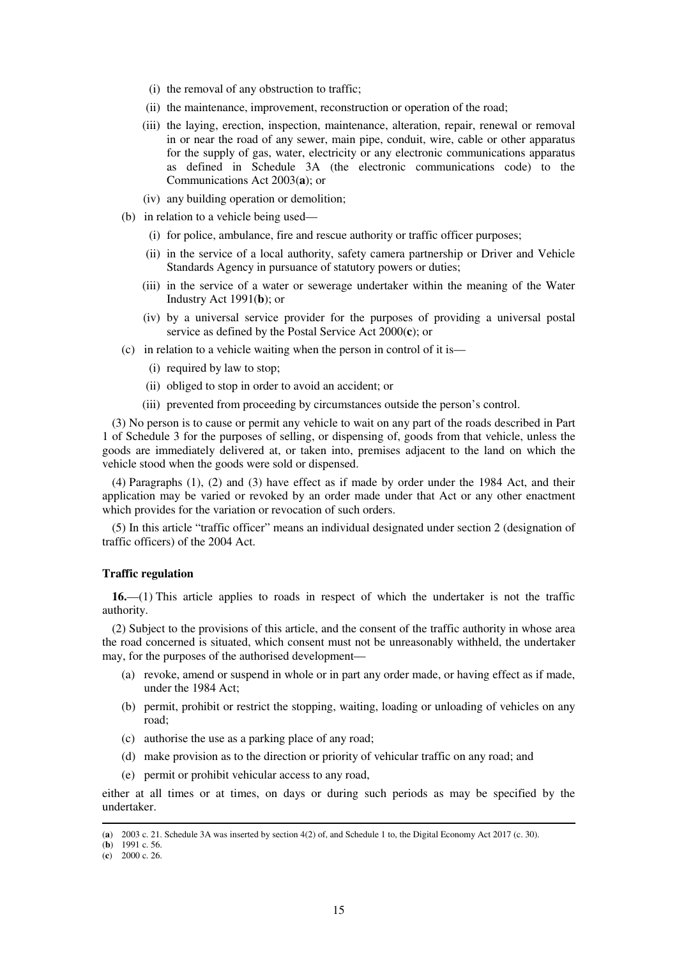- (i) the removal of any obstruction to traffic;
- (ii) the maintenance, improvement, reconstruction or operation of the road;
- (iii) the laying, erection, inspection, maintenance, alteration, repair, renewal or removal in or near the road of any sewer, main pipe, conduit, wire, cable or other apparatus for the supply of gas, water, electricity or any electronic communications apparatus as defined in Schedule 3A (the electronic communications code) to the Communications Act 2003(**a**); or
- (iv) any building operation or demolition;
- (b) in relation to a vehicle being used—
	- (i) for police, ambulance, fire and rescue authority or traffic officer purposes;
	- (ii) in the service of a local authority, safety camera partnership or Driver and Vehicle Standards Agency in pursuance of statutory powers or duties;
	- (iii) in the service of a water or sewerage undertaker within the meaning of the Water Industry Act 1991(**b**); or
	- (iv) by a universal service provider for the purposes of providing a universal postal service as defined by the Postal Service Act 2000(**c**); or
- (c) in relation to a vehicle waiting when the person in control of it is—
	- (i) required by law to stop;
	- (ii) obliged to stop in order to avoid an accident; or
	- (iii) prevented from proceeding by circumstances outside the person's control.

(3) No person is to cause or permit any vehicle to wait on any part of the roads described in Part 1 of Schedule 3 for the purposes of selling, or dispensing of, goods from that vehicle, unless the goods are immediately delivered at, or taken into, premises adjacent to the land on which the vehicle stood when the goods were sold or dispensed.

(4) Paragraphs (1), (2) and (3) have effect as if made by order under the 1984 Act, and their application may be varied or revoked by an order made under that Act or any other enactment which provides for the variation or revocation of such orders.

(5) In this article "traffic officer" means an individual designated under section 2 (designation of traffic officers) of the 2004 Act.

### **Traffic regulation**

**16.**—(1) This article applies to roads in respect of which the undertaker is not the traffic authority.

(2) Subject to the provisions of this article, and the consent of the traffic authority in whose area the road concerned is situated, which consent must not be unreasonably withheld, the undertaker may, for the purposes of the authorised development—

- (a) revoke, amend or suspend in whole or in part any order made, or having effect as if made, under the 1984 Act;
- (b) permit, prohibit or restrict the stopping, waiting, loading or unloading of vehicles on any road;
- (c) authorise the use as a parking place of any road;
- (d) make provision as to the direction or priority of vehicular traffic on any road; and
- (e) permit or prohibit vehicular access to any road,

either at all times or at times, on days or during such periods as may be specified by the undertaker.

<sup>(</sup>**a**) 2003 c. 21. Schedule 3A was inserted by section 4(2) of, and Schedule 1 to, the Digital Economy Act 2017 (c. 30).

<sup>(</sup>**b**) 1991 c. 56.

<sup>(</sup>**c**) 2000 c. 26.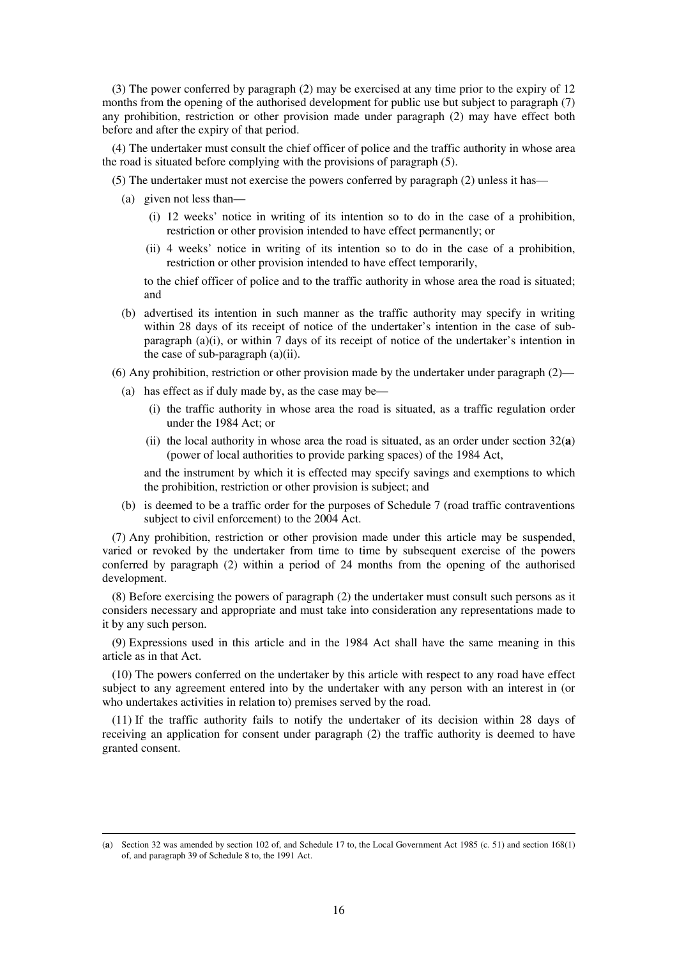(3) The power conferred by paragraph (2) may be exercised at any time prior to the expiry of 12 months from the opening of the authorised development for public use but subject to paragraph (7) any prohibition, restriction or other provision made under paragraph (2) may have effect both before and after the expiry of that period.

(4) The undertaker must consult the chief officer of police and the traffic authority in whose area the road is situated before complying with the provisions of paragraph (5).

(5) The undertaker must not exercise the powers conferred by paragraph (2) unless it has—

(a) given not less than—

-

- (i) 12 weeks' notice in writing of its intention so to do in the case of a prohibition, restriction or other provision intended to have effect permanently; or
- (ii) 4 weeks' notice in writing of its intention so to do in the case of a prohibition, restriction or other provision intended to have effect temporarily,

to the chief officer of police and to the traffic authority in whose area the road is situated; and

- (b) advertised its intention in such manner as the traffic authority may specify in writing within 28 days of its receipt of notice of the undertaker's intention in the case of subparagraph  $(a)(i)$ , or within 7 days of its receipt of notice of the undertaker's intention in the case of sub-paragraph (a)(ii).
- (6) Any prohibition, restriction or other provision made by the undertaker under paragraph  $(2)$ 
	- (a) has effect as if duly made by, as the case may be—
		- (i) the traffic authority in whose area the road is situated, as a traffic regulation order under the 1984 Act; or
		- (ii) the local authority in whose area the road is situated, as an order under section  $32(a)$ (power of local authorities to provide parking spaces) of the 1984 Act,

and the instrument by which it is effected may specify savings and exemptions to which the prohibition, restriction or other provision is subject; and

(b) is deemed to be a traffic order for the purposes of Schedule 7 (road traffic contraventions subject to civil enforcement) to the 2004 Act.

(7) Any prohibition, restriction or other provision made under this article may be suspended, varied or revoked by the undertaker from time to time by subsequent exercise of the powers conferred by paragraph (2) within a period of 24 months from the opening of the authorised development.

(8) Before exercising the powers of paragraph (2) the undertaker must consult such persons as it considers necessary and appropriate and must take into consideration any representations made to it by any such person.

(9) Expressions used in this article and in the 1984 Act shall have the same meaning in this article as in that Act.

(10) The powers conferred on the undertaker by this article with respect to any road have effect subject to any agreement entered into by the undertaker with any person with an interest in (or who undertakes activities in relation to) premises served by the road.

(11) If the traffic authority fails to notify the undertaker of its decision within 28 days of receiving an application for consent under paragraph (2) the traffic authority is deemed to have granted consent.

<sup>(</sup>**a**) Section 32 was amended by section 102 of, and Schedule 17 to, the Local Government Act 1985 (c. 51) and section 168(1) of, and paragraph 39 of Schedule 8 to, the 1991 Act.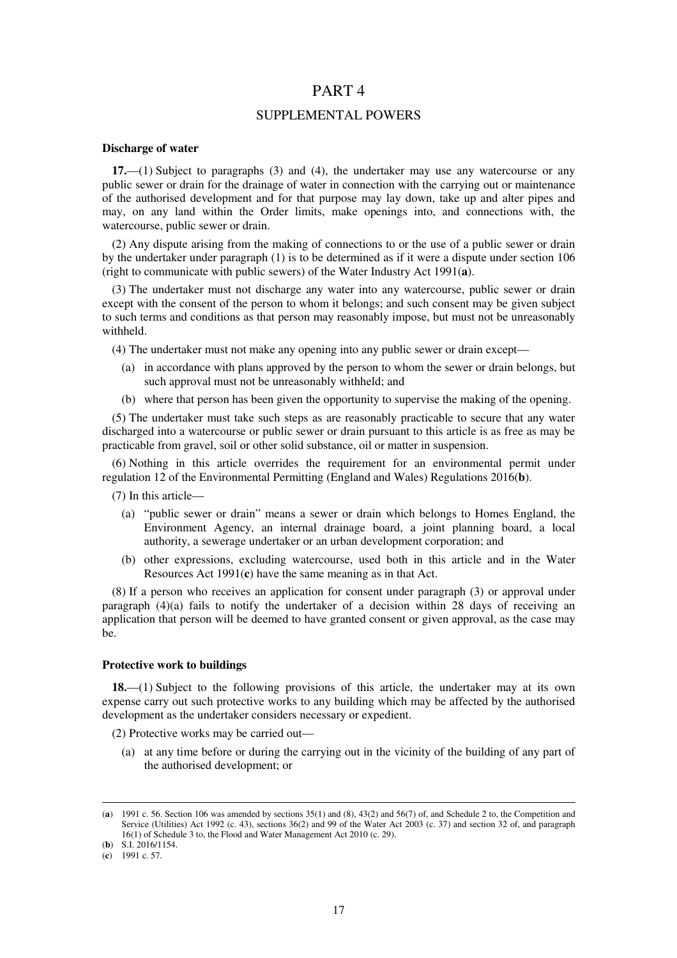### PART 4

### SUPPLEMENTAL POWERS

### **Discharge of water**

**17.**—(1) Subject to paragraphs (3) and (4), the undertaker may use any watercourse or any public sewer or drain for the drainage of water in connection with the carrying out or maintenance of the authorised development and for that purpose may lay down, take up and alter pipes and may, on any land within the Order limits, make openings into, and connections with, the watercourse, public sewer or drain.

(2) Any dispute arising from the making of connections to or the use of a public sewer or drain by the undertaker under paragraph (1) is to be determined as if it were a dispute under section 106 (right to communicate with public sewers) of the Water Industry Act 1991(**a**).

(3) The undertaker must not discharge any water into any watercourse, public sewer or drain except with the consent of the person to whom it belongs; and such consent may be given subject to such terms and conditions as that person may reasonably impose, but must not be unreasonably withheld.

(4) The undertaker must not make any opening into any public sewer or drain except—

- (a) in accordance with plans approved by the person to whom the sewer or drain belongs, but such approval must not be unreasonably withheld; and
- (b) where that person has been given the opportunity to supervise the making of the opening.

(5) The undertaker must take such steps as are reasonably practicable to secure that any water discharged into a watercourse or public sewer or drain pursuant to this article is as free as may be practicable from gravel, soil or other solid substance, oil or matter in suspension.

(6) Nothing in this article overrides the requirement for an environmental permit under regulation 12 of the Environmental Permitting (England and Wales) Regulations 2016(**b**).

(7) In this article—

- (a) "public sewer or drain" means a sewer or drain which belongs to Homes England, the Environment Agency, an internal drainage board, a joint planning board, a local authority, a sewerage undertaker or an urban development corporation; and
- (b) other expressions, excluding watercourse, used both in this article and in the Water Resources Act 1991(**c**) have the same meaning as in that Act.

(8) If a person who receives an application for consent under paragraph (3) or approval under paragraph  $(4)(a)$  fails to notify the undertaker of a decision within 28 days of receiving an application that person will be deemed to have granted consent or given approval, as the case may be.

### **Protective work to buildings**

**18.**—(1) Subject to the following provisions of this article, the undertaker may at its own expense carry out such protective works to any building which may be affected by the authorised development as the undertaker considers necessary or expedient.

(2) Protective works may be carried out—

(a) at any time before or during the carrying out in the vicinity of the building of any part of the authorised development; or

<sup>(</sup>**a**) 1991 c. 56. Section 106 was amended by sections 35(1) and (8), 43(2) and 56(7) of, and Schedule 2 to, the Competition and Service (Utilities) Act 1992 (c. 43), sections 36(2) and 99 of the Water Act 2003 (c. 37) and section 32 of, and paragraph 16(1) of Schedule 3 to, the Flood and Water Management Act 2010 (c. 29).

<sup>(</sup>**b**) S.I. 2016/1154.

<sup>(</sup>**c**) 1991 c. 57.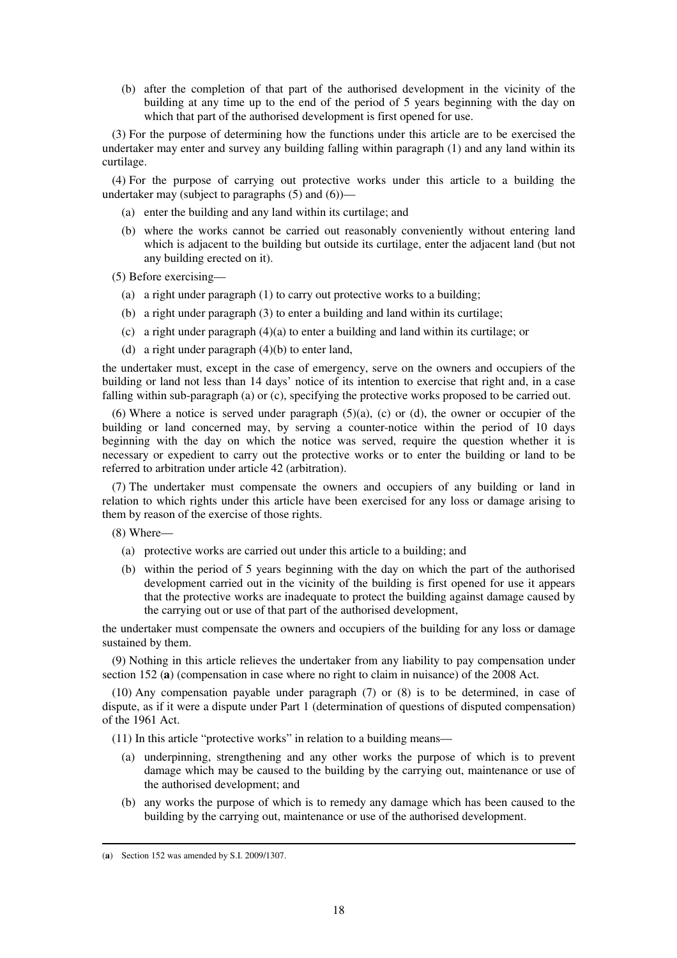(b) after the completion of that part of the authorised development in the vicinity of the building at any time up to the end of the period of 5 years beginning with the day on which that part of the authorised development is first opened for use.

(3) For the purpose of determining how the functions under this article are to be exercised the undertaker may enter and survey any building falling within paragraph (1) and any land within its curtilage.

(4) For the purpose of carrying out protective works under this article to a building the undertaker may (subject to paragraphs  $(5)$  and  $(6)$ )—

- (a) enter the building and any land within its curtilage; and
- (b) where the works cannot be carried out reasonably conveniently without entering land which is adjacent to the building but outside its curtilage, enter the adjacent land (but not any building erected on it).
- (5) Before exercising—
	- (a) a right under paragraph (1) to carry out protective works to a building;
	- (b) a right under paragraph (3) to enter a building and land within its curtilage;
	- (c) a right under paragraph (4)(a) to enter a building and land within its curtilage; or
	- (d) a right under paragraph (4)(b) to enter land,

the undertaker must, except in the case of emergency, serve on the owners and occupiers of the building or land not less than 14 days' notice of its intention to exercise that right and, in a case falling within sub-paragraph (a) or (c), specifying the protective works proposed to be carried out.

(6) Where a notice is served under paragraph  $(5)(a)$ , (c) or (d), the owner or occupier of the building or land concerned may, by serving a counter-notice within the period of 10 days beginning with the day on which the notice was served, require the question whether it is necessary or expedient to carry out the protective works or to enter the building or land to be referred to arbitration under article 42 (arbitration).

(7) The undertaker must compensate the owners and occupiers of any building or land in relation to which rights under this article have been exercised for any loss or damage arising to them by reason of the exercise of those rights.

(8) Where—

- (a) protective works are carried out under this article to a building; and
- (b) within the period of 5 years beginning with the day on which the part of the authorised development carried out in the vicinity of the building is first opened for use it appears that the protective works are inadequate to protect the building against damage caused by the carrying out or use of that part of the authorised development,

the undertaker must compensate the owners and occupiers of the building for any loss or damage sustained by them.

(9) Nothing in this article relieves the undertaker from any liability to pay compensation under section 152 (**a**) (compensation in case where no right to claim in nuisance) of the 2008 Act.

(10) Any compensation payable under paragraph (7) or (8) is to be determined, in case of dispute, as if it were a dispute under Part 1 (determination of questions of disputed compensation) of the 1961 Act.

(11) In this article "protective works" in relation to a building means—

- (a) underpinning, strengthening and any other works the purpose of which is to prevent damage which may be caused to the building by the carrying out, maintenance or use of the authorised development; and
- (b) any works the purpose of which is to remedy any damage which has been caused to the building by the carrying out, maintenance or use of the authorised development.

<sup>(</sup>**a**) Section 152 was amended by S.I. 2009/1307.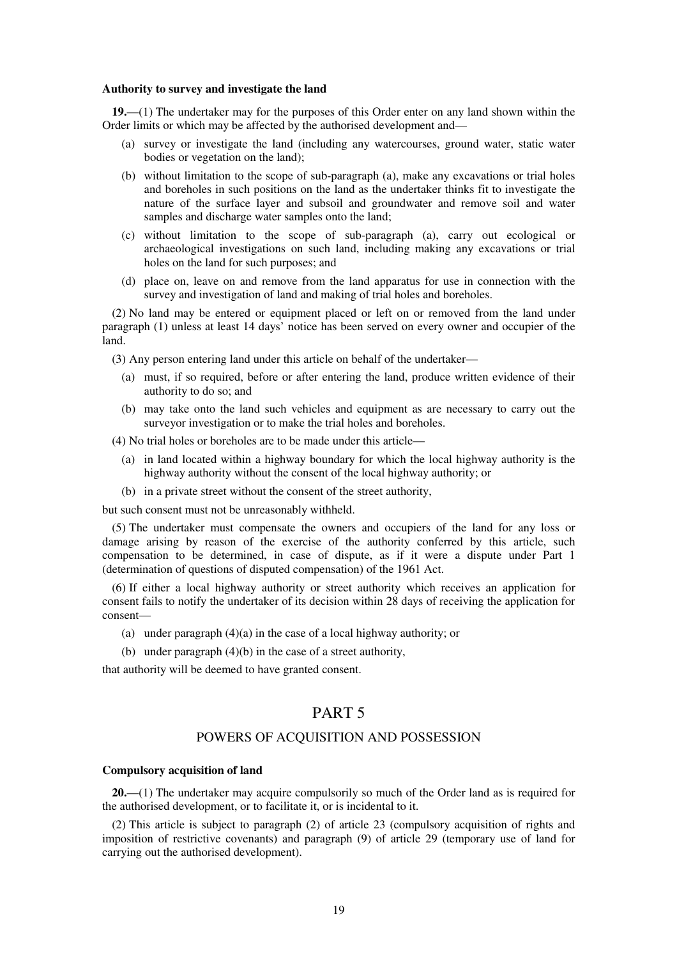#### **Authority to survey and investigate the land**

**19.**—(1) The undertaker may for the purposes of this Order enter on any land shown within the Order limits or which may be affected by the authorised development and—

- (a) survey or investigate the land (including any watercourses, ground water, static water bodies or vegetation on the land);
- (b) without limitation to the scope of sub-paragraph (a), make any excavations or trial holes and boreholes in such positions on the land as the undertaker thinks fit to investigate the nature of the surface layer and subsoil and groundwater and remove soil and water samples and discharge water samples onto the land;
- (c) without limitation to the scope of sub-paragraph (a), carry out ecological or archaeological investigations on such land, including making any excavations or trial holes on the land for such purposes; and
- (d) place on, leave on and remove from the land apparatus for use in connection with the survey and investigation of land and making of trial holes and boreholes.

(2) No land may be entered or equipment placed or left on or removed from the land under paragraph (1) unless at least 14 days' notice has been served on every owner and occupier of the land.

(3) Any person entering land under this article on behalf of the undertaker—

- (a) must, if so required, before or after entering the land, produce written evidence of their authority to do so; and
- (b) may take onto the land such vehicles and equipment as are necessary to carry out the surveyor investigation or to make the trial holes and boreholes.

(4) No trial holes or boreholes are to be made under this article—

- (a) in land located within a highway boundary for which the local highway authority is the highway authority without the consent of the local highway authority; or
- (b) in a private street without the consent of the street authority,

but such consent must not be unreasonably withheld.

(5) The undertaker must compensate the owners and occupiers of the land for any loss or damage arising by reason of the exercise of the authority conferred by this article, such compensation to be determined, in case of dispute, as if it were a dispute under Part 1 (determination of questions of disputed compensation) of the 1961 Act.

(6) If either a local highway authority or street authority which receives an application for consent fails to notify the undertaker of its decision within 28 days of receiving the application for consent—

- (a) under paragraph  $(4)(a)$  in the case of a local highway authority; or
- (b) under paragraph (4)(b) in the case of a street authority,

that authority will be deemed to have granted consent.

### PART 5

### POWERS OF ACQUISITION AND POSSESSION

#### **Compulsory acquisition of land**

**20.**—(1) The undertaker may acquire compulsorily so much of the Order land as is required for the authorised development, or to facilitate it, or is incidental to it.

(2) This article is subject to paragraph (2) of article 23 (compulsory acquisition of rights and imposition of restrictive covenants) and paragraph (9) of article 29 (temporary use of land for carrying out the authorised development).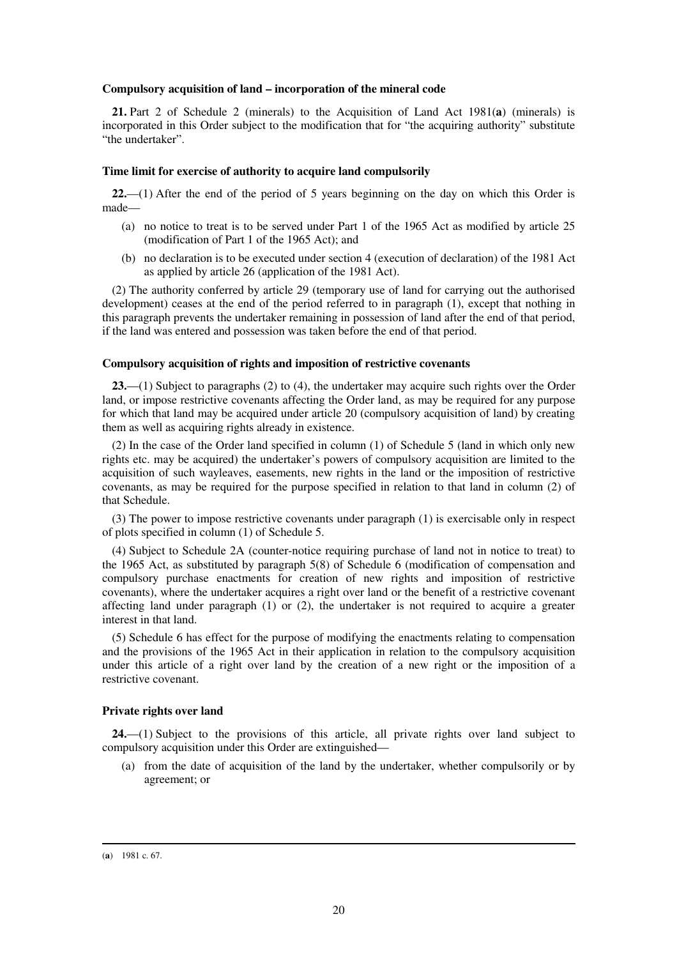#### **Compulsory acquisition of land – incorporation of the mineral code**

**21.** Part 2 of Schedule 2 (minerals) to the Acquisition of Land Act 1981(**a**) (minerals) is incorporated in this Order subject to the modification that for "the acquiring authority" substitute "the undertaker".

#### **Time limit for exercise of authority to acquire land compulsorily**

**22.**—(1) After the end of the period of 5 years beginning on the day on which this Order is made—

- (a) no notice to treat is to be served under Part 1 of the 1965 Act as modified by article 25 (modification of Part 1 of the 1965 Act); and
- (b) no declaration is to be executed under section 4 (execution of declaration) of the 1981 Act as applied by article 26 (application of the 1981 Act).

(2) The authority conferred by article 29 (temporary use of land for carrying out the authorised development) ceases at the end of the period referred to in paragraph (1), except that nothing in this paragraph prevents the undertaker remaining in possession of land after the end of that period, if the land was entered and possession was taken before the end of that period.

#### **Compulsory acquisition of rights and imposition of restrictive covenants**

**23.**—(1) Subject to paragraphs (2) to (4), the undertaker may acquire such rights over the Order land, or impose restrictive covenants affecting the Order land, as may be required for any purpose for which that land may be acquired under article 20 (compulsory acquisition of land) by creating them as well as acquiring rights already in existence.

(2) In the case of the Order land specified in column (1) of Schedule 5 (land in which only new rights etc. may be acquired) the undertaker's powers of compulsory acquisition are limited to the acquisition of such wayleaves, easements, new rights in the land or the imposition of restrictive covenants, as may be required for the purpose specified in relation to that land in column (2) of that Schedule.

(3) The power to impose restrictive covenants under paragraph (1) is exercisable only in respect of plots specified in column (1) of Schedule 5.

(4) Subject to Schedule 2A (counter-notice requiring purchase of land not in notice to treat) to the 1965 Act, as substituted by paragraph 5(8) of Schedule 6 (modification of compensation and compulsory purchase enactments for creation of new rights and imposition of restrictive covenants), where the undertaker acquires a right over land or the benefit of a restrictive covenant affecting land under paragraph (1) or (2), the undertaker is not required to acquire a greater interest in that land.

(5) Schedule 6 has effect for the purpose of modifying the enactments relating to compensation and the provisions of the 1965 Act in their application in relation to the compulsory acquisition under this article of a right over land by the creation of a new right or the imposition of a restrictive covenant.

#### **Private rights over land**

**24.**—(1) Subject to the provisions of this article, all private rights over land subject to compulsory acquisition under this Order are extinguished—

(a) from the date of acquisition of the land by the undertaker, whether compulsorily or by agreement; or

<sup>(</sup>**a**) 1981 c. 67.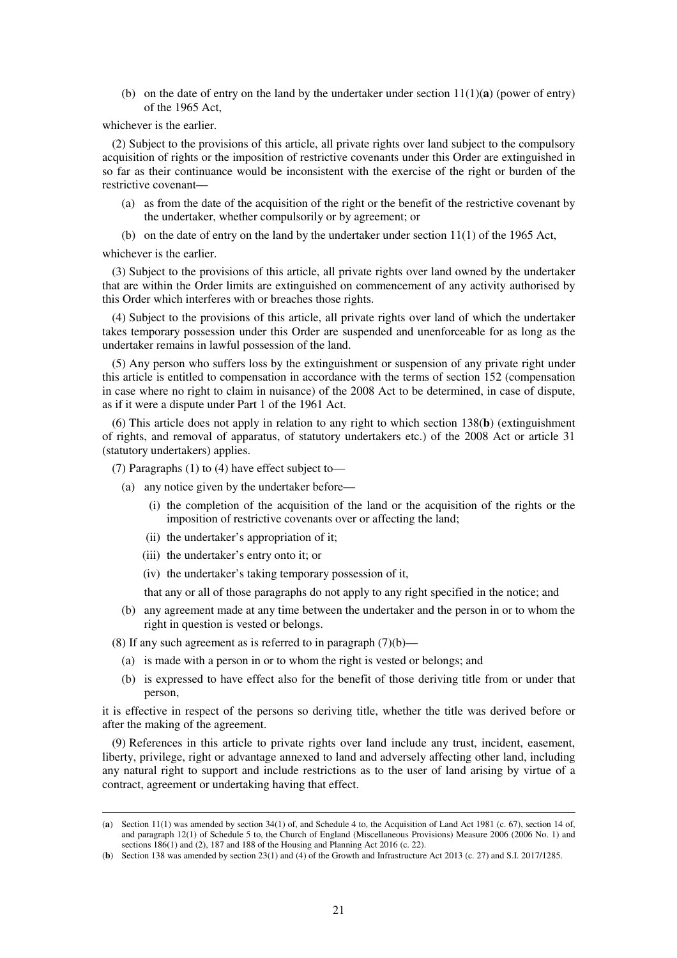(b) on the date of entry on the land by the undertaker under section  $11(1)(a)$  (power of entry) of the 1965 Act,

whichever is the earlier.

(2) Subject to the provisions of this article, all private rights over land subject to the compulsory acquisition of rights or the imposition of restrictive covenants under this Order are extinguished in so far as their continuance would be inconsistent with the exercise of the right or burden of the restrictive covenant—

- (a) as from the date of the acquisition of the right or the benefit of the restrictive covenant by the undertaker, whether compulsorily or by agreement; or
- (b) on the date of entry on the land by the undertaker under section 11(1) of the 1965 Act,

whichever is the earlier.

-

(3) Subject to the provisions of this article, all private rights over land owned by the undertaker that are within the Order limits are extinguished on commencement of any activity authorised by this Order which interferes with or breaches those rights.

(4) Subject to the provisions of this article, all private rights over land of which the undertaker takes temporary possession under this Order are suspended and unenforceable for as long as the undertaker remains in lawful possession of the land.

(5) Any person who suffers loss by the extinguishment or suspension of any private right under this article is entitled to compensation in accordance with the terms of section 152 (compensation in case where no right to claim in nuisance) of the 2008 Act to be determined, in case of dispute, as if it were a dispute under Part 1 of the 1961 Act.

(6) This article does not apply in relation to any right to which section 138(**b**) (extinguishment of rights, and removal of apparatus, of statutory undertakers etc.) of the 2008 Act or article 31 (statutory undertakers) applies.

(7) Paragraphs (1) to (4) have effect subject to—

- (a) any notice given by the undertaker before—
	- (i) the completion of the acquisition of the land or the acquisition of the rights or the imposition of restrictive covenants over or affecting the land;
	- (ii) the undertaker's appropriation of it;
	- (iii) the undertaker's entry onto it; or
	- (iv) the undertaker's taking temporary possession of it,

that any or all of those paragraphs do not apply to any right specified in the notice; and

(b) any agreement made at any time between the undertaker and the person in or to whom the right in question is vested or belongs.

(8) If any such agreement as is referred to in paragraph  $(7)(b)$ —

- (a) is made with a person in or to whom the right is vested or belongs; and
- (b) is expressed to have effect also for the benefit of those deriving title from or under that person,

it is effective in respect of the persons so deriving title, whether the title was derived before or after the making of the agreement.

(9) References in this article to private rights over land include any trust, incident, easement, liberty, privilege, right or advantage annexed to land and adversely affecting other land, including any natural right to support and include restrictions as to the user of land arising by virtue of a contract, agreement or undertaking having that effect.

<sup>(</sup>**a**) Section 11(1) was amended by section 34(1) of, and Schedule 4 to, the Acquisition of Land Act 1981 (c. 67), section 14 of, and paragraph 12(1) of Schedule 5 to, the Church of England (Miscellaneous Provisions) Measure 2006 (2006 No. 1) and sections 186(1) and (2), 187 and 188 of the Housing and Planning Act 2016 (c. 22).

<sup>(</sup>**b**) Section 138 was amended by section 23(1) and (4) of the Growth and Infrastructure Act 2013 (c. 27) and S.I. 2017/1285.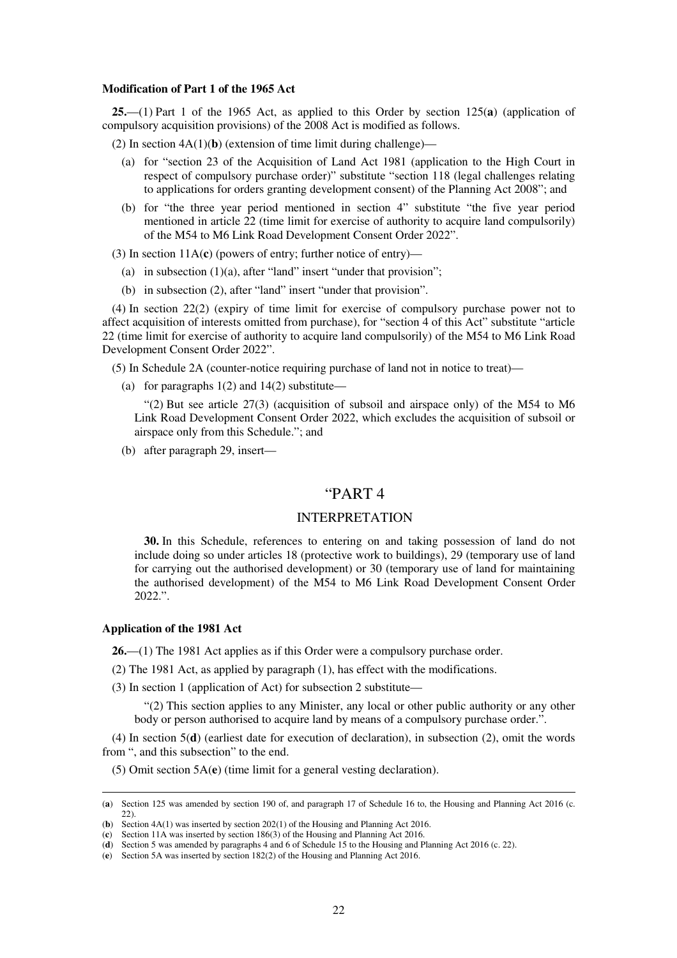#### **Modification of Part 1 of the 1965 Act**

**25.**—(1) Part 1 of the 1965 Act, as applied to this Order by section 125(**a**) (application of compulsory acquisition provisions) of the 2008 Act is modified as follows.

(2) In section  $4A(1)(b)$  (extension of time limit during challenge)—

- (a) for "section 23 of the Acquisition of Land Act 1981 (application to the High Court in respect of compulsory purchase order)" substitute "section 118 (legal challenges relating to applications for orders granting development consent) of the Planning Act 2008"; and
- (b) for "the three year period mentioned in section 4" substitute "the five year period mentioned in article 22 (time limit for exercise of authority to acquire land compulsorily) of the M54 to M6 Link Road Development Consent Order 2022".
- (3) In section 11A(**c**) (powers of entry; further notice of entry)—
	- (a) in subsection  $(1)(a)$ , after "land" insert "under that provision";
	- (b) in subsection (2), after "land" insert "under that provision".

(4) In section 22(2) (expiry of time limit for exercise of compulsory purchase power not to affect acquisition of interests omitted from purchase), for "section 4 of this Act" substitute "article 22 (time limit for exercise of authority to acquire land compulsorily) of the M54 to M6 Link Road Development Consent Order 2022".

(5) In Schedule 2A (counter-notice requiring purchase of land not in notice to treat)—

(a) for paragraphs  $1(2)$  and  $14(2)$  substitute—

"(2) But see article 27(3) (acquisition of subsoil and airspace only) of the M54 to M6 Link Road Development Consent Order 2022, which excludes the acquisition of subsoil or airspace only from this Schedule."; and

(b) after paragraph 29, insert—

### "PART 4

### INTERPRETATION

**30.** In this Schedule, references to entering on and taking possession of land do not include doing so under articles 18 (protective work to buildings), 29 (temporary use of land for carrying out the authorised development) or 30 (temporary use of land for maintaining the authorised development) of the M54 to M6 Link Road Development Consent Order 2022.".

### **Application of the 1981 Act**

-

**26.**—(1) The 1981 Act applies as if this Order were a compulsory purchase order.

- (2) The 1981 Act, as applied by paragraph (1), has effect with the modifications.
- (3) In section 1 (application of Act) for subsection 2 substitute—

"(2) This section applies to any Minister, any local or other public authority or any other body or person authorised to acquire land by means of a compulsory purchase order.".

(4) In section 5(**d**) (earliest date for execution of declaration), in subsection (2), omit the words from ", and this subsection" to the end.

(5) Omit section 5A(**e**) (time limit for a general vesting declaration).

<sup>(</sup>**a**) Section 125 was amended by section 190 of, and paragraph 17 of Schedule 16 to, the Housing and Planning Act 2016 (c. 22).

<sup>(</sup>**b**) Section 4A(1) was inserted by section 202(1) of the Housing and Planning Act 2016.

<sup>(</sup>**c**) Section 11A was inserted by section 186(3) of the Housing and Planning Act 2016.

<sup>(</sup>**d**) Section 5 was amended by paragraphs 4 and 6 of Schedule 15 to the Housing and Planning Act 2016 (c. 22).

<sup>(</sup>**e**) Section 5A was inserted by section 182(2) of the Housing and Planning Act 2016.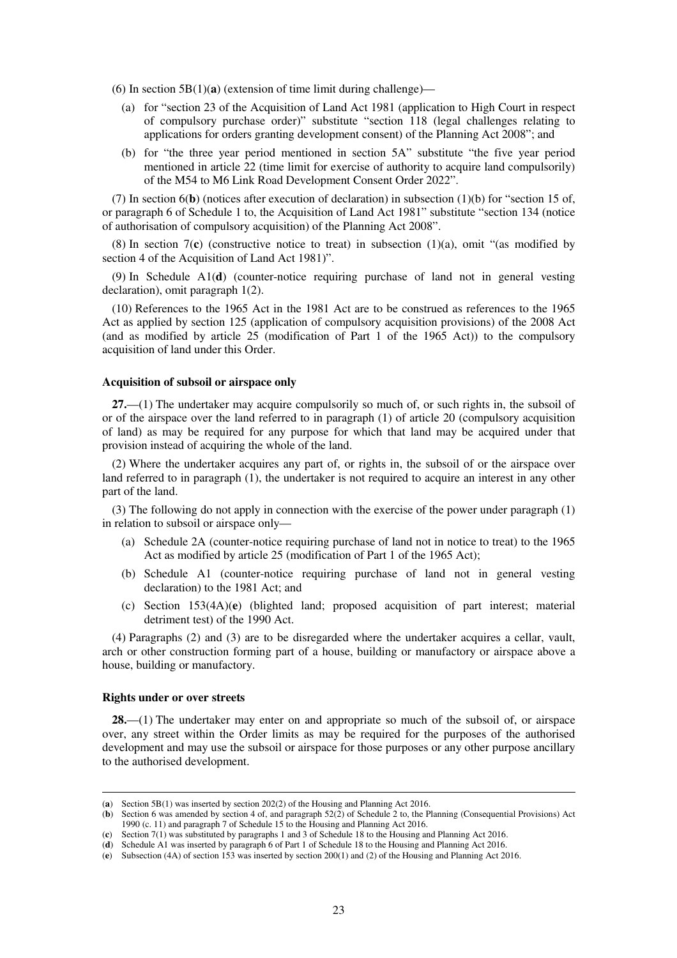(6) In section 5B(1)(**a**) (extension of time limit during challenge)—

- (a) for "section 23 of the Acquisition of Land Act 1981 (application to High Court in respect of compulsory purchase order)" substitute "section 118 (legal challenges relating to applications for orders granting development consent) of the Planning Act 2008"; and
- (b) for "the three year period mentioned in section 5A" substitute "the five year period mentioned in article 22 (time limit for exercise of authority to acquire land compulsorily) of the M54 to M6 Link Road Development Consent Order 2022".

(7) In section 6(**b**) (notices after execution of declaration) in subsection (1)(b) for "section 15 of, or paragraph 6 of Schedule 1 to, the Acquisition of Land Act 1981" substitute "section 134 (notice of authorisation of compulsory acquisition) of the Planning Act 2008".

(8) In section 7(**c**) (constructive notice to treat) in subsection (1)(a), omit "(as modified by section 4 of the Acquisition of Land Act 1981)".

(9) In Schedule A1(**d**) (counter-notice requiring purchase of land not in general vesting declaration), omit paragraph 1(2).

(10) References to the 1965 Act in the 1981 Act are to be construed as references to the 1965 Act as applied by section 125 (application of compulsory acquisition provisions) of the 2008 Act (and as modified by article 25 (modification of Part 1 of the 1965 Act)) to the compulsory acquisition of land under this Order.

#### **Acquisition of subsoil or airspace only**

**27.**—(1) The undertaker may acquire compulsorily so much of, or such rights in, the subsoil of or of the airspace over the land referred to in paragraph (1) of article 20 (compulsory acquisition of land) as may be required for any purpose for which that land may be acquired under that provision instead of acquiring the whole of the land.

(2) Where the undertaker acquires any part of, or rights in, the subsoil of or the airspace over land referred to in paragraph (1), the undertaker is not required to acquire an interest in any other part of the land.

(3) The following do not apply in connection with the exercise of the power under paragraph (1) in relation to subsoil or airspace only—

- (a) Schedule 2A (counter-notice requiring purchase of land not in notice to treat) to the 1965 Act as modified by article 25 (modification of Part 1 of the 1965 Act);
- (b) Schedule A1 (counter-notice requiring purchase of land not in general vesting declaration) to the 1981 Act; and
- (c) Section 153(4A)(**e**) (blighted land; proposed acquisition of part interest; material detriment test) of the 1990 Act.

(4) Paragraphs (2) and (3) are to be disregarded where the undertaker acquires a cellar, vault, arch or other construction forming part of a house, building or manufactory or airspace above a house, building or manufactory.

#### **Rights under or over streets**

-

**28.**—(1) The undertaker may enter on and appropriate so much of the subsoil of, or airspace over, any street within the Order limits as may be required for the purposes of the authorised development and may use the subsoil or airspace for those purposes or any other purpose ancillary to the authorised development.

<sup>(</sup>**a**) Section 5B(1) was inserted by section 202(2) of the Housing and Planning Act 2016.

<sup>(</sup>**b**) Section 6 was amended by section 4 of, and paragraph 52(2) of Schedule 2 to, the Planning (Consequential Provisions) Act 1990 (c. 11) and paragraph 7 of Schedule 15 to the Housing and Planning Act 2016.

<sup>(</sup>**c**) Section 7(1) was substituted by paragraphs 1 and 3 of Schedule 18 to the Housing and Planning Act 2016.

<sup>(</sup>**d**) Schedule A1 was inserted by paragraph 6 of Part 1 of Schedule 18 to the Housing and Planning Act 2016.

<sup>(</sup>**e**) Subsection (4A) of section 153 was inserted by section 200(1) and (2) of the Housing and Planning Act 2016.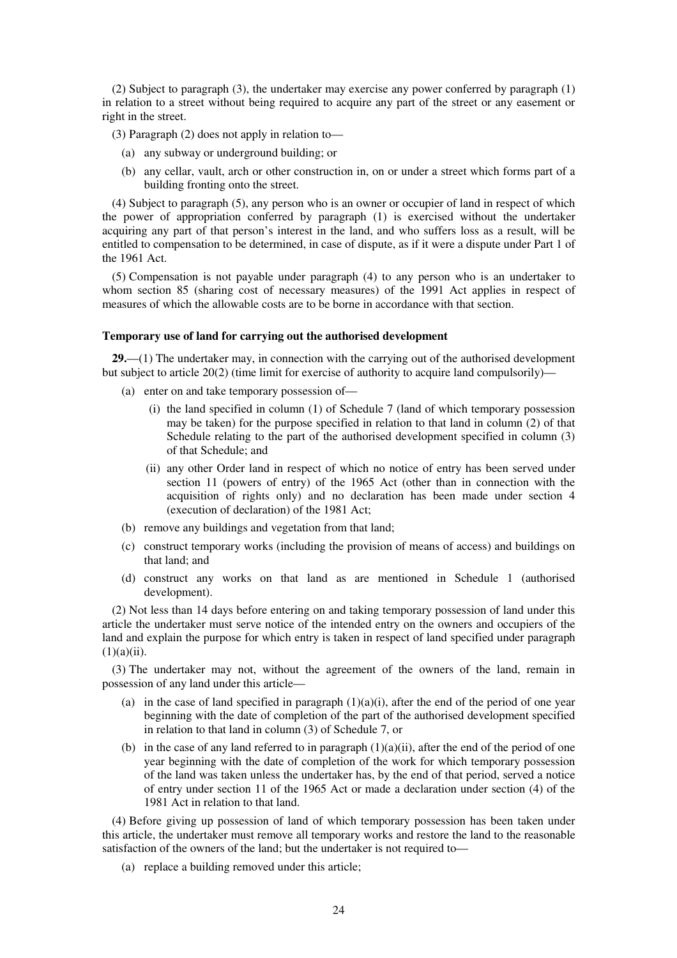(2) Subject to paragraph (3), the undertaker may exercise any power conferred by paragraph (1) in relation to a street without being required to acquire any part of the street or any easement or right in the street.

(3) Paragraph (2) does not apply in relation to—

- (a) any subway or underground building; or
- (b) any cellar, vault, arch or other construction in, on or under a street which forms part of a building fronting onto the street.

(4) Subject to paragraph (5), any person who is an owner or occupier of land in respect of which the power of appropriation conferred by paragraph (1) is exercised without the undertaker acquiring any part of that person's interest in the land, and who suffers loss as a result, will be entitled to compensation to be determined, in case of dispute, as if it were a dispute under Part 1 of the 1961 Act.

(5) Compensation is not payable under paragraph (4) to any person who is an undertaker to whom section 85 (sharing cost of necessary measures) of the 1991 Act applies in respect of measures of which the allowable costs are to be borne in accordance with that section.

#### **Temporary use of land for carrying out the authorised development**

**29.**—(1) The undertaker may, in connection with the carrying out of the authorised development but subject to article 20(2) (time limit for exercise of authority to acquire land compulsorily)—

- (a) enter on and take temporary possession of—
	- (i) the land specified in column (1) of Schedule 7 (land of which temporary possession may be taken) for the purpose specified in relation to that land in column (2) of that Schedule relating to the part of the authorised development specified in column (3) of that Schedule; and
	- (ii) any other Order land in respect of which no notice of entry has been served under section 11 (powers of entry) of the 1965 Act (other than in connection with the acquisition of rights only) and no declaration has been made under section 4 (execution of declaration) of the 1981 Act;
- (b) remove any buildings and vegetation from that land;
- (c) construct temporary works (including the provision of means of access) and buildings on that land; and
- (d) construct any works on that land as are mentioned in Schedule 1 (authorised development).

(2) Not less than 14 days before entering on and taking temporary possession of land under this article the undertaker must serve notice of the intended entry on the owners and occupiers of the land and explain the purpose for which entry is taken in respect of land specified under paragraph  $(1)(a)(ii)$ .

(3) The undertaker may not, without the agreement of the owners of the land, remain in possession of any land under this article—

- (a) in the case of land specified in paragraph  $(1)(a)(i)$ , after the end of the period of one year beginning with the date of completion of the part of the authorised development specified in relation to that land in column (3) of Schedule 7, or
- (b) in the case of any land referred to in paragraph  $(1)(a)(ii)$ , after the end of the period of one year beginning with the date of completion of the work for which temporary possession of the land was taken unless the undertaker has, by the end of that period, served a notice of entry under section 11 of the 1965 Act or made a declaration under section (4) of the 1981 Act in relation to that land.

(4) Before giving up possession of land of which temporary possession has been taken under this article, the undertaker must remove all temporary works and restore the land to the reasonable satisfaction of the owners of the land; but the undertaker is not required to—

(a) replace a building removed under this article;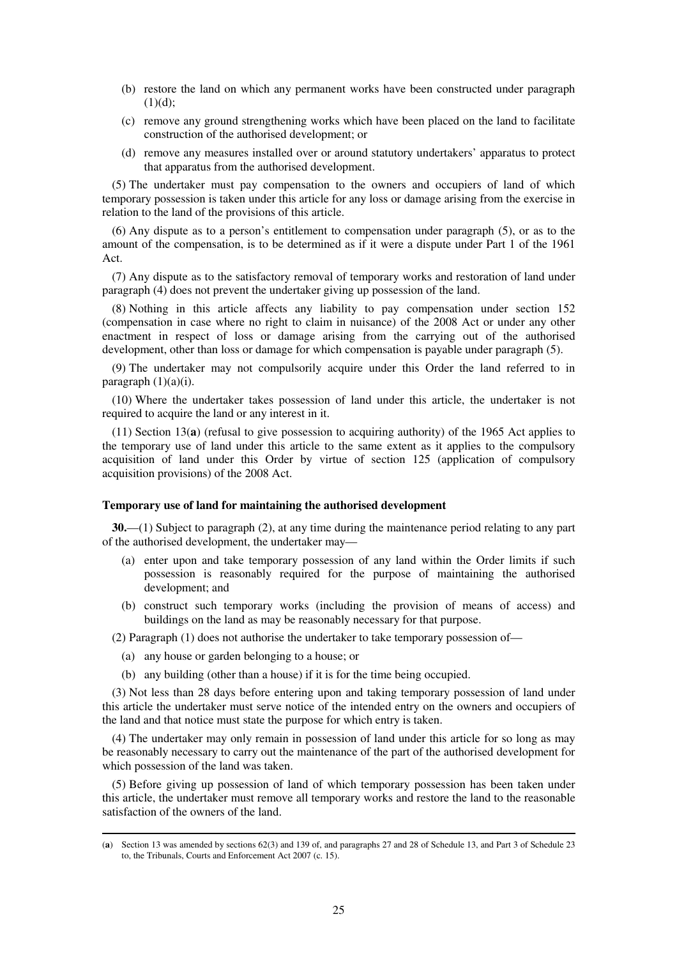- (b) restore the land on which any permanent works have been constructed under paragraph  $(1)(d)$ ;
- (c) remove any ground strengthening works which have been placed on the land to facilitate construction of the authorised development; or
- (d) remove any measures installed over or around statutory undertakers' apparatus to protect that apparatus from the authorised development.

(5) The undertaker must pay compensation to the owners and occupiers of land of which temporary possession is taken under this article for any loss or damage arising from the exercise in relation to the land of the provisions of this article.

(6) Any dispute as to a person's entitlement to compensation under paragraph (5), or as to the amount of the compensation, is to be determined as if it were a dispute under Part 1 of the 1961 Act.

(7) Any dispute as to the satisfactory removal of temporary works and restoration of land under paragraph (4) does not prevent the undertaker giving up possession of the land.

(8) Nothing in this article affects any liability to pay compensation under section 152 (compensation in case where no right to claim in nuisance) of the 2008 Act or under any other enactment in respect of loss or damage arising from the carrying out of the authorised development, other than loss or damage for which compensation is payable under paragraph (5).

(9) The undertaker may not compulsorily acquire under this Order the land referred to in paragraph  $(1)(a)(i)$ .

(10) Where the undertaker takes possession of land under this article, the undertaker is not required to acquire the land or any interest in it.

(11) Section 13(**a**) (refusal to give possession to acquiring authority) of the 1965 Act applies to the temporary use of land under this article to the same extent as it applies to the compulsory acquisition of land under this Order by virtue of section 125 (application of compulsory acquisition provisions) of the 2008 Act.

### **Temporary use of land for maintaining the authorised development**

**30.**—(1) Subject to paragraph (2), at any time during the maintenance period relating to any part of the authorised development, the undertaker may—

- (a) enter upon and take temporary possession of any land within the Order limits if such possession is reasonably required for the purpose of maintaining the authorised development; and
- (b) construct such temporary works (including the provision of means of access) and buildings on the land as may be reasonably necessary for that purpose.

(2) Paragraph (1) does not authorise the undertaker to take temporary possession of—

(a) any house or garden belonging to a house; or

-

(b) any building (other than a house) if it is for the time being occupied.

(3) Not less than 28 days before entering upon and taking temporary possession of land under this article the undertaker must serve notice of the intended entry on the owners and occupiers of the land and that notice must state the purpose for which entry is taken.

(4) The undertaker may only remain in possession of land under this article for so long as may be reasonably necessary to carry out the maintenance of the part of the authorised development for which possession of the land was taken.

(5) Before giving up possession of land of which temporary possession has been taken under this article, the undertaker must remove all temporary works and restore the land to the reasonable satisfaction of the owners of the land.

<sup>(</sup>**a**) Section 13 was amended by sections 62(3) and 139 of, and paragraphs 27 and 28 of Schedule 13, and Part 3 of Schedule 23 to, the Tribunals, Courts and Enforcement Act 2007 (c. 15).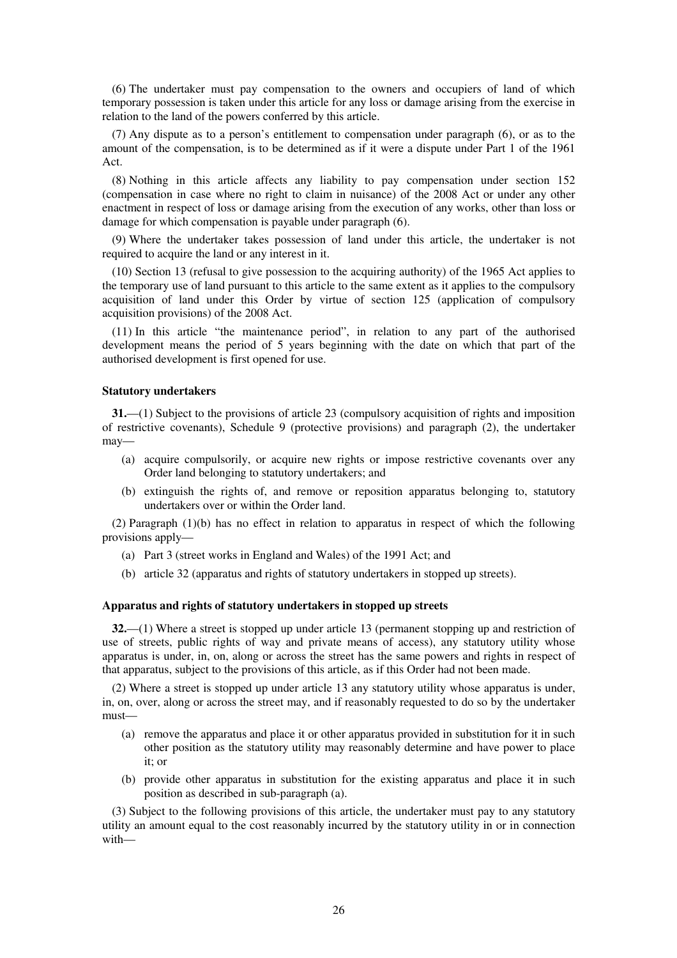(6) The undertaker must pay compensation to the owners and occupiers of land of which temporary possession is taken under this article for any loss or damage arising from the exercise in relation to the land of the powers conferred by this article.

(7) Any dispute as to a person's entitlement to compensation under paragraph (6), or as to the amount of the compensation, is to be determined as if it were a dispute under Part 1 of the 1961 Act.

(8) Nothing in this article affects any liability to pay compensation under section 152 (compensation in case where no right to claim in nuisance) of the 2008 Act or under any other enactment in respect of loss or damage arising from the execution of any works, other than loss or damage for which compensation is payable under paragraph (6).

(9) Where the undertaker takes possession of land under this article, the undertaker is not required to acquire the land or any interest in it.

(10) Section 13 (refusal to give possession to the acquiring authority) of the 1965 Act applies to the temporary use of land pursuant to this article to the same extent as it applies to the compulsory acquisition of land under this Order by virtue of section 125 (application of compulsory acquisition provisions) of the 2008 Act.

(11) In this article "the maintenance period", in relation to any part of the authorised development means the period of 5 years beginning with the date on which that part of the authorised development is first opened for use.

### **Statutory undertakers**

**31.**—(1) Subject to the provisions of article 23 (compulsory acquisition of rights and imposition of restrictive covenants), Schedule 9 (protective provisions) and paragraph (2), the undertaker may—

- (a) acquire compulsorily, or acquire new rights or impose restrictive covenants over any Order land belonging to statutory undertakers; and
- (b) extinguish the rights of, and remove or reposition apparatus belonging to, statutory undertakers over or within the Order land.

(2) Paragraph (1)(b) has no effect in relation to apparatus in respect of which the following provisions apply—

- (a) Part 3 (street works in England and Wales) of the 1991 Act; and
- (b) article 32 (apparatus and rights of statutory undertakers in stopped up streets).

### **Apparatus and rights of statutory undertakers in stopped up streets**

**32.**—(1) Where a street is stopped up under article 13 (permanent stopping up and restriction of use of streets, public rights of way and private means of access), any statutory utility whose apparatus is under, in, on, along or across the street has the same powers and rights in respect of that apparatus, subject to the provisions of this article, as if this Order had not been made.

(2) Where a street is stopped up under article 13 any statutory utility whose apparatus is under, in, on, over, along or across the street may, and if reasonably requested to do so by the undertaker must—

- (a) remove the apparatus and place it or other apparatus provided in substitution for it in such other position as the statutory utility may reasonably determine and have power to place it; or
- (b) provide other apparatus in substitution for the existing apparatus and place it in such position as described in sub-paragraph (a).

(3) Subject to the following provisions of this article, the undertaker must pay to any statutory utility an amount equal to the cost reasonably incurred by the statutory utility in or in connection with—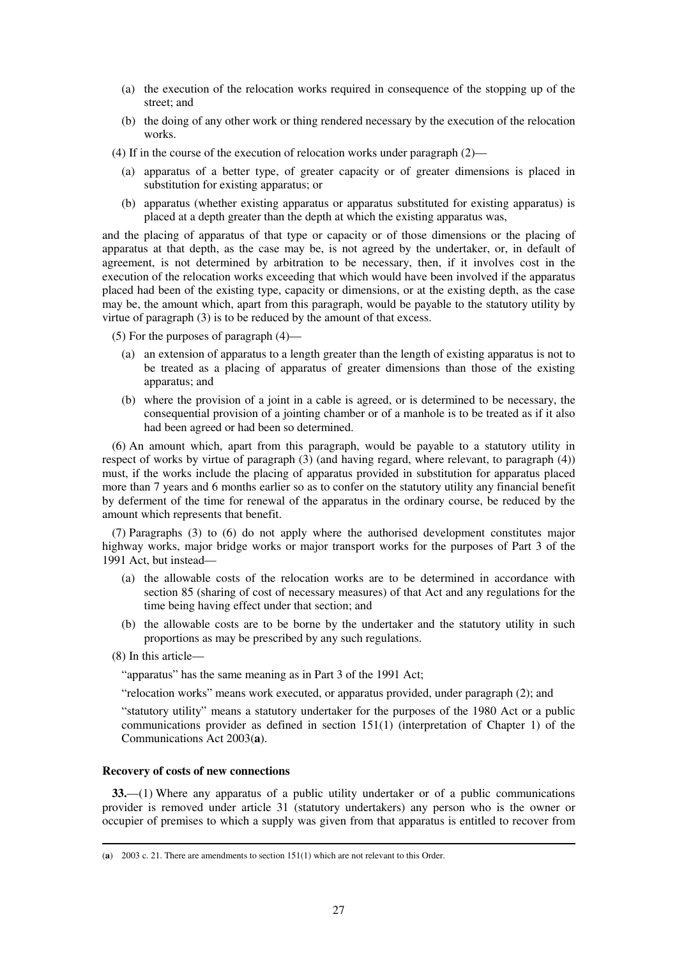- (a) the execution of the relocation works required in consequence of the stopping up of the street; and
- (b) the doing of any other work or thing rendered necessary by the execution of the relocation works.
- (4) If in the course of the execution of relocation works under paragraph (2)—
	- (a) apparatus of a better type, of greater capacity or of greater dimensions is placed in substitution for existing apparatus; or
	- (b) apparatus (whether existing apparatus or apparatus substituted for existing apparatus) is placed at a depth greater than the depth at which the existing apparatus was,

and the placing of apparatus of that type or capacity or of those dimensions or the placing of apparatus at that depth, as the case may be, is not agreed by the undertaker, or, in default of agreement, is not determined by arbitration to be necessary, then, if it involves cost in the execution of the relocation works exceeding that which would have been involved if the apparatus placed had been of the existing type, capacity or dimensions, or at the existing depth, as the case may be, the amount which, apart from this paragraph, would be payable to the statutory utility by virtue of paragraph (3) is to be reduced by the amount of that excess.

(5) For the purposes of paragraph (4)—

- (a) an extension of apparatus to a length greater than the length of existing apparatus is not to be treated as a placing of apparatus of greater dimensions than those of the existing apparatus; and
- (b) where the provision of a joint in a cable is agreed, or is determined to be necessary, the consequential provision of a jointing chamber or of a manhole is to be treated as if it also had been agreed or had been so determined.

(6) An amount which, apart from this paragraph, would be payable to a statutory utility in respect of works by virtue of paragraph (3) (and having regard, where relevant, to paragraph (4)) must, if the works include the placing of apparatus provided in substitution for apparatus placed more than 7 years and 6 months earlier so as to confer on the statutory utility any financial benefit by deferment of the time for renewal of the apparatus in the ordinary course, be reduced by the amount which represents that benefit.

(7) Paragraphs (3) to (6) do not apply where the authorised development constitutes major highway works, major bridge works or major transport works for the purposes of Part 3 of the 1991 Act, but instead—

- (a) the allowable costs of the relocation works are to be determined in accordance with section 85 (sharing of cost of necessary measures) of that Act and any regulations for the time being having effect under that section; and
- (b) the allowable costs are to be borne by the undertaker and the statutory utility in such proportions as may be prescribed by any such regulations.
- (8) In this article—

-

"apparatus" has the same meaning as in Part 3 of the 1991 Act;

"relocation works" means work executed, or apparatus provided, under paragraph (2); and

"statutory utility" means a statutory undertaker for the purposes of the 1980 Act or a public communications provider as defined in section 151(1) (interpretation of Chapter 1) of the Communications Act 2003(**a**).

### **Recovery of costs of new connections**

**33.**—(1) Where any apparatus of a public utility undertaker or of a public communications provider is removed under article 31 (statutory undertakers) any person who is the owner or occupier of premises to which a supply was given from that apparatus is entitled to recover from

<sup>(</sup>**a**) 2003 c. 21. There are amendments to section 151(1) which are not relevant to this Order.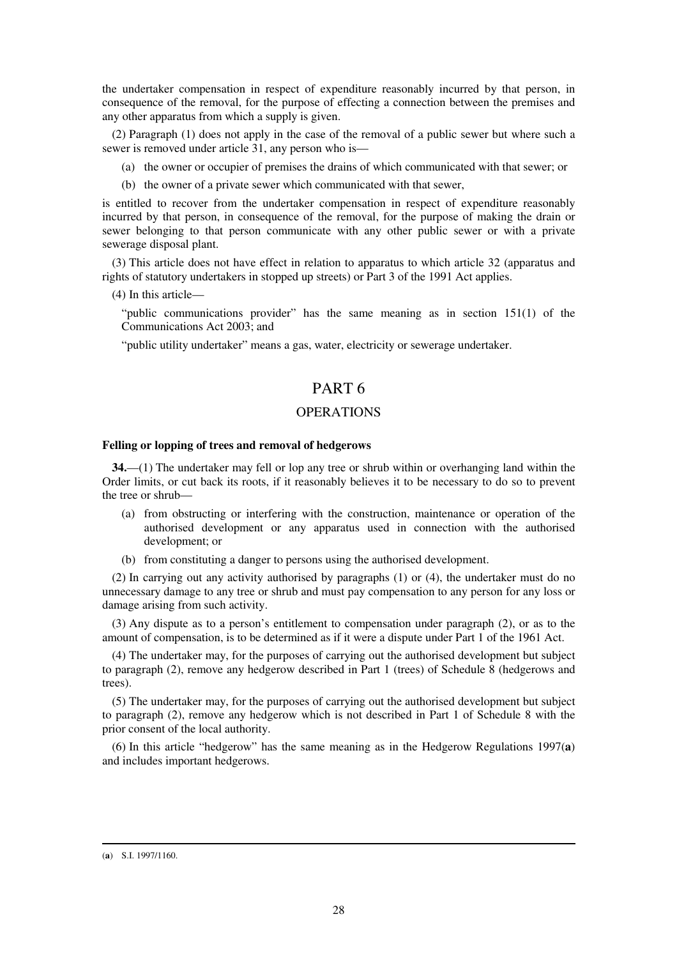the undertaker compensation in respect of expenditure reasonably incurred by that person, in consequence of the removal, for the purpose of effecting a connection between the premises and any other apparatus from which a supply is given.

(2) Paragraph (1) does not apply in the case of the removal of a public sewer but where such a sewer is removed under article 31, any person who is—

- (a) the owner or occupier of premises the drains of which communicated with that sewer; or
- (b) the owner of a private sewer which communicated with that sewer,

is entitled to recover from the undertaker compensation in respect of expenditure reasonably incurred by that person, in consequence of the removal, for the purpose of making the drain or sewer belonging to that person communicate with any other public sewer or with a private sewerage disposal plant.

(3) This article does not have effect in relation to apparatus to which article 32 (apparatus and rights of statutory undertakers in stopped up streets) or Part 3 of the 1991 Act applies.

(4) In this article—

"public communications provider" has the same meaning as in section 151(1) of the Communications Act 2003; and

"public utility undertaker" means a gas, water, electricity or sewerage undertaker.

## PART 6

### **OPERATIONS**

### **Felling or lopping of trees and removal of hedgerows**

**34.**—(1) The undertaker may fell or lop any tree or shrub within or overhanging land within the Order limits, or cut back its roots, if it reasonably believes it to be necessary to do so to prevent the tree or shrub—

- (a) from obstructing or interfering with the construction, maintenance or operation of the authorised development or any apparatus used in connection with the authorised development; or
- (b) from constituting a danger to persons using the authorised development.

(2) In carrying out any activity authorised by paragraphs (1) or (4), the undertaker must do no unnecessary damage to any tree or shrub and must pay compensation to any person for any loss or damage arising from such activity.

(3) Any dispute as to a person's entitlement to compensation under paragraph (2), or as to the amount of compensation, is to be determined as if it were a dispute under Part 1 of the 1961 Act.

(4) The undertaker may, for the purposes of carrying out the authorised development but subject to paragraph (2), remove any hedgerow described in Part 1 (trees) of Schedule 8 (hedgerows and trees).

(5) The undertaker may, for the purposes of carrying out the authorised development but subject to paragraph (2), remove any hedgerow which is not described in Part 1 of Schedule 8 with the prior consent of the local authority.

(6) In this article "hedgerow" has the same meaning as in the Hedgerow Regulations 1997(**a**) and includes important hedgerows.

<sup>(</sup>**a**) S.I. 1997/1160.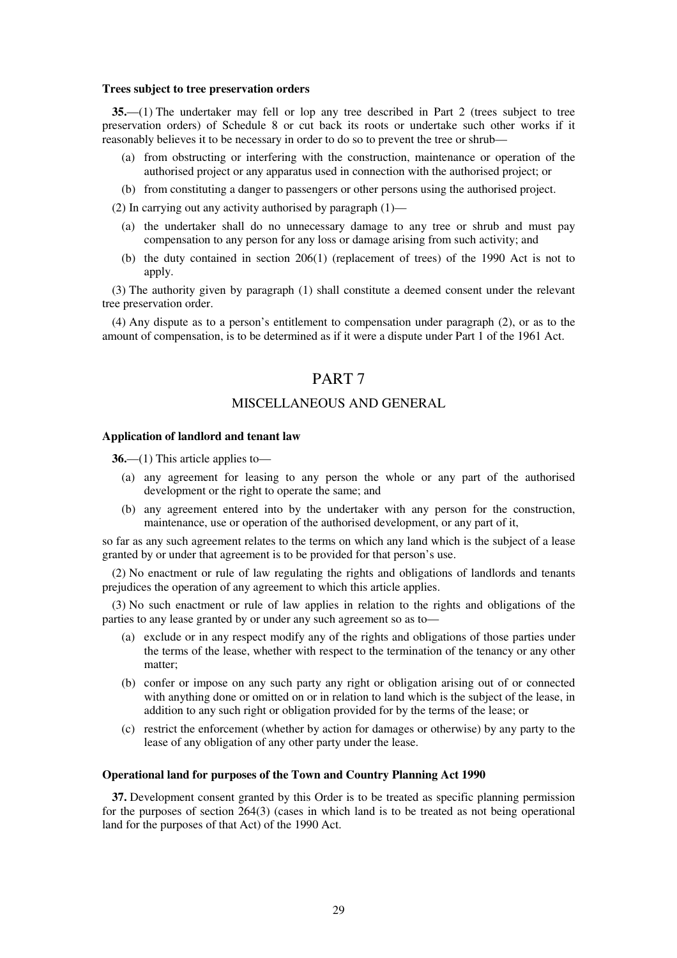#### **Trees subject to tree preservation orders**

**35.**—(1) The undertaker may fell or lop any tree described in Part 2 (trees subject to tree preservation orders) of Schedule 8 or cut back its roots or undertake such other works if it reasonably believes it to be necessary in order to do so to prevent the tree or shrub—

- (a) from obstructing or interfering with the construction, maintenance or operation of the authorised project or any apparatus used in connection with the authorised project; or
- (b) from constituting a danger to passengers or other persons using the authorised project.

(2) In carrying out any activity authorised by paragraph  $(1)$ —

- (a) the undertaker shall do no unnecessary damage to any tree or shrub and must pay compensation to any person for any loss or damage arising from such activity; and
- (b) the duty contained in section 206(1) (replacement of trees) of the 1990 Act is not to apply.

(3) The authority given by paragraph (1) shall constitute a deemed consent under the relevant tree preservation order.

(4) Any dispute as to a person's entitlement to compensation under paragraph (2), or as to the amount of compensation, is to be determined as if it were a dispute under Part 1 of the 1961 Act.

## PART 7

### MISCELLANEOUS AND GENERAL

#### **Application of landlord and tenant law**

**36.**—(1) This article applies to—

- (a) any agreement for leasing to any person the whole or any part of the authorised development or the right to operate the same; and
- (b) any agreement entered into by the undertaker with any person for the construction, maintenance, use or operation of the authorised development, or any part of it,

so far as any such agreement relates to the terms on which any land which is the subject of a lease granted by or under that agreement is to be provided for that person's use.

(2) No enactment or rule of law regulating the rights and obligations of landlords and tenants prejudices the operation of any agreement to which this article applies.

(3) No such enactment or rule of law applies in relation to the rights and obligations of the parties to any lease granted by or under any such agreement so as to—

- (a) exclude or in any respect modify any of the rights and obligations of those parties under the terms of the lease, whether with respect to the termination of the tenancy or any other matter;
- (b) confer or impose on any such party any right or obligation arising out of or connected with anything done or omitted on or in relation to land which is the subject of the lease, in addition to any such right or obligation provided for by the terms of the lease; or
- (c) restrict the enforcement (whether by action for damages or otherwise) by any party to the lease of any obligation of any other party under the lease.

#### **Operational land for purposes of the Town and Country Planning Act 1990**

**37.** Development consent granted by this Order is to be treated as specific planning permission for the purposes of section 264(3) (cases in which land is to be treated as not being operational land for the purposes of that Act) of the 1990 Act.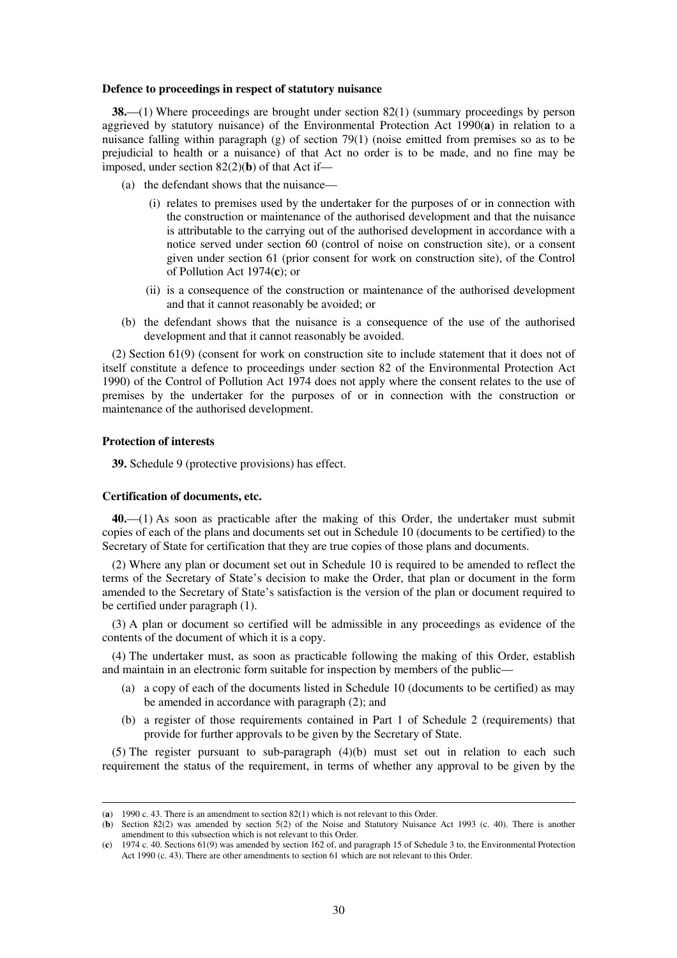#### **Defence to proceedings in respect of statutory nuisance**

**38.**—(1) Where proceedings are brought under section 82(1) (summary proceedings by person aggrieved by statutory nuisance) of the Environmental Protection Act 1990(**a**) in relation to a nuisance falling within paragraph (g) of section 79(1) (noise emitted from premises so as to be prejudicial to health or a nuisance) of that Act no order is to be made, and no fine may be imposed, under section 82(2)(**b**) of that Act if—

- (a) the defendant shows that the nuisance—
	- (i) relates to premises used by the undertaker for the purposes of or in connection with the construction or maintenance of the authorised development and that the nuisance is attributable to the carrying out of the authorised development in accordance with a notice served under section 60 (control of noise on construction site), or a consent given under section 61 (prior consent for work on construction site), of the Control of Pollution Act 1974(**c**); or
	- (ii) is a consequence of the construction or maintenance of the authorised development and that it cannot reasonably be avoided; or
- (b) the defendant shows that the nuisance is a consequence of the use of the authorised development and that it cannot reasonably be avoided.

(2) Section 61(9) (consent for work on construction site to include statement that it does not of itself constitute a defence to proceedings under section 82 of the Environmental Protection Act 1990) of the Control of Pollution Act 1974 does not apply where the consent relates to the use of premises by the undertaker for the purposes of or in connection with the construction or maintenance of the authorised development.

### **Protection of interests**

-

**39.** Schedule 9 (protective provisions) has effect.

#### **Certification of documents, etc.**

**40.**—(1) As soon as practicable after the making of this Order, the undertaker must submit copies of each of the plans and documents set out in Schedule 10 (documents to be certified) to the Secretary of State for certification that they are true copies of those plans and documents.

(2) Where any plan or document set out in Schedule 10 is required to be amended to reflect the terms of the Secretary of State's decision to make the Order, that plan or document in the form amended to the Secretary of State's satisfaction is the version of the plan or document required to be certified under paragraph (1).

(3) A plan or document so certified will be admissible in any proceedings as evidence of the contents of the document of which it is a copy.

(4) The undertaker must, as soon as practicable following the making of this Order, establish and maintain in an electronic form suitable for inspection by members of the public—

- (a) a copy of each of the documents listed in Schedule 10 (documents to be certified) as may be amended in accordance with paragraph (2); and
- (b) a register of those requirements contained in Part 1 of Schedule 2 (requirements) that provide for further approvals to be given by the Secretary of State.

(5) The register pursuant to sub-paragraph  $(4)(b)$  must set out in relation to each such requirement the status of the requirement, in terms of whether any approval to be given by the

<sup>(</sup>**a**) 1990 c. 43. There is an amendment to section 82(1) which is not relevant to this Order.

<sup>(</sup>**b**) Section 82(2) was amended by section 5(2) of the Noise and Statutory Nuisance Act 1993 (c. 40). There is another amendment to this subsection which is not relevant to this Order.

<sup>(</sup>**c**) 1974 c. 40. Sections 61(9) was amended by section 162 of, and paragraph 15 of Schedule 3 to, the Environmental Protection Act 1990 (c. 43). There are other amendments to section 61 which are not relevant to this Order.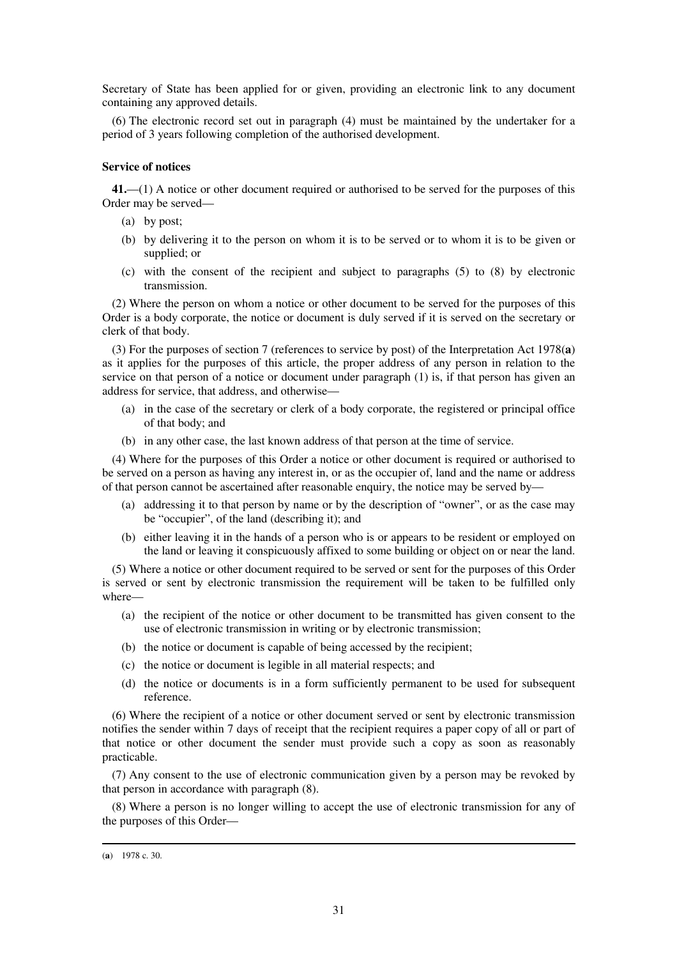Secretary of State has been applied for or given, providing an electronic link to any document containing any approved details.

(6) The electronic record set out in paragraph (4) must be maintained by the undertaker for a period of 3 years following completion of the authorised development.

### **Service of notices**

**41.**—(1) A notice or other document required or authorised to be served for the purposes of this Order may be served—

- (a) by post;
- (b) by delivering it to the person on whom it is to be served or to whom it is to be given or supplied; or
- (c) with the consent of the recipient and subject to paragraphs (5) to (8) by electronic transmission.

(2) Where the person on whom a notice or other document to be served for the purposes of this Order is a body corporate, the notice or document is duly served if it is served on the secretary or clerk of that body.

(3) For the purposes of section 7 (references to service by post) of the Interpretation Act 1978(**a**) as it applies for the purposes of this article, the proper address of any person in relation to the service on that person of a notice or document under paragraph (1) is, if that person has given an address for service, that address, and otherwise—

- (a) in the case of the secretary or clerk of a body corporate, the registered or principal office of that body; and
- (b) in any other case, the last known address of that person at the time of service.

(4) Where for the purposes of this Order a notice or other document is required or authorised to be served on a person as having any interest in, or as the occupier of, land and the name or address of that person cannot be ascertained after reasonable enquiry, the notice may be served by—

- (a) addressing it to that person by name or by the description of "owner", or as the case may be "occupier", of the land (describing it); and
- (b) either leaving it in the hands of a person who is or appears to be resident or employed on the land or leaving it conspicuously affixed to some building or object on or near the land.

(5) Where a notice or other document required to be served or sent for the purposes of this Order is served or sent by electronic transmission the requirement will be taken to be fulfilled only where—

- (a) the recipient of the notice or other document to be transmitted has given consent to the use of electronic transmission in writing or by electronic transmission;
- (b) the notice or document is capable of being accessed by the recipient;
- (c) the notice or document is legible in all material respects; and
- (d) the notice or documents is in a form sufficiently permanent to be used for subsequent reference.

(6) Where the recipient of a notice or other document served or sent by electronic transmission notifies the sender within 7 days of receipt that the recipient requires a paper copy of all or part of that notice or other document the sender must provide such a copy as soon as reasonably practicable.

(7) Any consent to the use of electronic communication given by a person may be revoked by that person in accordance with paragraph (8).

(8) Where a person is no longer willing to accept the use of electronic transmission for any of the purposes of this Order—

<sup>(</sup>**a**) 1978 c. 30.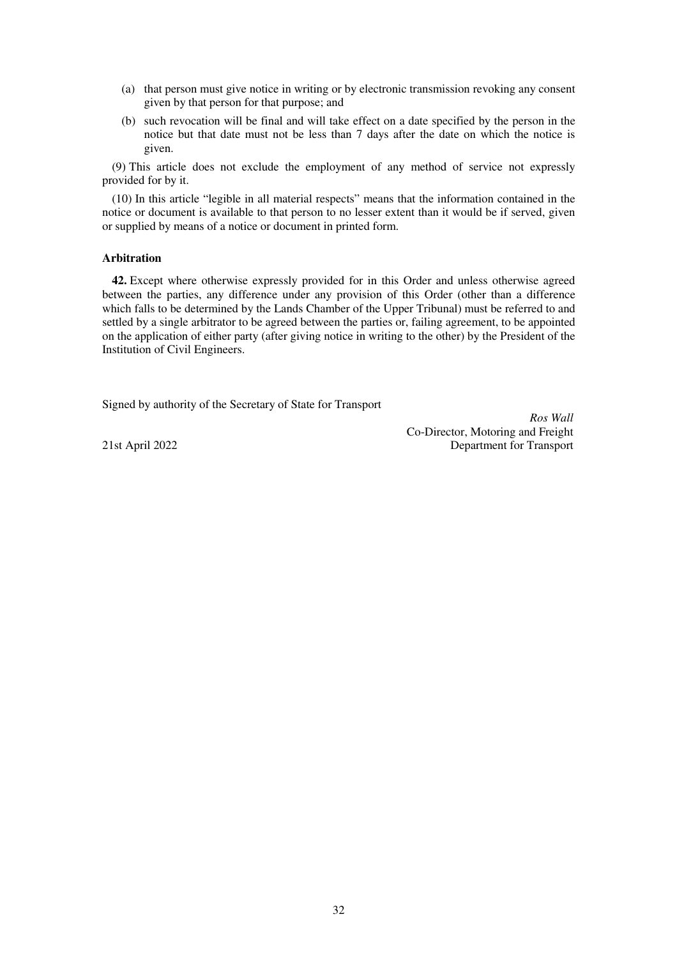- (a) that person must give notice in writing or by electronic transmission revoking any consent given by that person for that purpose; and
- (b) such revocation will be final and will take effect on a date specified by the person in the notice but that date must not be less than 7 days after the date on which the notice is given.

(9) This article does not exclude the employment of any method of service not expressly provided for by it.

(10) In this article "legible in all material respects" means that the information contained in the notice or document is available to that person to no lesser extent than it would be if served, given or supplied by means of a notice or document in printed form.

### **Arbitration**

**42.** Except where otherwise expressly provided for in this Order and unless otherwise agreed between the parties, any difference under any provision of this Order (other than a difference which falls to be determined by the Lands Chamber of the Upper Tribunal) must be referred to and settled by a single arbitrator to be agreed between the parties or, failing agreement, to be appointed on the application of either party (after giving notice in writing to the other) by the President of the Institution of Civil Engineers.

Signed by authority of the Secretary of State for Transport

*Ros Wall* Co-Director, Motoring and Freight 21st April 2022 Department for Transport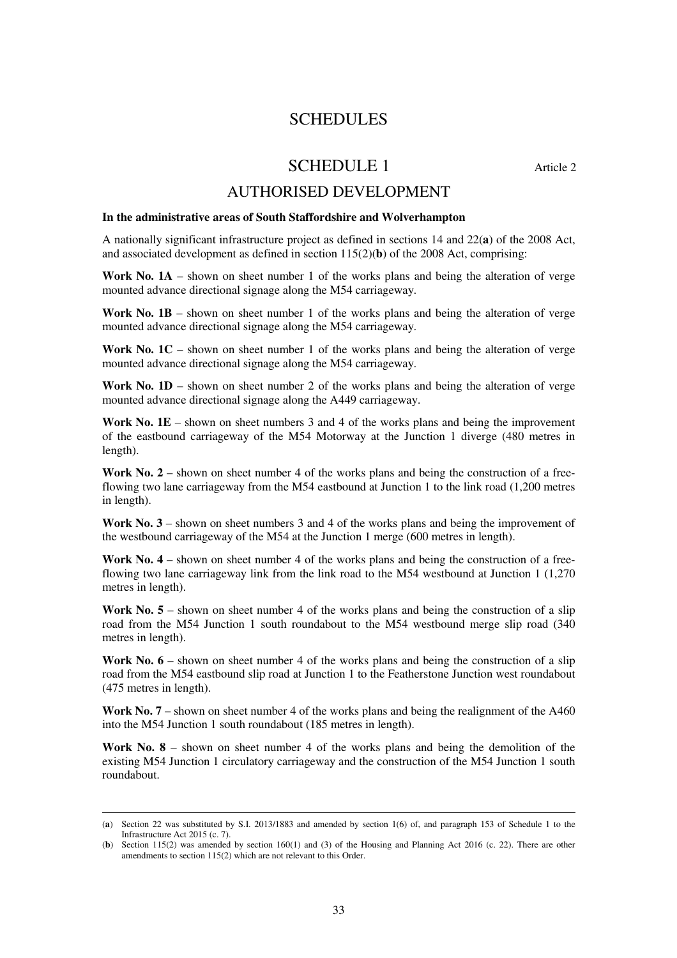## SCHEDULES

# SCHEDULE 1 Article 2

## AUTHORISED DEVELOPMENT

### **In the administrative areas of South Staffordshire and Wolverhampton**

A nationally significant infrastructure project as defined in sections 14 and 22(**a**) of the 2008 Act, and associated development as defined in section  $115(2)(**b**)$  of the 2008 Act, comprising:

Work No. 1A – shown on sheet number 1 of the works plans and being the alteration of verge mounted advance directional signage along the M54 carriageway.

**Work No. 1B** – shown on sheet number 1 of the works plans and being the alteration of verge mounted advance directional signage along the M54 carriageway.

Work No. 1C – shown on sheet number 1 of the works plans and being the alteration of verge mounted advance directional signage along the M54 carriageway.

**Work No.**  $1D -$  shown on sheet number 2 of the works plans and being the alteration of verge mounted advance directional signage along the A449 carriageway.

**Work No. 1E** – shown on sheet numbers 3 and 4 of the works plans and being the improvement of the eastbound carriageway of the M54 Motorway at the Junction 1 diverge (480 metres in length).

Work No. 2 – shown on sheet number 4 of the works plans and being the construction of a freeflowing two lane carriageway from the M54 eastbound at Junction 1 to the link road (1,200 metres in length).

**Work No. 3** – shown on sheet numbers 3 and 4 of the works plans and being the improvement of the westbound carriageway of the M54 at the Junction 1 merge (600 metres in length).

**Work No. 4** – shown on sheet number 4 of the works plans and being the construction of a freeflowing two lane carriageway link from the link road to the M54 westbound at Junction 1 (1,270 metres in length).

Work No. 5 – shown on sheet number 4 of the works plans and being the construction of a slip road from the M54 Junction 1 south roundabout to the M54 westbound merge slip road (340 metres in length).

Work No.  $6$  – shown on sheet number 4 of the works plans and being the construction of a slip road from the M54 eastbound slip road at Junction 1 to the Featherstone Junction west roundabout (475 metres in length).

Work No. 7 – shown on sheet number 4 of the works plans and being the realignment of the A460 into the M54 Junction 1 south roundabout (185 metres in length).

**Work No. 8** – shown on sheet number 4 of the works plans and being the demolition of the existing M54 Junction 1 circulatory carriageway and the construction of the M54 Junction 1 south roundabout.

<sup>(</sup>**a**) Section 22 was substituted by S.I. 2013/1883 and amended by section 1(6) of, and paragraph 153 of Schedule 1 to the Infrastructure Act 2015 (c. 7).

<sup>(</sup>**b**) Section 115(2) was amended by section 160(1) and (3) of the Housing and Planning Act 2016 (c. 22). There are other amendments to section 115(2) which are not relevant to this Order.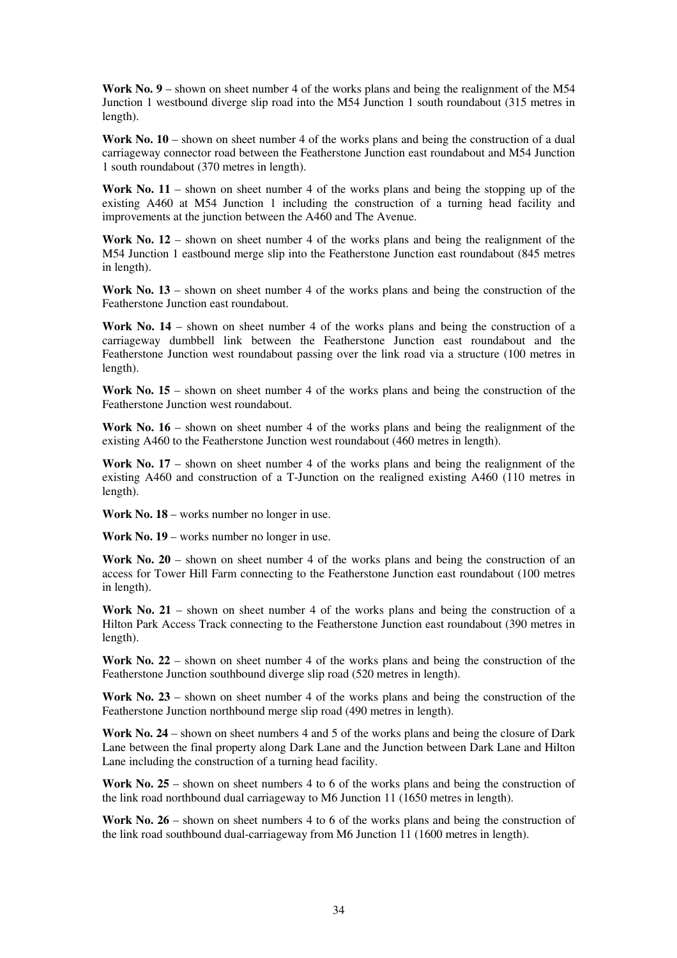**Work No. 9** – shown on sheet number 4 of the works plans and being the realignment of the M54 Junction 1 westbound diverge slip road into the M54 Junction 1 south roundabout (315 metres in length).

Work No. 10 – shown on sheet number 4 of the works plans and being the construction of a dual carriageway connector road between the Featherstone Junction east roundabout and M54 Junction 1 south roundabout (370 metres in length).

Work No. 11 – shown on sheet number 4 of the works plans and being the stopping up of the existing A460 at M54 Junction 1 including the construction of a turning head facility and improvements at the junction between the A460 and The Avenue.

Work No. 12 – shown on sheet number 4 of the works plans and being the realignment of the M54 Junction 1 eastbound merge slip into the Featherstone Junction east roundabout (845 metres in length).

**Work No. 13** – shown on sheet number 4 of the works plans and being the construction of the Featherstone Junction east roundabout.

**Work No. 14** – shown on sheet number 4 of the works plans and being the construction of a carriageway dumbbell link between the Featherstone Junction east roundabout and the Featherstone Junction west roundabout passing over the link road via a structure (100 metres in length).

Work No. 15 – shown on sheet number 4 of the works plans and being the construction of the Featherstone Junction west roundabout.

**Work No. 16** – shown on sheet number 4 of the works plans and being the realignment of the existing A460 to the Featherstone Junction west roundabout (460 metres in length).

Work No. 17 – shown on sheet number 4 of the works plans and being the realignment of the existing A460 and construction of a T-Junction on the realigned existing A460 (110 metres in length).

**Work No. 18** – works number no longer in use.

Work No. 19 – works number no longer in use.

**Work No. 20** – shown on sheet number 4 of the works plans and being the construction of an access for Tower Hill Farm connecting to the Featherstone Junction east roundabout (100 metres in length).

Work No. 21 – shown on sheet number 4 of the works plans and being the construction of a Hilton Park Access Track connecting to the Featherstone Junction east roundabout (390 metres in length).

**Work No. 22** – shown on sheet number 4 of the works plans and being the construction of the Featherstone Junction southbound diverge slip road (520 metres in length).

**Work No. 23** – shown on sheet number 4 of the works plans and being the construction of the Featherstone Junction northbound merge slip road (490 metres in length).

**Work No. 24** – shown on sheet numbers 4 and 5 of the works plans and being the closure of Dark Lane between the final property along Dark Lane and the Junction between Dark Lane and Hilton Lane including the construction of a turning head facility.

Work No. 25 – shown on sheet numbers 4 to 6 of the works plans and being the construction of the link road northbound dual carriageway to M6 Junction 11 (1650 metres in length).

Work No. 26 – shown on sheet numbers 4 to 6 of the works plans and being the construction of the link road southbound dual-carriageway from M6 Junction 11 (1600 metres in length).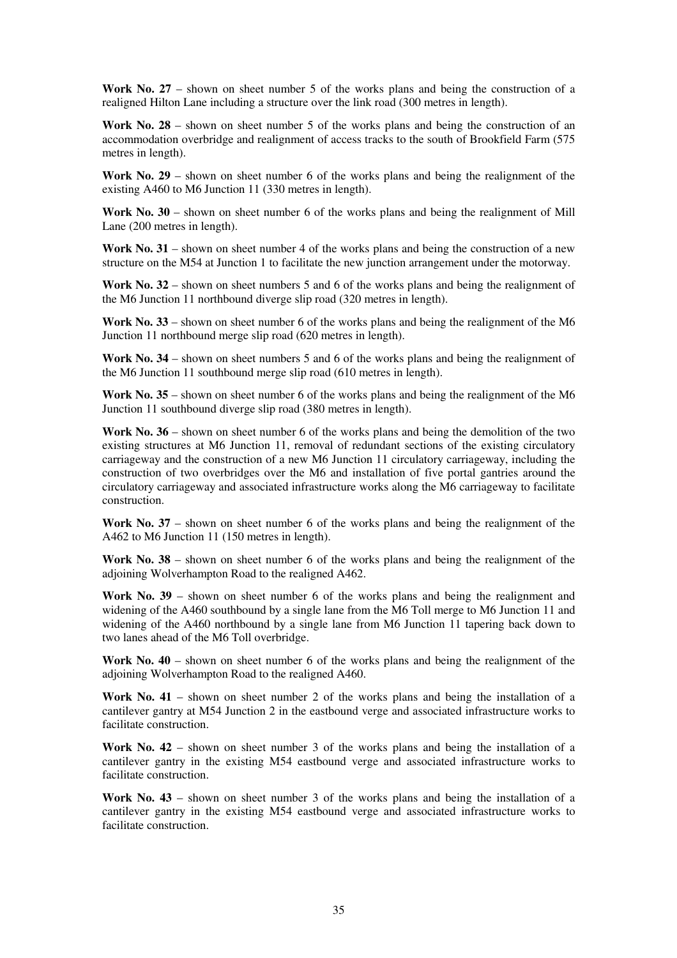**Work No. 27** – shown on sheet number 5 of the works plans and being the construction of a realigned Hilton Lane including a structure over the link road (300 metres in length).

**Work No. 28** – shown on sheet number 5 of the works plans and being the construction of an accommodation overbridge and realignment of access tracks to the south of Brookfield Farm (575 metres in length).

**Work No. 29** – shown on sheet number 6 of the works plans and being the realignment of the existing A460 to M6 Junction 11 (330 metres in length).

**Work No. 30** – shown on sheet number 6 of the works plans and being the realignment of Mill Lane (200 metres in length).

**Work No. 31** – shown on sheet number 4 of the works plans and being the construction of a new structure on the M54 at Junction 1 to facilitate the new junction arrangement under the motorway.

Work No. 32 – shown on sheet numbers 5 and 6 of the works plans and being the realignment of the M6 Junction 11 northbound diverge slip road (320 metres in length).

**Work No. 33** – shown on sheet number 6 of the works plans and being the realignment of the M6 Junction 11 northbound merge slip road (620 metres in length).

Work No. 34 – shown on sheet numbers 5 and 6 of the works plans and being the realignment of the M6 Junction 11 southbound merge slip road (610 metres in length).

**Work No. 35** – shown on sheet number 6 of the works plans and being the realignment of the M6 Junction 11 southbound diverge slip road (380 metres in length).

**Work No. 36** – shown on sheet number 6 of the works plans and being the demolition of the two existing structures at M6 Junction 11, removal of redundant sections of the existing circulatory carriageway and the construction of a new M6 Junction 11 circulatory carriageway, including the construction of two overbridges over the M6 and installation of five portal gantries around the circulatory carriageway and associated infrastructure works along the M6 carriageway to facilitate construction.

**Work No. 37** – shown on sheet number 6 of the works plans and being the realignment of the A462 to M6 Junction 11 (150 metres in length).

**Work No. 38** – shown on sheet number 6 of the works plans and being the realignment of the adjoining Wolverhampton Road to the realigned A462.

**Work No. 39** – shown on sheet number 6 of the works plans and being the realignment and widening of the A460 southbound by a single lane from the M6 Toll merge to M6 Junction 11 and widening of the A460 northbound by a single lane from M6 Junction 11 tapering back down to two lanes ahead of the M6 Toll overbridge.

**Work No. 40** – shown on sheet number 6 of the works plans and being the realignment of the adjoining Wolverhampton Road to the realigned A460.

**Work No. 41** – shown on sheet number 2 of the works plans and being the installation of a cantilever gantry at M54 Junction 2 in the eastbound verge and associated infrastructure works to facilitate construction.

**Work No. 42** – shown on sheet number 3 of the works plans and being the installation of a cantilever gantry in the existing M54 eastbound verge and associated infrastructure works to facilitate construction.

**Work No. 43** – shown on sheet number 3 of the works plans and being the installation of a cantilever gantry in the existing M54 eastbound verge and associated infrastructure works to facilitate construction.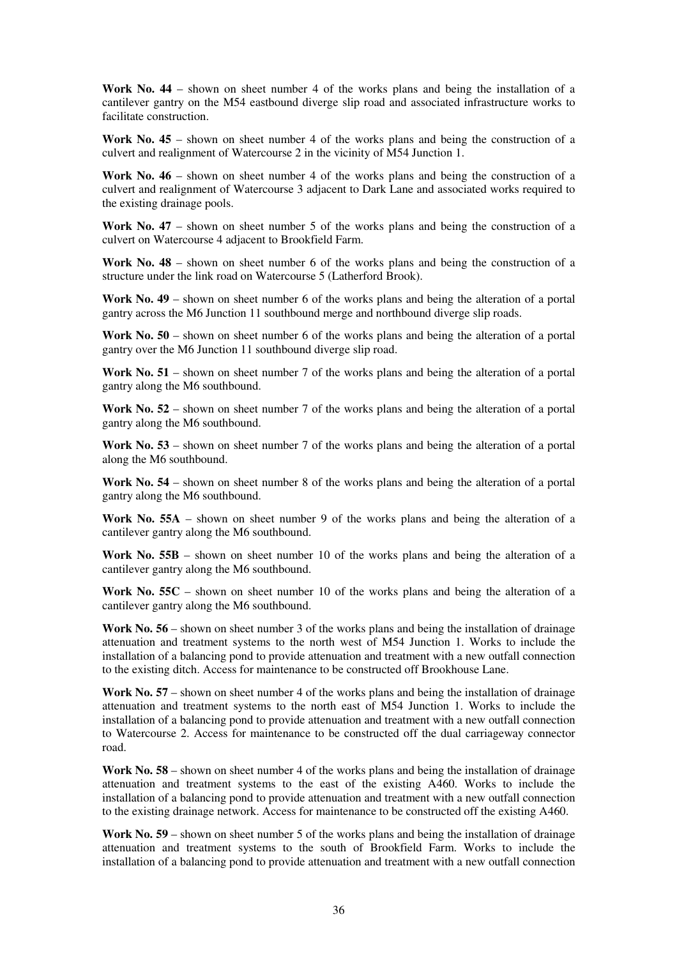**Work No. 44** – shown on sheet number 4 of the works plans and being the installation of a cantilever gantry on the M54 eastbound diverge slip road and associated infrastructure works to facilitate construction.

**Work No. 45** – shown on sheet number 4 of the works plans and being the construction of a culvert and realignment of Watercourse 2 in the vicinity of M54 Junction 1.

**Work No. 46** – shown on sheet number 4 of the works plans and being the construction of a culvert and realignment of Watercourse 3 adjacent to Dark Lane and associated works required to the existing drainage pools.

**Work No. 47** – shown on sheet number 5 of the works plans and being the construction of a culvert on Watercourse 4 adjacent to Brookfield Farm.

**Work No. 48** – shown on sheet number 6 of the works plans and being the construction of a structure under the link road on Watercourse 5 (Latherford Brook).

**Work No. 49** – shown on sheet number 6 of the works plans and being the alteration of a portal gantry across the M6 Junction 11 southbound merge and northbound diverge slip roads.

**Work No. 50** – shown on sheet number 6 of the works plans and being the alteration of a portal gantry over the M6 Junction 11 southbound diverge slip road.

Work No. 51 – shown on sheet number 7 of the works plans and being the alteration of a portal gantry along the M6 southbound.

**Work No. 52** – shown on sheet number 7 of the works plans and being the alteration of a portal gantry along the M6 southbound.

Work No. 53 – shown on sheet number 7 of the works plans and being the alteration of a portal along the M6 southbound.

**Work No. 54** – shown on sheet number 8 of the works plans and being the alteration of a portal gantry along the M6 southbound.

**Work No. 55A** – shown on sheet number 9 of the works plans and being the alteration of a cantilever gantry along the M6 southbound.

**Work No. 55B** – shown on sheet number 10 of the works plans and being the alteration of a cantilever gantry along the M6 southbound.

Work No. 55C – shown on sheet number 10 of the works plans and being the alteration of a cantilever gantry along the M6 southbound.

**Work No. 56** – shown on sheet number 3 of the works plans and being the installation of drainage attenuation and treatment systems to the north west of M54 Junction 1. Works to include the installation of a balancing pond to provide attenuation and treatment with a new outfall connection to the existing ditch. Access for maintenance to be constructed off Brookhouse Lane.

**Work No. 57** – shown on sheet number 4 of the works plans and being the installation of drainage attenuation and treatment systems to the north east of M54 Junction 1. Works to include the installation of a balancing pond to provide attenuation and treatment with a new outfall connection to Watercourse 2. Access for maintenance to be constructed off the dual carriageway connector road.

**Work No. 58** – shown on sheet number 4 of the works plans and being the installation of drainage attenuation and treatment systems to the east of the existing A460. Works to include the installation of a balancing pond to provide attenuation and treatment with a new outfall connection to the existing drainage network. Access for maintenance to be constructed off the existing A460.

Work No. 59 – shown on sheet number 5 of the works plans and being the installation of drainage attenuation and treatment systems to the south of Brookfield Farm. Works to include the installation of a balancing pond to provide attenuation and treatment with a new outfall connection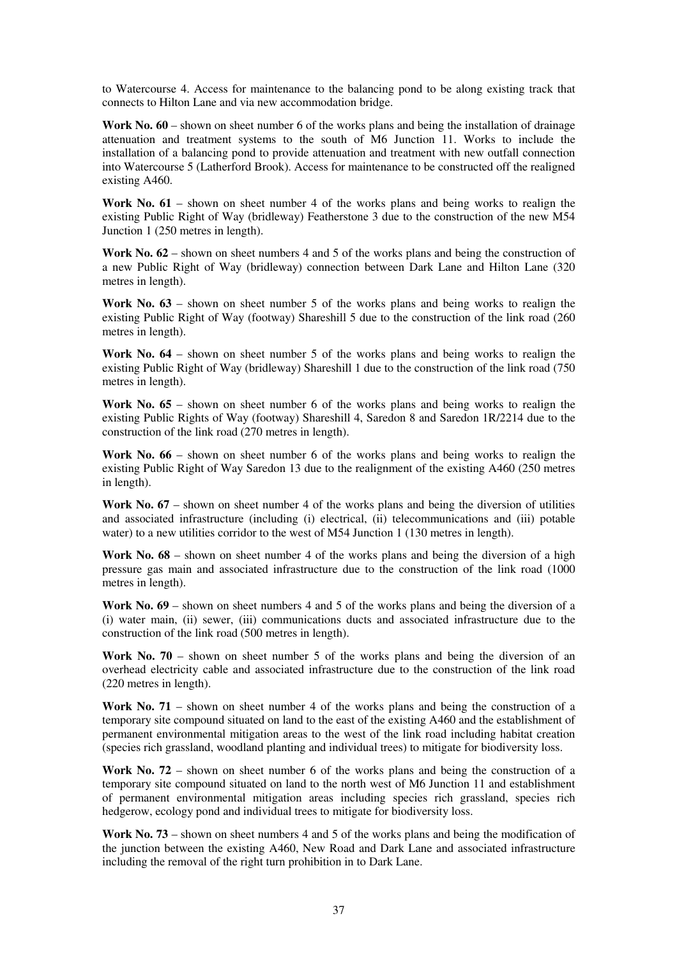to Watercourse 4. Access for maintenance to the balancing pond to be along existing track that connects to Hilton Lane and via new accommodation bridge.

**Work No. 60** – shown on sheet number 6 of the works plans and being the installation of drainage attenuation and treatment systems to the south of M6 Junction 11. Works to include the installation of a balancing pond to provide attenuation and treatment with new outfall connection into Watercourse 5 (Latherford Brook). Access for maintenance to be constructed off the realigned existing A460.

**Work No. 61** – shown on sheet number 4 of the works plans and being works to realign the existing Public Right of Way (bridleway) Featherstone 3 due to the construction of the new M54 Junction 1 (250 metres in length).

Work No. 62 – shown on sheet numbers 4 and 5 of the works plans and being the construction of a new Public Right of Way (bridleway) connection between Dark Lane and Hilton Lane (320 metres in length).

Work No.  $63$  – shown on sheet number 5 of the works plans and being works to realign the existing Public Right of Way (footway) Shareshill 5 due to the construction of the link road (260 metres in length).

**Work No. 64** – shown on sheet number 5 of the works plans and being works to realign the existing Public Right of Way (bridleway) Shareshill 1 due to the construction of the link road (750 metres in length).

Work No. 65 – shown on sheet number 6 of the works plans and being works to realign the existing Public Rights of Way (footway) Shareshill 4, Saredon 8 and Saredon 1R/2214 due to the construction of the link road (270 metres in length).

**Work No. 66** – shown on sheet number 6 of the works plans and being works to realign the existing Public Right of Way Saredon 13 due to the realignment of the existing A460 (250 metres in length).

Work No. 67 – shown on sheet number 4 of the works plans and being the diversion of utilities and associated infrastructure (including (i) electrical, (ii) telecommunications and (iii) potable water) to a new utilities corridor to the west of M54 Junction 1 (130 metres in length).

**Work No. 68** – shown on sheet number 4 of the works plans and being the diversion of a high pressure gas main and associated infrastructure due to the construction of the link road (1000 metres in length).

**Work No. 69** – shown on sheet numbers 4 and 5 of the works plans and being the diversion of a (i) water main, (ii) sewer, (iii) communications ducts and associated infrastructure due to the construction of the link road (500 metres in length).

**Work No. 70** – shown on sheet number 5 of the works plans and being the diversion of an overhead electricity cable and associated infrastructure due to the construction of the link road (220 metres in length).

**Work No. 71** – shown on sheet number 4 of the works plans and being the construction of a temporary site compound situated on land to the east of the existing A460 and the establishment of permanent environmental mitigation areas to the west of the link road including habitat creation (species rich grassland, woodland planting and individual trees) to mitigate for biodiversity loss.

Work No. 72 – shown on sheet number 6 of the works plans and being the construction of a temporary site compound situated on land to the north west of M6 Junction 11 and establishment of permanent environmental mitigation areas including species rich grassland, species rich hedgerow, ecology pond and individual trees to mitigate for biodiversity loss.

Work No. 73 – shown on sheet numbers 4 and 5 of the works plans and being the modification of the junction between the existing A460, New Road and Dark Lane and associated infrastructure including the removal of the right turn prohibition in to Dark Lane.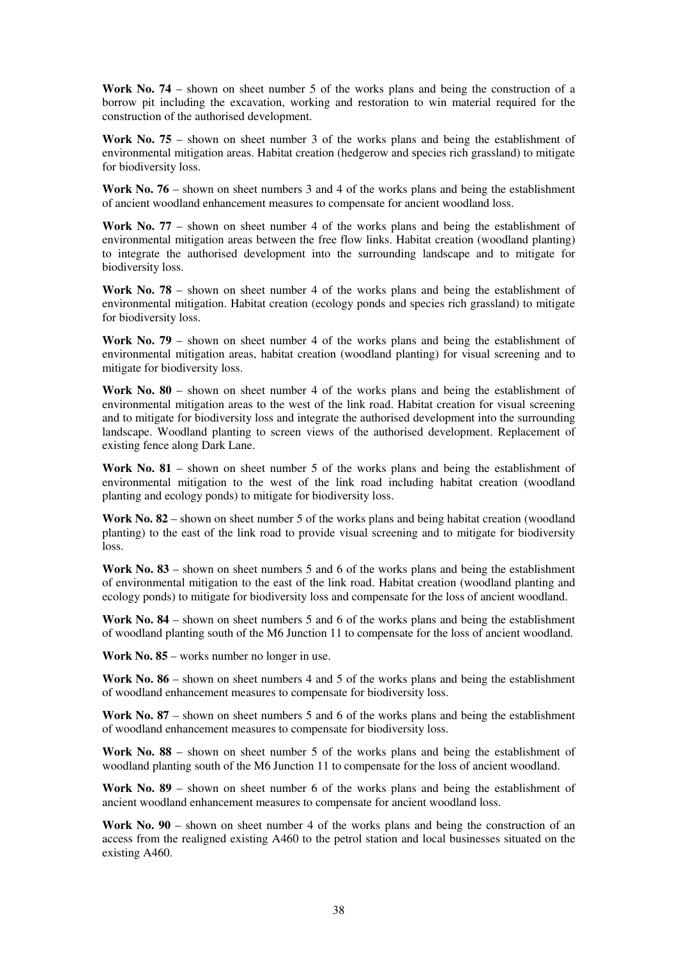**Work No. 74** – shown on sheet number 5 of the works plans and being the construction of a borrow pit including the excavation, working and restoration to win material required for the construction of the authorised development.

**Work No. 75** – shown on sheet number 3 of the works plans and being the establishment of environmental mitigation areas. Habitat creation (hedgerow and species rich grassland) to mitigate for biodiversity loss.

Work No. 76 – shown on sheet numbers 3 and 4 of the works plans and being the establishment of ancient woodland enhancement measures to compensate for ancient woodland loss.

**Work No. 77** – shown on sheet number 4 of the works plans and being the establishment of environmental mitigation areas between the free flow links. Habitat creation (woodland planting) to integrate the authorised development into the surrounding landscape and to mitigate for biodiversity loss.

**Work No. 78** – shown on sheet number 4 of the works plans and being the establishment of environmental mitigation. Habitat creation (ecology ponds and species rich grassland) to mitigate for biodiversity loss.

**Work No. 79** – shown on sheet number 4 of the works plans and being the establishment of environmental mitigation areas, habitat creation (woodland planting) for visual screening and to mitigate for biodiversity loss.

**Work No. 80** – shown on sheet number 4 of the works plans and being the establishment of environmental mitigation areas to the west of the link road. Habitat creation for visual screening and to mitigate for biodiversity loss and integrate the authorised development into the surrounding landscape. Woodland planting to screen views of the authorised development. Replacement of existing fence along Dark Lane.

**Work No. 81** – shown on sheet number 5 of the works plans and being the establishment of environmental mitigation to the west of the link road including habitat creation (woodland planting and ecology ponds) to mitigate for biodiversity loss.

Work No. 82 – shown on sheet number 5 of the works plans and being habitat creation (woodland planting) to the east of the link road to provide visual screening and to mitigate for biodiversity loss.

**Work No. 83** – shown on sheet numbers 5 and 6 of the works plans and being the establishment of environmental mitigation to the east of the link road. Habitat creation (woodland planting and ecology ponds) to mitigate for biodiversity loss and compensate for the loss of ancient woodland.

**Work No. 84** – shown on sheet numbers 5 and 6 of the works plans and being the establishment of woodland planting south of the M6 Junction 11 to compensate for the loss of ancient woodland.

**Work No. 85** – works number no longer in use.

Work No. 86 – shown on sheet numbers 4 and 5 of the works plans and being the establishment of woodland enhancement measures to compensate for biodiversity loss.

Work No. 87 – shown on sheet numbers 5 and 6 of the works plans and being the establishment of woodland enhancement measures to compensate for biodiversity loss.

**Work No. 88** – shown on sheet number 5 of the works plans and being the establishment of woodland planting south of the M6 Junction 11 to compensate for the loss of ancient woodland.

**Work No. 89** – shown on sheet number 6 of the works plans and being the establishment of ancient woodland enhancement measures to compensate for ancient woodland loss.

**Work No. 90** – shown on sheet number 4 of the works plans and being the construction of an access from the realigned existing A460 to the petrol station and local businesses situated on the existing A460.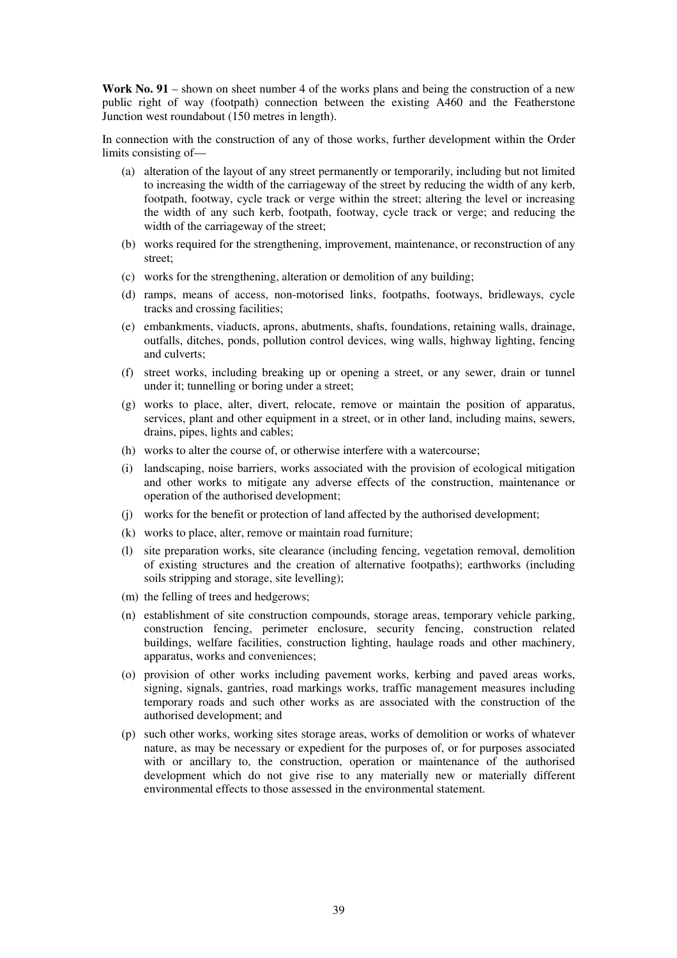**Work No. 91** – shown on sheet number 4 of the works plans and being the construction of a new public right of way (footpath) connection between the existing A460 and the Featherstone Junction west roundabout (150 metres in length).

In connection with the construction of any of those works, further development within the Order limits consisting of—

- (a) alteration of the layout of any street permanently or temporarily, including but not limited to increasing the width of the carriageway of the street by reducing the width of any kerb, footpath, footway, cycle track or verge within the street; altering the level or increasing the width of any such kerb, footpath, footway, cycle track or verge; and reducing the width of the carriageway of the street;
- (b) works required for the strengthening, improvement, maintenance, or reconstruction of any street;
- (c) works for the strengthening, alteration or demolition of any building;
- (d) ramps, means of access, non-motorised links, footpaths, footways, bridleways, cycle tracks and crossing facilities;
- (e) embankments, viaducts, aprons, abutments, shafts, foundations, retaining walls, drainage, outfalls, ditches, ponds, pollution control devices, wing walls, highway lighting, fencing and culverts;
- (f) street works, including breaking up or opening a street, or any sewer, drain or tunnel under it; tunnelling or boring under a street;
- (g) works to place, alter, divert, relocate, remove or maintain the position of apparatus, services, plant and other equipment in a street, or in other land, including mains, sewers, drains, pipes, lights and cables;
- (h) works to alter the course of, or otherwise interfere with a watercourse;
- (i) landscaping, noise barriers, works associated with the provision of ecological mitigation and other works to mitigate any adverse effects of the construction, maintenance or operation of the authorised development;
- (j) works for the benefit or protection of land affected by the authorised development;
- (k) works to place, alter, remove or maintain road furniture;
- (l) site preparation works, site clearance (including fencing, vegetation removal, demolition of existing structures and the creation of alternative footpaths); earthworks (including soils stripping and storage, site levelling);
- (m) the felling of trees and hedgerows;
- (n) establishment of site construction compounds, storage areas, temporary vehicle parking, construction fencing, perimeter enclosure, security fencing, construction related buildings, welfare facilities, construction lighting, haulage roads and other machinery, apparatus, works and conveniences;
- (o) provision of other works including pavement works, kerbing and paved areas works, signing, signals, gantries, road markings works, traffic management measures including temporary roads and such other works as are associated with the construction of the authorised development; and
- (p) such other works, working sites storage areas, works of demolition or works of whatever nature, as may be necessary or expedient for the purposes of, or for purposes associated with or ancillary to, the construction, operation or maintenance of the authorised development which do not give rise to any materially new or materially different environmental effects to those assessed in the environmental statement.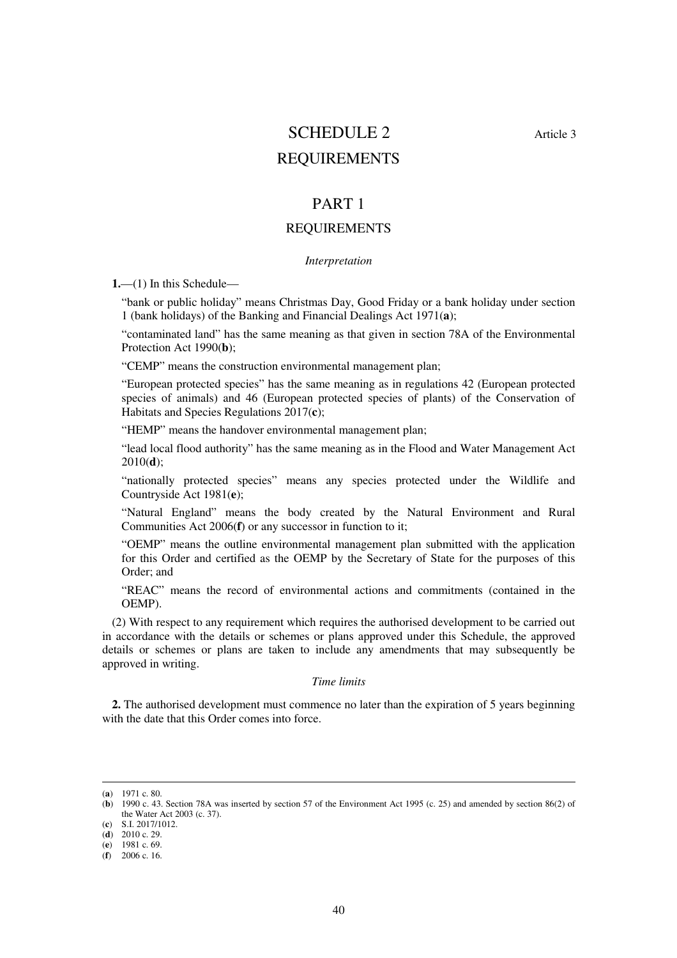# SCHEDULE 2 Article 3 REQUIREMENTS

### PART 1

#### REQUIREMENTS

#### *Interpretation*

**1.**—(1) In this Schedule—

"bank or public holiday" means Christmas Day, Good Friday or a bank holiday under section 1 (bank holidays) of the Banking and Financial Dealings Act 1971(**a**);

"contaminated land" has the same meaning as that given in section 78A of the Environmental Protection Act 1990(**b**);

"CEMP" means the construction environmental management plan;

"European protected species" has the same meaning as in regulations 42 (European protected species of animals) and 46 (European protected species of plants) of the Conservation of Habitats and Species Regulations 2017(**c**);

"HEMP" means the handover environmental management plan;

"lead local flood authority" has the same meaning as in the Flood and Water Management Act 2010(**d**);

"nationally protected species" means any species protected under the Wildlife and Countryside Act 1981(**e**);

"Natural England" means the body created by the Natural Environment and Rural Communities Act 2006(**f**) or any successor in function to it;

"OEMP" means the outline environmental management plan submitted with the application for this Order and certified as the OEMP by the Secretary of State for the purposes of this Order; and

"REAC" means the record of environmental actions and commitments (contained in the OEMP).

(2) With respect to any requirement which requires the authorised development to be carried out in accordance with the details or schemes or plans approved under this Schedule, the approved details or schemes or plans are taken to include any amendments that may subsequently be approved in writing.

#### *Time limits*

**2.** The authorised development must commence no later than the expiration of 5 years beginning with the date that this Order comes into force.

-

(**c**) S.I. 2017/1012.

<sup>(</sup>**a**) 1971 c. 80.

<sup>(</sup>**b**) 1990 c. 43. Section 78A was inserted by section 57 of the Environment Act 1995 (c. 25) and amended by section 86(2) of the Water Act 2003 (c. 37).

 $(d)$  2010 c. 29.

<sup>(</sup>**e**) 1981 c. 69.

<sup>(</sup>**f**) 2006 c. 16.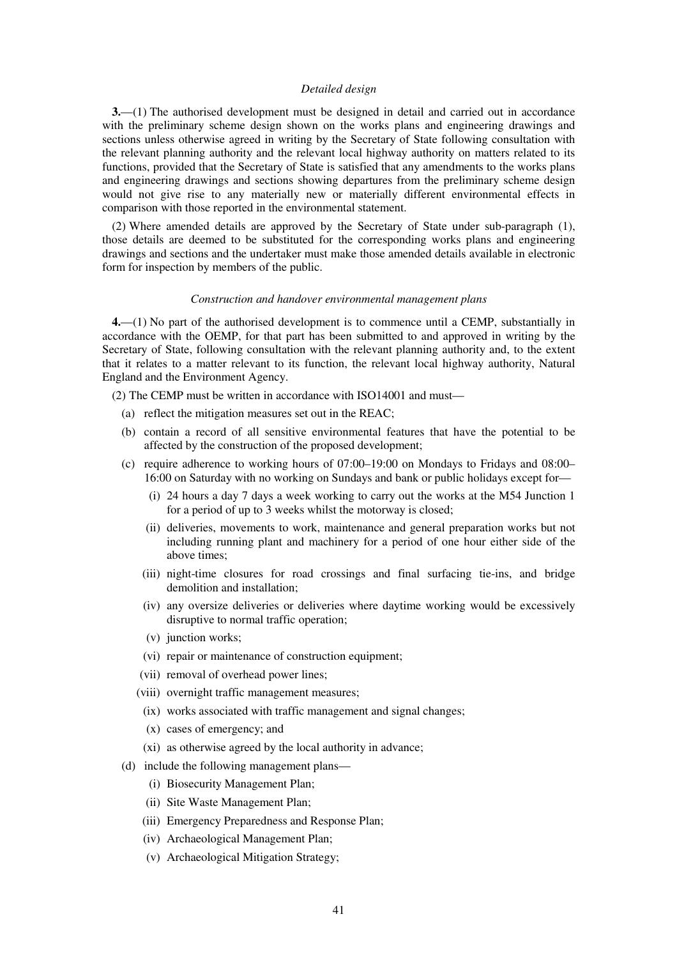#### *Detailed design*

**3.**—(1) The authorised development must be designed in detail and carried out in accordance with the preliminary scheme design shown on the works plans and engineering drawings and sections unless otherwise agreed in writing by the Secretary of State following consultation with the relevant planning authority and the relevant local highway authority on matters related to its functions, provided that the Secretary of State is satisfied that any amendments to the works plans and engineering drawings and sections showing departures from the preliminary scheme design would not give rise to any materially new or materially different environmental effects in comparison with those reported in the environmental statement.

(2) Where amended details are approved by the Secretary of State under sub-paragraph (1), those details are deemed to be substituted for the corresponding works plans and engineering drawings and sections and the undertaker must make those amended details available in electronic form for inspection by members of the public.

#### *Construction and handover environmental management plans*

**4.**—(1) No part of the authorised development is to commence until a CEMP, substantially in accordance with the OEMP, for that part has been submitted to and approved in writing by the Secretary of State, following consultation with the relevant planning authority and, to the extent that it relates to a matter relevant to its function, the relevant local highway authority, Natural England and the Environment Agency.

(2) The CEMP must be written in accordance with ISO14001 and must—

- (a) reflect the mitigation measures set out in the REAC;
- (b) contain a record of all sensitive environmental features that have the potential to be affected by the construction of the proposed development;
- (c) require adherence to working hours of 07:00–19:00 on Mondays to Fridays and 08:00– 16:00 on Saturday with no working on Sundays and bank or public holidays except for—
	- (i) 24 hours a day 7 days a week working to carry out the works at the M54 Junction 1 for a period of up to 3 weeks whilst the motorway is closed;
	- (ii) deliveries, movements to work, maintenance and general preparation works but not including running plant and machinery for a period of one hour either side of the above times;
	- (iii) night-time closures for road crossings and final surfacing tie-ins, and bridge demolition and installation;
	- (iv) any oversize deliveries or deliveries where daytime working would be excessively disruptive to normal traffic operation;
	- (v) junction works;
	- (vi) repair or maintenance of construction equipment;
	- (vii) removal of overhead power lines;
	- (viii) overnight traffic management measures;
		- (ix) works associated with traffic management and signal changes;
		- (x) cases of emergency; and
		- (xi) as otherwise agreed by the local authority in advance;
- (d) include the following management plans—
	- (i) Biosecurity Management Plan;
	- (ii) Site Waste Management Plan;
	- (iii) Emergency Preparedness and Response Plan;
	- (iv) Archaeological Management Plan;
	- (v) Archaeological Mitigation Strategy;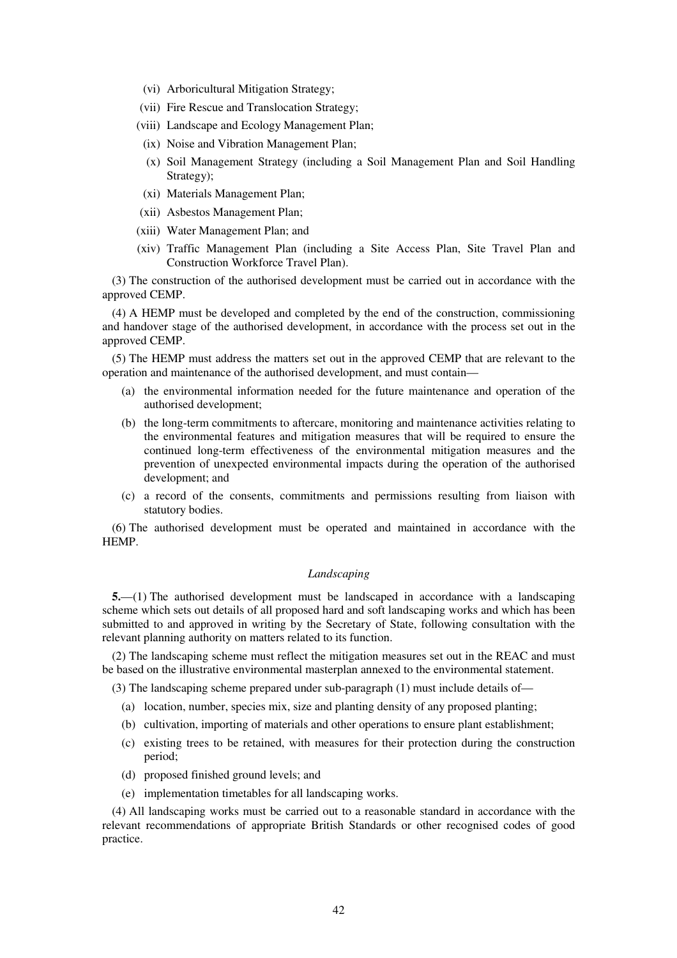- (vi) Arboricultural Mitigation Strategy;
- (vii) Fire Rescue and Translocation Strategy;
- (viii) Landscape and Ecology Management Plan;
	- (ix) Noise and Vibration Management Plan;
	- (x) Soil Management Strategy (including a Soil Management Plan and Soil Handling Strategy);
- (xi) Materials Management Plan;
- (xii) Asbestos Management Plan;
- (xiii) Water Management Plan; and
- (xiv) Traffic Management Plan (including a Site Access Plan, Site Travel Plan and Construction Workforce Travel Plan).

(3) The construction of the authorised development must be carried out in accordance with the approved CEMP.

(4) A HEMP must be developed and completed by the end of the construction, commissioning and handover stage of the authorised development, in accordance with the process set out in the approved CEMP.

(5) The HEMP must address the matters set out in the approved CEMP that are relevant to the operation and maintenance of the authorised development, and must contain—

- (a) the environmental information needed for the future maintenance and operation of the authorised development;
- (b) the long-term commitments to aftercare, monitoring and maintenance activities relating to the environmental features and mitigation measures that will be required to ensure the continued long-term effectiveness of the environmental mitigation measures and the prevention of unexpected environmental impacts during the operation of the authorised development; and
- (c) a record of the consents, commitments and permissions resulting from liaison with statutory bodies.

(6) The authorised development must be operated and maintained in accordance with the HEMP.

#### *Landscaping*

**5.**—(1) The authorised development must be landscaped in accordance with a landscaping scheme which sets out details of all proposed hard and soft landscaping works and which has been submitted to and approved in writing by the Secretary of State, following consultation with the relevant planning authority on matters related to its function.

(2) The landscaping scheme must reflect the mitigation measures set out in the REAC and must be based on the illustrative environmental masterplan annexed to the environmental statement.

(3) The landscaping scheme prepared under sub-paragraph (1) must include details of—

- (a) location, number, species mix, size and planting density of any proposed planting;
- (b) cultivation, importing of materials and other operations to ensure plant establishment;
- (c) existing trees to be retained, with measures for their protection during the construction period;
- (d) proposed finished ground levels; and
- (e) implementation timetables for all landscaping works.

(4) All landscaping works must be carried out to a reasonable standard in accordance with the relevant recommendations of appropriate British Standards or other recognised codes of good practice.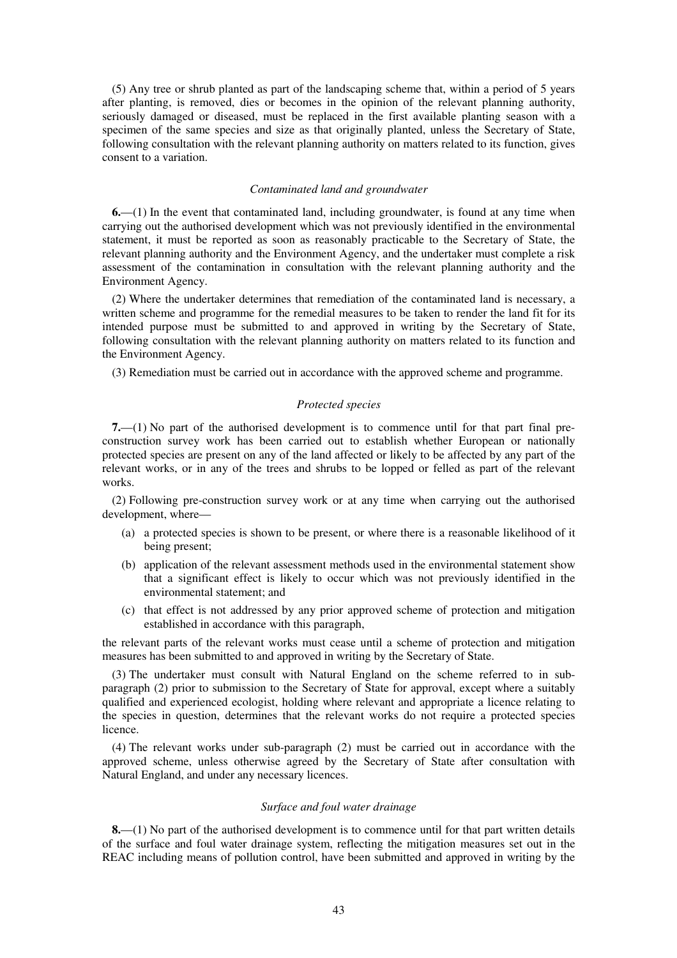(5) Any tree or shrub planted as part of the landscaping scheme that, within a period of 5 years after planting, is removed, dies or becomes in the opinion of the relevant planning authority, seriously damaged or diseased, must be replaced in the first available planting season with a specimen of the same species and size as that originally planted, unless the Secretary of State, following consultation with the relevant planning authority on matters related to its function, gives consent to a variation.

#### *Contaminated land and groundwater*

**6.**—(1) In the event that contaminated land, including groundwater, is found at any time when carrying out the authorised development which was not previously identified in the environmental statement, it must be reported as soon as reasonably practicable to the Secretary of State, the relevant planning authority and the Environment Agency, and the undertaker must complete a risk assessment of the contamination in consultation with the relevant planning authority and the Environment Agency.

(2) Where the undertaker determines that remediation of the contaminated land is necessary, a written scheme and programme for the remedial measures to be taken to render the land fit for its intended purpose must be submitted to and approved in writing by the Secretary of State, following consultation with the relevant planning authority on matters related to its function and the Environment Agency.

(3) Remediation must be carried out in accordance with the approved scheme and programme.

#### *Protected species*

**7.**—(1) No part of the authorised development is to commence until for that part final preconstruction survey work has been carried out to establish whether European or nationally protected species are present on any of the land affected or likely to be affected by any part of the relevant works, or in any of the trees and shrubs to be lopped or felled as part of the relevant works.

(2) Following pre-construction survey work or at any time when carrying out the authorised development, where—

- (a) a protected species is shown to be present, or where there is a reasonable likelihood of it being present;
- (b) application of the relevant assessment methods used in the environmental statement show that a significant effect is likely to occur which was not previously identified in the environmental statement; and
- (c) that effect is not addressed by any prior approved scheme of protection and mitigation established in accordance with this paragraph,

the relevant parts of the relevant works must cease until a scheme of protection and mitigation measures has been submitted to and approved in writing by the Secretary of State.

(3) The undertaker must consult with Natural England on the scheme referred to in subparagraph (2) prior to submission to the Secretary of State for approval, except where a suitably qualified and experienced ecologist, holding where relevant and appropriate a licence relating to the species in question, determines that the relevant works do not require a protected species licence.

(4) The relevant works under sub-paragraph (2) must be carried out in accordance with the approved scheme, unless otherwise agreed by the Secretary of State after consultation with Natural England, and under any necessary licences.

#### *Surface and foul water drainage*

**8.**—(1) No part of the authorised development is to commence until for that part written details of the surface and foul water drainage system, reflecting the mitigation measures set out in the REAC including means of pollution control, have been submitted and approved in writing by the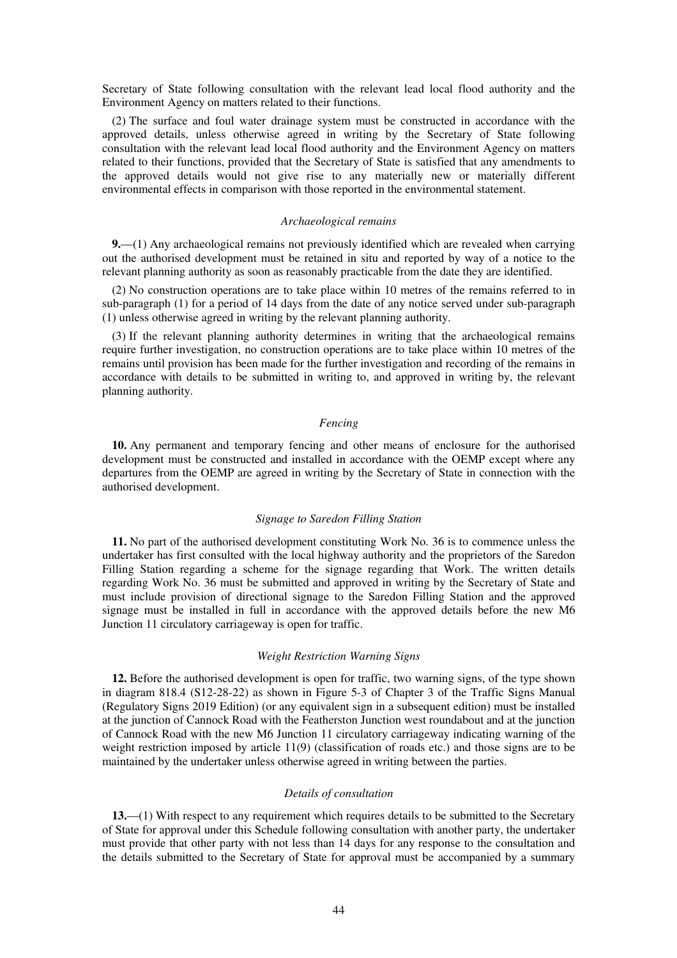Secretary of State following consultation with the relevant lead local flood authority and the Environment Agency on matters related to their functions.

(2) The surface and foul water drainage system must be constructed in accordance with the approved details, unless otherwise agreed in writing by the Secretary of State following consultation with the relevant lead local flood authority and the Environment Agency on matters related to their functions, provided that the Secretary of State is satisfied that any amendments to the approved details would not give rise to any materially new or materially different environmental effects in comparison with those reported in the environmental statement.

#### *Archaeological remains*

**9.**—(1) Any archaeological remains not previously identified which are revealed when carrying out the authorised development must be retained in situ and reported by way of a notice to the relevant planning authority as soon as reasonably practicable from the date they are identified.

(2) No construction operations are to take place within 10 metres of the remains referred to in sub-paragraph (1) for a period of 14 days from the date of any notice served under sub-paragraph (1) unless otherwise agreed in writing by the relevant planning authority.

(3) If the relevant planning authority determines in writing that the archaeological remains require further investigation, no construction operations are to take place within 10 metres of the remains until provision has been made for the further investigation and recording of the remains in accordance with details to be submitted in writing to, and approved in writing by, the relevant planning authority.

#### *Fencing*

**10.** Any permanent and temporary fencing and other means of enclosure for the authorised development must be constructed and installed in accordance with the OEMP except where any departures from the OEMP are agreed in writing by the Secretary of State in connection with the authorised development.

#### *Signage to Saredon Filling Station*

**11.** No part of the authorised development constituting Work No. 36 is to commence unless the undertaker has first consulted with the local highway authority and the proprietors of the Saredon Filling Station regarding a scheme for the signage regarding that Work. The written details regarding Work No. 36 must be submitted and approved in writing by the Secretary of State and must include provision of directional signage to the Saredon Filling Station and the approved signage must be installed in full in accordance with the approved details before the new M6 Junction 11 circulatory carriageway is open for traffic.

#### *Weight Restriction Warning Signs*

**12.** Before the authorised development is open for traffic, two warning signs, of the type shown in diagram 818.4 (S12-28-22) as shown in Figure 5-3 of Chapter 3 of the Traffic Signs Manual (Regulatory Signs 2019 Edition) (or any equivalent sign in a subsequent edition) must be installed at the junction of Cannock Road with the Featherston Junction west roundabout and at the junction of Cannock Road with the new M6 Junction 11 circulatory carriageway indicating warning of the weight restriction imposed by article 11(9) (classification of roads etc.) and those signs are to be maintained by the undertaker unless otherwise agreed in writing between the parties.

#### *Details of consultation*

**13.**—(1) With respect to any requirement which requires details to be submitted to the Secretary of State for approval under this Schedule following consultation with another party, the undertaker must provide that other party with not less than 14 days for any response to the consultation and the details submitted to the Secretary of State for approval must be accompanied by a summary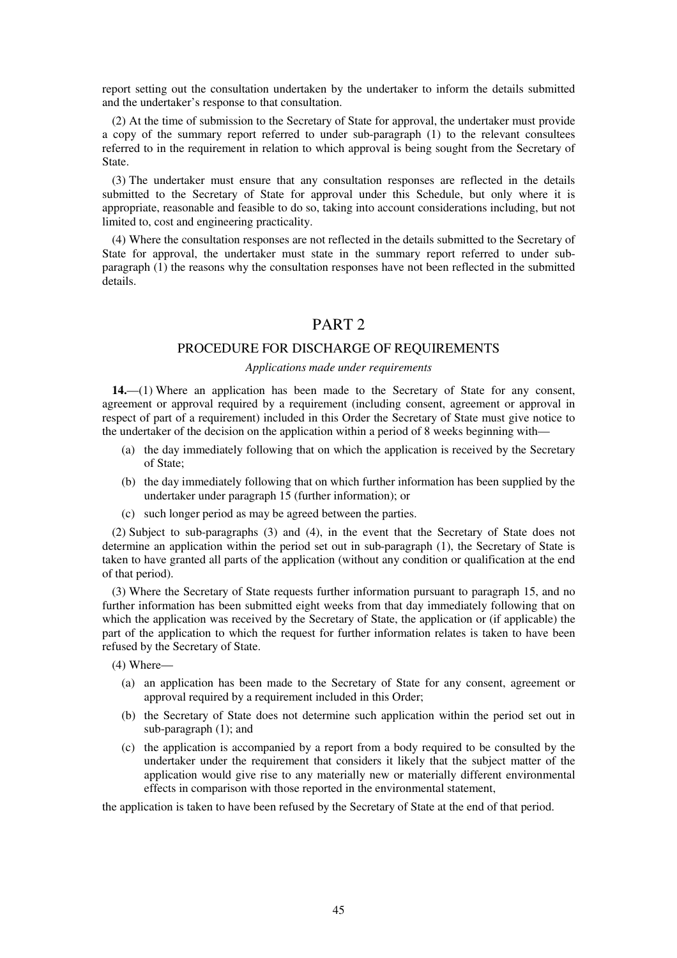report setting out the consultation undertaken by the undertaker to inform the details submitted and the undertaker's response to that consultation.

(2) At the time of submission to the Secretary of State for approval, the undertaker must provide a copy of the summary report referred to under sub-paragraph (1) to the relevant consultees referred to in the requirement in relation to which approval is being sought from the Secretary of State.

(3) The undertaker must ensure that any consultation responses are reflected in the details submitted to the Secretary of State for approval under this Schedule, but only where it is appropriate, reasonable and feasible to do so, taking into account considerations including, but not limited to, cost and engineering practicality.

(4) Where the consultation responses are not reflected in the details submitted to the Secretary of State for approval, the undertaker must state in the summary report referred to under subparagraph (1) the reasons why the consultation responses have not been reflected in the submitted details.

## PART 2

#### PROCEDURE FOR DISCHARGE OF REQUIREMENTS

#### *Applications made under requirements*

**14.**—(1) Where an application has been made to the Secretary of State for any consent, agreement or approval required by a requirement (including consent, agreement or approval in respect of part of a requirement) included in this Order the Secretary of State must give notice to the undertaker of the decision on the application within a period of 8 weeks beginning with—

- (a) the day immediately following that on which the application is received by the Secretary of State;
- (b) the day immediately following that on which further information has been supplied by the undertaker under paragraph 15 (further information); or
- (c) such longer period as may be agreed between the parties.

(2) Subject to sub-paragraphs (3) and (4), in the event that the Secretary of State does not determine an application within the period set out in sub-paragraph (1), the Secretary of State is taken to have granted all parts of the application (without any condition or qualification at the end of that period).

(3) Where the Secretary of State requests further information pursuant to paragraph 15, and no further information has been submitted eight weeks from that day immediately following that on which the application was received by the Secretary of State, the application or (if applicable) the part of the application to which the request for further information relates is taken to have been refused by the Secretary of State.

(4) Where—

- (a) an application has been made to the Secretary of State for any consent, agreement or approval required by a requirement included in this Order;
- (b) the Secretary of State does not determine such application within the period set out in sub-paragraph (1); and
- (c) the application is accompanied by a report from a body required to be consulted by the undertaker under the requirement that considers it likely that the subject matter of the application would give rise to any materially new or materially different environmental effects in comparison with those reported in the environmental statement,

the application is taken to have been refused by the Secretary of State at the end of that period.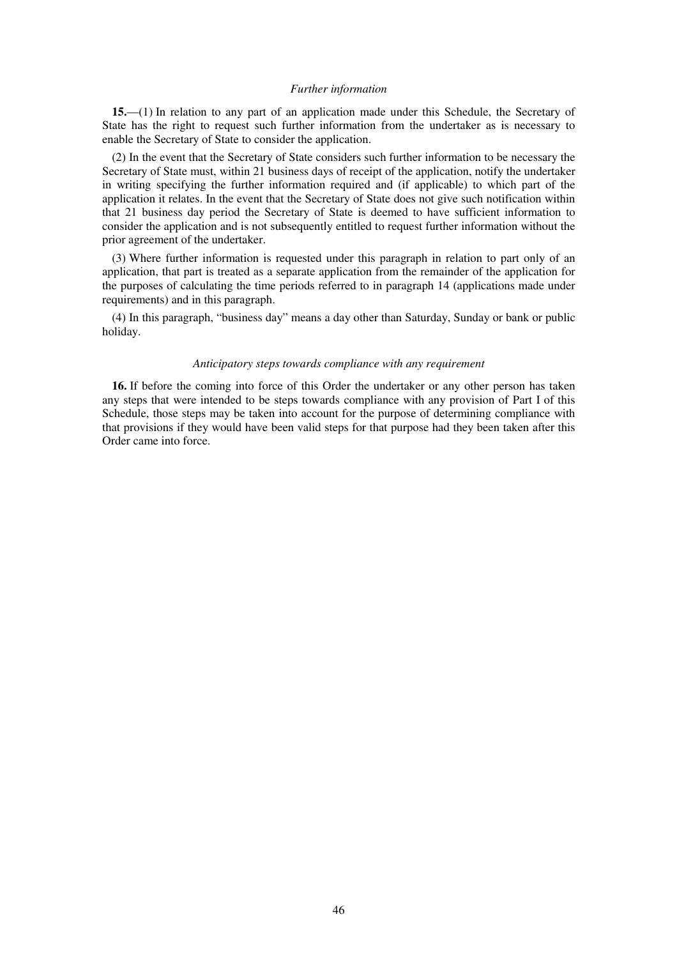#### *Further information*

**15.**—(1) In relation to any part of an application made under this Schedule, the Secretary of State has the right to request such further information from the undertaker as is necessary to enable the Secretary of State to consider the application.

(2) In the event that the Secretary of State considers such further information to be necessary the Secretary of State must, within 21 business days of receipt of the application, notify the undertaker in writing specifying the further information required and (if applicable) to which part of the application it relates. In the event that the Secretary of State does not give such notification within that 21 business day period the Secretary of State is deemed to have sufficient information to consider the application and is not subsequently entitled to request further information without the prior agreement of the undertaker.

(3) Where further information is requested under this paragraph in relation to part only of an application, that part is treated as a separate application from the remainder of the application for the purposes of calculating the time periods referred to in paragraph 14 (applications made under requirements) and in this paragraph.

(4) In this paragraph, "business day" means a day other than Saturday, Sunday or bank or public holiday.

#### *Anticipatory steps towards compliance with any requirement*

**16.** If before the coming into force of this Order the undertaker or any other person has taken any steps that were intended to be steps towards compliance with any provision of Part I of this Schedule, those steps may be taken into account for the purpose of determining compliance with that provisions if they would have been valid steps for that purpose had they been taken after this Order came into force.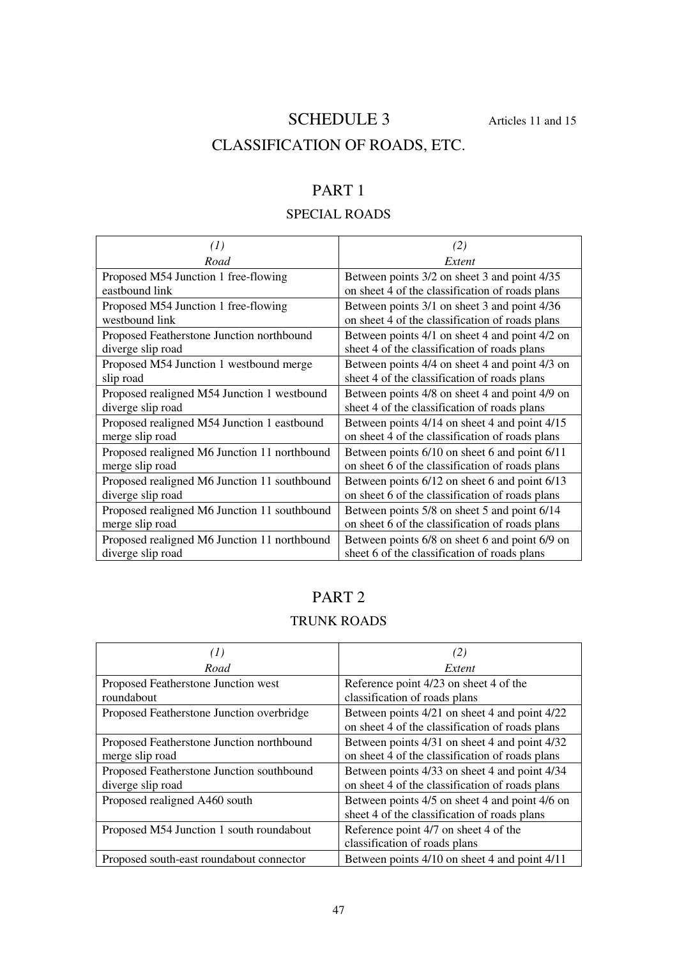# SCHEDULE 3 Articles 11 and 15

# CLASSIFICATION OF ROADS, ETC.

# PART 1

## SPECIAL ROADS

| $\left(1\right)$                             | (2)                                             |  |
|----------------------------------------------|-------------------------------------------------|--|
| Road                                         | Extent                                          |  |
| Proposed M54 Junction 1 free-flowing         | Between points 3/2 on sheet 3 and point 4/35    |  |
| eastbound link                               | on sheet 4 of the classification of roads plans |  |
| Proposed M54 Junction 1 free-flowing         | Between points 3/1 on sheet 3 and point 4/36    |  |
| westbound link                               | on sheet 4 of the classification of roads plans |  |
| Proposed Featherstone Junction northbound    | Between points 4/1 on sheet 4 and point 4/2 on  |  |
| diverge slip road                            | sheet 4 of the classification of roads plans    |  |
| Proposed M54 Junction 1 westbound merge      | Between points 4/4 on sheet 4 and point 4/3 on  |  |
| slip road                                    | sheet 4 of the classification of roads plans    |  |
| Proposed realigned M54 Junction 1 westbound  | Between points 4/8 on sheet 4 and point 4/9 on  |  |
| diverge slip road                            | sheet 4 of the classification of roads plans    |  |
| Proposed realigned M54 Junction 1 eastbound  | Between points 4/14 on sheet 4 and point 4/15   |  |
| merge slip road                              | on sheet 4 of the classification of roads plans |  |
| Proposed realigned M6 Junction 11 northbound | Between points 6/10 on sheet 6 and point 6/11   |  |
| merge slip road                              | on sheet 6 of the classification of roads plans |  |
| Proposed realigned M6 Junction 11 southbound | Between points 6/12 on sheet 6 and point 6/13   |  |
| diverge slip road                            | on sheet 6 of the classification of roads plans |  |
| Proposed realigned M6 Junction 11 southbound | Between points 5/8 on sheet 5 and point 6/14    |  |
| merge slip road                              | on sheet 6 of the classification of roads plans |  |
| Proposed realigned M6 Junction 11 northbound | Between points 6/8 on sheet 6 and point 6/9 on  |  |
| diverge slip road                            | sheet 6 of the classification of roads plans    |  |

# PART 2

## TRUNK ROADS

| (1)                                                            | (2)                                                                                              |
|----------------------------------------------------------------|--------------------------------------------------------------------------------------------------|
| Road                                                           | Extent                                                                                           |
| Proposed Featherstone Junction west                            | Reference point 4/23 on sheet 4 of the                                                           |
| roundabout                                                     | classification of roads plans                                                                    |
| Proposed Featherstone Junction overbridge                      | Between points 4/21 on sheet 4 and point 4/22<br>on sheet 4 of the classification of roads plans |
| Proposed Featherstone Junction northbound<br>merge slip road   | Between points 4/31 on sheet 4 and point 4/32<br>on sheet 4 of the classification of roads plans |
| Proposed Featherstone Junction southbound<br>diverge slip road | Between points 4/33 on sheet 4 and point 4/34<br>on sheet 4 of the classification of roads plans |
| Proposed realigned A460 south                                  | Between points 4/5 on sheet 4 and point 4/6 on<br>sheet 4 of the classification of roads plans   |
| Proposed M54 Junction 1 south roundabout                       | Reference point 4/7 on sheet 4 of the<br>classification of roads plans                           |
| Proposed south-east roundabout connector                       | Between points 4/10 on sheet 4 and point 4/11                                                    |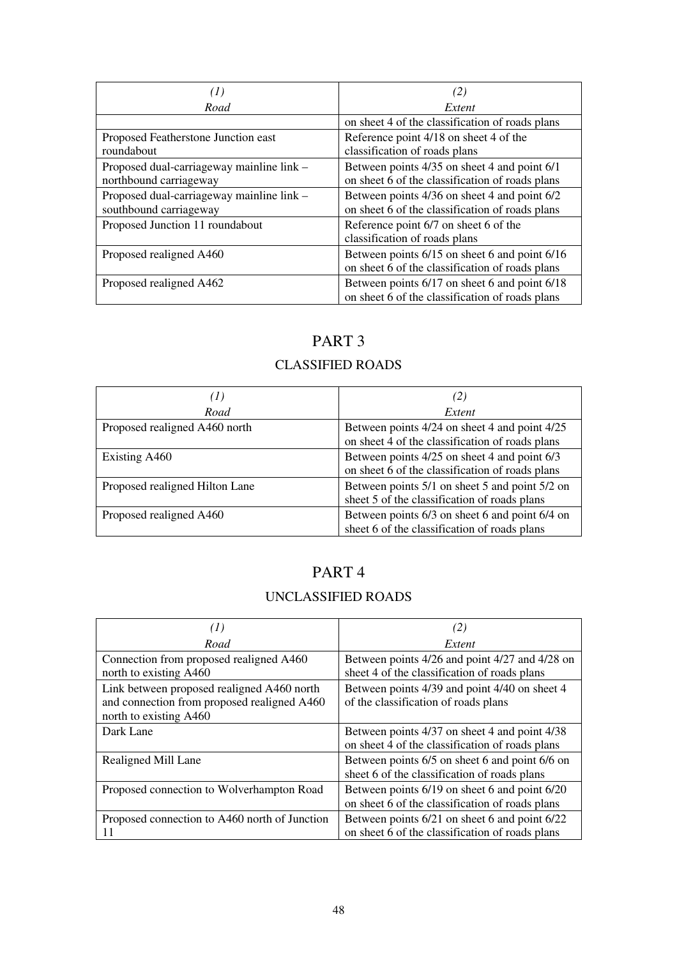| (1)                                                                 | (2)                                                                                              |  |
|---------------------------------------------------------------------|--------------------------------------------------------------------------------------------------|--|
| Road                                                                | Extent                                                                                           |  |
|                                                                     | on sheet 4 of the classification of roads plans                                                  |  |
| Proposed Featherstone Junction east<br>roundabout                   | Reference point 4/18 on sheet 4 of the<br>classification of roads plans                          |  |
| Proposed dual-carriageway mainline link -<br>northbound carriageway | Between points 4/35 on sheet 4 and point 6/1<br>on sheet 6 of the classification of roads plans  |  |
| Proposed dual-carriageway mainline link -<br>southbound carriageway | Between points 4/36 on sheet 4 and point 6/2<br>on sheet 6 of the classification of roads plans  |  |
| Proposed Junction 11 roundabout                                     | Reference point 6/7 on sheet 6 of the<br>classification of roads plans                           |  |
| Proposed realigned A460                                             | Between points 6/15 on sheet 6 and point 6/16<br>on sheet 6 of the classification of roads plans |  |
| Proposed realigned A462                                             | Between points 6/17 on sheet 6 and point 6/18<br>on sheet 6 of the classification of roads plans |  |

## CLASSIFIED ROADS

| (1)                            | (2)                                                                                              |
|--------------------------------|--------------------------------------------------------------------------------------------------|
| Road                           | Extent                                                                                           |
| Proposed realigned A460 north  | Between points 4/24 on sheet 4 and point 4/25<br>on sheet 4 of the classification of roads plans |
| Existing A460                  | Between points 4/25 on sheet 4 and point 6/3<br>on sheet 6 of the classification of roads plans  |
| Proposed realigned Hilton Lane | Between points 5/1 on sheet 5 and point 5/2 on<br>sheet 5 of the classification of roads plans   |
| Proposed realigned A460        | Between points 6/3 on sheet 6 and point 6/4 on<br>sheet 6 of the classification of roads plans   |

# PART 4

## UNCLASSIFIED ROADS

| (1)                                           | (2)                                             |  |
|-----------------------------------------------|-------------------------------------------------|--|
| Road                                          | Extent                                          |  |
| Connection from proposed realigned A460       | Between points 4/26 and point 4/27 and 4/28 on  |  |
| north to existing A460                        | sheet 4 of the classification of roads plans    |  |
| Link between proposed realigned A460 north    | Between points 4/39 and point 4/40 on sheet 4   |  |
| and connection from proposed realigned A460   | of the classification of roads plans            |  |
| north to existing A460                        |                                                 |  |
| Dark Lane                                     | Between points 4/37 on sheet 4 and point 4/38   |  |
|                                               | on sheet 4 of the classification of roads plans |  |
| Realigned Mill Lane                           | Between points 6/5 on sheet 6 and point 6/6 on  |  |
|                                               | sheet 6 of the classification of roads plans    |  |
| Proposed connection to Wolverhampton Road     | Between points 6/19 on sheet 6 and point 6/20   |  |
|                                               | on sheet 6 of the classification of roads plans |  |
| Proposed connection to A460 north of Junction | Between points 6/21 on sheet 6 and point 6/22   |  |
|                                               | on sheet 6 of the classification of roads plans |  |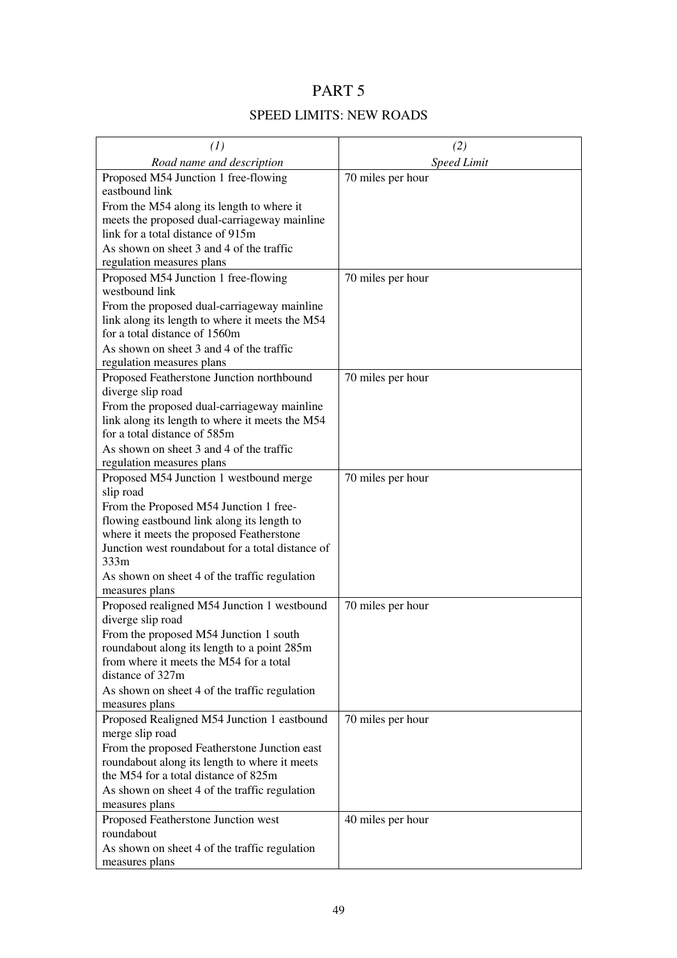## SPEED LIMITS: NEW ROADS

| (1)                                                                                   | (2)                |
|---------------------------------------------------------------------------------------|--------------------|
| Road name and description                                                             | <b>Speed Limit</b> |
| Proposed M54 Junction 1 free-flowing                                                  | 70 miles per hour  |
| eastbound link                                                                        |                    |
| From the M54 along its length to where it                                             |                    |
| meets the proposed dual-carriageway mainline                                          |                    |
| link for a total distance of 915m                                                     |                    |
| As shown on sheet 3 and 4 of the traffic                                              |                    |
| regulation measures plans                                                             |                    |
| Proposed M54 Junction 1 free-flowing                                                  | 70 miles per hour  |
| westbound link                                                                        |                    |
| From the proposed dual-carriageway mainline                                           |                    |
| link along its length to where it meets the M54                                       |                    |
| for a total distance of 1560m                                                         |                    |
| As shown on sheet 3 and 4 of the traffic                                              |                    |
| regulation measures plans<br>Proposed Featherstone Junction northbound                |                    |
| diverge slip road                                                                     | 70 miles per hour  |
| From the proposed dual-carriageway mainline                                           |                    |
| link along its length to where it meets the M54                                       |                    |
| for a total distance of 585m                                                          |                    |
| As shown on sheet 3 and 4 of the traffic                                              |                    |
| regulation measures plans                                                             |                    |
| Proposed M54 Junction 1 westbound merge                                               | 70 miles per hour  |
| slip road                                                                             |                    |
| From the Proposed M54 Junction 1 free-                                                |                    |
| flowing eastbound link along its length to                                            |                    |
| where it meets the proposed Featherstone                                              |                    |
| Junction west roundabout for a total distance of<br>333m                              |                    |
| As shown on sheet 4 of the traffic regulation                                         |                    |
| measures plans                                                                        |                    |
| Proposed realigned M54 Junction 1 westbound                                           | 70 miles per hour  |
| diverge slip road                                                                     |                    |
| From the proposed M54 Junction 1 south                                                |                    |
| roundabout along its length to a point 285m                                           |                    |
| from where it meets the M54 for a total                                               |                    |
| distance of 327m                                                                      |                    |
| As shown on sheet 4 of the traffic regulation                                         |                    |
| measures plans                                                                        |                    |
| Proposed Realigned M54 Junction 1 eastbound                                           | 70 miles per hour  |
| merge slip road                                                                       |                    |
| From the proposed Featherstone Junction east                                          |                    |
| roundabout along its length to where it meets<br>the M54 for a total distance of 825m |                    |
|                                                                                       |                    |
| As shown on sheet 4 of the traffic regulation<br>measures plans                       |                    |
| Proposed Featherstone Junction west                                                   | 40 miles per hour  |
| roundabout                                                                            |                    |
| As shown on sheet 4 of the traffic regulation                                         |                    |
| measures plans                                                                        |                    |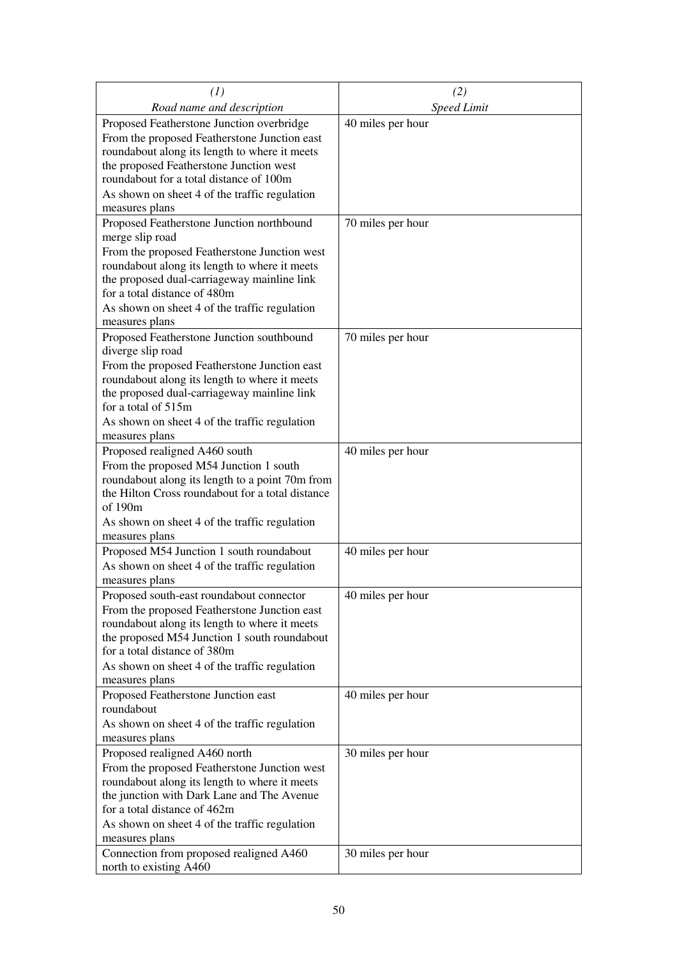| (1)                                                                          | (2)                |
|------------------------------------------------------------------------------|--------------------|
| Road name and description                                                    | <b>Speed Limit</b> |
| Proposed Featherstone Junction overbridge                                    | 40 miles per hour  |
| From the proposed Featherstone Junction east                                 |                    |
| roundabout along its length to where it meets                                |                    |
| the proposed Featherstone Junction west                                      |                    |
| roundabout for a total distance of 100m                                      |                    |
| As shown on sheet 4 of the traffic regulation                                |                    |
| measures plans                                                               |                    |
| Proposed Featherstone Junction northbound                                    | 70 miles per hour  |
| merge slip road<br>From the proposed Featherstone Junction west              |                    |
| roundabout along its length to where it meets                                |                    |
| the proposed dual-carriageway mainline link                                  |                    |
| for a total distance of 480m                                                 |                    |
| As shown on sheet 4 of the traffic regulation                                |                    |
| measures plans                                                               |                    |
| Proposed Featherstone Junction southbound                                    | 70 miles per hour  |
| diverge slip road                                                            |                    |
| From the proposed Featherstone Junction east                                 |                    |
| roundabout along its length to where it meets                                |                    |
| the proposed dual-carriageway mainline link                                  |                    |
| for a total of 515m                                                          |                    |
| As shown on sheet 4 of the traffic regulation<br>measures plans              |                    |
| Proposed realigned A460 south                                                | 40 miles per hour  |
| From the proposed M54 Junction 1 south                                       |                    |
| roundabout along its length to a point 70m from                              |                    |
| the Hilton Cross roundabout for a total distance                             |                    |
| of 190m                                                                      |                    |
| As shown on sheet 4 of the traffic regulation                                |                    |
| measures plans                                                               |                    |
| Proposed M54 Junction 1 south roundabout                                     | 40 miles per hour  |
| As shown on sheet 4 of the traffic regulation                                |                    |
| measures plans                                                               |                    |
| Proposed south-east roundabout connector                                     | 40 miles per hour  |
| From the proposed Featherstone Junction east                                 |                    |
| roundabout along its length to where it meets                                |                    |
| the proposed M54 Junction 1 south roundabout<br>for a total distance of 380m |                    |
| As shown on sheet 4 of the traffic regulation                                |                    |
| measures plans                                                               |                    |
| Proposed Featherstone Junction east                                          | 40 miles per hour  |
| roundabout                                                                   |                    |
| As shown on sheet 4 of the traffic regulation                                |                    |
| measures plans                                                               |                    |
| Proposed realigned A460 north                                                | 30 miles per hour  |
| From the proposed Featherstone Junction west                                 |                    |
| roundabout along its length to where it meets                                |                    |
| the junction with Dark Lane and The Avenue<br>for a total distance of 462m   |                    |
|                                                                              |                    |
| As shown on sheet 4 of the traffic regulation<br>measures plans              |                    |
| Connection from proposed realigned A460                                      | 30 miles per hour  |
| north to existing A460                                                       |                    |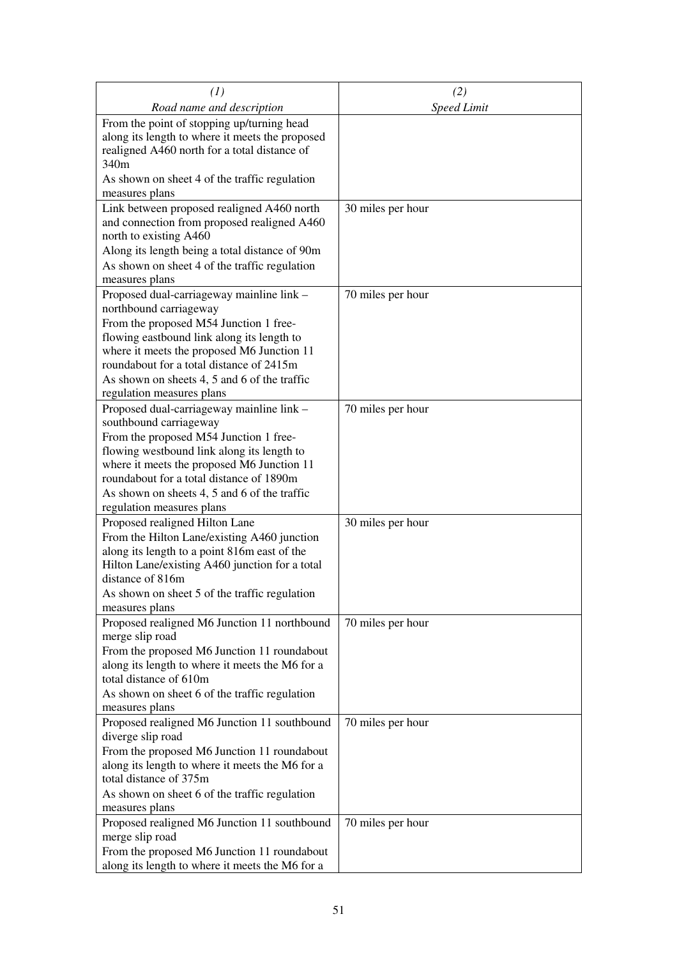| (1)                                                                                                                                                                                                                                                                                   | (2)                |
|---------------------------------------------------------------------------------------------------------------------------------------------------------------------------------------------------------------------------------------------------------------------------------------|--------------------|
| Road name and description                                                                                                                                                                                                                                                             | <b>Speed Limit</b> |
| From the point of stopping up/turning head<br>along its length to where it meets the proposed<br>realigned A460 north for a total distance of<br>340m<br>As shown on sheet 4 of the traffic regulation                                                                                |                    |
| measures plans                                                                                                                                                                                                                                                                        |                    |
| Link between proposed realigned A460 north<br>and connection from proposed realigned A460<br>north to existing A460<br>Along its length being a total distance of 90m<br>As shown on sheet 4 of the traffic regulation<br>measures plans                                              | 30 miles per hour  |
| Proposed dual-carriageway mainline link -                                                                                                                                                                                                                                             | 70 miles per hour  |
| northbound carriageway<br>From the proposed M54 Junction 1 free-<br>flowing eastbound link along its length to<br>where it meets the proposed M6 Junction 11<br>roundabout for a total distance of 2415m<br>As shown on sheets 4, 5 and 6 of the traffic<br>regulation measures plans |                    |
| Proposed dual-carriageway mainline link -                                                                                                                                                                                                                                             | 70 miles per hour  |
| southbound carriageway<br>From the proposed M54 Junction 1 free-<br>flowing westbound link along its length to<br>where it meets the proposed M6 Junction 11<br>roundabout for a total distance of 1890m<br>As shown on sheets 4, 5 and 6 of the traffic<br>regulation measures plans |                    |
| Proposed realigned Hilton Lane                                                                                                                                                                                                                                                        | 30 miles per hour  |
| From the Hilton Lane/existing A460 junction<br>along its length to a point 816m east of the<br>Hilton Lane/existing A460 junction for a total<br>distance of 816m<br>As shown on sheet 5 of the traffic regulation<br>measures plans                                                  |                    |
| Proposed realigned M6 Junction 11 northbound                                                                                                                                                                                                                                          | 70 miles per hour  |
| merge slip road<br>From the proposed M6 Junction 11 roundabout<br>along its length to where it meets the M6 for a<br>total distance of 610m<br>As shown on sheet 6 of the traffic regulation<br>measures plans                                                                        |                    |
| Proposed realigned M6 Junction 11 southbound                                                                                                                                                                                                                                          | 70 miles per hour  |
| diverge slip road<br>From the proposed M6 Junction 11 roundabout<br>along its length to where it meets the M6 for a<br>total distance of 375m<br>As shown on sheet 6 of the traffic regulation<br>measures plans                                                                      |                    |
| Proposed realigned M6 Junction 11 southbound                                                                                                                                                                                                                                          | 70 miles per hour  |
| merge slip road<br>From the proposed M6 Junction 11 roundabout<br>along its length to where it meets the M6 for a                                                                                                                                                                     |                    |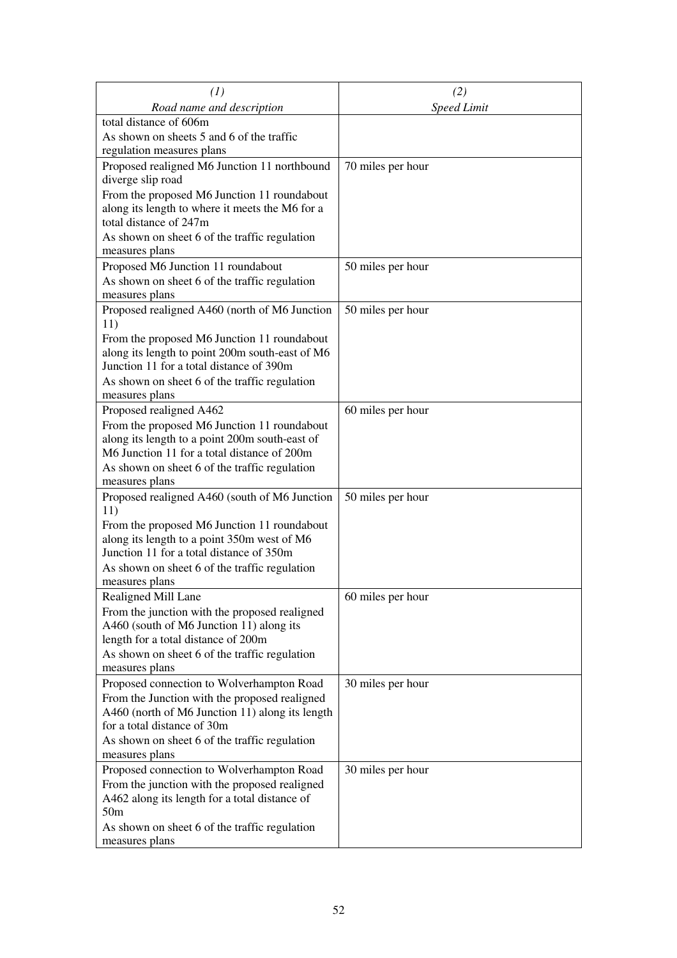| (1)                                                                             | (2)                |
|---------------------------------------------------------------------------------|--------------------|
| Road name and description                                                       | <b>Speed Limit</b> |
| total distance of 606m                                                          |                    |
| As shown on sheets 5 and 6 of the traffic                                       |                    |
| regulation measures plans                                                       |                    |
| Proposed realigned M6 Junction 11 northbound                                    | 70 miles per hour  |
| diverge slip road                                                               |                    |
| From the proposed M6 Junction 11 roundabout                                     |                    |
| along its length to where it meets the M6 for a                                 |                    |
| total distance of 247m                                                          |                    |
| As shown on sheet 6 of the traffic regulation                                   |                    |
| measures plans                                                                  |                    |
| Proposed M6 Junction 11 roundabout                                              | 50 miles per hour  |
| As shown on sheet 6 of the traffic regulation                                   |                    |
| measures plans                                                                  |                    |
| Proposed realigned A460 (north of M6 Junction<br>11)                            | 50 miles per hour  |
| From the proposed M6 Junction 11 roundabout                                     |                    |
| along its length to point 200m south-east of M6                                 |                    |
| Junction 11 for a total distance of 390m                                        |                    |
| As shown on sheet 6 of the traffic regulation                                   |                    |
| measures plans                                                                  |                    |
| Proposed realigned A462                                                         | 60 miles per hour  |
| From the proposed M6 Junction 11 roundabout                                     |                    |
| along its length to a point 200m south-east of                                  |                    |
| M6 Junction 11 for a total distance of 200m                                     |                    |
| As shown on sheet 6 of the traffic regulation                                   |                    |
| measures plans                                                                  |                    |
| Proposed realigned A460 (south of M6 Junction                                   | 50 miles per hour  |
| 11)                                                                             |                    |
| From the proposed M6 Junction 11 roundabout                                     |                    |
| along its length to a point 350m west of M6                                     |                    |
| Junction 11 for a total distance of 350m                                        |                    |
| As shown on sheet 6 of the traffic regulation                                   |                    |
| measures plans                                                                  |                    |
| Realigned Mill Lane                                                             | 60 miles per hour  |
| From the junction with the proposed realigned                                   |                    |
| A460 (south of M6 Junction 11) along its<br>length for a total distance of 200m |                    |
|                                                                                 |                    |
| As shown on sheet 6 of the traffic regulation<br>measures plans                 |                    |
| Proposed connection to Wolverhampton Road                                       | 30 miles per hour  |
| From the Junction with the proposed realigned                                   |                    |
| A460 (north of M6 Junction 11) along its length                                 |                    |
| for a total distance of 30m                                                     |                    |
| As shown on sheet 6 of the traffic regulation                                   |                    |
| measures plans                                                                  |                    |
| Proposed connection to Wolverhampton Road                                       | 30 miles per hour  |
| From the junction with the proposed realigned                                   |                    |
| A462 along its length for a total distance of                                   |                    |
| 50m                                                                             |                    |
| As shown on sheet 6 of the traffic regulation                                   |                    |
| measures plans                                                                  |                    |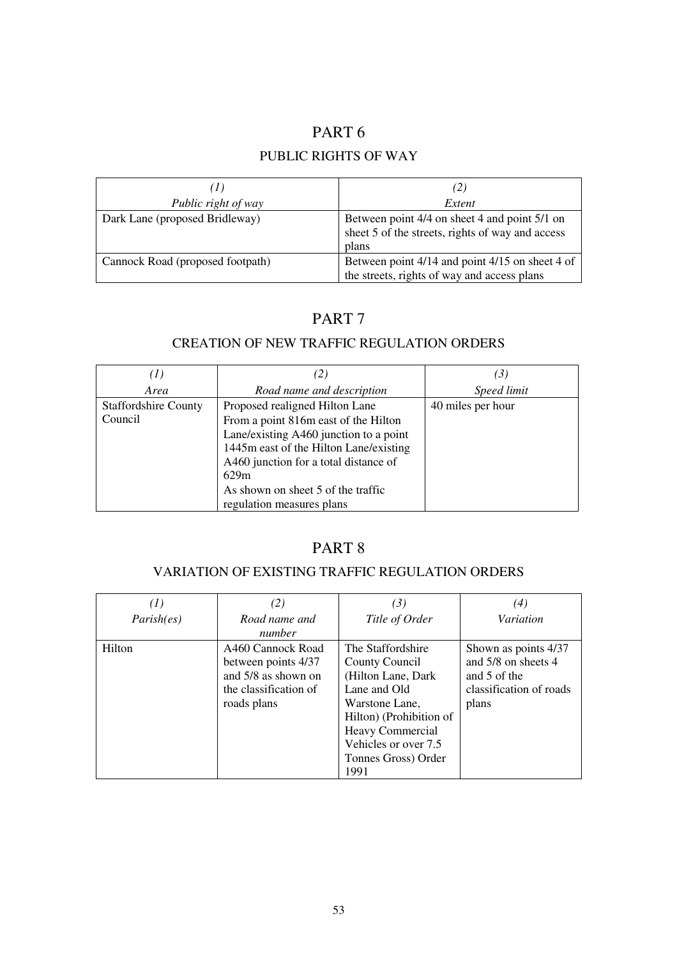## PUBLIC RIGHTS OF WAY

| (1)                              | (2)                                                                                                        |
|----------------------------------|------------------------------------------------------------------------------------------------------------|
| Public right of way              | Extent                                                                                                     |
| Dark Lane (proposed Bridleway)   | Between point 4/4 on sheet 4 and point 5/1 on<br>sheet 5 of the streets, rights of way and access<br>plans |
| Cannock Road (proposed footpath) | Between point 4/14 and point 4/15 on sheet 4 of<br>the streets, rights of way and access plans             |

## PART 7

## CREATION OF NEW TRAFFIC REGULATION ORDERS

| (I)                         |                                        | (3)               |
|-----------------------------|----------------------------------------|-------------------|
| Area                        | Road name and description              | Speed limit       |
| <b>Staffordshire County</b> | Proposed realigned Hilton Lane         | 40 miles per hour |
| Council                     | From a point 816m east of the Hilton   |                   |
|                             | Lane/existing A460 junction to a point |                   |
|                             | 1445m east of the Hilton Lane/existing |                   |
|                             | A460 junction for a total distance of  |                   |
|                             | 629m                                   |                   |
|                             | As shown on sheet 5 of the traffic     |                   |
|                             | regulation measures plans              |                   |

# PART 8

## VARIATION OF EXISTING TRAFFIC REGULATION ORDERS

|            | (2)                                                                                                     | (3)                                                                                                                                                                                                | (4)                                                                                             |
|------------|---------------------------------------------------------------------------------------------------------|----------------------------------------------------------------------------------------------------------------------------------------------------------------------------------------------------|-------------------------------------------------------------------------------------------------|
| Parish(es) | Road name and<br>number                                                                                 | Title of Order                                                                                                                                                                                     | Variation                                                                                       |
| Hilton     | A460 Cannock Road<br>between points 4/37<br>and 5/8 as shown on<br>the classification of<br>roads plans | The Staffordshire<br>County Council<br>(Hilton Lane, Dark)<br>Lane and Old<br>Warstone Lane,<br>Hilton) (Prohibition of<br>Heavy Commercial<br>Vehicles or over 7.5<br>Tonnes Gross) Order<br>1991 | Shown as points 4/37<br>and 5/8 on sheets 4<br>and 5 of the<br>classification of roads<br>plans |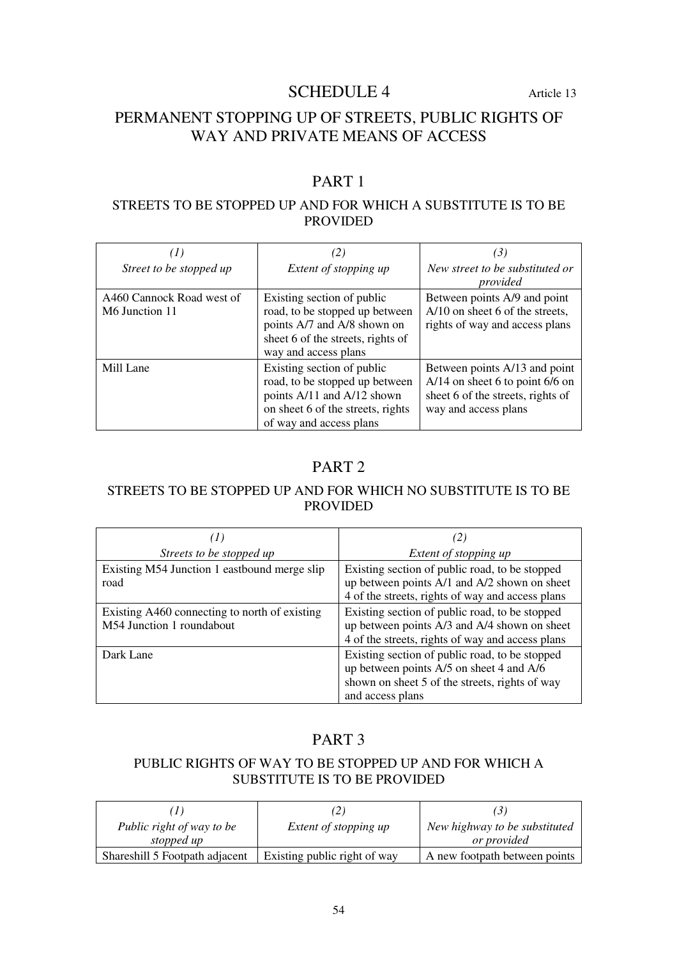## SCHEDULE 4 Article 13

# PERMANENT STOPPING UP OF STREETS, PUBLIC RIGHTS OF WAY AND PRIVATE MEANS OF ACCESS

# PART 1

### STREETS TO BE STOPPED UP AND FOR WHICH A SUBSTITUTE IS TO BE PROVIDED

| $\left( I\right)$                           |                                                                                                                                                            | (3)                                                                                                                             |
|---------------------------------------------|------------------------------------------------------------------------------------------------------------------------------------------------------------|---------------------------------------------------------------------------------------------------------------------------------|
| Street to be stopped up                     | Extent of stopping up                                                                                                                                      | New street to be substituted or<br>provided                                                                                     |
| A460 Cannock Road west of<br>M6 Junction 11 | Existing section of public<br>road, to be stopped up between<br>points A/7 and A/8 shown on<br>sheet 6 of the streets, rights of<br>way and access plans   | Between points A/9 and point<br>A/10 on sheet 6 of the streets,<br>rights of way and access plans                               |
| Mill Lane                                   | Existing section of public<br>road, to be stopped up between<br>points A/11 and A/12 shown<br>on sheet 6 of the streets, rights<br>of way and access plans | Between points A/13 and point<br>$A/14$ on sheet 6 to point 6/6 on<br>sheet 6 of the streets, rights of<br>way and access plans |

## PART 2

## STREETS TO BE STOPPED UP AND FOR WHICH NO SUBSTITUTE IS TO BE PROVIDED

|                                                                            | (2)                                                                                                                                                              |
|----------------------------------------------------------------------------|------------------------------------------------------------------------------------------------------------------------------------------------------------------|
| Streets to be stopped up                                                   | Extent of stopping up                                                                                                                                            |
| Existing M54 Junction 1 eastbound merge slip<br>road                       | Existing section of public road, to be stopped<br>up between points A/1 and A/2 shown on sheet<br>4 of the streets, rights of way and access plans               |
| Existing A460 connecting to north of existing<br>M54 Junction 1 roundabout | Existing section of public road, to be stopped<br>up between points A/3 and A/4 shown on sheet<br>4 of the streets, rights of way and access plans               |
| Dark Lane                                                                  | Existing section of public road, to be stopped<br>up between points A/5 on sheet 4 and A/6<br>shown on sheet 5 of the streets, rights of way<br>and access plans |

## PART 3

## PUBLIC RIGHTS OF WAY TO BE STOPPED UP AND FOR WHICH A SUBSTITUTE IS TO BE PROVIDED

|                                |                              | (5)                           |
|--------------------------------|------------------------------|-------------------------------|
| Public right of way to be      | <i>Extent of stopping up</i> | New highway to be substituted |
| stopped up                     |                              | <i>or provided</i>            |
| Shareshill 5 Footpath adjacent | Existing public right of way | A new footpath between points |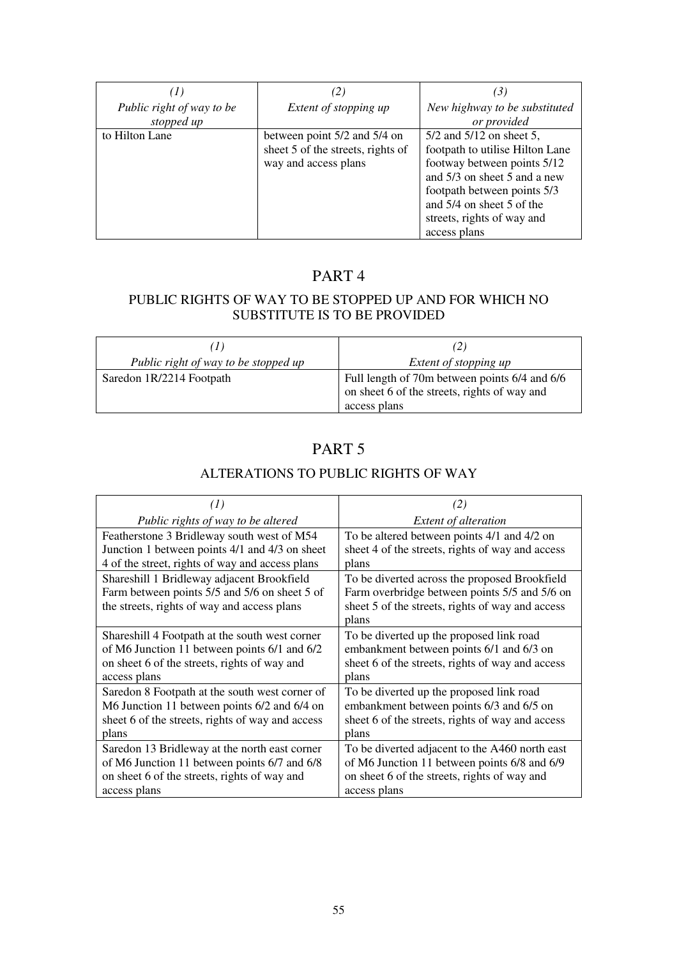| (1)                       | $\binom{2}{2}$                    | (3)                             |
|---------------------------|-----------------------------------|---------------------------------|
| Public right of way to be | Extent of stopping up             | New highway to be substituted   |
| stopped up                |                                   | or provided                     |
| to Hilton Lane            | between point 5/2 and 5/4 on      | $5/2$ and $5/12$ on sheet 5,    |
|                           | sheet 5 of the streets, rights of | footpath to utilise Hilton Lane |
|                           | way and access plans              | footway between points 5/12     |
|                           |                                   | and 5/3 on sheet 5 and a new    |
|                           |                                   | footpath between points 5/3     |
|                           |                                   | and 5/4 on sheet 5 of the       |
|                           |                                   | streets, rights of way and      |
|                           |                                   | access plans                    |

## PUBLIC RIGHTS OF WAY TO BE STOPPED UP AND FOR WHICH NO SUBSTITUTE IS TO BE PROVIDED

| (1)                                                           | (2)                                                                                                           |  |
|---------------------------------------------------------------|---------------------------------------------------------------------------------------------------------------|--|
| Public right of way to be stopped up<br>Extent of stopping up |                                                                                                               |  |
| Saredon 1R/2214 Footpath                                      | Full length of 70m between points 6/4 and 6/6<br>on sheet 6 of the streets, rights of way and<br>access plans |  |

## PART 5

## ALTERATIONS TO PUBLIC RIGHTS OF WAY

| $\left( 1\right)$                                                                                                                          | (2)                                                                                                                                                         |
|--------------------------------------------------------------------------------------------------------------------------------------------|-------------------------------------------------------------------------------------------------------------------------------------------------------------|
| Public rights of way to be altered                                                                                                         | <b>Extent of alteration</b>                                                                                                                                 |
| Featherstone 3 Bridleway south west of M54                                                                                                 | To be altered between points 4/1 and 4/2 on                                                                                                                 |
| Junction 1 between points 4/1 and 4/3 on sheet                                                                                             | sheet 4 of the streets, rights of way and access                                                                                                            |
| 4 of the street, rights of way and access plans                                                                                            | plans                                                                                                                                                       |
| Shareshill 1 Bridleway adjacent Brookfield<br>Farm between points 5/5 and 5/6 on sheet 5 of<br>the streets, rights of way and access plans | To be diverted across the proposed Brookfield<br>Farm overbridge between points 5/5 and 5/6 on<br>sheet 5 of the streets, rights of way and access<br>plans |
| Shareshill 4 Footpath at the south west corner                                                                                             | To be diverted up the proposed link road                                                                                                                    |
| of M6 Junction 11 between points 6/1 and 6/2                                                                                               | embankment between points 6/1 and 6/3 on                                                                                                                    |
| on sheet 6 of the streets, rights of way and                                                                                               | sheet 6 of the streets, rights of way and access                                                                                                            |
| access plans                                                                                                                               | plans                                                                                                                                                       |
| Saredon 8 Footpath at the south west corner of                                                                                             | To be diverted up the proposed link road                                                                                                                    |
| M6 Junction 11 between points 6/2 and 6/4 on                                                                                               | embankment between points 6/3 and 6/5 on                                                                                                                    |
| sheet 6 of the streets, rights of way and access                                                                                           | sheet 6 of the streets, rights of way and access                                                                                                            |
| plans                                                                                                                                      | plans                                                                                                                                                       |
| Saredon 13 Bridleway at the north east corner                                                                                              | To be diverted adjacent to the A460 north east                                                                                                              |
| of M6 Junction 11 between points 6/7 and 6/8                                                                                               | of M6 Junction 11 between points 6/8 and 6/9                                                                                                                |
| on sheet 6 of the streets, rights of way and                                                                                               | on sheet 6 of the streets, rights of way and                                                                                                                |
| access plans                                                                                                                               | access plans                                                                                                                                                |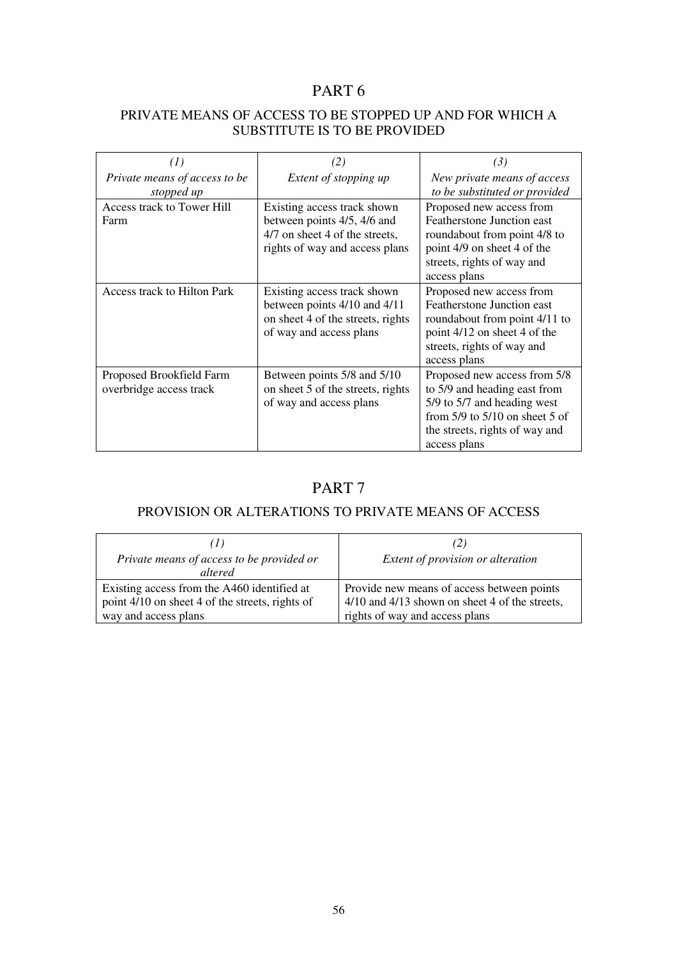## PRIVATE MEANS OF ACCESS TO BE STOPPED UP AND FOR WHICH A SUBSTITUTE IS TO BE PROVIDED

| (I)                                                 | (2)                                                                                                                            | (3)                                                                                                                                                                                 |
|-----------------------------------------------------|--------------------------------------------------------------------------------------------------------------------------------|-------------------------------------------------------------------------------------------------------------------------------------------------------------------------------------|
| Private means of access to be<br>stopped up         | Extent of stopping up                                                                                                          | New private means of access<br>to be substituted or provided                                                                                                                        |
| Access track to Tower Hill<br>Farm                  | Existing access track shown<br>between points 4/5, 4/6 and<br>4/7 on sheet 4 of the streets,<br>rights of way and access plans | Proposed new access from<br>Featherstone Junction east<br>roundabout from point 4/8 to<br>point 4/9 on sheet 4 of the<br>streets, rights of way and<br>access plans                 |
| Access track to Hilton Park                         | Existing access track shown<br>between points 4/10 and 4/11<br>on sheet 4 of the streets, rights<br>of way and access plans    | Proposed new access from<br>Featherstone Junction east<br>roundabout from point 4/11 to<br>point 4/12 on sheet 4 of the<br>streets, rights of way and<br>access plans               |
| Proposed Brookfield Farm<br>overbridge access track | Between points 5/8 and 5/10<br>on sheet 5 of the streets, rights<br>of way and access plans                                    | Proposed new access from 5/8<br>to 5/9 and heading east from<br>5/9 to 5/7 and heading west<br>from $5/9$ to $5/10$ on sheet 5 of<br>the streets, rights of way and<br>access plans |

## PART 7

## PROVISION OR ALTERATIONS TO PRIVATE MEANS OF ACCESS

| (1)<br>Private means of access to be provided or<br>altered | (2)<br>Extent of provision or alteration       |
|-------------------------------------------------------------|------------------------------------------------|
| Existing access from the A460 identified at                 | Provide new means of access between points     |
| point 4/10 on sheet 4 of the streets, rights of             | 4/10 and 4/13 shown on sheet 4 of the streets, |
| way and access plans                                        | rights of way and access plans                 |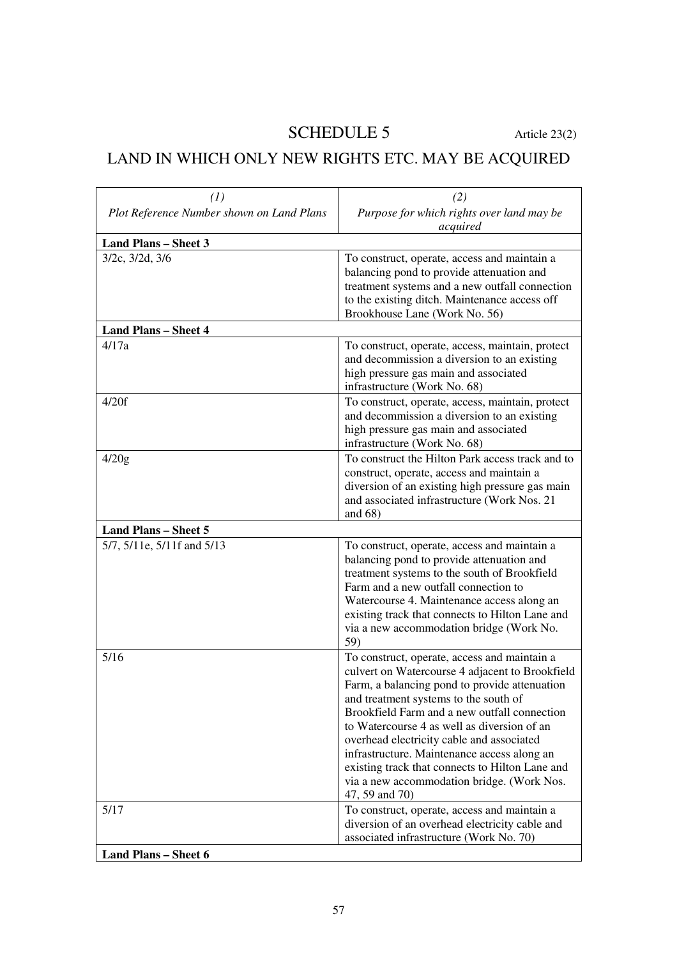# SCHEDULE 5 Article 23(2)

# LAND IN WHICH ONLY NEW RIGHTS ETC. MAY BE ACQUIRED

| (1)                                       | (2)                                                                                                                                                                                                                                                                                                                                                                                                                                                                                                     |
|-------------------------------------------|---------------------------------------------------------------------------------------------------------------------------------------------------------------------------------------------------------------------------------------------------------------------------------------------------------------------------------------------------------------------------------------------------------------------------------------------------------------------------------------------------------|
| Plot Reference Number shown on Land Plans | Purpose for which rights over land may be<br>acquired                                                                                                                                                                                                                                                                                                                                                                                                                                                   |
| <b>Land Plans - Sheet 3</b>               |                                                                                                                                                                                                                                                                                                                                                                                                                                                                                                         |
| 3/2c, 3/2d, 3/6                           | To construct, operate, access and maintain a<br>balancing pond to provide attenuation and<br>treatment systems and a new outfall connection<br>to the existing ditch. Maintenance access off<br>Brookhouse Lane (Work No. 56)                                                                                                                                                                                                                                                                           |
| <b>Land Plans - Sheet 4</b>               |                                                                                                                                                                                                                                                                                                                                                                                                                                                                                                         |
| 4/17a                                     | To construct, operate, access, maintain, protect<br>and decommission a diversion to an existing<br>high pressure gas main and associated<br>infrastructure (Work No. 68)                                                                                                                                                                                                                                                                                                                                |
| 4/20f                                     | To construct, operate, access, maintain, protect<br>and decommission a diversion to an existing<br>high pressure gas main and associated<br>infrastructure (Work No. 68)                                                                                                                                                                                                                                                                                                                                |
| 4/20g                                     | To construct the Hilton Park access track and to<br>construct, operate, access and maintain a<br>diversion of an existing high pressure gas main<br>and associated infrastructure (Work Nos. 21<br>and $68$ )                                                                                                                                                                                                                                                                                           |
| <b>Land Plans - Sheet 5</b>               |                                                                                                                                                                                                                                                                                                                                                                                                                                                                                                         |
| 5/7, 5/11e, 5/11f and 5/13                | To construct, operate, access and maintain a<br>balancing pond to provide attenuation and<br>treatment systems to the south of Brookfield<br>Farm and a new outfall connection to<br>Watercourse 4. Maintenance access along an<br>existing track that connects to Hilton Lane and<br>via a new accommodation bridge (Work No.<br>59)                                                                                                                                                                   |
| 5/16                                      | To construct, operate, access and maintain a<br>culvert on Watercourse 4 adjacent to Brookfield<br>Farm, a balancing pond to provide attenuation<br>and treatment systems to the south of<br>Brookfield Farm and a new outfall connection<br>to Watercourse 4 as well as diversion of an<br>overhead electricity cable and associated<br>infrastructure. Maintenance access along an<br>existing track that connects to Hilton Lane and<br>via a new accommodation bridge. (Work Nos.<br>47, 59 and 70) |
| 5/17                                      | To construct, operate, access and maintain a<br>diversion of an overhead electricity cable and<br>associated infrastructure (Work No. 70)                                                                                                                                                                                                                                                                                                                                                               |
| <b>Land Plans - Sheet 6</b>               |                                                                                                                                                                                                                                                                                                                                                                                                                                                                                                         |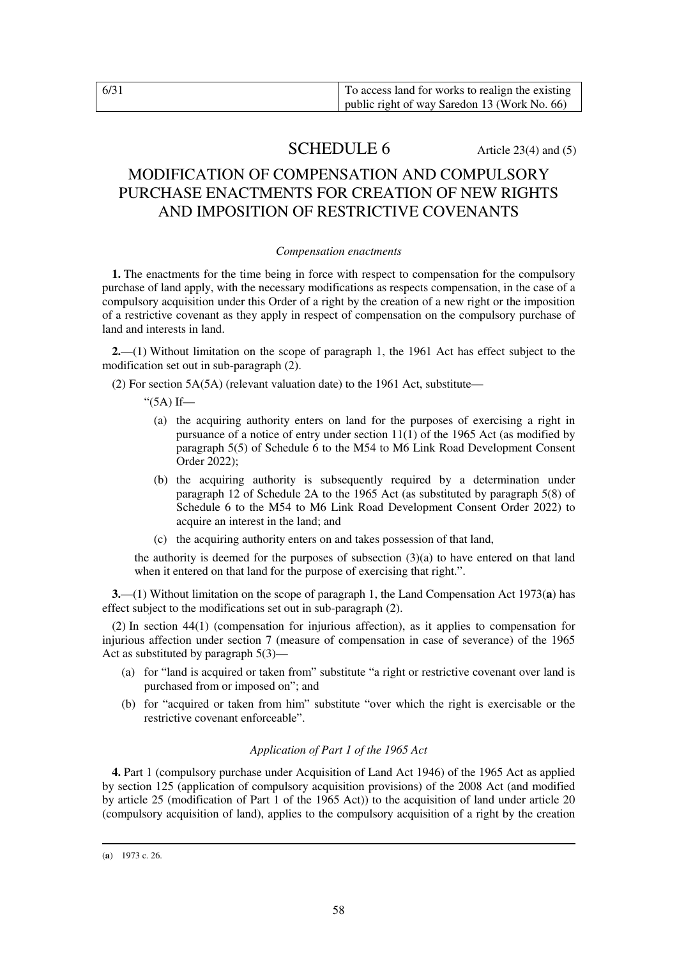## **SCHEDULE 6** Article 23(4) and (5)

## MODIFICATION OF COMPENSATION AND COMPULSORY PURCHASE ENACTMENTS FOR CREATION OF NEW RIGHTS AND IMPOSITION OF RESTRICTIVE COVENANTS

#### *Compensation enactments*

**1.** The enactments for the time being in force with respect to compensation for the compulsory purchase of land apply, with the necessary modifications as respects compensation, in the case of a compulsory acquisition under this Order of a right by the creation of a new right or the imposition of a restrictive covenant as they apply in respect of compensation on the compulsory purchase of land and interests in land.

**2.**—(1) Without limitation on the scope of paragraph 1, the 1961 Act has effect subject to the modification set out in sub-paragraph (2).

(2) For section 5A(5A) (relevant valuation date) to the 1961 Act, substitute—

"(5A) If—

- (a) the acquiring authority enters on land for the purposes of exercising a right in pursuance of a notice of entry under section 11(1) of the 1965 Act (as modified by paragraph 5(5) of Schedule 6 to the M54 to M6 Link Road Development Consent Order 2022);
- (b) the acquiring authority is subsequently required by a determination under paragraph 12 of Schedule 2A to the 1965 Act (as substituted by paragraph 5(8) of Schedule 6 to the M54 to M6 Link Road Development Consent Order 2022) to acquire an interest in the land; and
- (c) the acquiring authority enters on and takes possession of that land,

the authority is deemed for the purposes of subsection  $(3)(a)$  to have entered on that land when it entered on that land for the purpose of exercising that right.".

**3.**—(1) Without limitation on the scope of paragraph 1, the Land Compensation Act 1973(**a**) has effect subject to the modifications set out in sub-paragraph (2).

(2) In section 44(1) (compensation for injurious affection), as it applies to compensation for injurious affection under section 7 (measure of compensation in case of severance) of the 1965 Act as substituted by paragraph  $5(3)$ —

- (a) for "land is acquired or taken from" substitute "a right or restrictive covenant over land is purchased from or imposed on"; and
- (b) for "acquired or taken from him" substitute "over which the right is exercisable or the restrictive covenant enforceable".

#### *Application of Part 1 of the 1965 Act*

**4.** Part 1 (compulsory purchase under Acquisition of Land Act 1946) of the 1965 Act as applied by section 125 (application of compulsory acquisition provisions) of the 2008 Act (and modified by article 25 (modification of Part 1 of the 1965 Act)) to the acquisition of land under article 20 (compulsory acquisition of land), applies to the compulsory acquisition of a right by the creation

<sup>-</sup>(**a**) 1973 c. 26.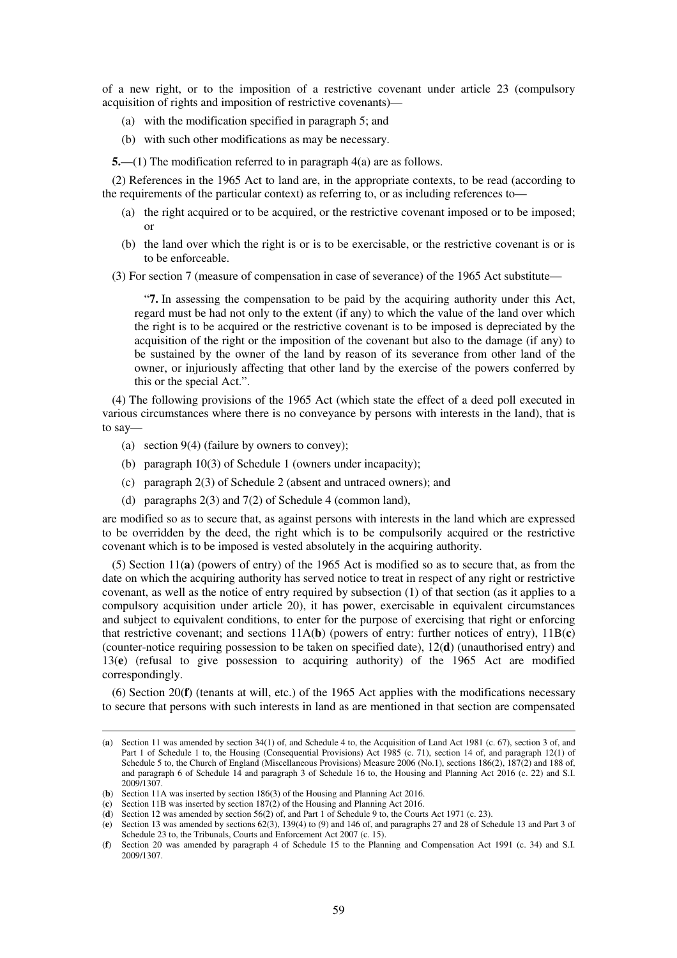of a new right, or to the imposition of a restrictive covenant under article 23 (compulsory acquisition of rights and imposition of restrictive covenants)—

- (a) with the modification specified in paragraph 5; and
- (b) with such other modifications as may be necessary.

**5.**—(1) The modification referred to in paragraph 4(a) are as follows.

(2) References in the 1965 Act to land are, in the appropriate contexts, to be read (according to the requirements of the particular context) as referring to, or as including references to—

- (a) the right acquired or to be acquired, or the restrictive covenant imposed or to be imposed; or
- (b) the land over which the right is or is to be exercisable, or the restrictive covenant is or is to be enforceable.
- (3) For section 7 (measure of compensation in case of severance) of the 1965 Act substitute—

"**7.** In assessing the compensation to be paid by the acquiring authority under this Act, regard must be had not only to the extent (if any) to which the value of the land over which the right is to be acquired or the restrictive covenant is to be imposed is depreciated by the acquisition of the right or the imposition of the covenant but also to the damage (if any) to be sustained by the owner of the land by reason of its severance from other land of the owner, or injuriously affecting that other land by the exercise of the powers conferred by this or the special Act.".

(4) The following provisions of the 1965 Act (which state the effect of a deed poll executed in various circumstances where there is no conveyance by persons with interests in the land), that is to say—

- (a) section 9(4) (failure by owners to convey);
- (b) paragraph 10(3) of Schedule 1 (owners under incapacity);
- (c) paragraph 2(3) of Schedule 2 (absent and untraced owners); and
- (d) paragraphs 2(3) and 7(2) of Schedule 4 (common land),

are modified so as to secure that, as against persons with interests in the land which are expressed to be overridden by the deed, the right which is to be compulsorily acquired or the restrictive covenant which is to be imposed is vested absolutely in the acquiring authority.

(5) Section 11(**a**) (powers of entry) of the 1965 Act is modified so as to secure that, as from the date on which the acquiring authority has served notice to treat in respect of any right or restrictive covenant, as well as the notice of entry required by subsection (1) of that section (as it applies to a compulsory acquisition under article 20), it has power, exercisable in equivalent circumstances and subject to equivalent conditions, to enter for the purpose of exercising that right or enforcing that restrictive covenant; and sections 11A(**b**) (powers of entry: further notices of entry), 11B(**c**) (counter-notice requiring possession to be taken on specified date), 12(**d**) (unauthorised entry) and 13(**e**) (refusal to give possession to acquiring authority) of the 1965 Act are modified correspondingly.

(6) Section 20(**f**) (tenants at will, etc.) of the 1965 Act applies with the modifications necessary to secure that persons with such interests in land as are mentioned in that section are compensated

-

<sup>(</sup>**a**) Section 11 was amended by section 34(1) of, and Schedule 4 to, the Acquisition of Land Act 1981 (c. 67), section 3 of, and Part 1 of Schedule 1 to, the Housing (Consequential Provisions) Act 1985 (c. 71), section 14 of, and paragraph 12(1) of Schedule 5 to, the Church of England (Miscellaneous Provisions) Measure 2006 (No.1), sections 186(2), 187(2) and 188 of, and paragraph 6 of Schedule 14 and paragraph 3 of Schedule 16 to, the Housing and Planning Act 2016 (c. 22) and S.I. 2009/1307.

<sup>(</sup>**b**) Section 11A was inserted by section 186(3) of the Housing and Planning Act 2016.

<sup>(</sup>**c**) Section 11B was inserted by section 187(2) of the Housing and Planning Act 2016.

<sup>(</sup>**d**) Section 12 was amended by section 56(2) of, and Part 1 of Schedule 9 to, the Courts Act 1971 (c. 23).

<sup>(</sup>**e**) Section 13 was amended by sections 62(3), 139(4) to (9) and 146 of, and paragraphs 27 and 28 of Schedule 13 and Part 3 of Schedule 23 to, the Tribunals, Courts and Enforcement Act 2007 (c. 15).

<sup>(</sup>**f**) Section 20 was amended by paragraph 4 of Schedule 15 to the Planning and Compensation Act 1991 (c. 34) and S.I. 2009/1307.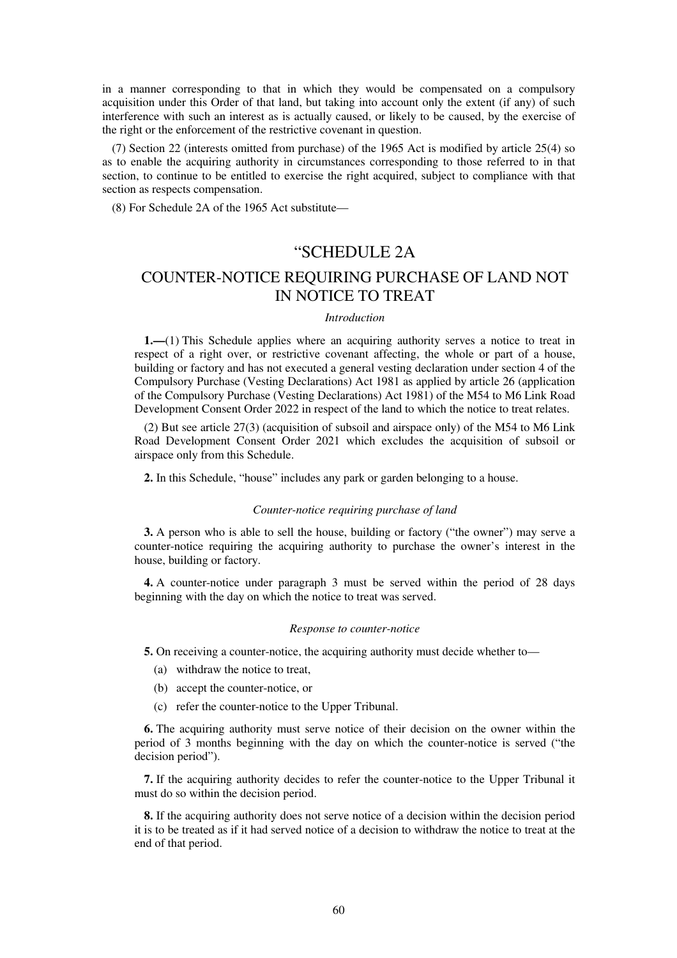in a manner corresponding to that in which they would be compensated on a compulsory acquisition under this Order of that land, but taking into account only the extent (if any) of such interference with such an interest as is actually caused, or likely to be caused, by the exercise of the right or the enforcement of the restrictive covenant in question.

(7) Section 22 (interests omitted from purchase) of the 1965 Act is modified by article 25(4) so as to enable the acquiring authority in circumstances corresponding to those referred to in that section, to continue to be entitled to exercise the right acquired, subject to compliance with that section as respects compensation.

(8) For Schedule 2A of the 1965 Act substitute—

## "SCHEDULE 2A

## COUNTER-NOTICE REQUIRING PURCHASE OF LAND NOT IN NOTICE TO TREAT

#### *Introduction*

**1.—**(1) This Schedule applies where an acquiring authority serves a notice to treat in respect of a right over, or restrictive covenant affecting, the whole or part of a house, building or factory and has not executed a general vesting declaration under section 4 of the Compulsory Purchase (Vesting Declarations) Act 1981 as applied by article 26 (application of the Compulsory Purchase (Vesting Declarations) Act 1981) of the M54 to M6 Link Road Development Consent Order 2022 in respect of the land to which the notice to treat relates.

(2) But see article 27(3) (acquisition of subsoil and airspace only) of the M54 to M6 Link Road Development Consent Order 2021 which excludes the acquisition of subsoil or airspace only from this Schedule.

**2.** In this Schedule, "house" includes any park or garden belonging to a house.

#### *Counter-notice requiring purchase of land*

**3.** A person who is able to sell the house, building or factory ("the owner") may serve a counter-notice requiring the acquiring authority to purchase the owner's interest in the house, building or factory.

**4.** A counter-notice under paragraph 3 must be served within the period of 28 days beginning with the day on which the notice to treat was served.

#### *Response to counter-notice*

**5.** On receiving a counter-notice, the acquiring authority must decide whether to—

- (a) withdraw the notice to treat,
- (b) accept the counter-notice, or
- (c) refer the counter-notice to the Upper Tribunal.

**6.** The acquiring authority must serve notice of their decision on the owner within the period of 3 months beginning with the day on which the counter-notice is served ("the decision period").

**7.** If the acquiring authority decides to refer the counter-notice to the Upper Tribunal it must do so within the decision period.

**8.** If the acquiring authority does not serve notice of a decision within the decision period it is to be treated as if it had served notice of a decision to withdraw the notice to treat at the end of that period.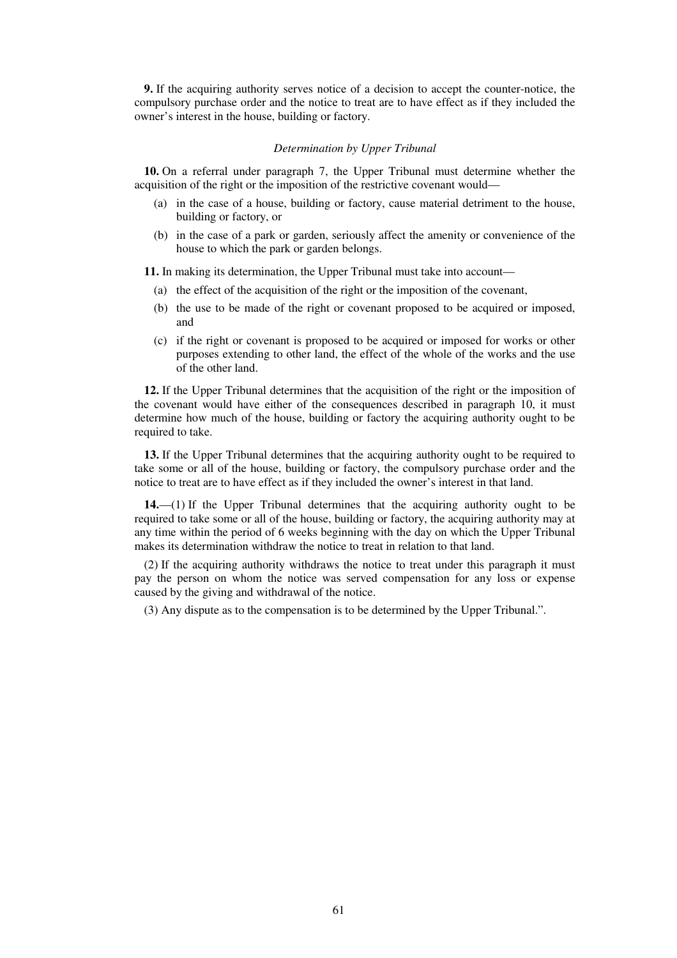**9.** If the acquiring authority serves notice of a decision to accept the counter-notice, the compulsory purchase order and the notice to treat are to have effect as if they included the owner's interest in the house, building or factory.

#### *Determination by Upper Tribunal*

**10.** On a referral under paragraph 7, the Upper Tribunal must determine whether the acquisition of the right or the imposition of the restrictive covenant would—

- (a) in the case of a house, building or factory, cause material detriment to the house, building or factory, or
- (b) in the case of a park or garden, seriously affect the amenity or convenience of the house to which the park or garden belongs.

**11.** In making its determination, the Upper Tribunal must take into account—

- (a) the effect of the acquisition of the right or the imposition of the covenant,
- (b) the use to be made of the right or covenant proposed to be acquired or imposed, and
- (c) if the right or covenant is proposed to be acquired or imposed for works or other purposes extending to other land, the effect of the whole of the works and the use of the other land.

**12.** If the Upper Tribunal determines that the acquisition of the right or the imposition of the covenant would have either of the consequences described in paragraph 10, it must determine how much of the house, building or factory the acquiring authority ought to be required to take.

**13.** If the Upper Tribunal determines that the acquiring authority ought to be required to take some or all of the house, building or factory, the compulsory purchase order and the notice to treat are to have effect as if they included the owner's interest in that land.

**14.**—(1) If the Upper Tribunal determines that the acquiring authority ought to be required to take some or all of the house, building or factory, the acquiring authority may at any time within the period of 6 weeks beginning with the day on which the Upper Tribunal makes its determination withdraw the notice to treat in relation to that land.

(2) If the acquiring authority withdraws the notice to treat under this paragraph it must pay the person on whom the notice was served compensation for any loss or expense caused by the giving and withdrawal of the notice.

(3) Any dispute as to the compensation is to be determined by the Upper Tribunal.".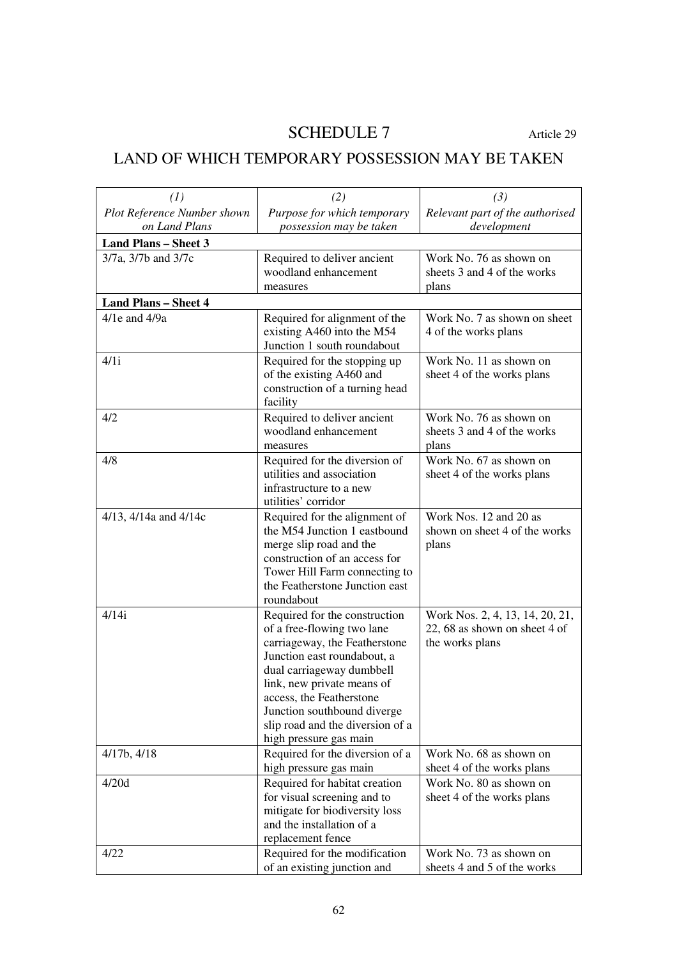# SCHEDULE 7 Article 29

# LAND OF WHICH TEMPORARY POSSESSION MAY BE TAKEN

| (1)                         | (2)                                                          | (3)                             |
|-----------------------------|--------------------------------------------------------------|---------------------------------|
| Plot Reference Number shown | Purpose for which temporary                                  | Relevant part of the authorised |
| on Land Plans               | possession may be taken                                      | development                     |
| <b>Land Plans - Sheet 3</b> |                                                              |                                 |
| 3/7a, 3/7b and 3/7c         | Required to deliver ancient                                  | Work No. 76 as shown on         |
|                             | woodland enhancement                                         | sheets 3 and 4 of the works     |
|                             | measures                                                     | plans                           |
| <b>Land Plans - Sheet 4</b> |                                                              |                                 |
| 4/1e and 4/9a               | Required for alignment of the                                | Work No. 7 as shown on sheet    |
|                             | existing A460 into the M54                                   | 4 of the works plans            |
|                             | Junction 1 south roundabout                                  |                                 |
| 4/1i                        | Required for the stopping up                                 | Work No. 11 as shown on         |
|                             | of the existing A460 and                                     | sheet 4 of the works plans      |
|                             | construction of a turning head                               |                                 |
|                             | facility                                                     |                                 |
| 4/2                         | Required to deliver ancient                                  | Work No. 76 as shown on         |
|                             | woodland enhancement                                         | sheets 3 and 4 of the works     |
|                             | measures                                                     | plans                           |
| 4/8                         | Required for the diversion of                                | Work No. 67 as shown on         |
|                             | utilities and association                                    | sheet 4 of the works plans      |
|                             | infrastructure to a new                                      |                                 |
|                             | utilities' corridor                                          |                                 |
| 4/13, 4/14a and 4/14c       | Required for the alignment of                                | Work Nos. 12 and 20 as          |
|                             | the M54 Junction 1 eastbound                                 | shown on sheet 4 of the works   |
|                             | merge slip road and the<br>construction of an access for     | plans                           |
|                             | Tower Hill Farm connecting to                                |                                 |
|                             | the Featherstone Junction east                               |                                 |
|                             | roundabout                                                   |                                 |
| 4/14i                       | Required for the construction                                | Work Nos. 2, 4, 13, 14, 20, 21, |
|                             | of a free-flowing two lane                                   | 22, 68 as shown on sheet 4 of   |
|                             | carriageway, the Featherstone                                | the works plans                 |
|                             | Junction east roundabout, a                                  |                                 |
|                             | dual carriageway dumbbell                                    |                                 |
|                             | link, new private means of                                   |                                 |
|                             | access, the Featherstone                                     |                                 |
|                             | Junction southbound diverge                                  |                                 |
|                             | slip road and the diversion of a                             |                                 |
|                             | high pressure gas main                                       |                                 |
| 4/17b, 4/18                 | Required for the diversion of a                              | Work No. 68 as shown on         |
|                             | high pressure gas main                                       | sheet 4 of the works plans      |
| 4/20d                       | Required for habitat creation                                | Work No. 80 as shown on         |
|                             | for visual screening and to                                  | sheet 4 of the works plans      |
|                             | mitigate for biodiversity loss                               |                                 |
|                             | and the installation of a<br>replacement fence               |                                 |
| 4/22                        |                                                              | Work No. 73 as shown on         |
|                             | Required for the modification<br>of an existing junction and | sheets 4 and 5 of the works     |
|                             |                                                              |                                 |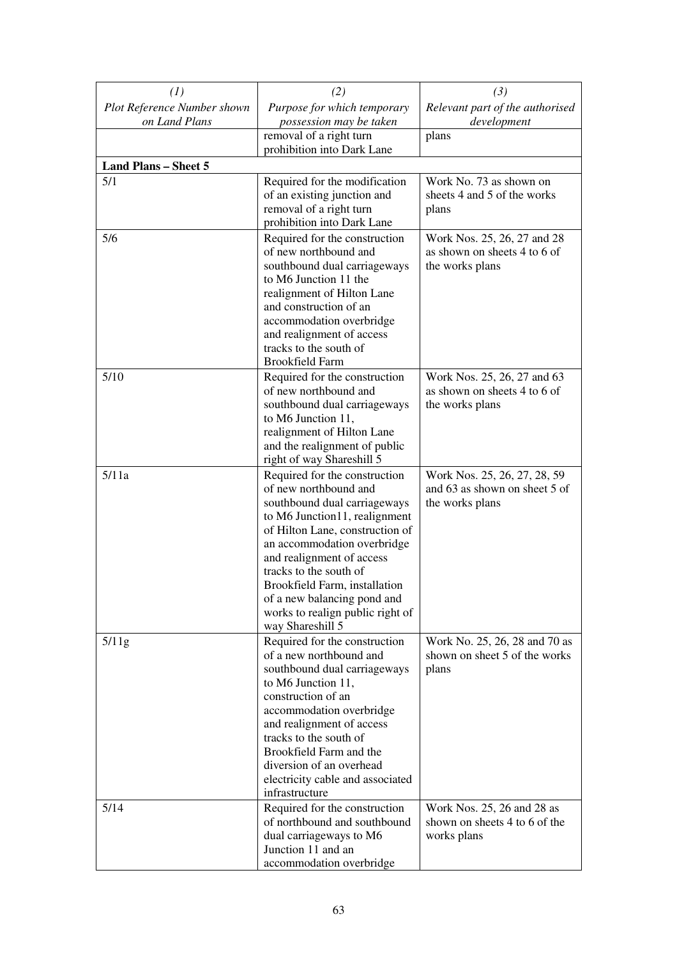| (1)                                          | (2)                                                                                                                                                                                                                                                                                                                                                                      | (3)                                                                              |
|----------------------------------------------|--------------------------------------------------------------------------------------------------------------------------------------------------------------------------------------------------------------------------------------------------------------------------------------------------------------------------------------------------------------------------|----------------------------------------------------------------------------------|
| Plot Reference Number shown<br>on Land Plans | Purpose for which temporary<br>possession may be taken                                                                                                                                                                                                                                                                                                                   | Relevant part of the authorised<br>development                                   |
|                                              | removal of a right turn<br>prohibition into Dark Lane                                                                                                                                                                                                                                                                                                                    | plans                                                                            |
| <b>Land Plans - Sheet 5</b>                  |                                                                                                                                                                                                                                                                                                                                                                          |                                                                                  |
| 5/1                                          | Required for the modification<br>of an existing junction and<br>removal of a right turn<br>prohibition into Dark Lane                                                                                                                                                                                                                                                    | Work No. 73 as shown on<br>sheets 4 and 5 of the works<br>plans                  |
| 5/6                                          | Required for the construction<br>of new northbound and<br>southbound dual carriageways<br>to M6 Junction 11 the<br>realignment of Hilton Lane<br>and construction of an<br>accommodation overbridge<br>and realignment of access<br>tracks to the south of<br><b>Brookfield Farm</b>                                                                                     | Work Nos. 25, 26, 27 and 28<br>as shown on sheets 4 to 6 of<br>the works plans   |
| 5/10                                         | Required for the construction<br>of new northbound and<br>southbound dual carriageways<br>to M6 Junction 11,<br>realignment of Hilton Lane<br>and the realignment of public<br>right of way Shareshill 5                                                                                                                                                                 | Work Nos. 25, 26, 27 and 63<br>as shown on sheets 4 to 6 of<br>the works plans   |
| 5/11a                                        | Required for the construction<br>of new northbound and<br>southbound dual carriageways<br>to M6 Junction11, realignment<br>of Hilton Lane, construction of<br>an accommodation overbridge<br>and realignment of access<br>tracks to the south of<br>Brookfield Farm, installation<br>of a new balancing pond and<br>works to realign public right of<br>way Shareshill 5 | Work Nos. 25, 26, 27, 28, 59<br>and 63 as shown on sheet 5 of<br>the works plans |
| 5/11g                                        | Required for the construction<br>of a new northbound and<br>southbound dual carriageways<br>to M6 Junction 11,<br>construction of an<br>accommodation overbridge<br>and realignment of access<br>tracks to the south of<br>Brookfield Farm and the<br>diversion of an overhead<br>electricity cable and associated<br>infrastructure                                     | Work No. 25, 26, 28 and 70 as<br>shown on sheet 5 of the works<br>plans          |
| 5/14                                         | Required for the construction<br>of northbound and southbound<br>dual carriageways to M6<br>Junction 11 and an<br>accommodation overbridge                                                                                                                                                                                                                               | Work Nos. 25, 26 and 28 as<br>shown on sheets 4 to 6 of the<br>works plans       |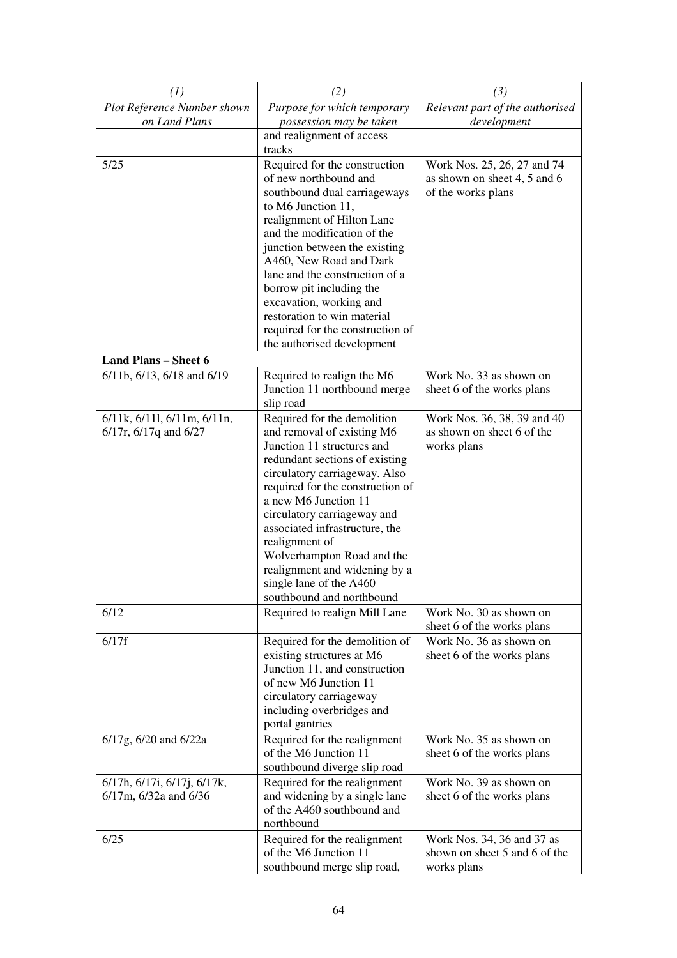| (1)                                                         | (2)                                                            | (3)                                                   |
|-------------------------------------------------------------|----------------------------------------------------------------|-------------------------------------------------------|
| Plot Reference Number shown                                 | Purpose for which temporary                                    | Relevant part of the authorised                       |
| on Land Plans                                               | possession may be taken                                        | development                                           |
|                                                             | and realignment of access<br>tracks                            |                                                       |
| 5/25                                                        | Required for the construction                                  | Work Nos. 25, 26, 27 and 74                           |
|                                                             | of new northbound and                                          | as shown on sheet 4, 5 and 6                          |
|                                                             | southbound dual carriageways                                   | of the works plans                                    |
|                                                             | to M6 Junction 11,                                             |                                                       |
|                                                             | realignment of Hilton Lane                                     |                                                       |
|                                                             | and the modification of the<br>junction between the existing   |                                                       |
|                                                             | A460, New Road and Dark                                        |                                                       |
|                                                             | lane and the construction of a                                 |                                                       |
|                                                             | borrow pit including the                                       |                                                       |
|                                                             | excavation, working and                                        |                                                       |
|                                                             | restoration to win material                                    |                                                       |
|                                                             | required for the construction of<br>the authorised development |                                                       |
| <b>Land Plans - Sheet 6</b>                                 |                                                                |                                                       |
| 6/11b, 6/13, 6/18 and 6/19                                  | Required to realign the M6                                     | Work No. 33 as shown on                               |
|                                                             | Junction 11 northbound merge                                   | sheet 6 of the works plans                            |
|                                                             | slip road                                                      |                                                       |
| $6/11k$ , $6/11l$ , $6/11m$ , $6/11n$ ,                     | Required for the demolition                                    | Work Nos. 36, 38, 39 and 40                           |
| $6/17r$ , $6/17q$ and $6/27$                                | and removal of existing M6<br>Junction 11 structures and       | as shown on sheet 6 of the<br>works plans             |
|                                                             | redundant sections of existing                                 |                                                       |
|                                                             | circulatory carriageway. Also                                  |                                                       |
|                                                             | required for the construction of                               |                                                       |
|                                                             | a new M6 Junction 11                                           |                                                       |
|                                                             | circulatory carriageway and<br>associated infrastructure, the  |                                                       |
|                                                             | realignment of                                                 |                                                       |
|                                                             | Wolverhampton Road and the                                     |                                                       |
|                                                             | realignment and widening by a                                  |                                                       |
|                                                             | single lane of the A460                                        |                                                       |
| 6/12                                                        | southbound and northbound<br>Required to realign Mill Lane     | Work No. 30 as shown on                               |
|                                                             |                                                                | sheet 6 of the works plans                            |
| 6/17f                                                       | Required for the demolition of                                 | Work No. 36 as shown on                               |
|                                                             | existing structures at M6                                      | sheet 6 of the works plans                            |
|                                                             | Junction 11, and construction                                  |                                                       |
|                                                             | of new M6 Junction 11<br>circulatory carriageway               |                                                       |
|                                                             | including overbridges and                                      |                                                       |
|                                                             | portal gantries                                                |                                                       |
| 6/17g, 6/20 and 6/22a                                       | Required for the realignment                                   | Work No. 35 as shown on                               |
|                                                             | of the M6 Junction 11                                          | sheet 6 of the works plans                            |
|                                                             | southbound diverge slip road                                   |                                                       |
| 6/17h, 6/17i, 6/17j, 6/17k,<br>$6/17m$ , $6/32a$ and $6/36$ | Required for the realignment<br>and widening by a single lane  | Work No. 39 as shown on<br>sheet 6 of the works plans |
|                                                             | of the A460 southbound and                                     |                                                       |
|                                                             | northbound                                                     |                                                       |
| 6/25                                                        | Required for the realignment                                   | Work Nos. 34, 36 and 37 as                            |
|                                                             | of the M6 Junction 11                                          | shown on sheet 5 and 6 of the                         |
|                                                             | southbound merge slip road,                                    | works plans                                           |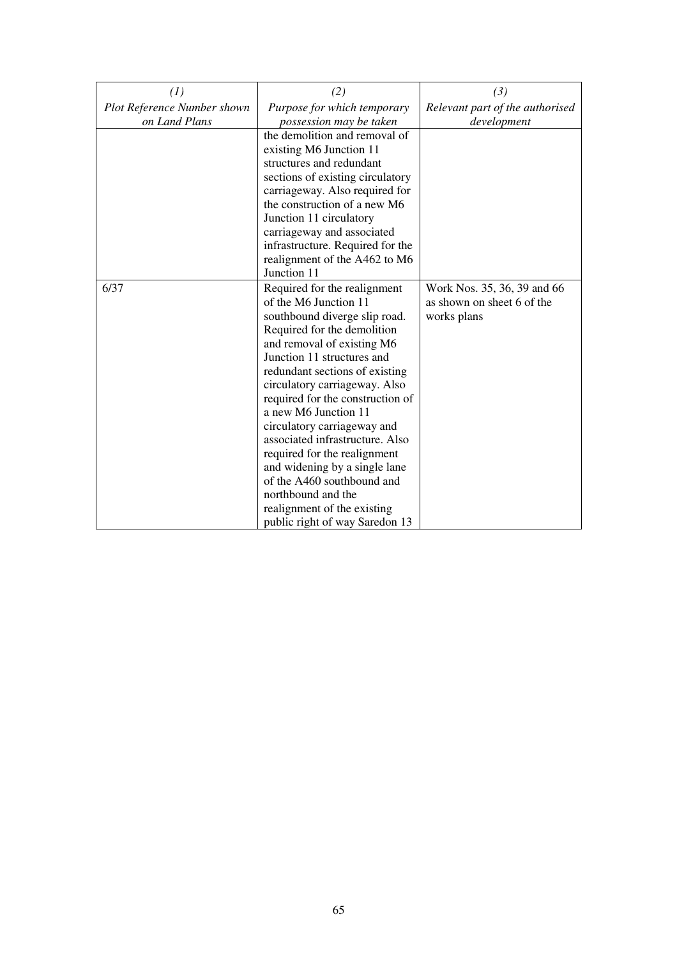| (1)                         | (2)                                                               | (3)                             |
|-----------------------------|-------------------------------------------------------------------|---------------------------------|
| Plot Reference Number shown | Purpose for which temporary                                       | Relevant part of the authorised |
| on Land Plans               | possession may be taken                                           | development                     |
|                             | the demolition and removal of                                     |                                 |
|                             | existing M6 Junction 11                                           |                                 |
|                             | structures and redundant                                          |                                 |
|                             | sections of existing circulatory                                  |                                 |
|                             | carriageway. Also required for                                    |                                 |
|                             | the construction of a new M6                                      |                                 |
|                             | Junction 11 circulatory                                           |                                 |
|                             | carriageway and associated                                        |                                 |
|                             | infrastructure. Required for the<br>realignment of the A462 to M6 |                                 |
|                             | Junction 11                                                       |                                 |
| 6/37                        | Required for the realignment                                      | Work Nos. 35, 36, 39 and 66     |
|                             | of the M6 Junction 11                                             | as shown on sheet 6 of the      |
|                             | southbound diverge slip road.                                     | works plans                     |
|                             | Required for the demolition                                       |                                 |
|                             | and removal of existing M6                                        |                                 |
|                             | Junction 11 structures and                                        |                                 |
|                             | redundant sections of existing                                    |                                 |
|                             | circulatory carriageway. Also                                     |                                 |
|                             | required for the construction of                                  |                                 |
|                             | a new M6 Junction 11                                              |                                 |
|                             | circulatory carriageway and                                       |                                 |
|                             | associated infrastructure. Also                                   |                                 |
|                             | required for the realignment                                      |                                 |
|                             | and widening by a single lane                                     |                                 |
|                             | of the A460 southbound and                                        |                                 |
|                             | northbound and the                                                |                                 |
|                             | realignment of the existing                                       |                                 |
|                             | public right of way Saredon 13                                    |                                 |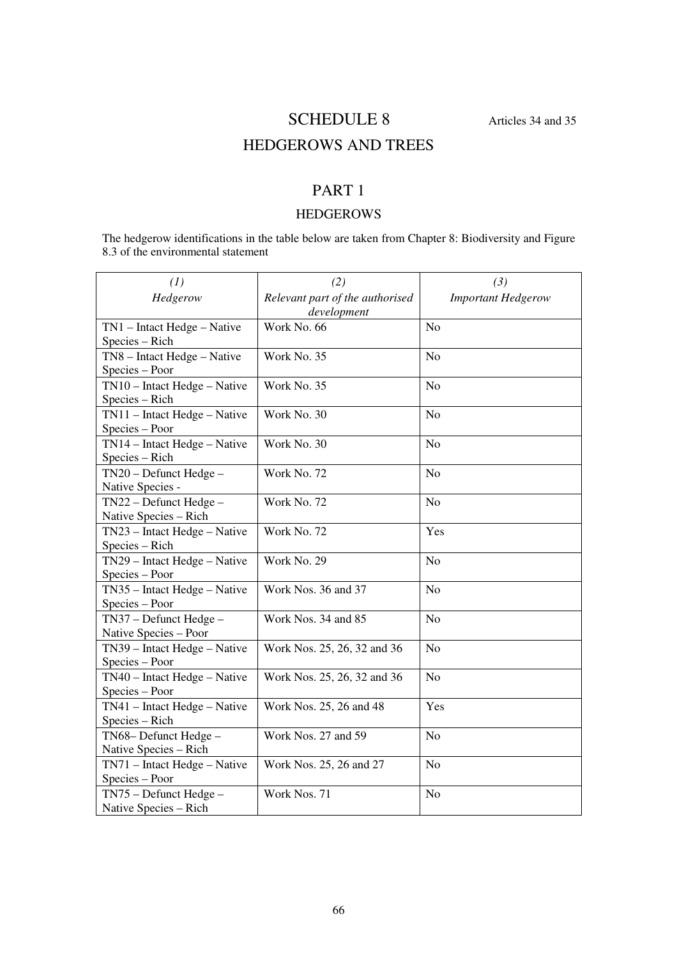# SCHEDULE 8 Articles 34 and 35

# HEDGEROWS AND TREES

## PART 1

## HEDGEROWS

The hedgerow identifications in the table below are taken from Chapter 8: Biodiversity and Figure 8.3 of the environmental statement

| (1)                                             | (2)                                            | (3)                       |
|-------------------------------------------------|------------------------------------------------|---------------------------|
| Hedgerow                                        | Relevant part of the authorised<br>development | <b>Important Hedgerow</b> |
| TN1 - Intact Hedge - Native<br>Species - Rich   | Work No. 66                                    | N <sub>o</sub>            |
| TN8 - Intact Hedge - Native<br>Species - Poor   | Work No. 35                                    | No                        |
| TN10 - Intact Hedge - Native<br>Species - Rich  | Work No. 35                                    | N <sub>o</sub>            |
| TN11 - Intact Hedge - Native<br>Species - Poor  | Work No. 30                                    | N <sub>o</sub>            |
| TN14 - Intact Hedge - Native<br>Species - Rich  | Work No. 30                                    | No                        |
| TN20 - Defunct Hedge -<br>Native Species -      | Work No. 72                                    | N <sub>o</sub>            |
| TN22 - Defunct Hedge -<br>Native Species - Rich | Work No. 72                                    | N <sub>o</sub>            |
| TN23 - Intact Hedge - Native<br>Species - Rich  | Work No. 72                                    | Yes                       |
| TN29 - Intact Hedge - Native<br>Species - Poor  | Work No. 29                                    | N <sub>o</sub>            |
| TN35 - Intact Hedge - Native<br>Species - Poor  | Work Nos. 36 and 37                            | N <sub>o</sub>            |
| TN37 - Defunct Hedge -<br>Native Species - Poor | Work Nos. 34 and 85                            | N <sub>o</sub>            |
| TN39 - Intact Hedge - Native<br>Species - Poor  | Work Nos. 25, 26, 32 and 36                    | N <sub>o</sub>            |
| TN40 - Intact Hedge - Native<br>Species - Poor  | Work Nos. 25, 26, 32 and 36                    | N <sub>o</sub>            |
| TN41 - Intact Hedge - Native<br>Species - Rich  | Work Nos. 25, 26 and 48                        | Yes                       |
| TN68-Defunct Hedge-<br>Native Species - Rich    | Work Nos. 27 and 59                            | N <sub>o</sub>            |
| TN71 - Intact Hedge - Native<br>Species - Poor  | Work Nos. 25, 26 and 27                        | N <sub>o</sub>            |
| TN75 - Defunct Hedge -<br>Native Species - Rich | Work Nos. 71                                   | No                        |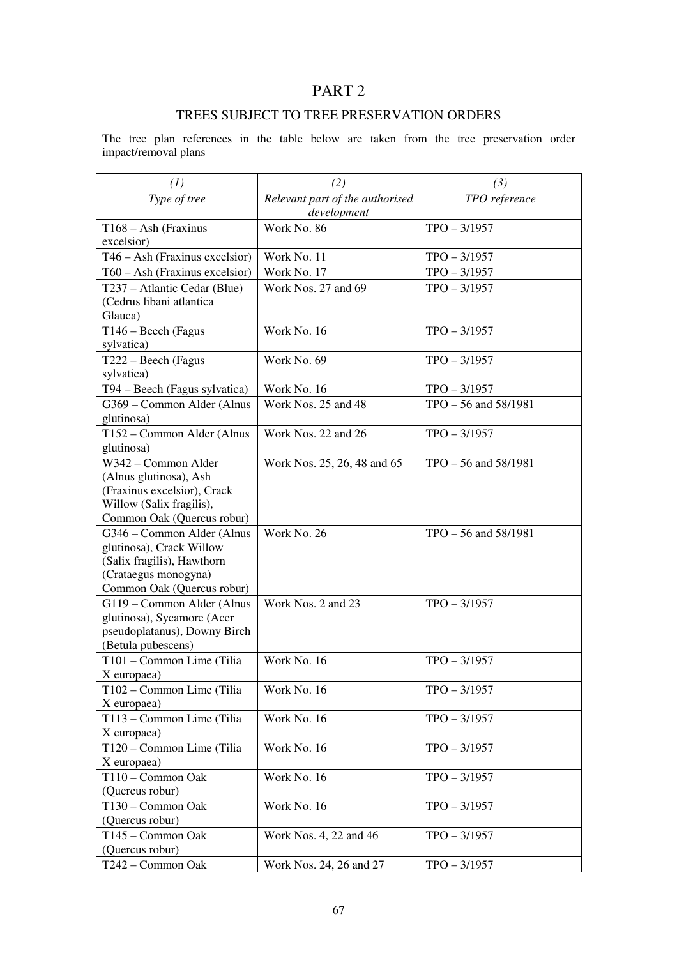## TREES SUBJECT TO TREE PRESERVATION ORDERS

The tree plan references in the table below are taken from the tree preservation order impact/removal plans

| (1)                              | (2)                             | (3)                  |
|----------------------------------|---------------------------------|----------------------|
| Type of tree                     | Relevant part of the authorised | TPO reference        |
|                                  | development                     |                      |
| $T168 - Ash$ (Fraxinus           | Work No. 86                     | $TPO - 3/1957$       |
| excelsior)                       |                                 |                      |
| $T46 - Ash$ (Fraxinus excelsior) | Work No. 11                     | $TPO - 3/1957$       |
| $T60 - Ash$ (Fraxinus excelsior) | Work No. 17                     | $TPO - 3/1957$       |
| T237 – Atlantic Cedar (Blue)     | Work Nos. 27 and 69             | $TPO - 3/1957$       |
| (Cedrus libani atlantica         |                                 |                      |
| Glauca)                          |                                 |                      |
| $T146 - Beech$ (Fagus            | Work No. 16                     | $TPO - 3/1957$       |
| sylvatica)                       |                                 |                      |
| T222 – Beech (Fagus              | Work No. 69                     | $TPO - 3/1957$       |
| sylvatica)                       |                                 |                      |
| T94 – Beech (Fagus sylvatica)    | Work No. 16                     | $TPO - 3/1957$       |
| G369 - Common Alder (Alnus       | Work Nos. 25 and 48             | TPO - 56 and 58/1981 |
| glutinosa)                       |                                 |                      |
| T152 - Common Alder (Alnus       | Work Nos. 22 and 26             | $TPO - 3/1957$       |
| glutinosa)                       |                                 |                      |
| W342 - Common Alder              | Work Nos. 25, 26, 48 and 65     | TPO - 56 and 58/1981 |
| (Alnus glutinosa), Ash           |                                 |                      |
| (Fraxinus excelsior), Crack      |                                 |                      |
| Willow (Salix fragilis),         |                                 |                      |
| Common Oak (Quercus robur)       |                                 |                      |
| G346 – Common Alder (Alnus       | Work No. 26                     | TPO - 56 and 58/1981 |
| glutinosa), Crack Willow         |                                 |                      |
| (Salix fragilis), Hawthorn       |                                 |                      |
| (Crataegus monogyna)             |                                 |                      |
| Common Oak (Quercus robur)       |                                 |                      |
| G119 - Common Alder (Alnus       | Work Nos. 2 and 23              | $TPO - 3/1957$       |
| glutinosa), Sycamore (Acer       |                                 |                      |
| pseudoplatanus), Downy Birch     |                                 |                      |
| (Betula pubescens)               |                                 |                      |
| T101 - Common Lime (Tilia        | Work No. 16                     | $TPO - 3/1957$       |
| X europaea)                      |                                 |                      |
| T102 - Common Lime (Tilia        | Work No. 16                     | $TPO - 3/1957$       |
| X europaea)                      |                                 |                      |
| T113 – Common Lime (Tilia        | Work No. 16                     | $TPO - 3/1957$       |
| X europaea)                      |                                 |                      |
| T120 - Common Lime (Tilia        | Work No. 16                     | $TPO - 3/1957$       |
| X europaea)                      |                                 |                      |
| T110 - Common Oak                | Work No. 16                     | $TPO - 3/1957$       |
| (Quercus robur)                  |                                 |                      |
| T130 - Common Oak                | Work No. 16                     | $TPO - 3/1957$       |
| (Quercus robur)                  |                                 |                      |
| T145 - Common Oak                | Work Nos. 4, 22 and 46          | $TPO - 3/1957$       |
| (Quercus robur)                  |                                 |                      |
| T242 - Common Oak                | Work Nos. 24, 26 and 27         | $TPO - 3/1957$       |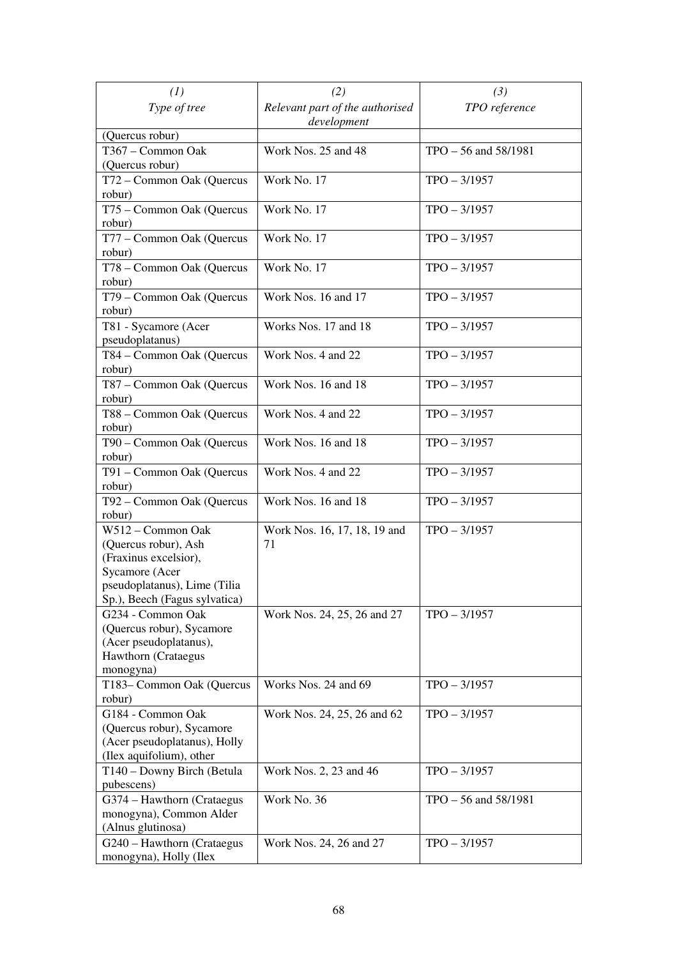| (1)                                                                                                                                                   | (2)                                            | (3)                      |
|-------------------------------------------------------------------------------------------------------------------------------------------------------|------------------------------------------------|--------------------------|
| Type of tree                                                                                                                                          | Relevant part of the authorised<br>development | TPO reference            |
| (Quercus robur)                                                                                                                                       |                                                |                          |
| T367 – Common Oak<br>(Quercus robur)                                                                                                                  | Work Nos. 25 and 48                            | $TPO - 56$ and $58/1981$ |
| T72 - Common Oak (Quercus                                                                                                                             | Work No. 17                                    | $TPO - 3/1957$           |
| robur)<br>T75 - Common Oak (Quercus<br>robur)                                                                                                         | Work No. 17                                    | $TPO - 3/1957$           |
| T77 – Common Oak (Quercus<br>robur)                                                                                                                   | Work No. 17                                    | $TPO - 3/1957$           |
| T78 - Common Oak (Quercus<br>robur)                                                                                                                   | Work No. 17                                    | $TPO - 3/1957$           |
| T79 - Common Oak (Quercus<br>robur)                                                                                                                   | Work Nos. 16 and 17                            | $TPO - 3/1957$           |
| T81 - Sycamore (Acer<br>pseudoplatanus)                                                                                                               | Works Nos. 17 and 18                           | $TPO - 3/1957$           |
| T84 - Common Oak (Quercus<br>robur)                                                                                                                   | Work Nos. 4 and 22                             | $TPO - 3/1957$           |
| T87 – Common Oak (Quercus<br>robur)                                                                                                                   | Work Nos. 16 and 18                            | $TPO - 3/1957$           |
| T88 – Common Oak (Quercus<br>robur)                                                                                                                   | Work Nos. 4 and 22                             | $TPO - 3/1957$           |
| T90 - Common Oak (Quercus<br>robur)                                                                                                                   | Work Nos. 16 and 18                            | $TPO - 3/1957$           |
| T91 – Common Oak (Quercus<br>robur)                                                                                                                   | Work Nos. 4 and 22                             | $TPO - 3/1957$           |
| T92 – Common Oak (Quercus<br>robur)                                                                                                                   | Work Nos. 16 and 18                            | $TPO - 3/1957$           |
| W512 - Common Oak<br>(Quercus robur), Ash<br>(Fraxinus excelsior),<br>Sycamore (Acer<br>pseudoplatanus), Lime (Tilia<br>Sp.), Beech (Fagus sylvatica) | Work Nos. 16, 17, 18, 19 and<br>71             | $TPO - 3/1957$           |
| G234 - Common Oak<br>(Quercus robur), Sycamore<br>(Acer pseudoplatanus),<br>Hawthorn (Crataegus<br>monogyna)                                          | Work Nos. 24, 25, 26 and 27                    | $TPO - 3/1957$           |
| T183- Common Oak (Quercus<br>robur)                                                                                                                   | Works Nos. 24 and 69                           | $TPO - 3/1957$           |
| G184 - Common Oak<br>(Quercus robur), Sycamore<br>(Acer pseudoplatanus), Holly<br>(Ilex aquifolium), other                                            | Work Nos. 24, 25, 26 and 62                    | $TPO - 3/1957$           |
| T140 - Downy Birch (Betula<br>pubescens)                                                                                                              | Work Nos. 2, 23 and 46                         | $TPO - 3/1957$           |
| G374 - Hawthorn (Crataegus<br>monogyna), Common Alder<br>(Alnus glutinosa)                                                                            | Work No. 36                                    | $TPO - 56$ and $58/1981$ |
| G240 - Hawthorn (Crataegus<br>monogyna), Holly (Ilex                                                                                                  | Work Nos. 24, 26 and 27                        | $TPO - 3/1957$           |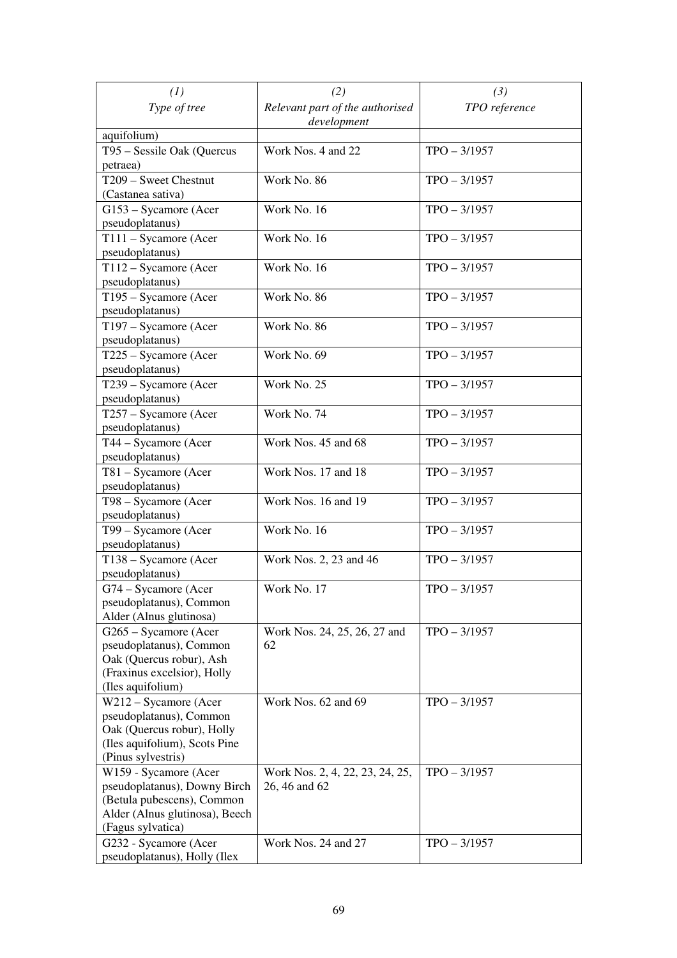| (1)                                                                                                                                        | (2)                                              | (3)            |
|--------------------------------------------------------------------------------------------------------------------------------------------|--------------------------------------------------|----------------|
| Type of tree                                                                                                                               | Relevant part of the authorised<br>development   | TPO reference  |
| aquifolium)                                                                                                                                |                                                  |                |
| T95 - Sessile Oak (Quercus<br>petraea)                                                                                                     | Work Nos. 4 and 22                               | $TPO - 3/1957$ |
| T209 - Sweet Chestnut<br>(Castanea sativa)                                                                                                 | Work No. 86                                      | $TPO - 3/1957$ |
| G153 – Sycamore (Acer<br>pseudoplatanus)                                                                                                   | Work No. 16                                      | $TPO - 3/1957$ |
| T111 - Sycamore (Acer<br>pseudoplatanus)                                                                                                   | Work No. 16                                      | $TPO - 3/1957$ |
| T112 - Sycamore (Acer<br>pseudoplatanus)                                                                                                   | Work No. 16                                      | $TPO - 3/1957$ |
| T195 - Sycamore (Acer<br>pseudoplatanus)                                                                                                   | Work No. 86                                      | $TPO - 3/1957$ |
| T197 - Sycamore (Acer<br>pseudoplatanus)                                                                                                   | Work No. 86                                      | $TPO - 3/1957$ |
| T225 - Sycamore (Acer<br>pseudoplatanus)                                                                                                   | Work No. 69                                      | $TPO - 3/1957$ |
| T239 - Sycamore (Acer<br>pseudoplatanus)                                                                                                   | Work No. 25                                      | $TPO - 3/1957$ |
| T257 - Sycamore (Acer<br>pseudoplatanus)                                                                                                   | Work No. 74                                      | $TPO - 3/1957$ |
| T44 - Sycamore (Acer<br>pseudoplatanus)                                                                                                    | Work Nos. 45 and 68                              | $TPO - 3/1957$ |
| T81 - Sycamore (Acer<br>pseudoplatanus)                                                                                                    | Work Nos. 17 and 18                              | $TPO - 3/1957$ |
| T98 - Sycamore (Acer<br>pseudoplatanus)                                                                                                    | Work Nos. 16 and 19                              | $TPO - 3/1957$ |
| T99 - Sycamore (Acer<br>pseudoplatanus)                                                                                                    | Work No. 16                                      | $TPO - 3/1957$ |
| T138 - Sycamore (Acer<br>pseudoplatanus)                                                                                                   | Work Nos. 2, 23 and 46                           | $TPO - 3/1957$ |
| G74 – Sycamore (Acer<br>pseudoplatanus), Common<br>Alder (Alnus glutinosa)                                                                 | Work No. 17                                      | $TPO - 3/1957$ |
| G265 - Sycamore (Acer<br>pseudoplatanus), Common<br>Oak (Quercus robur), Ash<br>(Fraxinus excelsior), Holly<br>(Iles aquifolium)           | Work Nos. 24, 25, 26, 27 and<br>62               | $TPO - 3/1957$ |
| W212 - Sycamore (Acer<br>pseudoplatanus), Common<br>Oak (Quercus robur), Holly<br>(Iles aquifolium), Scots Pine<br>(Pinus sylvestris)      | Work Nos. 62 and 69                              | $TPO - 3/1957$ |
| W159 - Sycamore (Acer<br>pseudoplatanus), Downy Birch<br>(Betula pubescens), Common<br>Alder (Alnus glutinosa), Beech<br>(Fagus sylvatica) | Work Nos. 2, 4, 22, 23, 24, 25,<br>26, 46 and 62 | $TPO - 3/1957$ |
| G232 - Sycamore (Acer<br>pseudoplatanus), Holly (Ilex                                                                                      | Work Nos. 24 and 27                              | $TPO - 3/1957$ |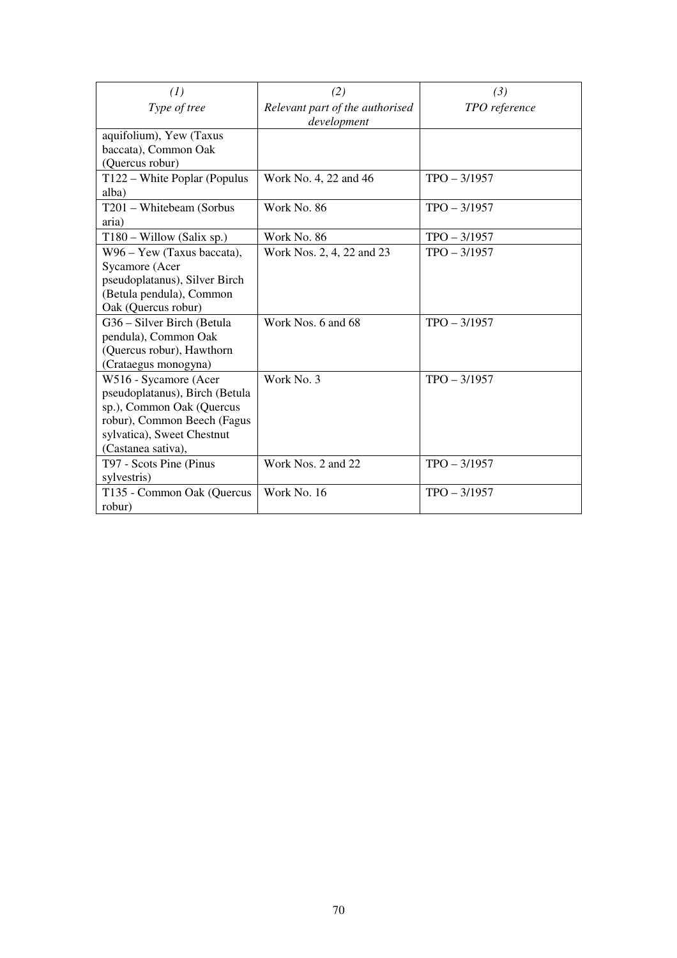| (1)                                   | (2)                                            | (3)            |
|---------------------------------------|------------------------------------------------|----------------|
| Type of tree                          | Relevant part of the authorised<br>development | TPO reference  |
| aquifolium), Yew (Taxus               |                                                |                |
| baccata), Common Oak                  |                                                |                |
| (Quercus robur)                       |                                                |                |
| T122 – White Poplar (Populus<br>alba) | Work No. 4, 22 and 46                          | $TPO - 3/1957$ |
| T201 - Whitebeam (Sorbus              | Work No. 86                                    | $TPO - 3/1957$ |
| aria)                                 |                                                |                |
| $T180 -$ Willow (Salix sp.)           | Work No. 86                                    | $TPO - 3/1957$ |
| W96 - Yew (Taxus baccata),            | Work Nos. 2, 4, 22 and 23                      | $TPO - 3/1957$ |
| Sycamore (Acer                        |                                                |                |
| pseudoplatanus), Silver Birch         |                                                |                |
| (Betula pendula), Common              |                                                |                |
| Oak (Quercus robur)                   |                                                |                |
| G36 - Silver Birch (Betula            | Work Nos. 6 and 68                             | $TPO - 3/1957$ |
| pendula), Common Oak                  |                                                |                |
| (Quercus robur), Hawthorn             |                                                |                |
| (Crataegus monogyna)                  |                                                |                |
| W516 - Sycamore (Acer                 | Work No. 3                                     | $TPO - 3/1957$ |
| pseudoplatanus), Birch (Betula        |                                                |                |
| sp.), Common Oak (Quercus             |                                                |                |
| robur), Common Beech (Fagus           |                                                |                |
| sylvatica), Sweet Chestnut            |                                                |                |
| (Castanea sativa),                    |                                                |                |
| T97 - Scots Pine (Pinus               | Work Nos. 2 and 22                             | $TPO - 3/1957$ |
| sylvestris)                           |                                                |                |
| T135 - Common Oak (Quercus            | Work No. 16                                    | $TPO - 3/1957$ |
| robur)                                |                                                |                |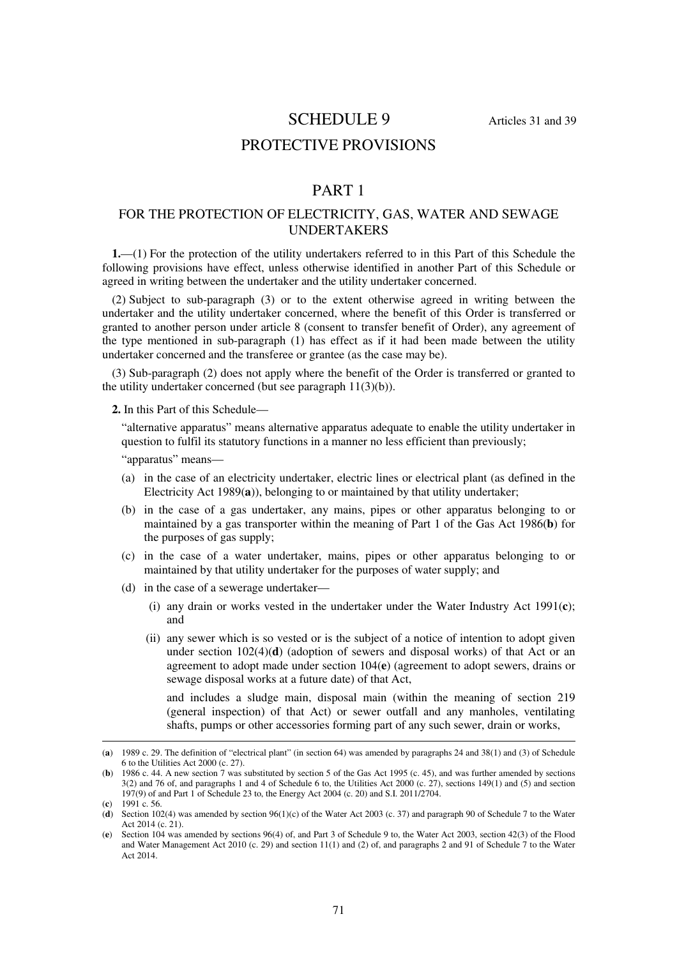#### SCHEDULE 9 Articles 31 and 39

## PROTECTIVE PROVISIONS

## PART 1

#### FOR THE PROTECTION OF ELECTRICITY, GAS, WATER AND SEWAGE UNDERTAKERS

**1.**—(1) For the protection of the utility undertakers referred to in this Part of this Schedule the following provisions have effect, unless otherwise identified in another Part of this Schedule or agreed in writing between the undertaker and the utility undertaker concerned.

(2) Subject to sub-paragraph (3) or to the extent otherwise agreed in writing between the undertaker and the utility undertaker concerned, where the benefit of this Order is transferred or granted to another person under article 8 (consent to transfer benefit of Order), any agreement of the type mentioned in sub-paragraph (1) has effect as if it had been made between the utility undertaker concerned and the transferee or grantee (as the case may be).

(3) Sub-paragraph (2) does not apply where the benefit of the Order is transferred or granted to the utility undertaker concerned (but see paragraph 11(3)(b)).

**2.** In this Part of this Schedule—

"alternative apparatus" means alternative apparatus adequate to enable the utility undertaker in question to fulfil its statutory functions in a manner no less efficient than previously;

"apparatus" means—

- (a) in the case of an electricity undertaker, electric lines or electrical plant (as defined in the Electricity Act 1989(**a**)), belonging to or maintained by that utility undertaker;
- (b) in the case of a gas undertaker, any mains, pipes or other apparatus belonging to or maintained by a gas transporter within the meaning of Part 1 of the Gas Act 1986(**b**) for the purposes of gas supply;
- (c) in the case of a water undertaker, mains, pipes or other apparatus belonging to or maintained by that utility undertaker for the purposes of water supply; and
- (d) in the case of a sewerage undertaker—
	- (i) any drain or works vested in the undertaker under the Water Industry Act 1991(**c**); and
	- (ii) any sewer which is so vested or is the subject of a notice of intention to adopt given under section 102(4)(**d**) (adoption of sewers and disposal works) of that Act or an agreement to adopt made under section 104(**e**) (agreement to adopt sewers, drains or sewage disposal works at a future date) of that Act,

and includes a sludge main, disposal main (within the meaning of section 219 (general inspection) of that Act) or sewer outfall and any manholes, ventilating shafts, pumps or other accessories forming part of any such sewer, drain or works,

-

<sup>(</sup>**a**) 1989 c. 29. The definition of "electrical plant" (in section 64) was amended by paragraphs 24 and 38(1) and (3) of Schedule 6 to the Utilities Act 2000 (c. 27).

<sup>(</sup>**b**) 1986 c. 44. A new section 7 was substituted by section 5 of the Gas Act 1995 (c. 45), and was further amended by sections 3(2) and 76 of, and paragraphs 1 and 4 of Schedule 6 to, the Utilities Act 2000 (c. 27), sections 149(1) and (5) and section 197(9) of and Part 1 of Schedule 23 to, the Energy Act 2004 (c. 20) and S.I. 2011/2704.

<sup>(</sup>**c**) 1991 c. 56.

<sup>(</sup>**d**) Section 102(4) was amended by section 96(1)(c) of the Water Act 2003 (c. 37) and paragraph 90 of Schedule 7 to the Water Act 2014 (c. 21).

<sup>(</sup>**e**) Section 104 was amended by sections 96(4) of, and Part 3 of Schedule 9 to, the Water Act 2003, section 42(3) of the Flood and Water Management Act 2010 (c. 29) and section 11(1) and (2) of, and paragraphs 2 and 91 of Schedule 7 to the Water Act 2014.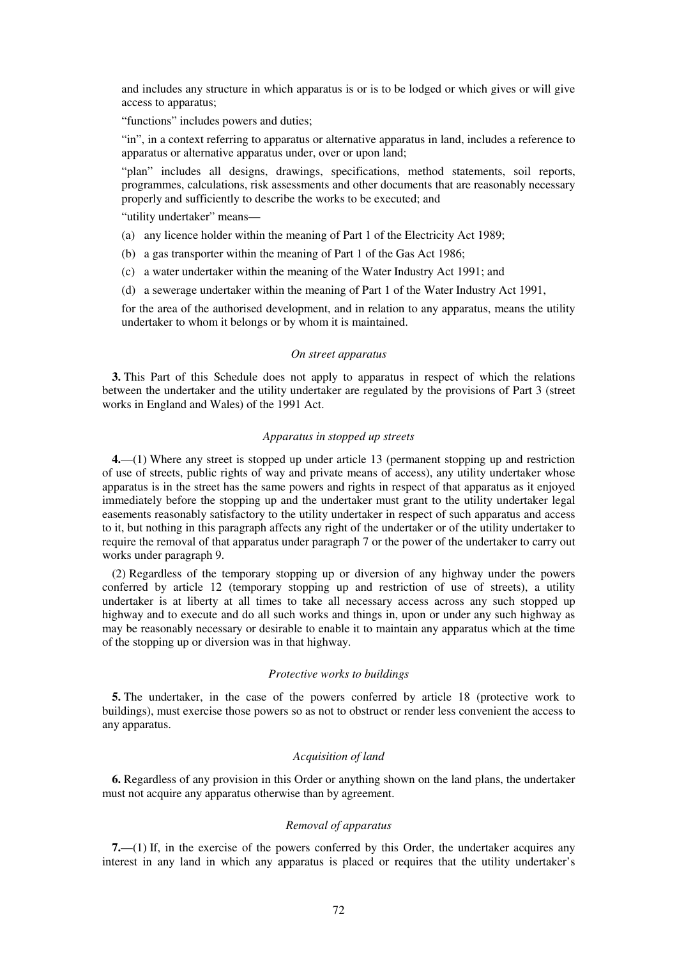and includes any structure in which apparatus is or is to be lodged or which gives or will give access to apparatus;

"functions" includes powers and duties;

"in", in a context referring to apparatus or alternative apparatus in land, includes a reference to apparatus or alternative apparatus under, over or upon land;

"plan" includes all designs, drawings, specifications, method statements, soil reports, programmes, calculations, risk assessments and other documents that are reasonably necessary properly and sufficiently to describe the works to be executed; and

"utility undertaker" means—

- (a) any licence holder within the meaning of Part 1 of the Electricity Act 1989;
- (b) a gas transporter within the meaning of Part 1 of the Gas Act 1986;
- (c) a water undertaker within the meaning of the Water Industry Act 1991; and
- (d) a sewerage undertaker within the meaning of Part 1 of the Water Industry Act 1991,

for the area of the authorised development, and in relation to any apparatus, means the utility undertaker to whom it belongs or by whom it is maintained.

#### *On street apparatus*

**3.** This Part of this Schedule does not apply to apparatus in respect of which the relations between the undertaker and the utility undertaker are regulated by the provisions of Part 3 (street works in England and Wales) of the 1991 Act.

#### *Apparatus in stopped up streets*

**4.**—(1) Where any street is stopped up under article 13 (permanent stopping up and restriction of use of streets, public rights of way and private means of access), any utility undertaker whose apparatus is in the street has the same powers and rights in respect of that apparatus as it enjoyed immediately before the stopping up and the undertaker must grant to the utility undertaker legal easements reasonably satisfactory to the utility undertaker in respect of such apparatus and access to it, but nothing in this paragraph affects any right of the undertaker or of the utility undertaker to require the removal of that apparatus under paragraph 7 or the power of the undertaker to carry out works under paragraph 9.

(2) Regardless of the temporary stopping up or diversion of any highway under the powers conferred by article 12 (temporary stopping up and restriction of use of streets), a utility undertaker is at liberty at all times to take all necessary access across any such stopped up highway and to execute and do all such works and things in, upon or under any such highway as may be reasonably necessary or desirable to enable it to maintain any apparatus which at the time of the stopping up or diversion was in that highway.

#### *Protective works to buildings*

**5.** The undertaker, in the case of the powers conferred by article 18 (protective work to buildings), must exercise those powers so as not to obstruct or render less convenient the access to any apparatus.

#### *Acquisition of land*

**6.** Regardless of any provision in this Order or anything shown on the land plans, the undertaker must not acquire any apparatus otherwise than by agreement.

#### *Removal of apparatus*

**7.**—(1) If, in the exercise of the powers conferred by this Order, the undertaker acquires any interest in any land in which any apparatus is placed or requires that the utility undertaker's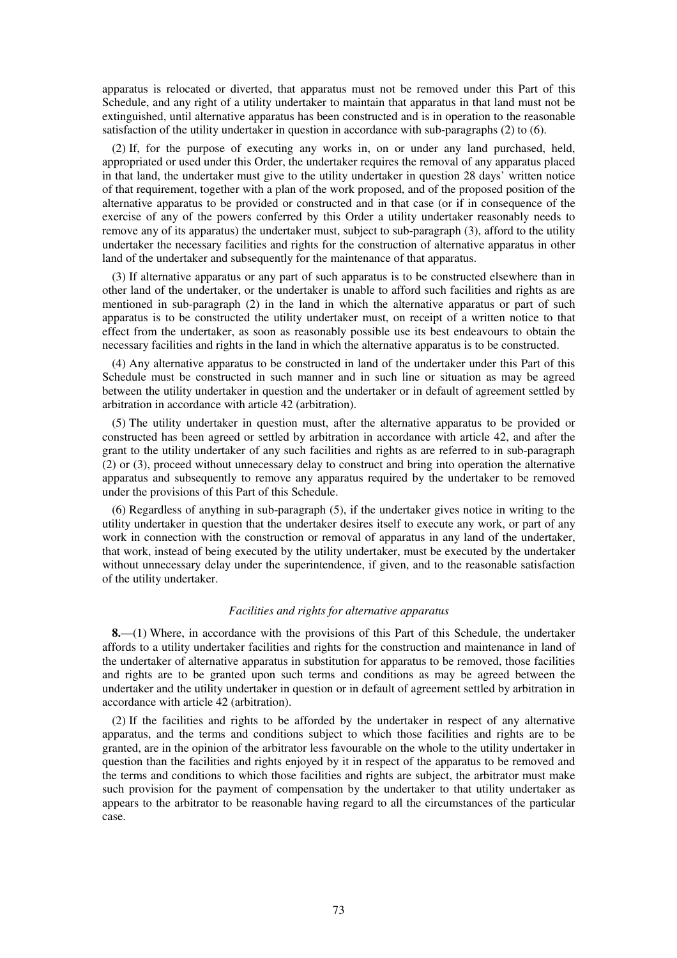apparatus is relocated or diverted, that apparatus must not be removed under this Part of this Schedule, and any right of a utility undertaker to maintain that apparatus in that land must not be extinguished, until alternative apparatus has been constructed and is in operation to the reasonable satisfaction of the utility undertaker in question in accordance with sub-paragraphs (2) to (6).

(2) If, for the purpose of executing any works in, on or under any land purchased, held, appropriated or used under this Order, the undertaker requires the removal of any apparatus placed in that land, the undertaker must give to the utility undertaker in question 28 days' written notice of that requirement, together with a plan of the work proposed, and of the proposed position of the alternative apparatus to be provided or constructed and in that case (or if in consequence of the exercise of any of the powers conferred by this Order a utility undertaker reasonably needs to remove any of its apparatus) the undertaker must, subject to sub-paragraph (3), afford to the utility undertaker the necessary facilities and rights for the construction of alternative apparatus in other land of the undertaker and subsequently for the maintenance of that apparatus.

(3) If alternative apparatus or any part of such apparatus is to be constructed elsewhere than in other land of the undertaker, or the undertaker is unable to afford such facilities and rights as are mentioned in sub-paragraph (2) in the land in which the alternative apparatus or part of such apparatus is to be constructed the utility undertaker must, on receipt of a written notice to that effect from the undertaker, as soon as reasonably possible use its best endeavours to obtain the necessary facilities and rights in the land in which the alternative apparatus is to be constructed.

(4) Any alternative apparatus to be constructed in land of the undertaker under this Part of this Schedule must be constructed in such manner and in such line or situation as may be agreed between the utility undertaker in question and the undertaker or in default of agreement settled by arbitration in accordance with article 42 (arbitration).

(5) The utility undertaker in question must, after the alternative apparatus to be provided or constructed has been agreed or settled by arbitration in accordance with article 42, and after the grant to the utility undertaker of any such facilities and rights as are referred to in sub-paragraph (2) or (3), proceed without unnecessary delay to construct and bring into operation the alternative apparatus and subsequently to remove any apparatus required by the undertaker to be removed under the provisions of this Part of this Schedule.

(6) Regardless of anything in sub-paragraph (5), if the undertaker gives notice in writing to the utility undertaker in question that the undertaker desires itself to execute any work, or part of any work in connection with the construction or removal of apparatus in any land of the undertaker, that work, instead of being executed by the utility undertaker, must be executed by the undertaker without unnecessary delay under the superintendence, if given, and to the reasonable satisfaction of the utility undertaker.

## *Facilities and rights for alternative apparatus*

**8.**—(1) Where, in accordance with the provisions of this Part of this Schedule, the undertaker affords to a utility undertaker facilities and rights for the construction and maintenance in land of the undertaker of alternative apparatus in substitution for apparatus to be removed, those facilities and rights are to be granted upon such terms and conditions as may be agreed between the undertaker and the utility undertaker in question or in default of agreement settled by arbitration in accordance with article 42 (arbitration).

(2) If the facilities and rights to be afforded by the undertaker in respect of any alternative apparatus, and the terms and conditions subject to which those facilities and rights are to be granted, are in the opinion of the arbitrator less favourable on the whole to the utility undertaker in question than the facilities and rights enjoyed by it in respect of the apparatus to be removed and the terms and conditions to which those facilities and rights are subject, the arbitrator must make such provision for the payment of compensation by the undertaker to that utility undertaker as appears to the arbitrator to be reasonable having regard to all the circumstances of the particular case.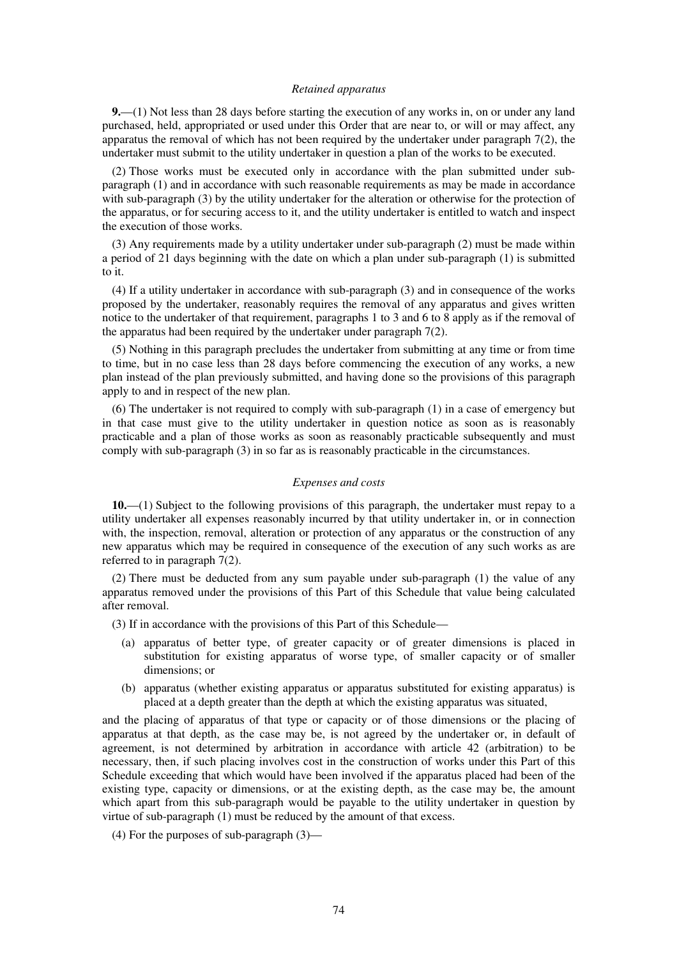#### *Retained apparatus*

**9.**—(1) Not less than 28 days before starting the execution of any works in, on or under any land purchased, held, appropriated or used under this Order that are near to, or will or may affect, any apparatus the removal of which has not been required by the undertaker under paragraph 7(2), the undertaker must submit to the utility undertaker in question a plan of the works to be executed.

(2) Those works must be executed only in accordance with the plan submitted under subparagraph (1) and in accordance with such reasonable requirements as may be made in accordance with sub-paragraph (3) by the utility undertaker for the alteration or otherwise for the protection of the apparatus, or for securing access to it, and the utility undertaker is entitled to watch and inspect the execution of those works.

(3) Any requirements made by a utility undertaker under sub-paragraph (2) must be made within a period of 21 days beginning with the date on which a plan under sub-paragraph (1) is submitted to it.

(4) If a utility undertaker in accordance with sub-paragraph (3) and in consequence of the works proposed by the undertaker, reasonably requires the removal of any apparatus and gives written notice to the undertaker of that requirement, paragraphs 1 to 3 and 6 to 8 apply as if the removal of the apparatus had been required by the undertaker under paragraph 7(2).

(5) Nothing in this paragraph precludes the undertaker from submitting at any time or from time to time, but in no case less than 28 days before commencing the execution of any works, a new plan instead of the plan previously submitted, and having done so the provisions of this paragraph apply to and in respect of the new plan.

(6) The undertaker is not required to comply with sub-paragraph (1) in a case of emergency but in that case must give to the utility undertaker in question notice as soon as is reasonably practicable and a plan of those works as soon as reasonably practicable subsequently and must comply with sub-paragraph (3) in so far as is reasonably practicable in the circumstances.

### *Expenses and costs*

**10.**—(1) Subject to the following provisions of this paragraph, the undertaker must repay to a utility undertaker all expenses reasonably incurred by that utility undertaker in, or in connection with, the inspection, removal, alteration or protection of any apparatus or the construction of any new apparatus which may be required in consequence of the execution of any such works as are referred to in paragraph 7(2).

(2) There must be deducted from any sum payable under sub-paragraph (1) the value of any apparatus removed under the provisions of this Part of this Schedule that value being calculated after removal.

(3) If in accordance with the provisions of this Part of this Schedule—

- (a) apparatus of better type, of greater capacity or of greater dimensions is placed in substitution for existing apparatus of worse type, of smaller capacity or of smaller dimensions; or
- (b) apparatus (whether existing apparatus or apparatus substituted for existing apparatus) is placed at a depth greater than the depth at which the existing apparatus was situated,

and the placing of apparatus of that type or capacity or of those dimensions or the placing of apparatus at that depth, as the case may be, is not agreed by the undertaker or, in default of agreement, is not determined by arbitration in accordance with article 42 (arbitration) to be necessary, then, if such placing involves cost in the construction of works under this Part of this Schedule exceeding that which would have been involved if the apparatus placed had been of the existing type, capacity or dimensions, or at the existing depth, as the case may be, the amount which apart from this sub-paragraph would be payable to the utility undertaker in question by virtue of sub-paragraph (1) must be reduced by the amount of that excess.

(4) For the purposes of sub-paragraph (3)—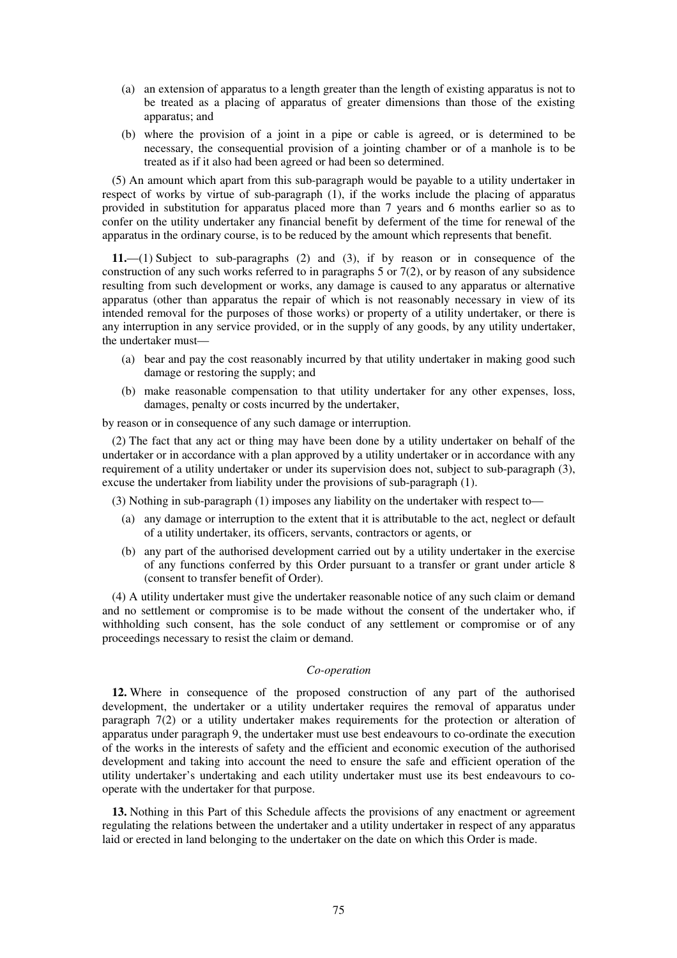- (a) an extension of apparatus to a length greater than the length of existing apparatus is not to be treated as a placing of apparatus of greater dimensions than those of the existing apparatus; and
- (b) where the provision of a joint in a pipe or cable is agreed, or is determined to be necessary, the consequential provision of a jointing chamber or of a manhole is to be treated as if it also had been agreed or had been so determined.

(5) An amount which apart from this sub-paragraph would be payable to a utility undertaker in respect of works by virtue of sub-paragraph (1), if the works include the placing of apparatus provided in substitution for apparatus placed more than 7 years and 6 months earlier so as to confer on the utility undertaker any financial benefit by deferment of the time for renewal of the apparatus in the ordinary course, is to be reduced by the amount which represents that benefit.

**11.**—(1) Subject to sub-paragraphs (2) and (3), if by reason or in consequence of the construction of any such works referred to in paragraphs 5 or 7(2), or by reason of any subsidence resulting from such development or works, any damage is caused to any apparatus or alternative apparatus (other than apparatus the repair of which is not reasonably necessary in view of its intended removal for the purposes of those works) or property of a utility undertaker, or there is any interruption in any service provided, or in the supply of any goods, by any utility undertaker, the undertaker must—

- (a) bear and pay the cost reasonably incurred by that utility undertaker in making good such damage or restoring the supply; and
- (b) make reasonable compensation to that utility undertaker for any other expenses, loss, damages, penalty or costs incurred by the undertaker,

by reason or in consequence of any such damage or interruption.

(2) The fact that any act or thing may have been done by a utility undertaker on behalf of the undertaker or in accordance with a plan approved by a utility undertaker or in accordance with any requirement of a utility undertaker or under its supervision does not, subject to sub-paragraph (3), excuse the undertaker from liability under the provisions of sub-paragraph (1).

(3) Nothing in sub-paragraph (1) imposes any liability on the undertaker with respect to—

- (a) any damage or interruption to the extent that it is attributable to the act, neglect or default of a utility undertaker, its officers, servants, contractors or agents, or
- (b) any part of the authorised development carried out by a utility undertaker in the exercise of any functions conferred by this Order pursuant to a transfer or grant under article 8 (consent to transfer benefit of Order).

(4) A utility undertaker must give the undertaker reasonable notice of any such claim or demand and no settlement or compromise is to be made without the consent of the undertaker who, if withholding such consent, has the sole conduct of any settlement or compromise or of any proceedings necessary to resist the claim or demand.

## *Co-operation*

**12.** Where in consequence of the proposed construction of any part of the authorised development, the undertaker or a utility undertaker requires the removal of apparatus under paragraph 7(2) or a utility undertaker makes requirements for the protection or alteration of apparatus under paragraph 9, the undertaker must use best endeavours to co-ordinate the execution of the works in the interests of safety and the efficient and economic execution of the authorised development and taking into account the need to ensure the safe and efficient operation of the utility undertaker's undertaking and each utility undertaker must use its best endeavours to cooperate with the undertaker for that purpose.

**13.** Nothing in this Part of this Schedule affects the provisions of any enactment or agreement regulating the relations between the undertaker and a utility undertaker in respect of any apparatus laid or erected in land belonging to the undertaker on the date on which this Order is made.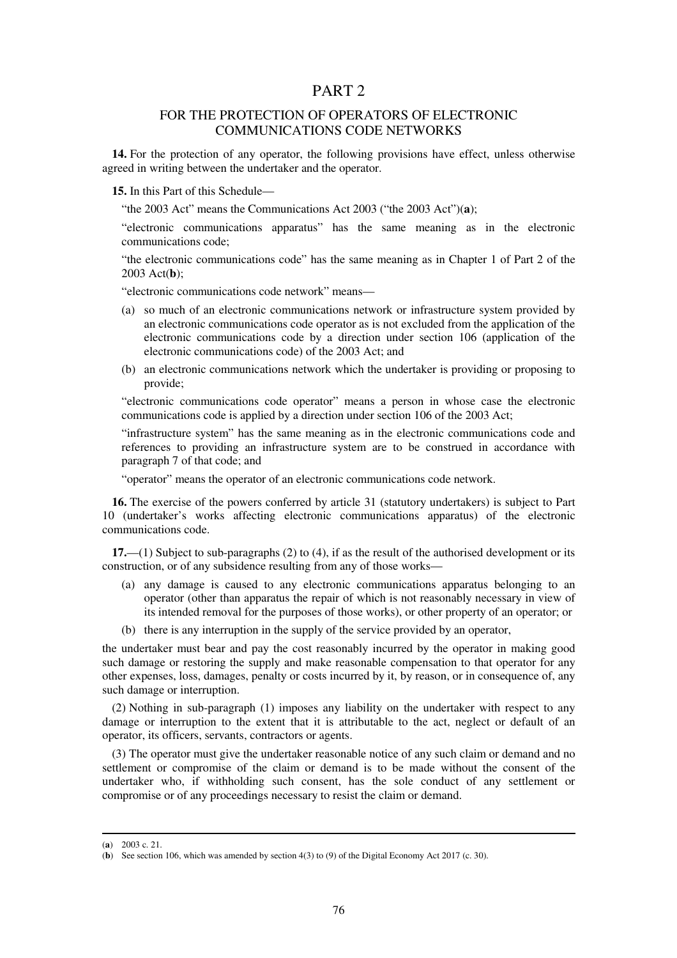## PART 2

## FOR THE PROTECTION OF OPERATORS OF ELECTRONIC COMMUNICATIONS CODE NETWORKS

**14.** For the protection of any operator, the following provisions have effect, unless otherwise agreed in writing between the undertaker and the operator.

**15.** In this Part of this Schedule—

"the 2003 Act" means the Communications Act 2003 ("the 2003 Act")(**a**);

"electronic communications apparatus" has the same meaning as in the electronic communications code;

"the electronic communications code" has the same meaning as in Chapter 1 of Part 2 of the 2003 Act(**b**);

"electronic communications code network" means—

- (a) so much of an electronic communications network or infrastructure system provided by an electronic communications code operator as is not excluded from the application of the electronic communications code by a direction under section 106 (application of the electronic communications code) of the 2003 Act; and
- (b) an electronic communications network which the undertaker is providing or proposing to provide;

"electronic communications code operator" means a person in whose case the electronic communications code is applied by a direction under section 106 of the 2003 Act;

"infrastructure system" has the same meaning as in the electronic communications code and references to providing an infrastructure system are to be construed in accordance with paragraph 7 of that code; and

"operator" means the operator of an electronic communications code network.

**16.** The exercise of the powers conferred by article 31 (statutory undertakers) is subject to Part 10 (undertaker's works affecting electronic communications apparatus) of the electronic communications code.

**17.**—(1) Subject to sub-paragraphs (2) to (4), if as the result of the authorised development or its construction, or of any subsidence resulting from any of those works—

- (a) any damage is caused to any electronic communications apparatus belonging to an operator (other than apparatus the repair of which is not reasonably necessary in view of its intended removal for the purposes of those works), or other property of an operator; or
- (b) there is any interruption in the supply of the service provided by an operator,

the undertaker must bear and pay the cost reasonably incurred by the operator in making good such damage or restoring the supply and make reasonable compensation to that operator for any other expenses, loss, damages, penalty or costs incurred by it, by reason, or in consequence of, any such damage or interruption.

(2) Nothing in sub-paragraph (1) imposes any liability on the undertaker with respect to any damage or interruption to the extent that it is attributable to the act, neglect or default of an operator, its officers, servants, contractors or agents.

(3) The operator must give the undertaker reasonable notice of any such claim or demand and no settlement or compromise of the claim or demand is to be made without the consent of the undertaker who, if withholding such consent, has the sole conduct of any settlement or compromise or of any proceedings necessary to resist the claim or demand.

-

<sup>(</sup>**a**) 2003 c. 21.

<sup>(</sup>**b**) See section 106, which was amended by section 4(3) to (9) of the Digital Economy Act 2017 (c. 30).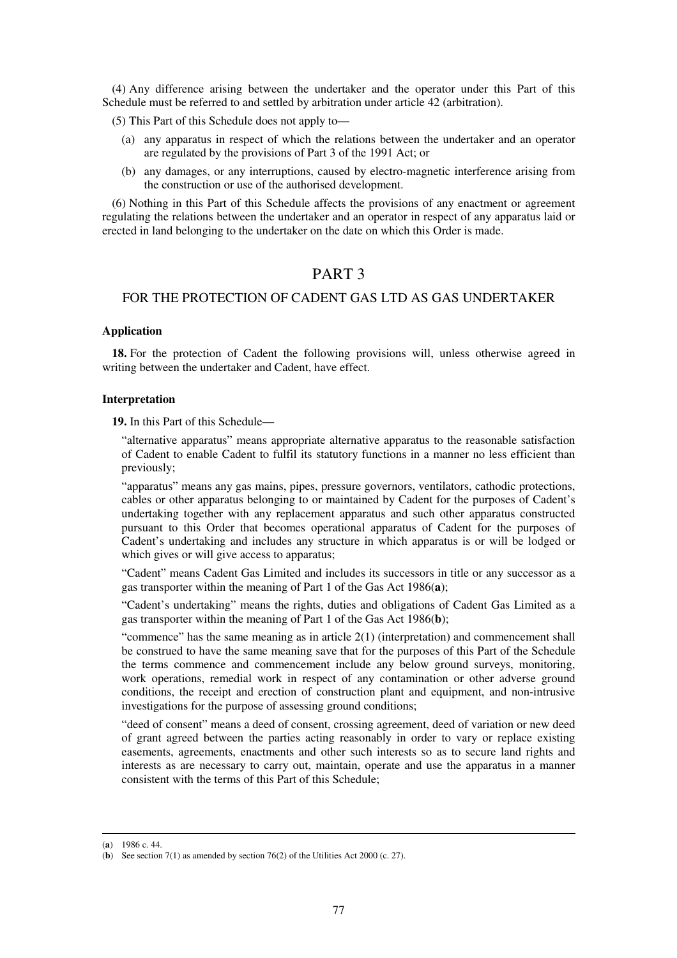(4) Any difference arising between the undertaker and the operator under this Part of this Schedule must be referred to and settled by arbitration under article 42 (arbitration).

(5) This Part of this Schedule does not apply to—

- (a) any apparatus in respect of which the relations between the undertaker and an operator are regulated by the provisions of Part 3 of the 1991 Act; or
- (b) any damages, or any interruptions, caused by electro-magnetic interference arising from the construction or use of the authorised development.

(6) Nothing in this Part of this Schedule affects the provisions of any enactment or agreement regulating the relations between the undertaker and an operator in respect of any apparatus laid or erected in land belonging to the undertaker on the date on which this Order is made.

## PART 3

## FOR THE PROTECTION OF CADENT GAS LTD AS GAS UNDERTAKER

## **Application**

**18.** For the protection of Cadent the following provisions will, unless otherwise agreed in writing between the undertaker and Cadent, have effect.

## **Interpretation**

**19.** In this Part of this Schedule—

"alternative apparatus" means appropriate alternative apparatus to the reasonable satisfaction of Cadent to enable Cadent to fulfil its statutory functions in a manner no less efficient than previously;

"apparatus" means any gas mains, pipes, pressure governors, ventilators, cathodic protections, cables or other apparatus belonging to or maintained by Cadent for the purposes of Cadent's undertaking together with any replacement apparatus and such other apparatus constructed pursuant to this Order that becomes operational apparatus of Cadent for the purposes of Cadent's undertaking and includes any structure in which apparatus is or will be lodged or which gives or will give access to apparatus;

"Cadent" means Cadent Gas Limited and includes its successors in title or any successor as a gas transporter within the meaning of Part 1 of the Gas Act 1986(**a**);

"Cadent's undertaking" means the rights, duties and obligations of Cadent Gas Limited as a gas transporter within the meaning of Part 1 of the Gas Act 1986(**b**);

"commence" has the same meaning as in article 2(1) (interpretation) and commencement shall be construed to have the same meaning save that for the purposes of this Part of the Schedule the terms commence and commencement include any below ground surveys, monitoring, work operations, remedial work in respect of any contamination or other adverse ground conditions, the receipt and erection of construction plant and equipment, and non-intrusive investigations for the purpose of assessing ground conditions;

"deed of consent" means a deed of consent, crossing agreement, deed of variation or new deed of grant agreed between the parties acting reasonably in order to vary or replace existing easements, agreements, enactments and other such interests so as to secure land rights and interests as are necessary to carry out, maintain, operate and use the apparatus in a manner consistent with the terms of this Part of this Schedule;

-

<sup>(</sup>**a**) 1986 c. 44.

<sup>(</sup>**b**) See section 7(1) as amended by section 76(2) of the Utilities Act 2000 (c. 27).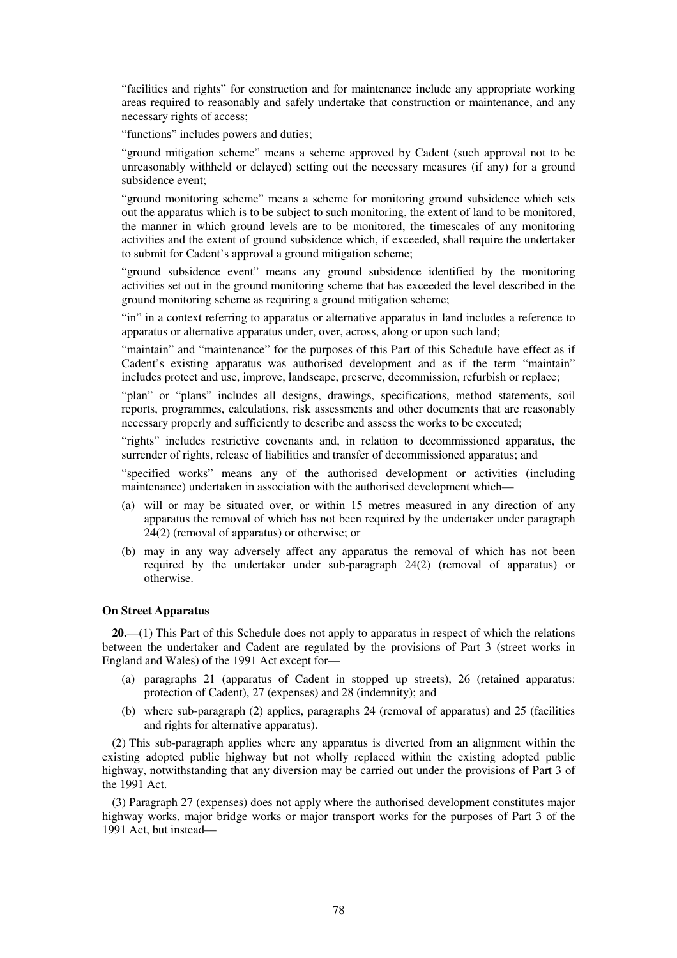"facilities and rights" for construction and for maintenance include any appropriate working areas required to reasonably and safely undertake that construction or maintenance, and any necessary rights of access;

"functions" includes powers and duties;

"ground mitigation scheme" means a scheme approved by Cadent (such approval not to be unreasonably withheld or delayed) setting out the necessary measures (if any) for a ground subsidence event;

"ground monitoring scheme" means a scheme for monitoring ground subsidence which sets out the apparatus which is to be subject to such monitoring, the extent of land to be monitored, the manner in which ground levels are to be monitored, the timescales of any monitoring activities and the extent of ground subsidence which, if exceeded, shall require the undertaker to submit for Cadent's approval a ground mitigation scheme;

"ground subsidence event" means any ground subsidence identified by the monitoring activities set out in the ground monitoring scheme that has exceeded the level described in the ground monitoring scheme as requiring a ground mitigation scheme;

"in" in a context referring to apparatus or alternative apparatus in land includes a reference to apparatus or alternative apparatus under, over, across, along or upon such land;

"maintain" and "maintenance" for the purposes of this Part of this Schedule have effect as if Cadent's existing apparatus was authorised development and as if the term "maintain" includes protect and use, improve, landscape, preserve, decommission, refurbish or replace;

"plan" or "plans" includes all designs, drawings, specifications, method statements, soil reports, programmes, calculations, risk assessments and other documents that are reasonably necessary properly and sufficiently to describe and assess the works to be executed;

"rights" includes restrictive covenants and, in relation to decommissioned apparatus, the surrender of rights, release of liabilities and transfer of decommissioned apparatus; and

"specified works" means any of the authorised development or activities (including maintenance) undertaken in association with the authorised development which—

- (a) will or may be situated over, or within 15 metres measured in any direction of any apparatus the removal of which has not been required by the undertaker under paragraph 24(2) (removal of apparatus) or otherwise; or
- (b) may in any way adversely affect any apparatus the removal of which has not been required by the undertaker under sub-paragraph 24(2) (removal of apparatus) or otherwise.

## **On Street Apparatus**

**20.**—(1) This Part of this Schedule does not apply to apparatus in respect of which the relations between the undertaker and Cadent are regulated by the provisions of Part 3 (street works in England and Wales) of the 1991 Act except for—

- (a) paragraphs 21 (apparatus of Cadent in stopped up streets), 26 (retained apparatus: protection of Cadent), 27 (expenses) and 28 (indemnity); and
- (b) where sub-paragraph (2) applies, paragraphs 24 (removal of apparatus) and 25 (facilities and rights for alternative apparatus).

(2) This sub-paragraph applies where any apparatus is diverted from an alignment within the existing adopted public highway but not wholly replaced within the existing adopted public highway, notwithstanding that any diversion may be carried out under the provisions of Part 3 of the 1991 Act.

(3) Paragraph 27 (expenses) does not apply where the authorised development constitutes major highway works, major bridge works or major transport works for the purposes of Part 3 of the 1991 Act, but instead—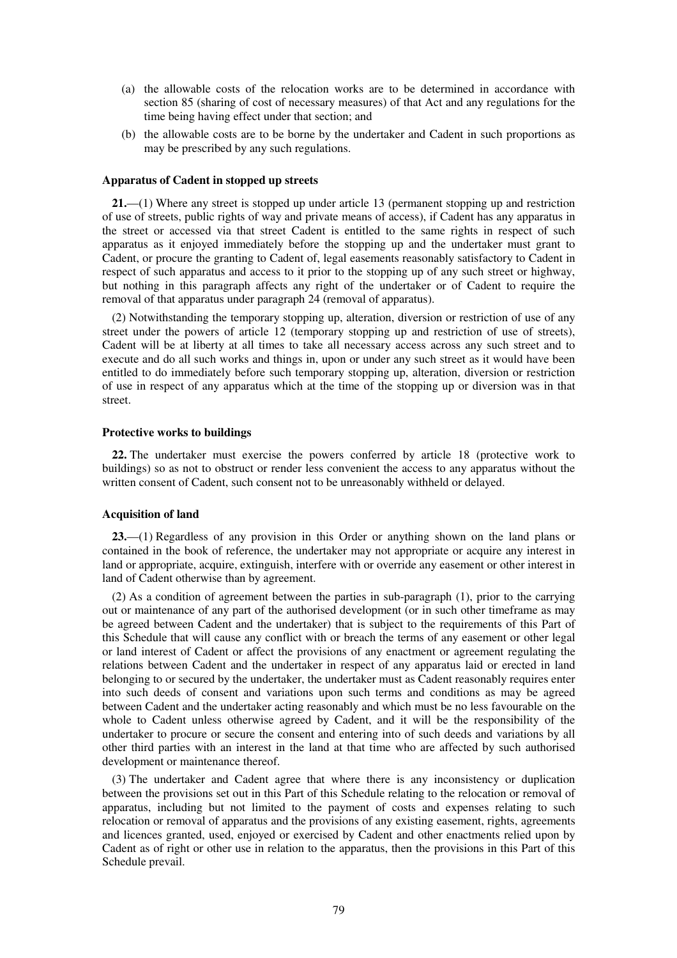- (a) the allowable costs of the relocation works are to be determined in accordance with section 85 (sharing of cost of necessary measures) of that Act and any regulations for the time being having effect under that section; and
- (b) the allowable costs are to be borne by the undertaker and Cadent in such proportions as may be prescribed by any such regulations.

## **Apparatus of Cadent in stopped up streets**

**21.**—(1) Where any street is stopped up under article 13 (permanent stopping up and restriction of use of streets, public rights of way and private means of access), if Cadent has any apparatus in the street or accessed via that street Cadent is entitled to the same rights in respect of such apparatus as it enjoyed immediately before the stopping up and the undertaker must grant to Cadent, or procure the granting to Cadent of, legal easements reasonably satisfactory to Cadent in respect of such apparatus and access to it prior to the stopping up of any such street or highway, but nothing in this paragraph affects any right of the undertaker or of Cadent to require the removal of that apparatus under paragraph 24 (removal of apparatus).

(2) Notwithstanding the temporary stopping up, alteration, diversion or restriction of use of any street under the powers of article 12 (temporary stopping up and restriction of use of streets), Cadent will be at liberty at all times to take all necessary access across any such street and to execute and do all such works and things in, upon or under any such street as it would have been entitled to do immediately before such temporary stopping up, alteration, diversion or restriction of use in respect of any apparatus which at the time of the stopping up or diversion was in that street.

### **Protective works to buildings**

**22.** The undertaker must exercise the powers conferred by article 18 (protective work to buildings) so as not to obstruct or render less convenient the access to any apparatus without the written consent of Cadent, such consent not to be unreasonably withheld or delayed.

#### **Acquisition of land**

**23.**—(1) Regardless of any provision in this Order or anything shown on the land plans or contained in the book of reference, the undertaker may not appropriate or acquire any interest in land or appropriate, acquire, extinguish, interfere with or override any easement or other interest in land of Cadent otherwise than by agreement.

(2) As a condition of agreement between the parties in sub-paragraph (1), prior to the carrying out or maintenance of any part of the authorised development (or in such other timeframe as may be agreed between Cadent and the undertaker) that is subject to the requirements of this Part of this Schedule that will cause any conflict with or breach the terms of any easement or other legal or land interest of Cadent or affect the provisions of any enactment or agreement regulating the relations between Cadent and the undertaker in respect of any apparatus laid or erected in land belonging to or secured by the undertaker, the undertaker must as Cadent reasonably requires enter into such deeds of consent and variations upon such terms and conditions as may be agreed between Cadent and the undertaker acting reasonably and which must be no less favourable on the whole to Cadent unless otherwise agreed by Cadent, and it will be the responsibility of the undertaker to procure or secure the consent and entering into of such deeds and variations by all other third parties with an interest in the land at that time who are affected by such authorised development or maintenance thereof.

(3) The undertaker and Cadent agree that where there is any inconsistency or duplication between the provisions set out in this Part of this Schedule relating to the relocation or removal of apparatus, including but not limited to the payment of costs and expenses relating to such relocation or removal of apparatus and the provisions of any existing easement, rights, agreements and licences granted, used, enjoyed or exercised by Cadent and other enactments relied upon by Cadent as of right or other use in relation to the apparatus, then the provisions in this Part of this Schedule prevail.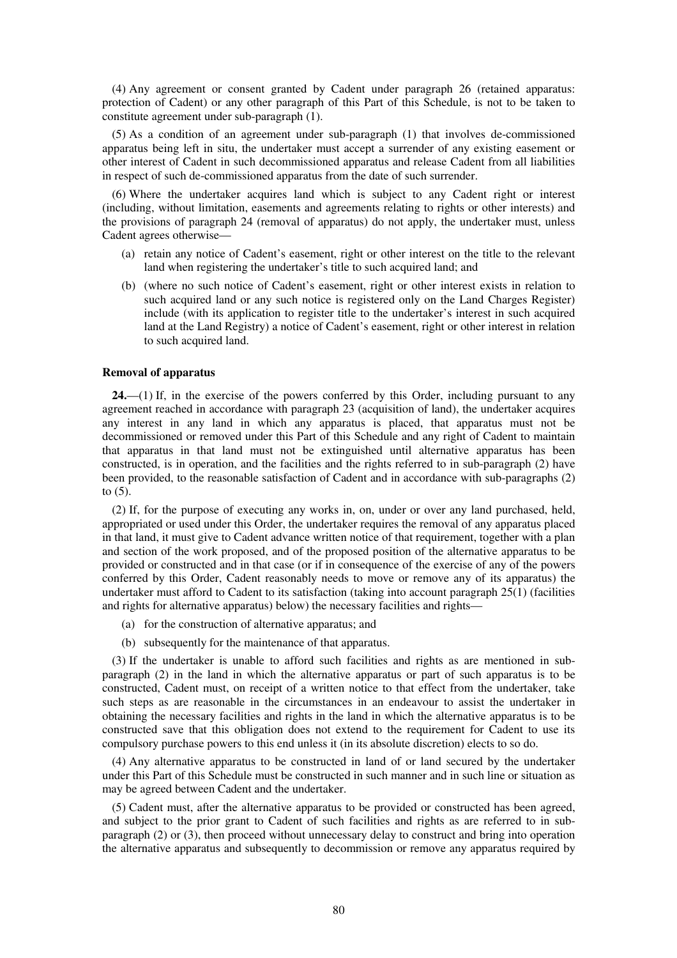(4) Any agreement or consent granted by Cadent under paragraph 26 (retained apparatus: protection of Cadent) or any other paragraph of this Part of this Schedule, is not to be taken to constitute agreement under sub-paragraph (1).

(5) As a condition of an agreement under sub-paragraph (1) that involves de-commissioned apparatus being left in situ, the undertaker must accept a surrender of any existing easement or other interest of Cadent in such decommissioned apparatus and release Cadent from all liabilities in respect of such de-commissioned apparatus from the date of such surrender.

(6) Where the undertaker acquires land which is subject to any Cadent right or interest (including, without limitation, easements and agreements relating to rights or other interests) and the provisions of paragraph 24 (removal of apparatus) do not apply, the undertaker must, unless Cadent agrees otherwise—

- (a) retain any notice of Cadent's easement, right or other interest on the title to the relevant land when registering the undertaker's title to such acquired land; and
- (b) (where no such notice of Cadent's easement, right or other interest exists in relation to such acquired land or any such notice is registered only on the Land Charges Register) include (with its application to register title to the undertaker's interest in such acquired land at the Land Registry) a notice of Cadent's easement, right or other interest in relation to such acquired land.

## **Removal of apparatus**

**24.**—(1) If, in the exercise of the powers conferred by this Order, including pursuant to any agreement reached in accordance with paragraph 23 (acquisition of land), the undertaker acquires any interest in any land in which any apparatus is placed, that apparatus must not be decommissioned or removed under this Part of this Schedule and any right of Cadent to maintain that apparatus in that land must not be extinguished until alternative apparatus has been constructed, is in operation, and the facilities and the rights referred to in sub-paragraph (2) have been provided, to the reasonable satisfaction of Cadent and in accordance with sub-paragraphs (2) to  $(5)$ .

(2) If, for the purpose of executing any works in, on, under or over any land purchased, held, appropriated or used under this Order, the undertaker requires the removal of any apparatus placed in that land, it must give to Cadent advance written notice of that requirement, together with a plan and section of the work proposed, and of the proposed position of the alternative apparatus to be provided or constructed and in that case (or if in consequence of the exercise of any of the powers conferred by this Order, Cadent reasonably needs to move or remove any of its apparatus) the undertaker must afford to Cadent to its satisfaction (taking into account paragraph 25(1) (facilities and rights for alternative apparatus) below) the necessary facilities and rights—

- (a) for the construction of alternative apparatus; and
- (b) subsequently for the maintenance of that apparatus.

(3) If the undertaker is unable to afford such facilities and rights as are mentioned in subparagraph (2) in the land in which the alternative apparatus or part of such apparatus is to be constructed, Cadent must, on receipt of a written notice to that effect from the undertaker, take such steps as are reasonable in the circumstances in an endeavour to assist the undertaker in obtaining the necessary facilities and rights in the land in which the alternative apparatus is to be constructed save that this obligation does not extend to the requirement for Cadent to use its compulsory purchase powers to this end unless it (in its absolute discretion) elects to so do.

(4) Any alternative apparatus to be constructed in land of or land secured by the undertaker under this Part of this Schedule must be constructed in such manner and in such line or situation as may be agreed between Cadent and the undertaker.

(5) Cadent must, after the alternative apparatus to be provided or constructed has been agreed, and subject to the prior grant to Cadent of such facilities and rights as are referred to in subparagraph (2) or (3), then proceed without unnecessary delay to construct and bring into operation the alternative apparatus and subsequently to decommission or remove any apparatus required by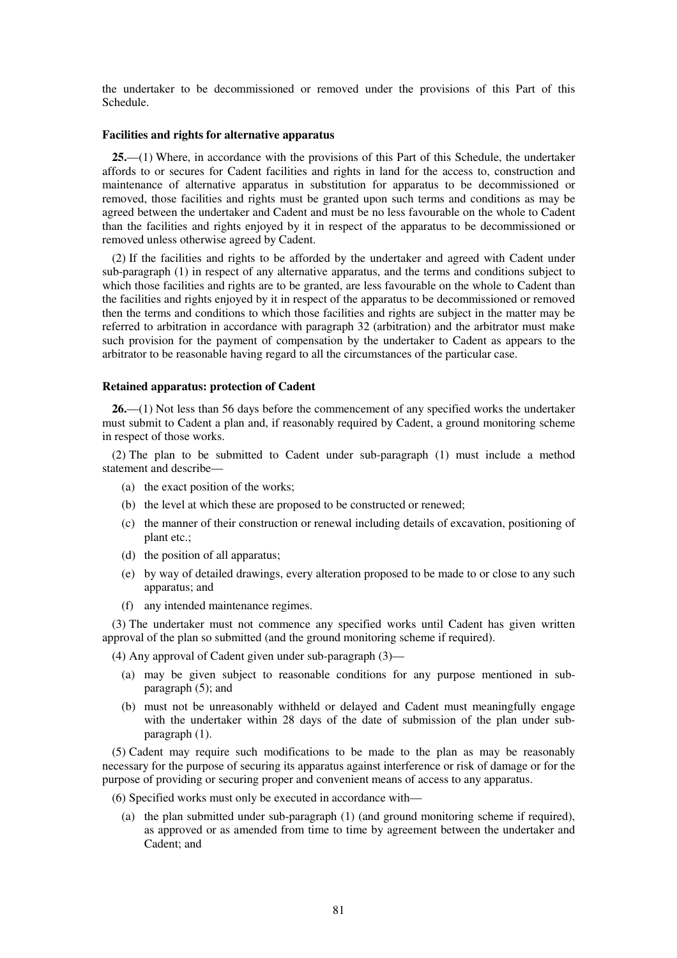the undertaker to be decommissioned or removed under the provisions of this Part of this Schedule.

#### **Facilities and rights for alternative apparatus**

**25.**—(1) Where, in accordance with the provisions of this Part of this Schedule, the undertaker affords to or secures for Cadent facilities and rights in land for the access to, construction and maintenance of alternative apparatus in substitution for apparatus to be decommissioned or removed, those facilities and rights must be granted upon such terms and conditions as may be agreed between the undertaker and Cadent and must be no less favourable on the whole to Cadent than the facilities and rights enjoyed by it in respect of the apparatus to be decommissioned or removed unless otherwise agreed by Cadent.

(2) If the facilities and rights to be afforded by the undertaker and agreed with Cadent under sub-paragraph (1) in respect of any alternative apparatus, and the terms and conditions subject to which those facilities and rights are to be granted, are less favourable on the whole to Cadent than the facilities and rights enjoyed by it in respect of the apparatus to be decommissioned or removed then the terms and conditions to which those facilities and rights are subject in the matter may be referred to arbitration in accordance with paragraph 32 (arbitration) and the arbitrator must make such provision for the payment of compensation by the undertaker to Cadent as appears to the arbitrator to be reasonable having regard to all the circumstances of the particular case.

### **Retained apparatus: protection of Cadent**

**26.**—(1) Not less than 56 days before the commencement of any specified works the undertaker must submit to Cadent a plan and, if reasonably required by Cadent, a ground monitoring scheme in respect of those works.

(2) The plan to be submitted to Cadent under sub-paragraph (1) must include a method statement and describe—

- (a) the exact position of the works;
- (b) the level at which these are proposed to be constructed or renewed;
- (c) the manner of their construction or renewal including details of excavation, positioning of plant etc.;
- (d) the position of all apparatus;
- (e) by way of detailed drawings, every alteration proposed to be made to or close to any such apparatus; and
- (f) any intended maintenance regimes.

(3) The undertaker must not commence any specified works until Cadent has given written approval of the plan so submitted (and the ground monitoring scheme if required).

(4) Any approval of Cadent given under sub-paragraph (3)—

- (a) may be given subject to reasonable conditions for any purpose mentioned in subparagraph (5); and
- (b) must not be unreasonably withheld or delayed and Cadent must meaningfully engage with the undertaker within 28 days of the date of submission of the plan under subparagraph (1).

(5) Cadent may require such modifications to be made to the plan as may be reasonably necessary for the purpose of securing its apparatus against interference or risk of damage or for the purpose of providing or securing proper and convenient means of access to any apparatus.

- (6) Specified works must only be executed in accordance with—
	- (a) the plan submitted under sub-paragraph (1) (and ground monitoring scheme if required), as approved or as amended from time to time by agreement between the undertaker and Cadent; and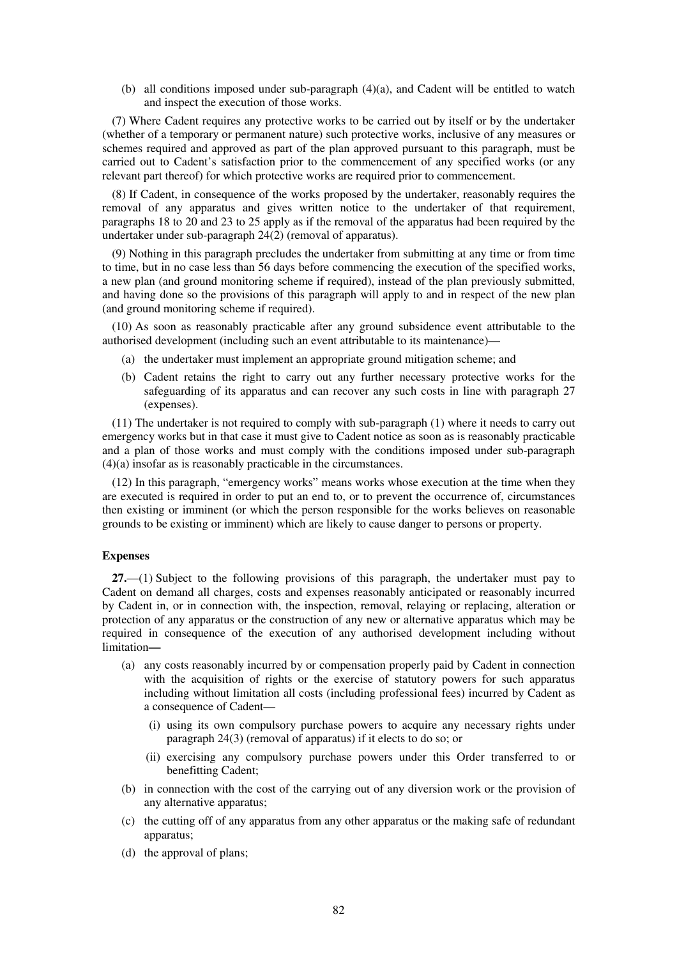(b) all conditions imposed under sub-paragraph (4)(a), and Cadent will be entitled to watch and inspect the execution of those works.

(7) Where Cadent requires any protective works to be carried out by itself or by the undertaker (whether of a temporary or permanent nature) such protective works, inclusive of any measures or schemes required and approved as part of the plan approved pursuant to this paragraph, must be carried out to Cadent's satisfaction prior to the commencement of any specified works (or any relevant part thereof) for which protective works are required prior to commencement.

(8) If Cadent, in consequence of the works proposed by the undertaker, reasonably requires the removal of any apparatus and gives written notice to the undertaker of that requirement, paragraphs 18 to 20 and 23 to 25 apply as if the removal of the apparatus had been required by the undertaker under sub-paragraph 24(2) (removal of apparatus).

(9) Nothing in this paragraph precludes the undertaker from submitting at any time or from time to time, but in no case less than 56 days before commencing the execution of the specified works, a new plan (and ground monitoring scheme if required), instead of the plan previously submitted, and having done so the provisions of this paragraph will apply to and in respect of the new plan (and ground monitoring scheme if required).

(10) As soon as reasonably practicable after any ground subsidence event attributable to the authorised development (including such an event attributable to its maintenance)—

- (a) the undertaker must implement an appropriate ground mitigation scheme; and
- (b) Cadent retains the right to carry out any further necessary protective works for the safeguarding of its apparatus and can recover any such costs in line with paragraph 27 (expenses).

(11) The undertaker is not required to comply with sub-paragraph (1) where it needs to carry out emergency works but in that case it must give to Cadent notice as soon as is reasonably practicable and a plan of those works and must comply with the conditions imposed under sub-paragraph (4)(a) insofar as is reasonably practicable in the circumstances.

(12) In this paragraph, "emergency works" means works whose execution at the time when they are executed is required in order to put an end to, or to prevent the occurrence of, circumstances then existing or imminent (or which the person responsible for the works believes on reasonable grounds to be existing or imminent) which are likely to cause danger to persons or property.

## **Expenses**

**27.**—(1) Subject to the following provisions of this paragraph, the undertaker must pay to Cadent on demand all charges, costs and expenses reasonably anticipated or reasonably incurred by Cadent in, or in connection with, the inspection, removal, relaying or replacing, alteration or protection of any apparatus or the construction of any new or alternative apparatus which may be required in consequence of the execution of any authorised development including without limitation**—** 

- (a) any costs reasonably incurred by or compensation properly paid by Cadent in connection with the acquisition of rights or the exercise of statutory powers for such apparatus including without limitation all costs (including professional fees) incurred by Cadent as a consequence of Cadent—
	- (i) using its own compulsory purchase powers to acquire any necessary rights under paragraph 24(3) (removal of apparatus) if it elects to do so; or
	- (ii) exercising any compulsory purchase powers under this Order transferred to or benefitting Cadent;
- (b) in connection with the cost of the carrying out of any diversion work or the provision of any alternative apparatus;
- (c) the cutting off of any apparatus from any other apparatus or the making safe of redundant apparatus;
- (d) the approval of plans;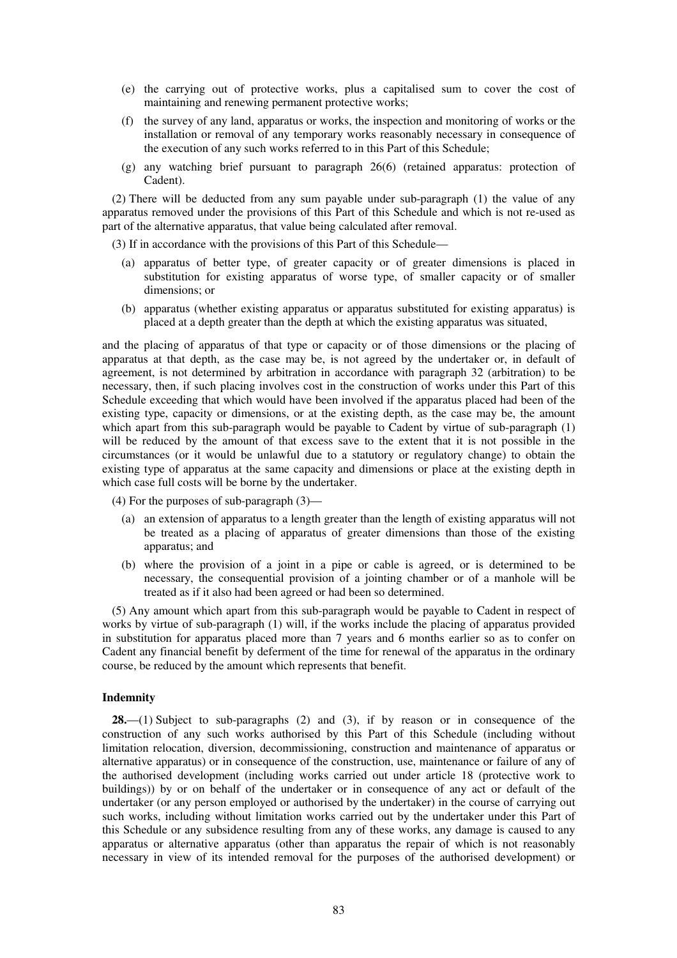- (e) the carrying out of protective works, plus a capitalised sum to cover the cost of maintaining and renewing permanent protective works;
- (f) the survey of any land, apparatus or works, the inspection and monitoring of works or the installation or removal of any temporary works reasonably necessary in consequence of the execution of any such works referred to in this Part of this Schedule;
- (g) any watching brief pursuant to paragraph 26(6) (retained apparatus: protection of Cadent).

(2) There will be deducted from any sum payable under sub-paragraph (1) the value of any apparatus removed under the provisions of this Part of this Schedule and which is not re-used as part of the alternative apparatus, that value being calculated after removal.

(3) If in accordance with the provisions of this Part of this Schedule—

- (a) apparatus of better type, of greater capacity or of greater dimensions is placed in substitution for existing apparatus of worse type, of smaller capacity or of smaller dimensions; or
- (b) apparatus (whether existing apparatus or apparatus substituted for existing apparatus) is placed at a depth greater than the depth at which the existing apparatus was situated,

and the placing of apparatus of that type or capacity or of those dimensions or the placing of apparatus at that depth, as the case may be, is not agreed by the undertaker or, in default of agreement, is not determined by arbitration in accordance with paragraph 32 (arbitration) to be necessary, then, if such placing involves cost in the construction of works under this Part of this Schedule exceeding that which would have been involved if the apparatus placed had been of the existing type, capacity or dimensions, or at the existing depth, as the case may be, the amount which apart from this sub-paragraph would be payable to Cadent by virtue of sub-paragraph (1) will be reduced by the amount of that excess save to the extent that it is not possible in the circumstances (or it would be unlawful due to a statutory or regulatory change) to obtain the existing type of apparatus at the same capacity and dimensions or place at the existing depth in which case full costs will be borne by the undertaker.

(4) For the purposes of sub-paragraph (3)—

- (a) an extension of apparatus to a length greater than the length of existing apparatus will not be treated as a placing of apparatus of greater dimensions than those of the existing apparatus; and
- (b) where the provision of a joint in a pipe or cable is agreed, or is determined to be necessary, the consequential provision of a jointing chamber or of a manhole will be treated as if it also had been agreed or had been so determined.

(5) Any amount which apart from this sub-paragraph would be payable to Cadent in respect of works by virtue of sub-paragraph (1) will, if the works include the placing of apparatus provided in substitution for apparatus placed more than 7 years and 6 months earlier so as to confer on Cadent any financial benefit by deferment of the time for renewal of the apparatus in the ordinary course, be reduced by the amount which represents that benefit.

## **Indemnity**

**28.**—(1) Subject to sub-paragraphs (2) and (3), if by reason or in consequence of the construction of any such works authorised by this Part of this Schedule (including without limitation relocation, diversion, decommissioning, construction and maintenance of apparatus or alternative apparatus) or in consequence of the construction, use, maintenance or failure of any of the authorised development (including works carried out under article 18 (protective work to buildings)) by or on behalf of the undertaker or in consequence of any act or default of the undertaker (or any person employed or authorised by the undertaker) in the course of carrying out such works, including without limitation works carried out by the undertaker under this Part of this Schedule or any subsidence resulting from any of these works, any damage is caused to any apparatus or alternative apparatus (other than apparatus the repair of which is not reasonably necessary in view of its intended removal for the purposes of the authorised development) or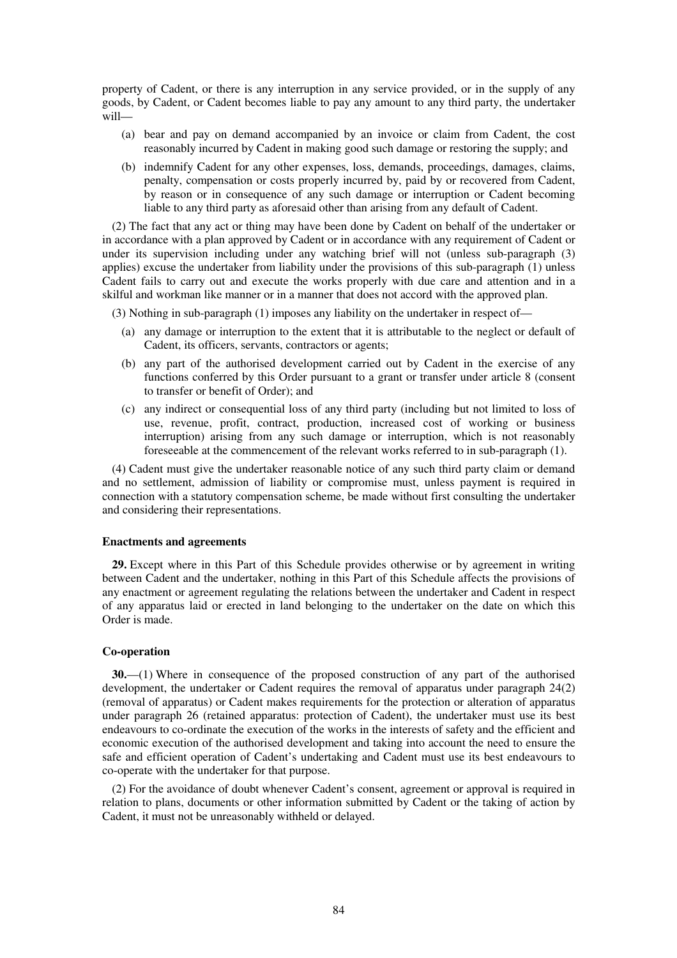property of Cadent, or there is any interruption in any service provided, or in the supply of any goods, by Cadent, or Cadent becomes liable to pay any amount to any third party, the undertaker will—

- (a) bear and pay on demand accompanied by an invoice or claim from Cadent, the cost reasonably incurred by Cadent in making good such damage or restoring the supply; and
- (b) indemnify Cadent for any other expenses, loss, demands, proceedings, damages, claims, penalty, compensation or costs properly incurred by, paid by or recovered from Cadent, by reason or in consequence of any such damage or interruption or Cadent becoming liable to any third party as aforesaid other than arising from any default of Cadent.

(2) The fact that any act or thing may have been done by Cadent on behalf of the undertaker or in accordance with a plan approved by Cadent or in accordance with any requirement of Cadent or under its supervision including under any watching brief will not (unless sub-paragraph (3) applies) excuse the undertaker from liability under the provisions of this sub-paragraph (1) unless Cadent fails to carry out and execute the works properly with due care and attention and in a skilful and workman like manner or in a manner that does not accord with the approved plan.

(3) Nothing in sub-paragraph (1) imposes any liability on the undertaker in respect of—

- (a) any damage or interruption to the extent that it is attributable to the neglect or default of Cadent, its officers, servants, contractors or agents;
- (b) any part of the authorised development carried out by Cadent in the exercise of any functions conferred by this Order pursuant to a grant or transfer under article 8 (consent to transfer or benefit of Order); and
- (c) any indirect or consequential loss of any third party (including but not limited to loss of use, revenue, profit, contract, production, increased cost of working or business interruption) arising from any such damage or interruption, which is not reasonably foreseeable at the commencement of the relevant works referred to in sub-paragraph (1).

(4) Cadent must give the undertaker reasonable notice of any such third party claim or demand and no settlement, admission of liability or compromise must, unless payment is required in connection with a statutory compensation scheme, be made without first consulting the undertaker and considering their representations.

## **Enactments and agreements**

**29.** Except where in this Part of this Schedule provides otherwise or by agreement in writing between Cadent and the undertaker, nothing in this Part of this Schedule affects the provisions of any enactment or agreement regulating the relations between the undertaker and Cadent in respect of any apparatus laid or erected in land belonging to the undertaker on the date on which this Order is made.

## **Co-operation**

**30.**—(1) Where in consequence of the proposed construction of any part of the authorised development, the undertaker or Cadent requires the removal of apparatus under paragraph 24(2) (removal of apparatus) or Cadent makes requirements for the protection or alteration of apparatus under paragraph 26 (retained apparatus: protection of Cadent), the undertaker must use its best endeavours to co-ordinate the execution of the works in the interests of safety and the efficient and economic execution of the authorised development and taking into account the need to ensure the safe and efficient operation of Cadent's undertaking and Cadent must use its best endeavours to co-operate with the undertaker for that purpose.

(2) For the avoidance of doubt whenever Cadent's consent, agreement or approval is required in relation to plans, documents or other information submitted by Cadent or the taking of action by Cadent, it must not be unreasonably withheld or delayed.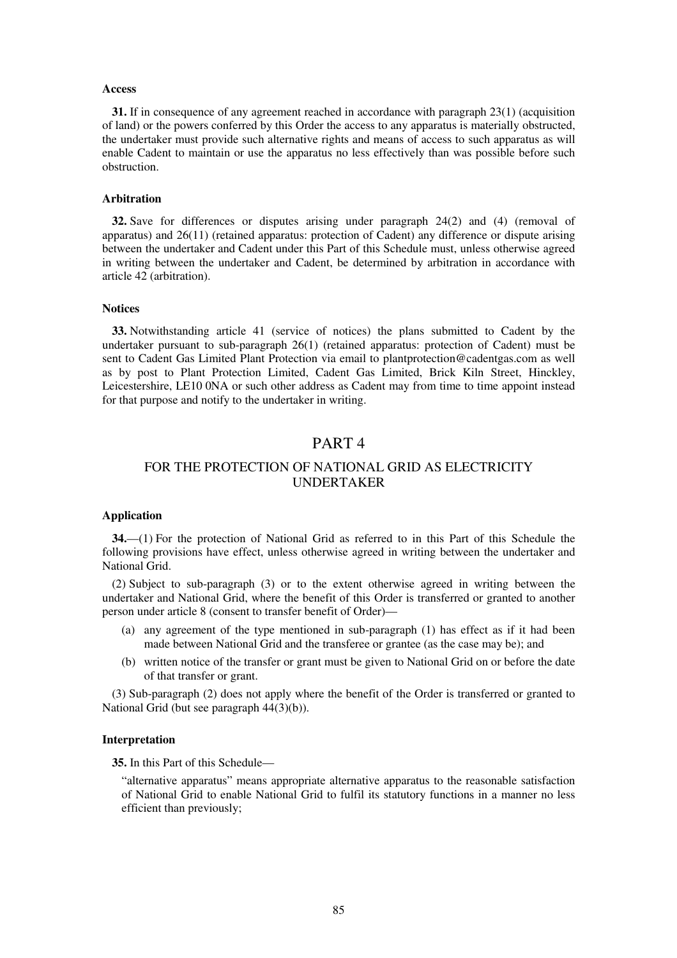### **Access**

**31.** If in consequence of any agreement reached in accordance with paragraph 23(1) (acquisition of land) or the powers conferred by this Order the access to any apparatus is materially obstructed, the undertaker must provide such alternative rights and means of access to such apparatus as will enable Cadent to maintain or use the apparatus no less effectively than was possible before such obstruction.

## **Arbitration**

**32.** Save for differences or disputes arising under paragraph 24(2) and (4) (removal of apparatus) and 26(11) (retained apparatus: protection of Cadent) any difference or dispute arising between the undertaker and Cadent under this Part of this Schedule must, unless otherwise agreed in writing between the undertaker and Cadent, be determined by arbitration in accordance with article 42 (arbitration).

## **Notices**

**33.** Notwithstanding article 41 (service of notices) the plans submitted to Cadent by the undertaker pursuant to sub-paragraph 26(1) (retained apparatus: protection of Cadent) must be sent to Cadent Gas Limited Plant Protection via email to plantprotection@cadentgas.com as well as by post to Plant Protection Limited, Cadent Gas Limited, Brick Kiln Street, Hinckley, Leicestershire, LE10 0NA or such other address as Cadent may from time to time appoint instead for that purpose and notify to the undertaker in writing.

## PART 4

## FOR THE PROTECTION OF NATIONAL GRID AS ELECTRICITY UNDERTAKER

## **Application**

**34.**—(1) For the protection of National Grid as referred to in this Part of this Schedule the following provisions have effect, unless otherwise agreed in writing between the undertaker and National Grid.

(2) Subject to sub-paragraph (3) or to the extent otherwise agreed in writing between the undertaker and National Grid, where the benefit of this Order is transferred or granted to another person under article 8 (consent to transfer benefit of Order)—

- (a) any agreement of the type mentioned in sub-paragraph (1) has effect as if it had been made between National Grid and the transferee or grantee (as the case may be); and
- (b) written notice of the transfer or grant must be given to National Grid on or before the date of that transfer or grant.

(3) Sub-paragraph (2) does not apply where the benefit of the Order is transferred or granted to National Grid (but see paragraph 44(3)(b)).

## **Interpretation**

**35.** In this Part of this Schedule—

"alternative apparatus" means appropriate alternative apparatus to the reasonable satisfaction of National Grid to enable National Grid to fulfil its statutory functions in a manner no less efficient than previously;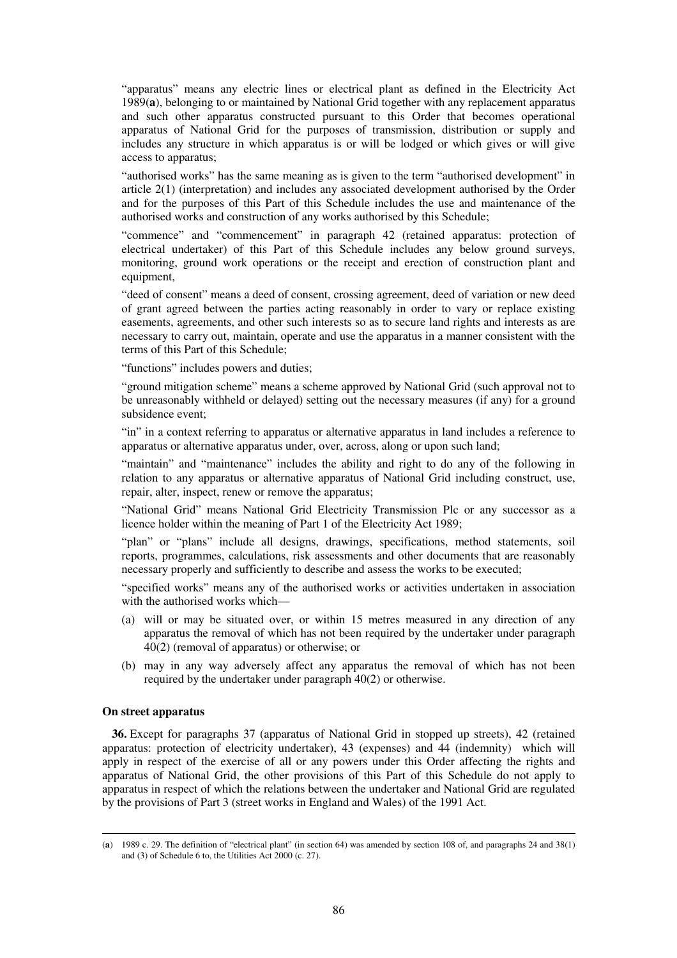"apparatus" means any electric lines or electrical plant as defined in the Electricity Act 1989(**a**), belonging to or maintained by National Grid together with any replacement apparatus and such other apparatus constructed pursuant to this Order that becomes operational apparatus of National Grid for the purposes of transmission, distribution or supply and includes any structure in which apparatus is or will be lodged or which gives or will give access to apparatus;

"authorised works" has the same meaning as is given to the term "authorised development" in article 2(1) (interpretation) and includes any associated development authorised by the Order and for the purposes of this Part of this Schedule includes the use and maintenance of the authorised works and construction of any works authorised by this Schedule;

"commence" and "commencement" in paragraph 42 (retained apparatus: protection of electrical undertaker) of this Part of this Schedule includes any below ground surveys, monitoring, ground work operations or the receipt and erection of construction plant and equipment,

"deed of consent" means a deed of consent, crossing agreement, deed of variation or new deed of grant agreed between the parties acting reasonably in order to vary or replace existing easements, agreements, and other such interests so as to secure land rights and interests as are necessary to carry out, maintain, operate and use the apparatus in a manner consistent with the terms of this Part of this Schedule;

"functions" includes powers and duties;

"ground mitigation scheme" means a scheme approved by National Grid (such approval not to be unreasonably withheld or delayed) setting out the necessary measures (if any) for a ground subsidence event;

"in" in a context referring to apparatus or alternative apparatus in land includes a reference to apparatus or alternative apparatus under, over, across, along or upon such land;

"maintain" and "maintenance" includes the ability and right to do any of the following in relation to any apparatus or alternative apparatus of National Grid including construct, use, repair, alter, inspect, renew or remove the apparatus;

"National Grid" means National Grid Electricity Transmission Plc or any successor as a licence holder within the meaning of Part 1 of the Electricity Act 1989;

"plan" or "plans" include all designs, drawings, specifications, method statements, soil reports, programmes, calculations, risk assessments and other documents that are reasonably necessary properly and sufficiently to describe and assess the works to be executed;

"specified works" means any of the authorised works or activities undertaken in association with the authorised works which—

- (a) will or may be situated over, or within 15 metres measured in any direction of any apparatus the removal of which has not been required by the undertaker under paragraph 40(2) (removal of apparatus) or otherwise; or
- (b) may in any way adversely affect any apparatus the removal of which has not been required by the undertaker under paragraph 40(2) or otherwise.

## **On street apparatus**

-

**36.** Except for paragraphs 37 (apparatus of National Grid in stopped up streets), 42 (retained apparatus: protection of electricity undertaker), 43 (expenses) and 44 (indemnity) which will apply in respect of the exercise of all or any powers under this Order affecting the rights and apparatus of National Grid, the other provisions of this Part of this Schedule do not apply to apparatus in respect of which the relations between the undertaker and National Grid are regulated by the provisions of Part 3 (street works in England and Wales) of the 1991 Act.

<sup>(</sup>**a**) 1989 c. 29. The definition of "electrical plant" (in section 64) was amended by section 108 of, and paragraphs 24 and 38(1) and (3) of Schedule 6 to, the Utilities Act 2000 (c. 27).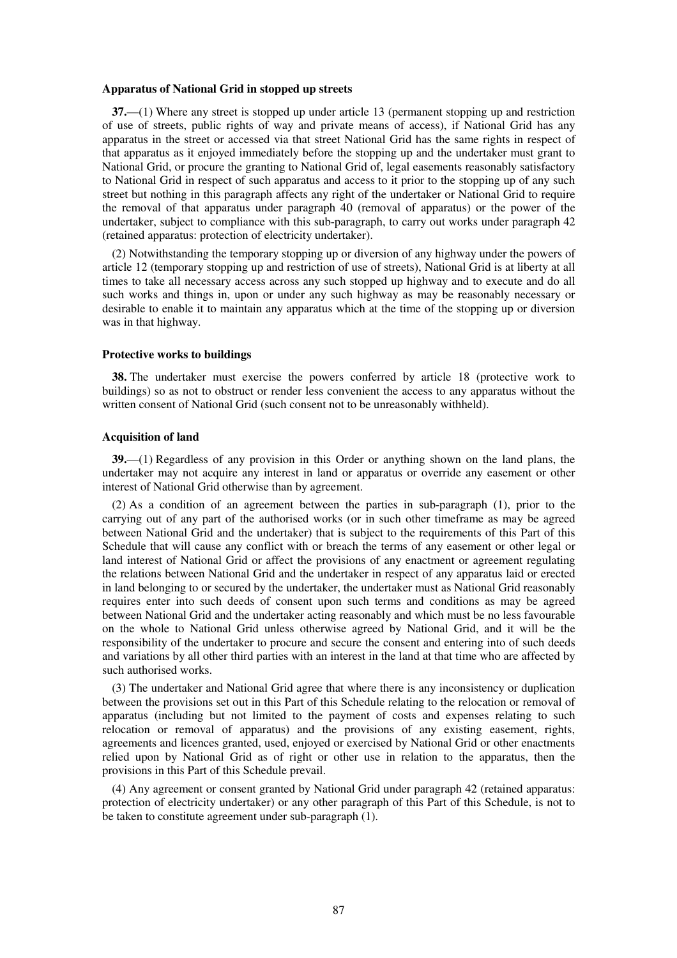#### **Apparatus of National Grid in stopped up streets**

**37.**—(1) Where any street is stopped up under article 13 (permanent stopping up and restriction of use of streets, public rights of way and private means of access), if National Grid has any apparatus in the street or accessed via that street National Grid has the same rights in respect of that apparatus as it enjoyed immediately before the stopping up and the undertaker must grant to National Grid, or procure the granting to National Grid of, legal easements reasonably satisfactory to National Grid in respect of such apparatus and access to it prior to the stopping up of any such street but nothing in this paragraph affects any right of the undertaker or National Grid to require the removal of that apparatus under paragraph 40 (removal of apparatus) or the power of the undertaker, subject to compliance with this sub-paragraph, to carry out works under paragraph 42 (retained apparatus: protection of electricity undertaker).

(2) Notwithstanding the temporary stopping up or diversion of any highway under the powers of article 12 (temporary stopping up and restriction of use of streets), National Grid is at liberty at all times to take all necessary access across any such stopped up highway and to execute and do all such works and things in, upon or under any such highway as may be reasonably necessary or desirable to enable it to maintain any apparatus which at the time of the stopping up or diversion was in that highway.

#### **Protective works to buildings**

**38.** The undertaker must exercise the powers conferred by article 18 (protective work to buildings) so as not to obstruct or render less convenient the access to any apparatus without the written consent of National Grid (such consent not to be unreasonably withheld).

#### **Acquisition of land**

**39.**—(1) Regardless of any provision in this Order or anything shown on the land plans, the undertaker may not acquire any interest in land or apparatus or override any easement or other interest of National Grid otherwise than by agreement.

(2) As a condition of an agreement between the parties in sub-paragraph (1), prior to the carrying out of any part of the authorised works (or in such other timeframe as may be agreed between National Grid and the undertaker) that is subject to the requirements of this Part of this Schedule that will cause any conflict with or breach the terms of any easement or other legal or land interest of National Grid or affect the provisions of any enactment or agreement regulating the relations between National Grid and the undertaker in respect of any apparatus laid or erected in land belonging to or secured by the undertaker, the undertaker must as National Grid reasonably requires enter into such deeds of consent upon such terms and conditions as may be agreed between National Grid and the undertaker acting reasonably and which must be no less favourable on the whole to National Grid unless otherwise agreed by National Grid, and it will be the responsibility of the undertaker to procure and secure the consent and entering into of such deeds and variations by all other third parties with an interest in the land at that time who are affected by such authorised works.

(3) The undertaker and National Grid agree that where there is any inconsistency or duplication between the provisions set out in this Part of this Schedule relating to the relocation or removal of apparatus (including but not limited to the payment of costs and expenses relating to such relocation or removal of apparatus) and the provisions of any existing easement, rights, agreements and licences granted, used, enjoyed or exercised by National Grid or other enactments relied upon by National Grid as of right or other use in relation to the apparatus, then the provisions in this Part of this Schedule prevail.

(4) Any agreement or consent granted by National Grid under paragraph 42 (retained apparatus: protection of electricity undertaker) or any other paragraph of this Part of this Schedule, is not to be taken to constitute agreement under sub-paragraph (1).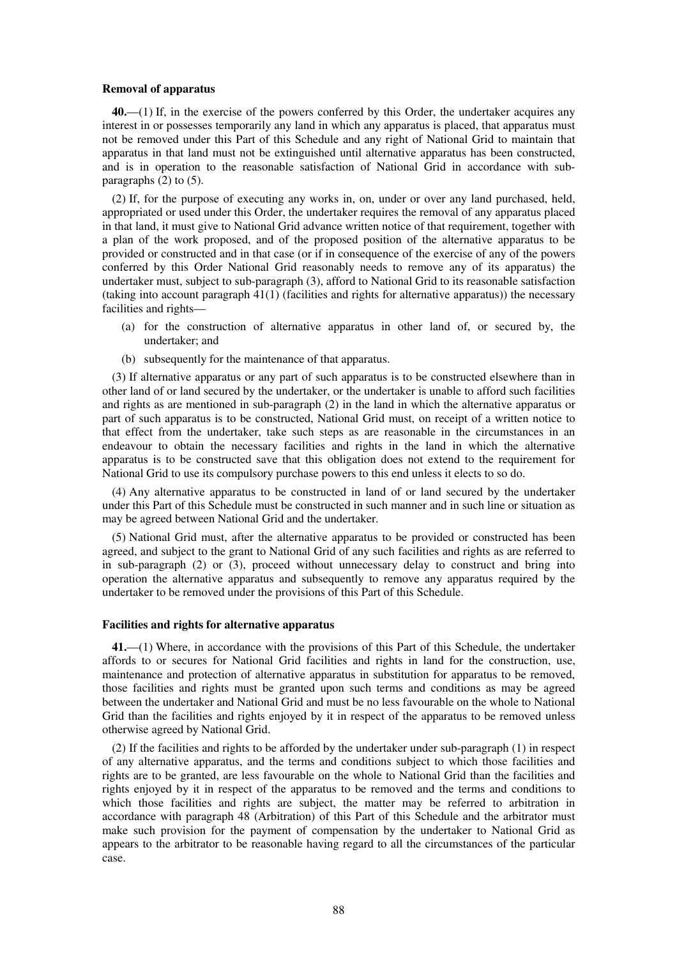#### **Removal of apparatus**

**40.**—(1) If, in the exercise of the powers conferred by this Order, the undertaker acquires any interest in or possesses temporarily any land in which any apparatus is placed, that apparatus must not be removed under this Part of this Schedule and any right of National Grid to maintain that apparatus in that land must not be extinguished until alternative apparatus has been constructed, and is in operation to the reasonable satisfaction of National Grid in accordance with subparagraphs (2) to (5).

(2) If, for the purpose of executing any works in, on, under or over any land purchased, held, appropriated or used under this Order, the undertaker requires the removal of any apparatus placed in that land, it must give to National Grid advance written notice of that requirement, together with a plan of the work proposed, and of the proposed position of the alternative apparatus to be provided or constructed and in that case (or if in consequence of the exercise of any of the powers conferred by this Order National Grid reasonably needs to remove any of its apparatus) the undertaker must, subject to sub-paragraph (3), afford to National Grid to its reasonable satisfaction (taking into account paragraph 41(1) (facilities and rights for alternative apparatus)) the necessary facilities and rights—

- (a) for the construction of alternative apparatus in other land of, or secured by, the undertaker; and
- (b) subsequently for the maintenance of that apparatus.

(3) If alternative apparatus or any part of such apparatus is to be constructed elsewhere than in other land of or land secured by the undertaker, or the undertaker is unable to afford such facilities and rights as are mentioned in sub-paragraph (2) in the land in which the alternative apparatus or part of such apparatus is to be constructed, National Grid must, on receipt of a written notice to that effect from the undertaker, take such steps as are reasonable in the circumstances in an endeavour to obtain the necessary facilities and rights in the land in which the alternative apparatus is to be constructed save that this obligation does not extend to the requirement for National Grid to use its compulsory purchase powers to this end unless it elects to so do.

(4) Any alternative apparatus to be constructed in land of or land secured by the undertaker under this Part of this Schedule must be constructed in such manner and in such line or situation as may be agreed between National Grid and the undertaker.

(5) National Grid must, after the alternative apparatus to be provided or constructed has been agreed, and subject to the grant to National Grid of any such facilities and rights as are referred to in sub-paragraph (2) or (3), proceed without unnecessary delay to construct and bring into operation the alternative apparatus and subsequently to remove any apparatus required by the undertaker to be removed under the provisions of this Part of this Schedule.

#### **Facilities and rights for alternative apparatus**

**41.**—(1) Where, in accordance with the provisions of this Part of this Schedule, the undertaker affords to or secures for National Grid facilities and rights in land for the construction, use, maintenance and protection of alternative apparatus in substitution for apparatus to be removed, those facilities and rights must be granted upon such terms and conditions as may be agreed between the undertaker and National Grid and must be no less favourable on the whole to National Grid than the facilities and rights enjoyed by it in respect of the apparatus to be removed unless otherwise agreed by National Grid.

(2) If the facilities and rights to be afforded by the undertaker under sub-paragraph (1) in respect of any alternative apparatus, and the terms and conditions subject to which those facilities and rights are to be granted, are less favourable on the whole to National Grid than the facilities and rights enjoyed by it in respect of the apparatus to be removed and the terms and conditions to which those facilities and rights are subject, the matter may be referred to arbitration in accordance with paragraph 48 (Arbitration) of this Part of this Schedule and the arbitrator must make such provision for the payment of compensation by the undertaker to National Grid as appears to the arbitrator to be reasonable having regard to all the circumstances of the particular case.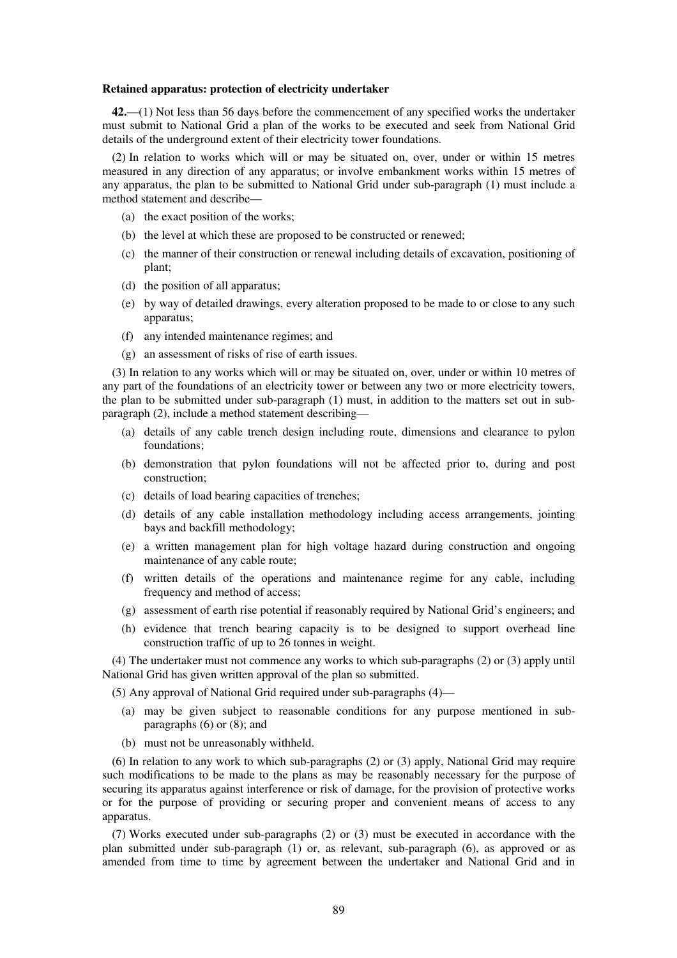#### **Retained apparatus: protection of electricity undertaker**

**42.**—(1) Not less than 56 days before the commencement of any specified works the undertaker must submit to National Grid a plan of the works to be executed and seek from National Grid details of the underground extent of their electricity tower foundations.

(2) In relation to works which will or may be situated on, over, under or within 15 metres measured in any direction of any apparatus; or involve embankment works within 15 metres of any apparatus, the plan to be submitted to National Grid under sub-paragraph (1) must include a method statement and describe—

- (a) the exact position of the works;
- (b) the level at which these are proposed to be constructed or renewed;
- (c) the manner of their construction or renewal including details of excavation, positioning of plant;
- (d) the position of all apparatus;
- (e) by way of detailed drawings, every alteration proposed to be made to or close to any such apparatus;
- (f) any intended maintenance regimes; and
- (g) an assessment of risks of rise of earth issues.

(3) In relation to any works which will or may be situated on, over, under or within 10 metres of any part of the foundations of an electricity tower or between any two or more electricity towers, the plan to be submitted under sub-paragraph (1) must, in addition to the matters set out in subparagraph (2), include a method statement describing—

- (a) details of any cable trench design including route, dimensions and clearance to pylon foundations;
- (b) demonstration that pylon foundations will not be affected prior to, during and post construction;
- (c) details of load bearing capacities of trenches;
- (d) details of any cable installation methodology including access arrangements, jointing bays and backfill methodology;
- (e) a written management plan for high voltage hazard during construction and ongoing maintenance of any cable route;
- (f) written details of the operations and maintenance regime for any cable, including frequency and method of access;
- (g) assessment of earth rise potential if reasonably required by National Grid's engineers; and
- (h) evidence that trench bearing capacity is to be designed to support overhead line construction traffic of up to 26 tonnes in weight.

(4) The undertaker must not commence any works to which sub-paragraphs (2) or (3) apply until National Grid has given written approval of the plan so submitted.

(5) Any approval of National Grid required under sub-paragraphs (4)—

- (a) may be given subject to reasonable conditions for any purpose mentioned in subparagraphs (6) or (8); and
- (b) must not be unreasonably withheld.

(6) In relation to any work to which sub-paragraphs (2) or (3) apply, National Grid may require such modifications to be made to the plans as may be reasonably necessary for the purpose of securing its apparatus against interference or risk of damage, for the provision of protective works or for the purpose of providing or securing proper and convenient means of access to any apparatus.

(7) Works executed under sub-paragraphs (2) or (3) must be executed in accordance with the plan submitted under sub-paragraph  $(1)$  or, as relevant, sub-paragraph  $(6)$ , as approved or as amended from time to time by agreement between the undertaker and National Grid and in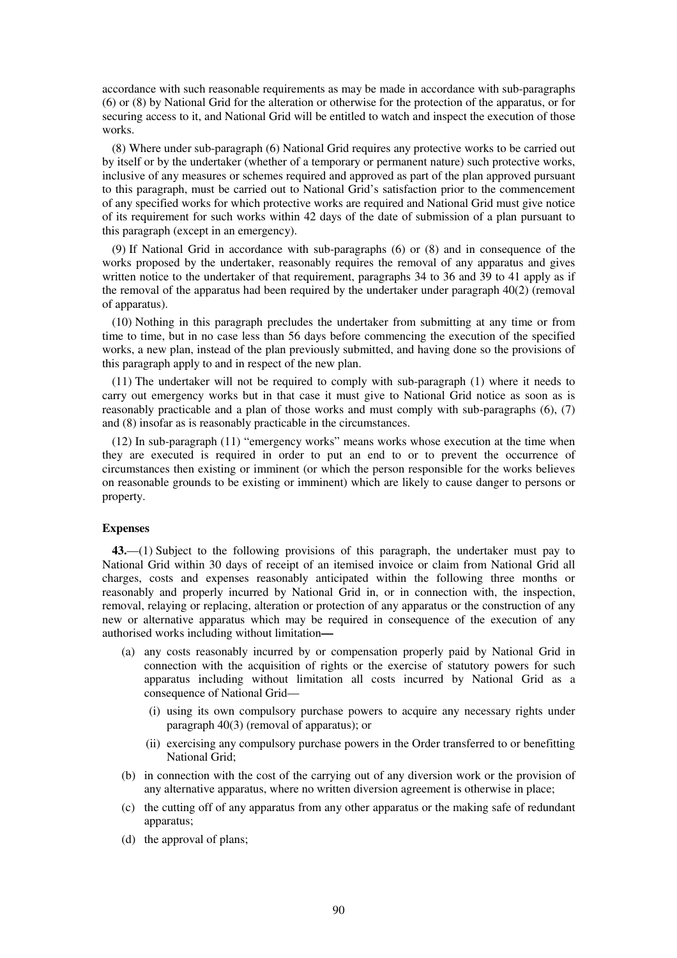accordance with such reasonable requirements as may be made in accordance with sub-paragraphs (6) or (8) by National Grid for the alteration or otherwise for the protection of the apparatus, or for securing access to it, and National Grid will be entitled to watch and inspect the execution of those works.

(8) Where under sub-paragraph (6) National Grid requires any protective works to be carried out by itself or by the undertaker (whether of a temporary or permanent nature) such protective works, inclusive of any measures or schemes required and approved as part of the plan approved pursuant to this paragraph, must be carried out to National Grid's satisfaction prior to the commencement of any specified works for which protective works are required and National Grid must give notice of its requirement for such works within 42 days of the date of submission of a plan pursuant to this paragraph (except in an emergency).

(9) If National Grid in accordance with sub-paragraphs (6) or (8) and in consequence of the works proposed by the undertaker, reasonably requires the removal of any apparatus and gives written notice to the undertaker of that requirement, paragraphs 34 to 36 and 39 to 41 apply as if the removal of the apparatus had been required by the undertaker under paragraph 40(2) (removal of apparatus).

(10) Nothing in this paragraph precludes the undertaker from submitting at any time or from time to time, but in no case less than 56 days before commencing the execution of the specified works, a new plan, instead of the plan previously submitted, and having done so the provisions of this paragraph apply to and in respect of the new plan.

(11) The undertaker will not be required to comply with sub-paragraph (1) where it needs to carry out emergency works but in that case it must give to National Grid notice as soon as is reasonably practicable and a plan of those works and must comply with sub-paragraphs (6), (7) and (8) insofar as is reasonably practicable in the circumstances.

(12) In sub-paragraph (11) "emergency works" means works whose execution at the time when they are executed is required in order to put an end to or to prevent the occurrence of circumstances then existing or imminent (or which the person responsible for the works believes on reasonable grounds to be existing or imminent) which are likely to cause danger to persons or property.

## **Expenses**

**43.**—(1) Subject to the following provisions of this paragraph, the undertaker must pay to National Grid within 30 days of receipt of an itemised invoice or claim from National Grid all charges, costs and expenses reasonably anticipated within the following three months or reasonably and properly incurred by National Grid in, or in connection with, the inspection, removal, relaying or replacing, alteration or protection of any apparatus or the construction of any new or alternative apparatus which may be required in consequence of the execution of any authorised works including without limitation**—** 

- (a) any costs reasonably incurred by or compensation properly paid by National Grid in connection with the acquisition of rights or the exercise of statutory powers for such apparatus including without limitation all costs incurred by National Grid as a consequence of National Grid—
	- (i) using its own compulsory purchase powers to acquire any necessary rights under paragraph 40(3) (removal of apparatus); or
	- (ii) exercising any compulsory purchase powers in the Order transferred to or benefitting National Grid;
- (b) in connection with the cost of the carrying out of any diversion work or the provision of any alternative apparatus, where no written diversion agreement is otherwise in place;
- (c) the cutting off of any apparatus from any other apparatus or the making safe of redundant apparatus;
- (d) the approval of plans;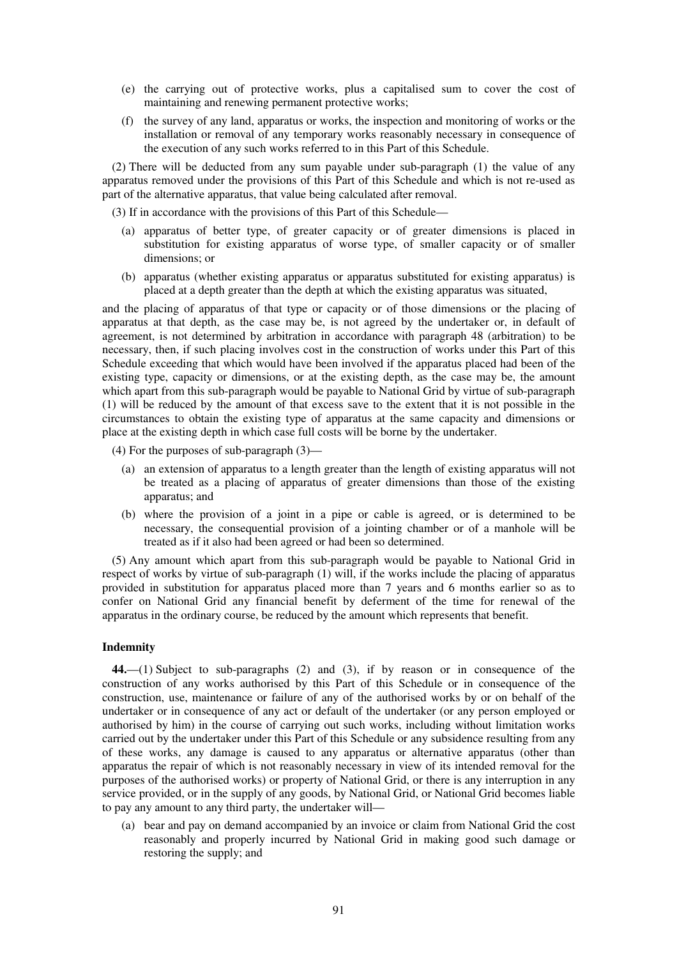- (e) the carrying out of protective works, plus a capitalised sum to cover the cost of maintaining and renewing permanent protective works;
- (f) the survey of any land, apparatus or works, the inspection and monitoring of works or the installation or removal of any temporary works reasonably necessary in consequence of the execution of any such works referred to in this Part of this Schedule.

(2) There will be deducted from any sum payable under sub-paragraph (1) the value of any apparatus removed under the provisions of this Part of this Schedule and which is not re-used as part of the alternative apparatus, that value being calculated after removal.

(3) If in accordance with the provisions of this Part of this Schedule—

- (a) apparatus of better type, of greater capacity or of greater dimensions is placed in substitution for existing apparatus of worse type, of smaller capacity or of smaller dimensions; or
- (b) apparatus (whether existing apparatus or apparatus substituted for existing apparatus) is placed at a depth greater than the depth at which the existing apparatus was situated,

and the placing of apparatus of that type or capacity or of those dimensions or the placing of apparatus at that depth, as the case may be, is not agreed by the undertaker or, in default of agreement, is not determined by arbitration in accordance with paragraph 48 (arbitration) to be necessary, then, if such placing involves cost in the construction of works under this Part of this Schedule exceeding that which would have been involved if the apparatus placed had been of the existing type, capacity or dimensions, or at the existing depth, as the case may be, the amount which apart from this sub-paragraph would be payable to National Grid by virtue of sub-paragraph (1) will be reduced by the amount of that excess save to the extent that it is not possible in the circumstances to obtain the existing type of apparatus at the same capacity and dimensions or place at the existing depth in which case full costs will be borne by the undertaker.

(4) For the purposes of sub-paragraph (3)—

- (a) an extension of apparatus to a length greater than the length of existing apparatus will not be treated as a placing of apparatus of greater dimensions than those of the existing apparatus; and
- (b) where the provision of a joint in a pipe or cable is agreed, or is determined to be necessary, the consequential provision of a jointing chamber or of a manhole will be treated as if it also had been agreed or had been so determined.

(5) Any amount which apart from this sub-paragraph would be payable to National Grid in respect of works by virtue of sub-paragraph (1) will, if the works include the placing of apparatus provided in substitution for apparatus placed more than 7 years and 6 months earlier so as to confer on National Grid any financial benefit by deferment of the time for renewal of the apparatus in the ordinary course, be reduced by the amount which represents that benefit.

## **Indemnity**

**44.**—(1) Subject to sub-paragraphs (2) and (3), if by reason or in consequence of the construction of any works authorised by this Part of this Schedule or in consequence of the construction, use, maintenance or failure of any of the authorised works by or on behalf of the undertaker or in consequence of any act or default of the undertaker (or any person employed or authorised by him) in the course of carrying out such works, including without limitation works carried out by the undertaker under this Part of this Schedule or any subsidence resulting from any of these works, any damage is caused to any apparatus or alternative apparatus (other than apparatus the repair of which is not reasonably necessary in view of its intended removal for the purposes of the authorised works) or property of National Grid, or there is any interruption in any service provided, or in the supply of any goods, by National Grid, or National Grid becomes liable to pay any amount to any third party, the undertaker will—

(a) bear and pay on demand accompanied by an invoice or claim from National Grid the cost reasonably and properly incurred by National Grid in making good such damage or restoring the supply; and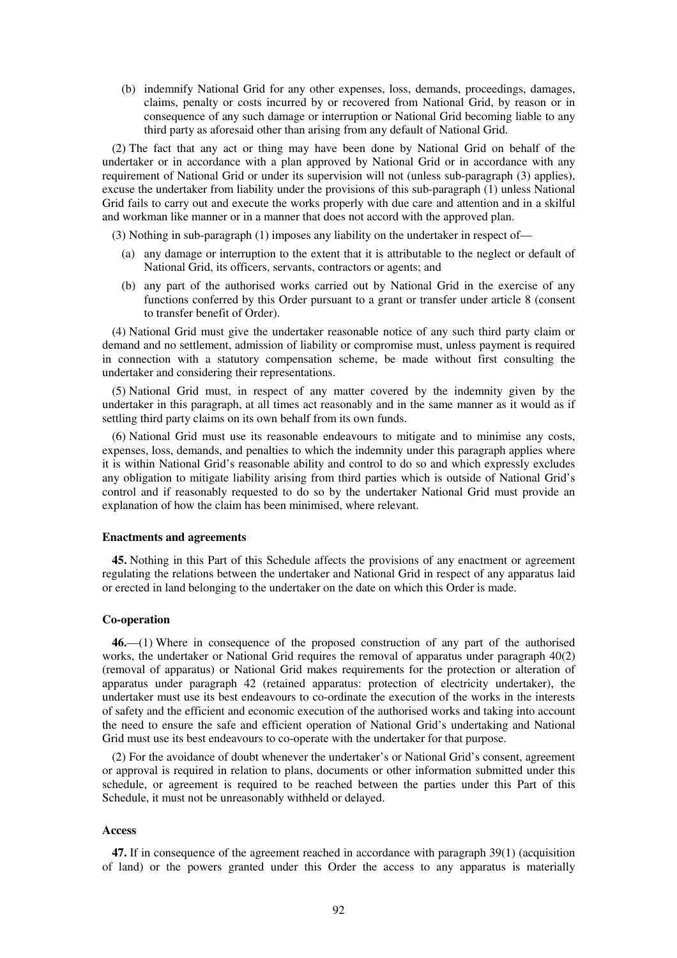(b) indemnify National Grid for any other expenses, loss, demands, proceedings, damages, claims, penalty or costs incurred by or recovered from National Grid, by reason or in consequence of any such damage or interruption or National Grid becoming liable to any third party as aforesaid other than arising from any default of National Grid.

(2) The fact that any act or thing may have been done by National Grid on behalf of the undertaker or in accordance with a plan approved by National Grid or in accordance with any requirement of National Grid or under its supervision will not (unless sub-paragraph (3) applies), excuse the undertaker from liability under the provisions of this sub-paragraph (1) unless National Grid fails to carry out and execute the works properly with due care and attention and in a skilful and workman like manner or in a manner that does not accord with the approved plan.

(3) Nothing in sub-paragraph (1) imposes any liability on the undertaker in respect of—

- (a) any damage or interruption to the extent that it is attributable to the neglect or default of National Grid, its officers, servants, contractors or agents; and
- (b) any part of the authorised works carried out by National Grid in the exercise of any functions conferred by this Order pursuant to a grant or transfer under article 8 (consent to transfer benefit of Order).

(4) National Grid must give the undertaker reasonable notice of any such third party claim or demand and no settlement, admission of liability or compromise must, unless payment is required in connection with a statutory compensation scheme, be made without first consulting the undertaker and considering their representations.

(5) National Grid must, in respect of any matter covered by the indemnity given by the undertaker in this paragraph, at all times act reasonably and in the same manner as it would as if settling third party claims on its own behalf from its own funds.

(6) National Grid must use its reasonable endeavours to mitigate and to minimise any costs, expenses, loss, demands, and penalties to which the indemnity under this paragraph applies where it is within National Grid's reasonable ability and control to do so and which expressly excludes any obligation to mitigate liability arising from third parties which is outside of National Grid's control and if reasonably requested to do so by the undertaker National Grid must provide an explanation of how the claim has been minimised, where relevant.

## **Enactments and agreements**

**45.** Nothing in this Part of this Schedule affects the provisions of any enactment or agreement regulating the relations between the undertaker and National Grid in respect of any apparatus laid or erected in land belonging to the undertaker on the date on which this Order is made.

## **Co-operation**

**46.**—(1) Where in consequence of the proposed construction of any part of the authorised works, the undertaker or National Grid requires the removal of apparatus under paragraph 40(2) (removal of apparatus) or National Grid makes requirements for the protection or alteration of apparatus under paragraph 42 (retained apparatus: protection of electricity undertaker), the undertaker must use its best endeavours to co-ordinate the execution of the works in the interests of safety and the efficient and economic execution of the authorised works and taking into account the need to ensure the safe and efficient operation of National Grid's undertaking and National Grid must use its best endeavours to co-operate with the undertaker for that purpose.

(2) For the avoidance of doubt whenever the undertaker's or National Grid's consent, agreement or approval is required in relation to plans, documents or other information submitted under this schedule, or agreement is required to be reached between the parties under this Part of this Schedule, it must not be unreasonably withheld or delayed.

## **Access**

**47.** If in consequence of the agreement reached in accordance with paragraph 39(1) (acquisition of land) or the powers granted under this Order the access to any apparatus is materially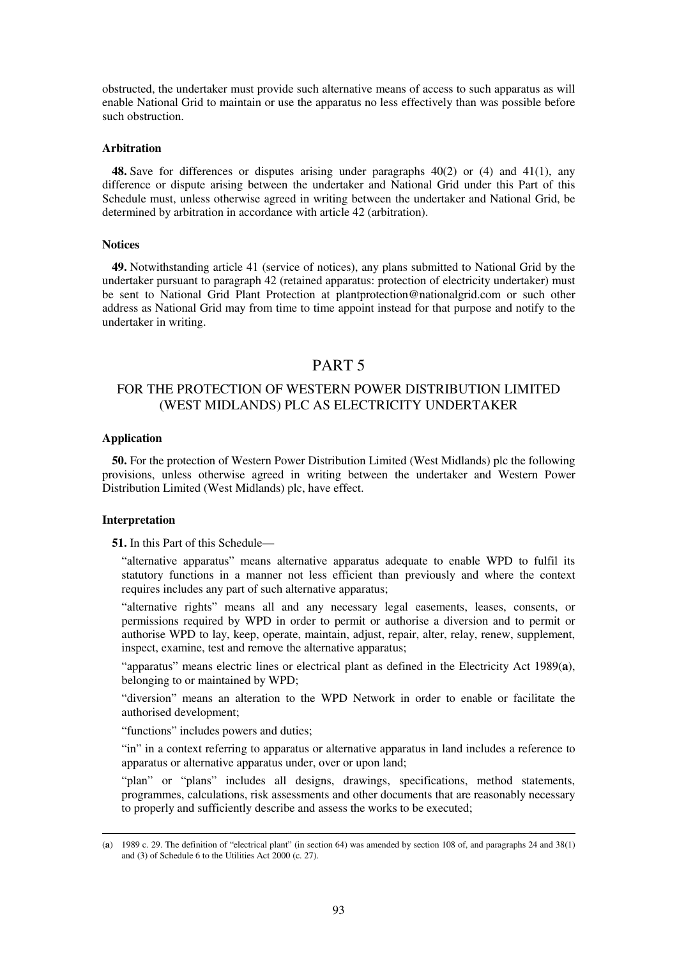obstructed, the undertaker must provide such alternative means of access to such apparatus as will enable National Grid to maintain or use the apparatus no less effectively than was possible before such obstruction.

## **Arbitration**

**48.** Save for differences or disputes arising under paragraphs 40(2) or (4) and 41(1), any difference or dispute arising between the undertaker and National Grid under this Part of this Schedule must, unless otherwise agreed in writing between the undertaker and National Grid, be determined by arbitration in accordance with article 42 (arbitration).

## **Notices**

**49.** Notwithstanding article 41 (service of notices), any plans submitted to National Grid by the undertaker pursuant to paragraph 42 (retained apparatus: protection of electricity undertaker) must be sent to National Grid Plant Protection at plantprotection@nationalgrid.com or such other address as National Grid may from time to time appoint instead for that purpose and notify to the undertaker in writing.

## PART 5

## FOR THE PROTECTION OF WESTERN POWER DISTRIBUTION LIMITED (WEST MIDLANDS) PLC AS ELECTRICITY UNDERTAKER

## **Application**

**50.** For the protection of Western Power Distribution Limited (West Midlands) plc the following provisions, unless otherwise agreed in writing between the undertaker and Western Power Distribution Limited (West Midlands) plc, have effect.

## **Interpretation**

-

**51.** In this Part of this Schedule—

"alternative apparatus" means alternative apparatus adequate to enable WPD to fulfil its statutory functions in a manner not less efficient than previously and where the context requires includes any part of such alternative apparatus;

"alternative rights" means all and any necessary legal easements, leases, consents, or permissions required by WPD in order to permit or authorise a diversion and to permit or authorise WPD to lay, keep, operate, maintain, adjust, repair, alter, relay, renew, supplement, inspect, examine, test and remove the alternative apparatus;

"apparatus" means electric lines or electrical plant as defined in the Electricity Act 1989(**a**), belonging to or maintained by WPD;

"diversion" means an alteration to the WPD Network in order to enable or facilitate the authorised development;

"functions" includes powers and duties;

"in" in a context referring to apparatus or alternative apparatus in land includes a reference to apparatus or alternative apparatus under, over or upon land;

"plan" or "plans" includes all designs, drawings, specifications, method statements, programmes, calculations, risk assessments and other documents that are reasonably necessary to properly and sufficiently describe and assess the works to be executed;

<sup>(</sup>**a**) 1989 c. 29. The definition of "electrical plant" (in section 64) was amended by section 108 of, and paragraphs 24 and 38(1) and (3) of Schedule 6 to the Utilities Act 2000 (c. 27).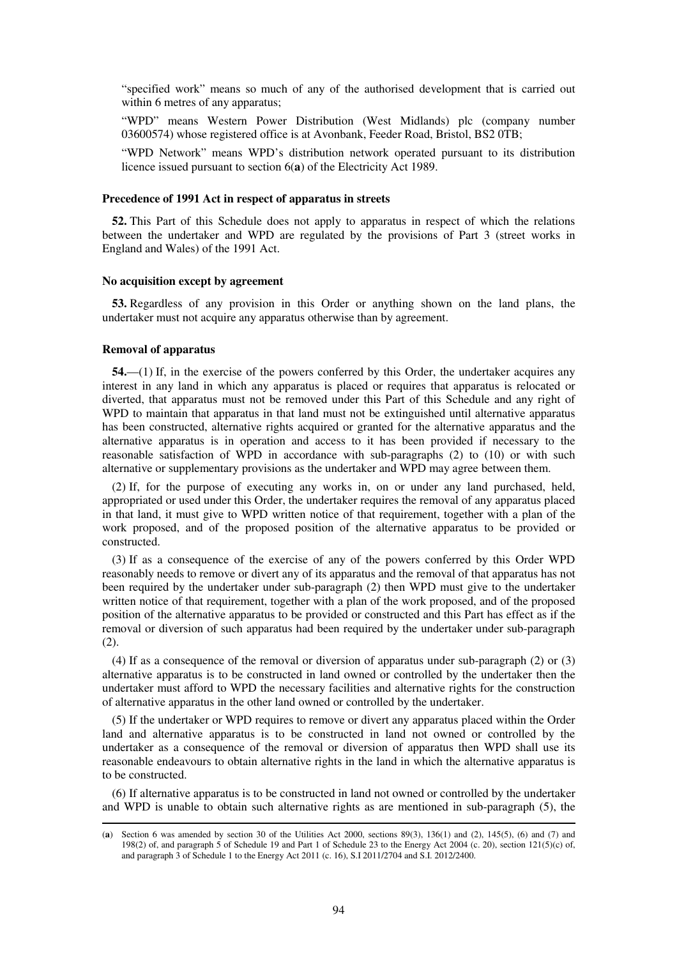"specified work" means so much of any of the authorised development that is carried out within 6 metres of any apparatus;

"WPD" means Western Power Distribution (West Midlands) plc (company number 03600574) whose registered office is at Avonbank, Feeder Road, Bristol, BS2 0TB;

"WPD Network" means WPD's distribution network operated pursuant to its distribution licence issued pursuant to section 6(**a**) of the Electricity Act 1989.

## **Precedence of 1991 Act in respect of apparatus in streets**

**52.** This Part of this Schedule does not apply to apparatus in respect of which the relations between the undertaker and WPD are regulated by the provisions of Part 3 (street works in England and Wales) of the 1991 Act.

#### **No acquisition except by agreement**

**53.** Regardless of any provision in this Order or anything shown on the land plans, the undertaker must not acquire any apparatus otherwise than by agreement.

## **Removal of apparatus**

-

**54.**—(1) If, in the exercise of the powers conferred by this Order, the undertaker acquires any interest in any land in which any apparatus is placed or requires that apparatus is relocated or diverted, that apparatus must not be removed under this Part of this Schedule and any right of WPD to maintain that apparatus in that land must not be extinguished until alternative apparatus has been constructed, alternative rights acquired or granted for the alternative apparatus and the alternative apparatus is in operation and access to it has been provided if necessary to the reasonable satisfaction of WPD in accordance with sub-paragraphs (2) to (10) or with such alternative or supplementary provisions as the undertaker and WPD may agree between them.

(2) If, for the purpose of executing any works in, on or under any land purchased, held, appropriated or used under this Order, the undertaker requires the removal of any apparatus placed in that land, it must give to WPD written notice of that requirement, together with a plan of the work proposed, and of the proposed position of the alternative apparatus to be provided or constructed.

(3) If as a consequence of the exercise of any of the powers conferred by this Order WPD reasonably needs to remove or divert any of its apparatus and the removal of that apparatus has not been required by the undertaker under sub-paragraph (2) then WPD must give to the undertaker written notice of that requirement, together with a plan of the work proposed, and of the proposed position of the alternative apparatus to be provided or constructed and this Part has effect as if the removal or diversion of such apparatus had been required by the undertaker under sub-paragraph (2).

(4) If as a consequence of the removal or diversion of apparatus under sub-paragraph (2) or (3) alternative apparatus is to be constructed in land owned or controlled by the undertaker then the undertaker must afford to WPD the necessary facilities and alternative rights for the construction of alternative apparatus in the other land owned or controlled by the undertaker.

(5) If the undertaker or WPD requires to remove or divert any apparatus placed within the Order land and alternative apparatus is to be constructed in land not owned or controlled by the undertaker as a consequence of the removal or diversion of apparatus then WPD shall use its reasonable endeavours to obtain alternative rights in the land in which the alternative apparatus is to be constructed.

(6) If alternative apparatus is to be constructed in land not owned or controlled by the undertaker and WPD is unable to obtain such alternative rights as are mentioned in sub-paragraph (5), the

<sup>(</sup>**a**) Section 6 was amended by section 30 of the Utilities Act 2000, sections 89(3), 136(1) and (2), 145(5), (6) and (7) and 198(2) of, and paragraph 5 of Schedule 19 and Part 1 of Schedule 23 to the Energy Act 2004 (c. 20), section 121(5)(c) of, and paragraph 3 of Schedule 1 to the Energy Act 2011 (c. 16), S.I 2011/2704 and S.I. 2012/2400.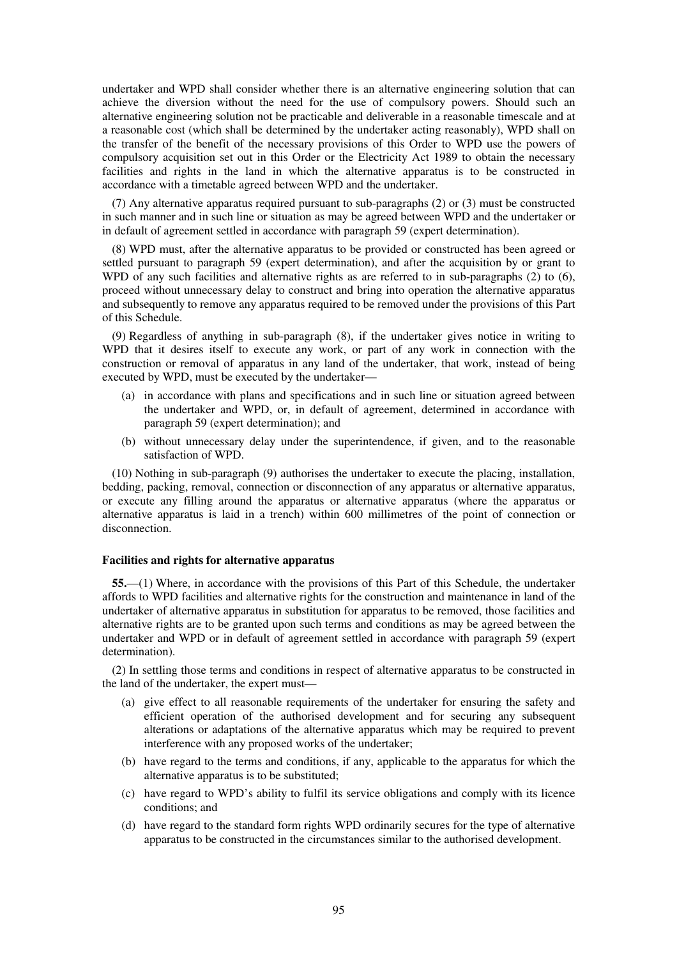undertaker and WPD shall consider whether there is an alternative engineering solution that can achieve the diversion without the need for the use of compulsory powers. Should such an alternative engineering solution not be practicable and deliverable in a reasonable timescale and at a reasonable cost (which shall be determined by the undertaker acting reasonably), WPD shall on the transfer of the benefit of the necessary provisions of this Order to WPD use the powers of compulsory acquisition set out in this Order or the Electricity Act 1989 to obtain the necessary facilities and rights in the land in which the alternative apparatus is to be constructed in accordance with a timetable agreed between WPD and the undertaker.

(7) Any alternative apparatus required pursuant to sub-paragraphs (2) or (3) must be constructed in such manner and in such line or situation as may be agreed between WPD and the undertaker or in default of agreement settled in accordance with paragraph 59 (expert determination).

(8) WPD must, after the alternative apparatus to be provided or constructed has been agreed or settled pursuant to paragraph 59 (expert determination), and after the acquisition by or grant to WPD of any such facilities and alternative rights as are referred to in sub-paragraphs (2) to (6), proceed without unnecessary delay to construct and bring into operation the alternative apparatus and subsequently to remove any apparatus required to be removed under the provisions of this Part of this Schedule.

(9) Regardless of anything in sub-paragraph (8), if the undertaker gives notice in writing to WPD that it desires itself to execute any work, or part of any work in connection with the construction or removal of apparatus in any land of the undertaker, that work, instead of being executed by WPD, must be executed by the undertaker—

- (a) in accordance with plans and specifications and in such line or situation agreed between the undertaker and WPD, or, in default of agreement, determined in accordance with paragraph 59 (expert determination); and
- (b) without unnecessary delay under the superintendence, if given, and to the reasonable satisfaction of WPD.

(10) Nothing in sub-paragraph (9) authorises the undertaker to execute the placing, installation, bedding, packing, removal, connection or disconnection of any apparatus or alternative apparatus, or execute any filling around the apparatus or alternative apparatus (where the apparatus or alternative apparatus is laid in a trench) within 600 millimetres of the point of connection or disconnection.

## **Facilities and rights for alternative apparatus**

**55.**—(1) Where, in accordance with the provisions of this Part of this Schedule, the undertaker affords to WPD facilities and alternative rights for the construction and maintenance in land of the undertaker of alternative apparatus in substitution for apparatus to be removed, those facilities and alternative rights are to be granted upon such terms and conditions as may be agreed between the undertaker and WPD or in default of agreement settled in accordance with paragraph 59 (expert determination).

(2) In settling those terms and conditions in respect of alternative apparatus to be constructed in the land of the undertaker, the expert must—

- (a) give effect to all reasonable requirements of the undertaker for ensuring the safety and efficient operation of the authorised development and for securing any subsequent alterations or adaptations of the alternative apparatus which may be required to prevent interference with any proposed works of the undertaker;
- (b) have regard to the terms and conditions, if any, applicable to the apparatus for which the alternative apparatus is to be substituted;
- (c) have regard to WPD's ability to fulfil its service obligations and comply with its licence conditions; and
- (d) have regard to the standard form rights WPD ordinarily secures for the type of alternative apparatus to be constructed in the circumstances similar to the authorised development.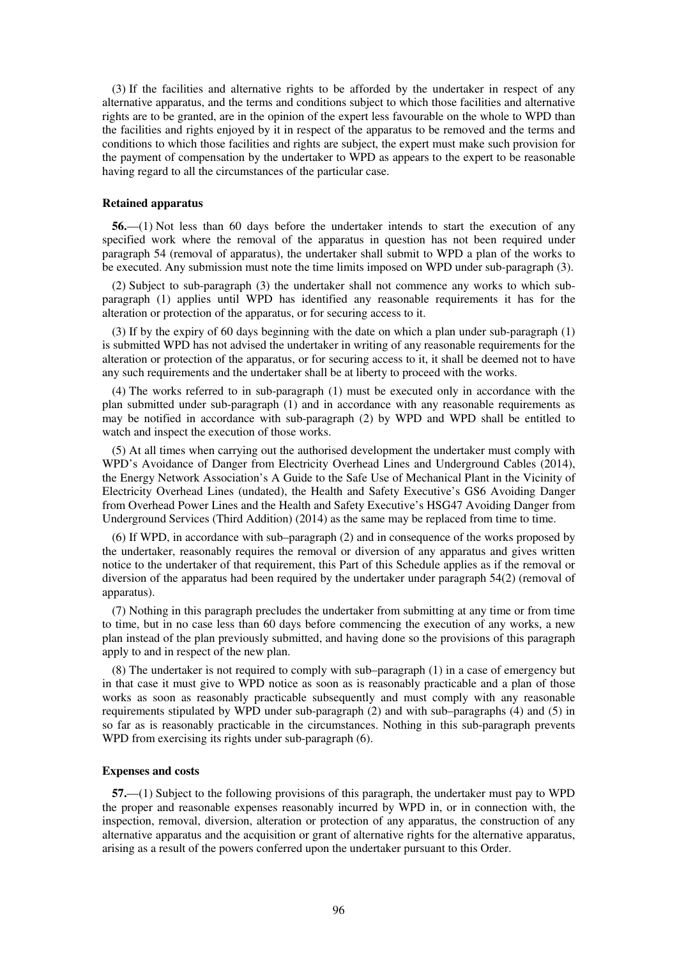(3) If the facilities and alternative rights to be afforded by the undertaker in respect of any alternative apparatus, and the terms and conditions subject to which those facilities and alternative rights are to be granted, are in the opinion of the expert less favourable on the whole to WPD than the facilities and rights enjoyed by it in respect of the apparatus to be removed and the terms and conditions to which those facilities and rights are subject, the expert must make such provision for the payment of compensation by the undertaker to WPD as appears to the expert to be reasonable having regard to all the circumstances of the particular case.

#### **Retained apparatus**

**56.**—(1) Not less than 60 days before the undertaker intends to start the execution of any specified work where the removal of the apparatus in question has not been required under paragraph 54 (removal of apparatus), the undertaker shall submit to WPD a plan of the works to be executed. Any submission must note the time limits imposed on WPD under sub-paragraph (3).

(2) Subject to sub-paragraph (3) the undertaker shall not commence any works to which subparagraph (1) applies until WPD has identified any reasonable requirements it has for the alteration or protection of the apparatus, or for securing access to it.

(3) If by the expiry of 60 days beginning with the date on which a plan under sub-paragraph (1) is submitted WPD has not advised the undertaker in writing of any reasonable requirements for the alteration or protection of the apparatus, or for securing access to it, it shall be deemed not to have any such requirements and the undertaker shall be at liberty to proceed with the works.

(4) The works referred to in sub-paragraph (1) must be executed only in accordance with the plan submitted under sub-paragraph (1) and in accordance with any reasonable requirements as may be notified in accordance with sub-paragraph (2) by WPD and WPD shall be entitled to watch and inspect the execution of those works.

(5) At all times when carrying out the authorised development the undertaker must comply with WPD's Avoidance of Danger from Electricity Overhead Lines and Underground Cables (2014), the Energy Network Association's A Guide to the Safe Use of Mechanical Plant in the Vicinity of Electricity Overhead Lines (undated), the Health and Safety Executive's GS6 Avoiding Danger from Overhead Power Lines and the Health and Safety Executive's HSG47 Avoiding Danger from Underground Services (Third Addition) (2014) as the same may be replaced from time to time.

(6) If WPD, in accordance with sub–paragraph (2) and in consequence of the works proposed by the undertaker, reasonably requires the removal or diversion of any apparatus and gives written notice to the undertaker of that requirement, this Part of this Schedule applies as if the removal or diversion of the apparatus had been required by the undertaker under paragraph 54(2) (removal of apparatus).

(7) Nothing in this paragraph precludes the undertaker from submitting at any time or from time to time, but in no case less than 60 days before commencing the execution of any works, a new plan instead of the plan previously submitted, and having done so the provisions of this paragraph apply to and in respect of the new plan.

(8) The undertaker is not required to comply with sub–paragraph (1) in a case of emergency but in that case it must give to WPD notice as soon as is reasonably practicable and a plan of those works as soon as reasonably practicable subsequently and must comply with any reasonable requirements stipulated by WPD under sub-paragraph (2) and with sub–paragraphs (4) and (5) in so far as is reasonably practicable in the circumstances. Nothing in this sub-paragraph prevents WPD from exercising its rights under sub-paragraph  $(6)$ .

## **Expenses and costs**

**57.**—(1) Subject to the following provisions of this paragraph, the undertaker must pay to WPD the proper and reasonable expenses reasonably incurred by WPD in, or in connection with, the inspection, removal, diversion, alteration or protection of any apparatus, the construction of any alternative apparatus and the acquisition or grant of alternative rights for the alternative apparatus, arising as a result of the powers conferred upon the undertaker pursuant to this Order.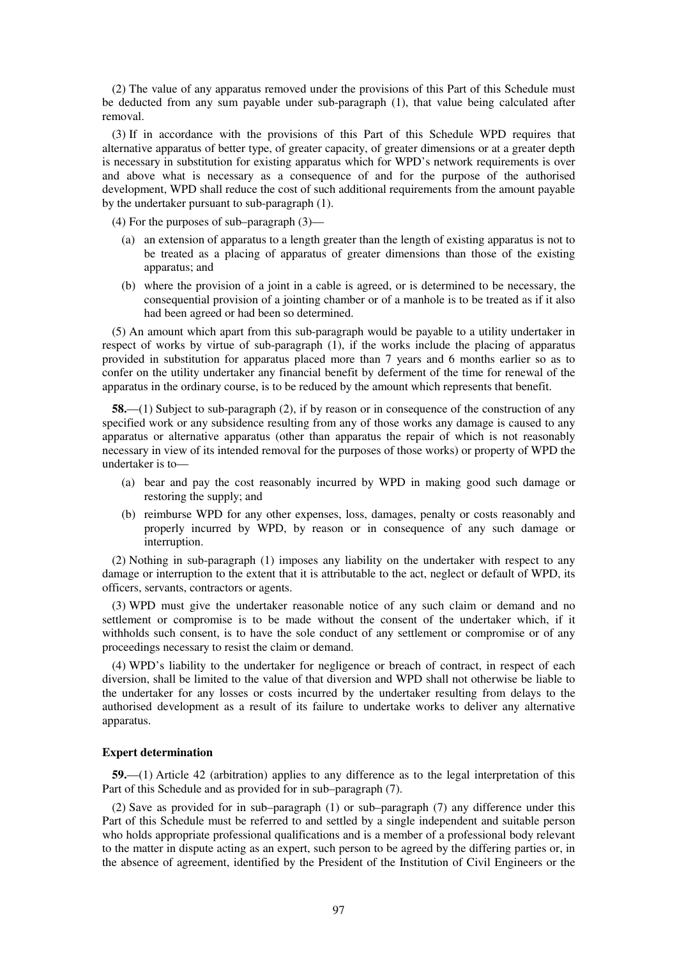(2) The value of any apparatus removed under the provisions of this Part of this Schedule must be deducted from any sum payable under sub-paragraph (1), that value being calculated after removal.

(3) If in accordance with the provisions of this Part of this Schedule WPD requires that alternative apparatus of better type, of greater capacity, of greater dimensions or at a greater depth is necessary in substitution for existing apparatus which for WPD's network requirements is over and above what is necessary as a consequence of and for the purpose of the authorised development, WPD shall reduce the cost of such additional requirements from the amount payable by the undertaker pursuant to sub-paragraph (1).

(4) For the purposes of sub–paragraph (3)—

- (a) an extension of apparatus to a length greater than the length of existing apparatus is not to be treated as a placing of apparatus of greater dimensions than those of the existing apparatus; and
- (b) where the provision of a joint in a cable is agreed, or is determined to be necessary, the consequential provision of a jointing chamber or of a manhole is to be treated as if it also had been agreed or had been so determined.

(5) An amount which apart from this sub-paragraph would be payable to a utility undertaker in respect of works by virtue of sub-paragraph (1), if the works include the placing of apparatus provided in substitution for apparatus placed more than 7 years and 6 months earlier so as to confer on the utility undertaker any financial benefit by deferment of the time for renewal of the apparatus in the ordinary course, is to be reduced by the amount which represents that benefit.

**58.**—(1) Subject to sub-paragraph (2), if by reason or in consequence of the construction of any specified work or any subsidence resulting from any of those works any damage is caused to any apparatus or alternative apparatus (other than apparatus the repair of which is not reasonably necessary in view of its intended removal for the purposes of those works) or property of WPD the undertaker is to—

- (a) bear and pay the cost reasonably incurred by WPD in making good such damage or restoring the supply; and
- (b) reimburse WPD for any other expenses, loss, damages, penalty or costs reasonably and properly incurred by WPD, by reason or in consequence of any such damage or interruption.

(2) Nothing in sub-paragraph (1) imposes any liability on the undertaker with respect to any damage or interruption to the extent that it is attributable to the act, neglect or default of WPD, its officers, servants, contractors or agents.

(3) WPD must give the undertaker reasonable notice of any such claim or demand and no settlement or compromise is to be made without the consent of the undertaker which, if it withholds such consent, is to have the sole conduct of any settlement or compromise or of any proceedings necessary to resist the claim or demand.

(4) WPD's liability to the undertaker for negligence or breach of contract, in respect of each diversion, shall be limited to the value of that diversion and WPD shall not otherwise be liable to the undertaker for any losses or costs incurred by the undertaker resulting from delays to the authorised development as a result of its failure to undertake works to deliver any alternative apparatus.

## **Expert determination**

**59.**—(1) Article 42 (arbitration) applies to any difference as to the legal interpretation of this Part of this Schedule and as provided for in sub–paragraph (7).

(2) Save as provided for in sub–paragraph (1) or sub–paragraph (7) any difference under this Part of this Schedule must be referred to and settled by a single independent and suitable person who holds appropriate professional qualifications and is a member of a professional body relevant to the matter in dispute acting as an expert, such person to be agreed by the differing parties or, in the absence of agreement, identified by the President of the Institution of Civil Engineers or the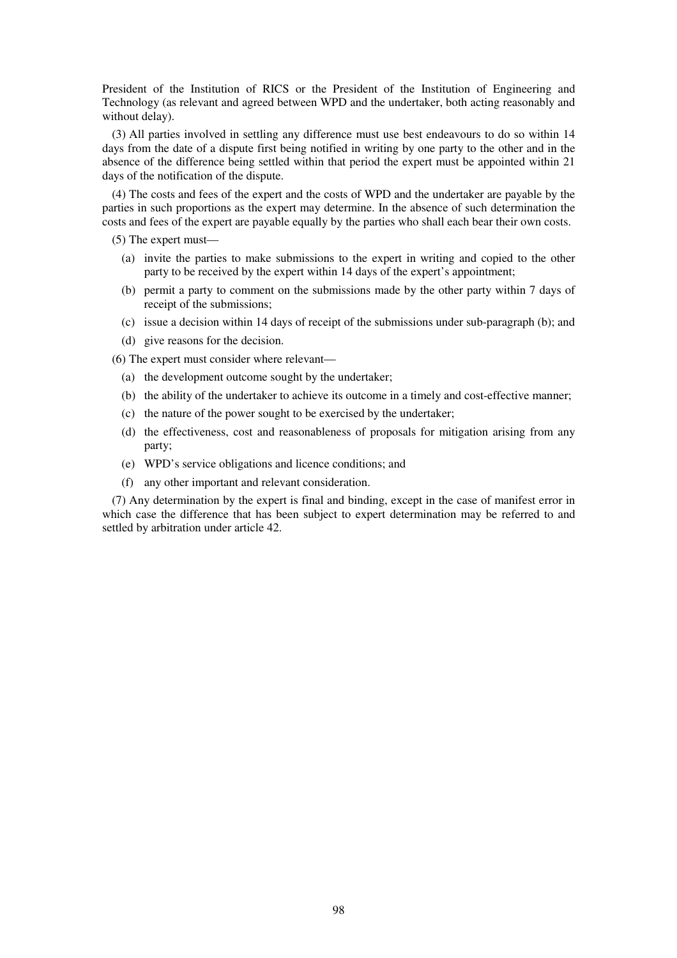President of the Institution of RICS or the President of the Institution of Engineering and Technology (as relevant and agreed between WPD and the undertaker, both acting reasonably and without delay).

(3) All parties involved in settling any difference must use best endeavours to do so within 14 days from the date of a dispute first being notified in writing by one party to the other and in the absence of the difference being settled within that period the expert must be appointed within 21 days of the notification of the dispute.

(4) The costs and fees of the expert and the costs of WPD and the undertaker are payable by the parties in such proportions as the expert may determine. In the absence of such determination the costs and fees of the expert are payable equally by the parties who shall each bear their own costs.

(5) The expert must—

- (a) invite the parties to make submissions to the expert in writing and copied to the other party to be received by the expert within 14 days of the expert's appointment;
- (b) permit a party to comment on the submissions made by the other party within 7 days of receipt of the submissions;
- (c) issue a decision within 14 days of receipt of the submissions under sub-paragraph (b); and
- (d) give reasons for the decision.

(6) The expert must consider where relevant—

- (a) the development outcome sought by the undertaker;
- (b) the ability of the undertaker to achieve its outcome in a timely and cost-effective manner;
- (c) the nature of the power sought to be exercised by the undertaker;
- (d) the effectiveness, cost and reasonableness of proposals for mitigation arising from any party;
- (e) WPD's service obligations and licence conditions; and
- (f) any other important and relevant consideration.

(7) Any determination by the expert is final and binding, except in the case of manifest error in which case the difference that has been subject to expert determination may be referred to and settled by arbitration under article 42.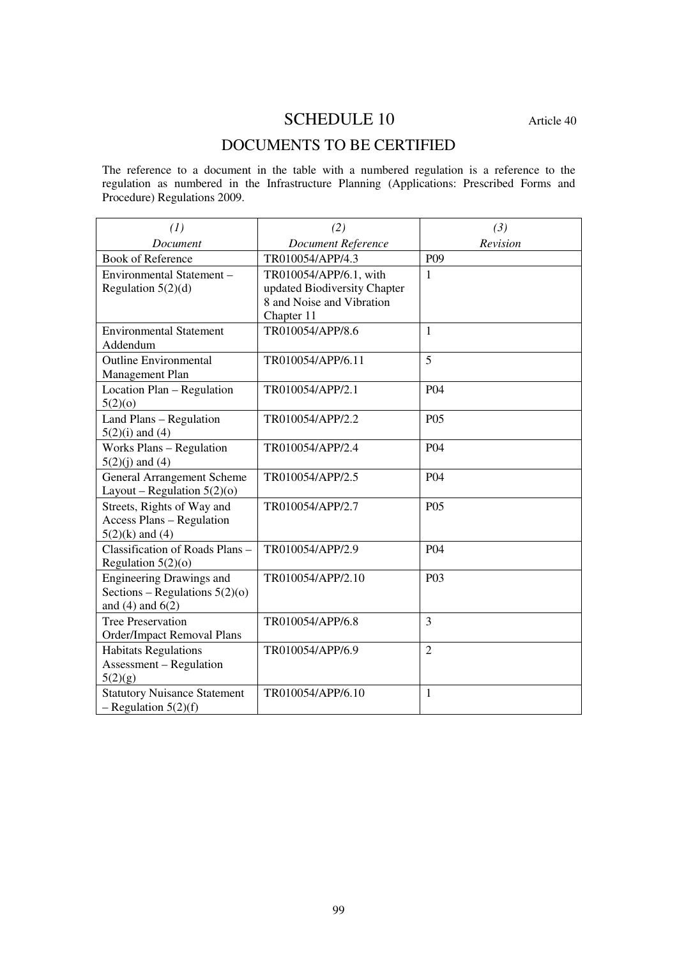# SCHEDULE 10 Article 40

# DOCUMENTS TO BE CERTIFIED

The reference to a document in the table with a numbered regulation is a reference to the regulation as numbered in the Infrastructure Planning (Applications: Prescribed Forms and Procedure) Regulations 2009.

| (1)                                                                                         | (2)                                                                                               | (3)             |
|---------------------------------------------------------------------------------------------|---------------------------------------------------------------------------------------------------|-----------------|
| Document                                                                                    | <b>Document Reference</b>                                                                         | Revision        |
| <b>Book of Reference</b>                                                                    | TR010054/APP/4.3                                                                                  | P <sub>09</sub> |
| Environmental Statement -<br>Regulation $5(2)(d)$                                           | TR010054/APP/6.1, with<br>updated Biodiversity Chapter<br>8 and Noise and Vibration<br>Chapter 11 | 1               |
| <b>Environmental Statement</b><br>Addendum                                                  | TR010054/APP/8.6                                                                                  | $\mathbf{1}$    |
| <b>Outline Environmental</b><br>Management Plan                                             | TR010054/APP/6.11                                                                                 | 5               |
| Location Plan - Regulation<br>5(2)(0)                                                       | TR010054/APP/2.1                                                                                  | P <sub>04</sub> |
| Land Plans - Regulation<br>$5(2)(i)$ and (4)                                                | TR010054/APP/2.2                                                                                  | P <sub>05</sub> |
| Works Plans - Regulation<br>$5(2)(j)$ and $(4)$                                             | TR010054/APP/2.4                                                                                  | P04             |
| <b>General Arrangement Scheme</b><br>Layout – Regulation $5(2)(0)$                          | TR010054/APP/2.5                                                                                  | P <sub>04</sub> |
| Streets, Rights of Way and<br><b>Access Plans - Regulation</b><br>$5(2)(k)$ and (4)         | TR010054/APP/2.7                                                                                  | P <sub>05</sub> |
| Classification of Roads Plans -<br>Regulation $5(2)(o)$                                     | TR010054/APP/2.9                                                                                  | P <sub>04</sub> |
| <b>Engineering Drawings and</b><br>Sections – Regulations $5(2)(o)$<br>and $(4)$ and $6(2)$ | TR010054/APP/2.10                                                                                 | P <sub>03</sub> |
| <b>Tree Preservation</b><br>Order/Impact Removal Plans                                      | TR010054/APP/6.8                                                                                  | 3               |
| <b>Habitats Regulations</b><br><b>Assessment</b> – Regulation<br>5(2)(g)                    | TR010054/APP/6.9                                                                                  | $\overline{2}$  |
| <b>Statutory Nuisance Statement</b><br>$-$ Regulation 5(2)(f)                               | TR010054/APP/6.10                                                                                 | 1               |